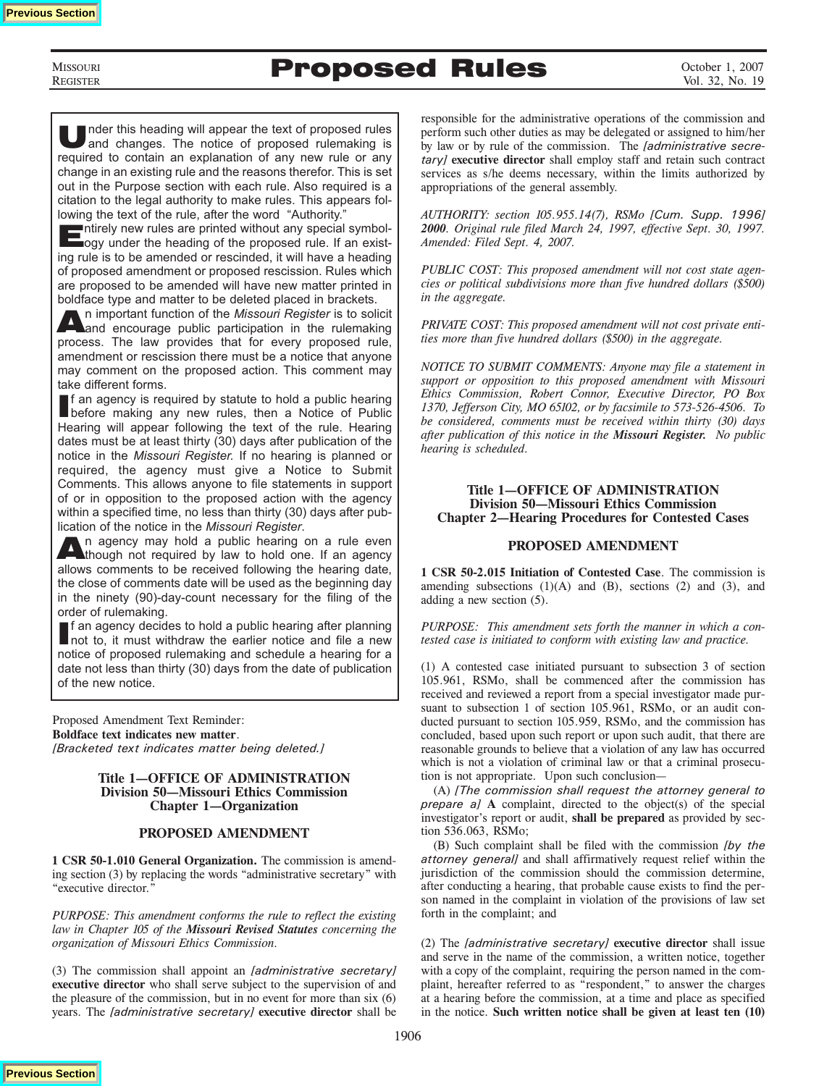**MISSOURI** REGISTER

# Proposed Rules

Under this heading will appear the text of proposed rules<br>and changes. The notice of proposed rulemaking is required to contain an explanation of any new rule or any change in an existing rule and the reasons therefor. This is set out in the Purpose section with each rule. Also required is a citation to the legal authority to make rules. This appears following the text of the rule, after the word "Authority."

Entirely new rules are printed without any special symbol-ogy under the heading of the proposed rule. If an existing rule is to be amended or rescinded, it will have a heading of proposed amendment or proposed rescission. Rules which are proposed to be amended will have new matter printed in boldface type and matter to be deleted placed in brackets.

An important function of the *Missouri Register* is to solicit and encourage public participation in the rulemaking process. The law provides that for every proposed rule, amendment or rescission there must be a notice that anyone may comment on the proposed action. This comment may take different forms.

If an agency is required by statute to hold a public hearing<br>before making any new rules, then a Notice of Public f an agency is required by statute to hold a public hearing Hearing will appear following the text of the rule. Hearing dates must be at least thirty (30) days after publication of the notice in the *Missouri Register.* If no hearing is planned or required, the agency must give a Notice to Submit Comments. This allows anyone to file statements in support of or in opposition to the proposed action with the agency within a specified time, no less than thirty (30) days after pub-

lication of the notice in the *Missouri Register*. An agency may hold a public hearing on a rule even<br>though not required by law to hold one. If an agency allows comments to be received following the hearing date, the close of comments date will be used as the beginning day in the ninety (90)-day-count necessary for the filing of the order of rulemaking.

If an agency decides to hold a public hearing after planning<br>Inot to, it must withdraw the earlier notice and file a new f an agency decides to hold a public hearing after planning notice of proposed rulemaking and schedule a hearing for a date not less than thirty (30) days from the date of publication of the new notice.

Proposed Amendment Text Reminder: **Boldface text indicates new matter**. *[Bracketed text indicates matter being deleted.]*

### **Title 1—OFFICE OF ADMINISTRATION Division 50—Missouri Ethics Commission Chapter 1—Organization**

### **PROPOSED AMENDMENT**

**1 CSR 50-1.010 General Organization.** The commission is amending section (3) by replacing the words "administrative secretary" with "executive director."

*PURPOSE: This amendment conforms the rule to reflect the existing law in Chapter 105 of the Missouri Revised Statutes concerning the organization of Missouri Ethics Commission.*

(3) The commission shall appoint an *[administrative secretary]* **executive director** who shall serve subject to the supervision of and the pleasure of the commission, but in no event for more than six (6) years. The *[administrative secretary]* **executive director** shall be

responsible for the administrative operations of the commission and perform such other duties as may be delegated or assigned to him/her by law or by rule of the commission. The *[administrative secretary]* **executive director** shall employ staff and retain such contract services as s/he deems necessary, within the limits authorized by appropriations of the general assembly.

*AUTHORITY: section 105.955.14(7), RSMo [Cum. Supp. 1996] 2000. Original rule filed March 24, 1997, effective Sept. 30, 1997. Amended: Filed Sept. 4, 2007.*

*PUBLIC COST: This proposed amendment will not cost state agencies or political subdivisions more than five hundred dollars (\$500) in the aggregate.* 

*PRIVATE COST: This proposed amendment will not cost private entities more than five hundred dollars (\$500) in the aggregate.*

*NOTICE TO SUBMIT COMMENTS: Anyone may file a statement in support or opposition to this proposed amendment with Missouri Ethics Commission, Robert Connor, Executive Director, PO Box 1370, Jefferson City, MO 65102, or by facsimile to 573-526-4506. To be considered, comments must be received within thirty (30) days after publication of this notice in the Missouri Register. No public hearing is scheduled.*

### **Title 1—OFFICE OF ADMINISTRATION Division 50—Missouri Ethics Commission Chapter 2—Hearing Procedures for Contested Cases**

### **PROPOSED AMENDMENT**

**1 CSR 50-2.015 Initiation of Contested Case**. The commission is amending subsections  $(1)(A)$  and  $(B)$ , sections  $(2)$  and  $(3)$ , and adding a new section (5).

*PURPOSE: This amendment sets forth the manner in which a contested case is initiated to conform with existing law and practice.*

(1) A contested case initiated pursuant to subsection 3 of section 105.961, RSMo, shall be commenced after the commission has received and reviewed a report from a special investigator made pursuant to subsection 1 of section 105.961, RSMo, or an audit conducted pursuant to section 105.959, RSMo, and the commission has concluded, based upon such report or upon such audit, that there are reasonable grounds to believe that a violation of any law has occurred which is not a violation of criminal law or that a criminal prosecution is not appropriate. Upon such conclusion—

(A) *[The commission shall request the attorney general to prepare a]* **A** complaint, directed to the object(s) of the special investigator's report or audit, **shall be prepared** as provided by section 536.063, RSMo;

(B) Such complaint shall be filed with the commission *[by the attorney general]* and shall affirmatively request relief within the jurisdiction of the commission should the commission determine, after conducting a hearing, that probable cause exists to find the person named in the complaint in violation of the provisions of law set forth in the complaint; and

(2) The *[administrative secretary]* **executive director** shall issue and serve in the name of the commission, a written notice, together with a copy of the complaint, requiring the person named in the complaint, hereafter referred to as "respondent," to answer the charges at a hearing before the commission, at a time and place as specified in the notice. **Such written notice shall be given at least ten (10)** 

**Previous Section**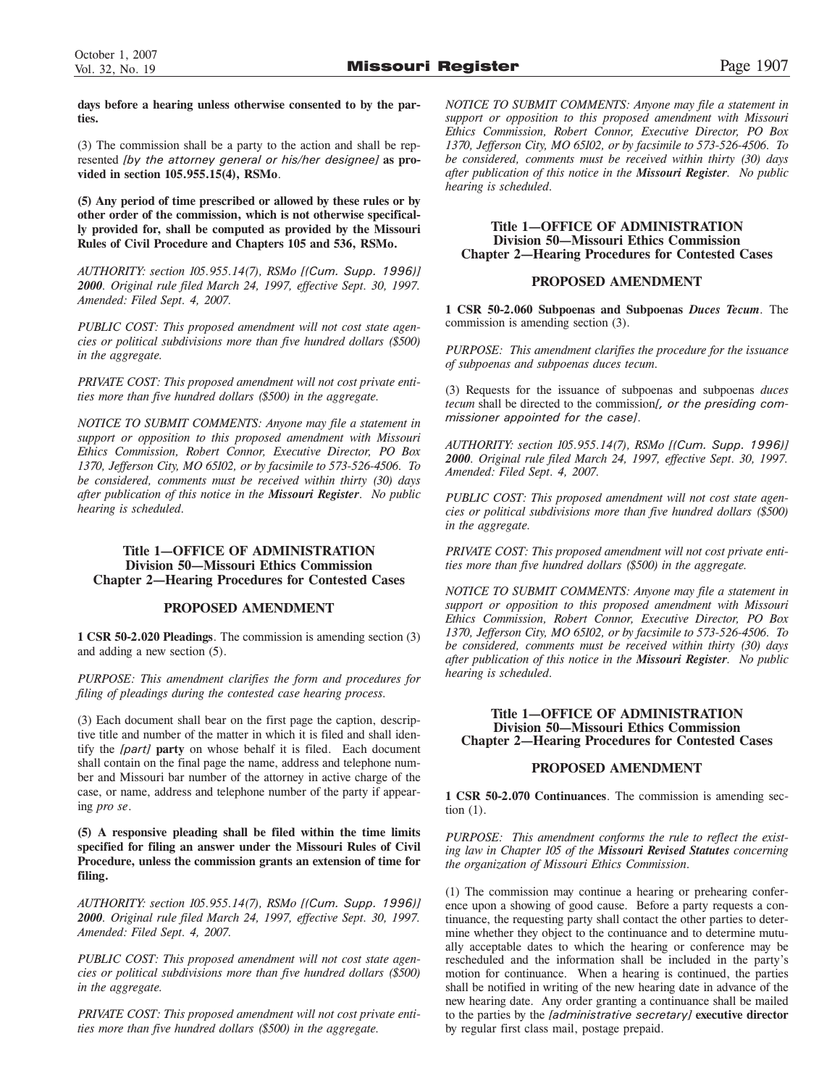**days before a hearing unless otherwise consented to by the parties.**

(3) The commission shall be a party to the action and shall be represented *[by the attorney general or his/her designee]* **as provided in section 105.955.15(4), RSMo**.

**(5) Any period of time prescribed or allowed by these rules or by other order of the commission, which is not otherwise specifically provided for, shall be computed as provided by the Missouri Rules of Civil Procedure and Chapters 105 and 536, RSMo.**

*AUTHORITY: section 105.955.14(7), RSMo [(Cum. Supp. 1996)] 2000. Original rule filed March 24, 1997, effective Sept. 30, 1997. Amended: Filed Sept. 4, 2007.*

*PUBLIC COST: This proposed amendment will not cost state agencies or political subdivisions more than five hundred dollars (\$500) in the aggregate.* 

*PRIVATE COST: This proposed amendment will not cost private entities more than five hundred dollars (\$500) in the aggregate.*

*NOTICE TO SUBMIT COMMENTS: Anyone may file a statement in support or opposition to this proposed amendment with Missouri Ethics Commission, Robert Connor, Executive Director, PO Box 1370, Jefferson City, MO 65102, or by facsimile to 573-526-4506. To be considered, comments must be received within thirty (30) days after publication of this notice in the Missouri Register*. *No public hearing is scheduled.*

### **Title 1—OFFICE OF ADMINISTRATION Division 50—Missouri Ethics Commission Chapter 2—Hearing Procedures for Contested Cases**

### **PROPOSED AMENDMENT**

**1 CSR 50-2.020 Pleadings**. The commission is amending section (3) and adding a new section (5).

*PURPOSE: This amendment clarifies the form and procedures for filing of pleadings during the contested case hearing process.* 

(3) Each document shall bear on the first page the caption, descriptive title and number of the matter in which it is filed and shall identify the *[part]* **party** on whose behalf it is filed. Each document shall contain on the final page the name, address and telephone number and Missouri bar number of the attorney in active charge of the case, or name, address and telephone number of the party if appearing *pro se*.

**(5) A responsive pleading shall be filed within the time limits specified for filing an answer under the Missouri Rules of Civil Procedure, unless the commission grants an extension of time for filing.** 

*AUTHORITY: section 105.955.14(7), RSMo [(Cum. Supp. 1996)] 2000. Original rule filed March 24, 1997, effective Sept. 30, 1997. Amended: Filed Sept. 4, 2007.*

*PUBLIC COST: This proposed amendment will not cost state agencies or political subdivisions more than five hundred dollars (\$500) in the aggregate.* 

*PRIVATE COST: This proposed amendment will not cost private entities more than five hundred dollars (\$500) in the aggregate.*

*NOTICE TO SUBMIT COMMENTS: Anyone may file a statement in support or opposition to this proposed amendment with Missouri Ethics Commission, Robert Connor, Executive Director, PO Box 1370, Jefferson City, MO 65102, or by facsimile to 573-526-4506. To be considered, comments must be received within thirty (30) days after publication of this notice in the Missouri Register. No public hearing is scheduled.*

### **Title 1—OFFICE OF ADMINISTRATION Division 50—Missouri Ethics Commission Chapter 2—Hearing Procedures for Contested Cases**

### **PROPOSED AMENDMENT**

**1 CSR 50-2.060 Subpoenas and Subpoenas** *Duces Tecum*. The commission is amending section (3).

*PURPOSE: This amendment clarifies the procedure for the issuance of subpoenas and subpoenas duces tecum.*

(3) Requests for the issuance of subpoenas and subpoenas *duces tecum* shall be directed to the commission*[, or the presiding commissioner appointed for the case]*.

*AUTHORITY: section 105.955.14(7), RSMo [(Cum. Supp. 1996)] 2000. Original rule filed March 24, 1997, effective Sept. 30, 1997. Amended: Filed Sept. 4, 2007.*

*PUBLIC COST: This proposed amendment will not cost state agencies or political subdivisions more than five hundred dollars (\$500) in the aggregate.* 

*PRIVATE COST: This proposed amendment will not cost private entities more than five hundred dollars (\$500) in the aggregate.*

*NOTICE TO SUBMIT COMMENTS: Anyone may file a statement in support or opposition to this proposed amendment with Missouri Ethics Commission, Robert Connor, Executive Director, PO Box 1370, Jefferson City, MO 65102, or by facsimile to 573-526-4506. To be considered, comments must be received within thirty (30) days after publication of this notice in the Missouri Register. No public hearing is scheduled.*

### **Title 1—OFFICE OF ADMINISTRATION Division 50—Missouri Ethics Commission Chapter 2—Hearing Procedures for Contested Cases**

### **PROPOSED AMENDMENT**

**1 CSR 50-2.070 Continuances**. The commission is amending section (1).

*PURPOSE: This amendment conforms the rule to reflect the existing law in Chapter 105 of the Missouri Revised Statutes concerning the organization of Missouri Ethics Commission.*

(1) The commission may continue a hearing or prehearing conference upon a showing of good cause. Before a party requests a continuance, the requesting party shall contact the other parties to determine whether they object to the continuance and to determine mutually acceptable dates to which the hearing or conference may be rescheduled and the information shall be included in the party's motion for continuance. When a hearing is continued, the parties shall be notified in writing of the new hearing date in advance of the new hearing date. Any order granting a continuance shall be mailed to the parties by the *[administrative secretary]* **executive director** by regular first class mail, postage prepaid.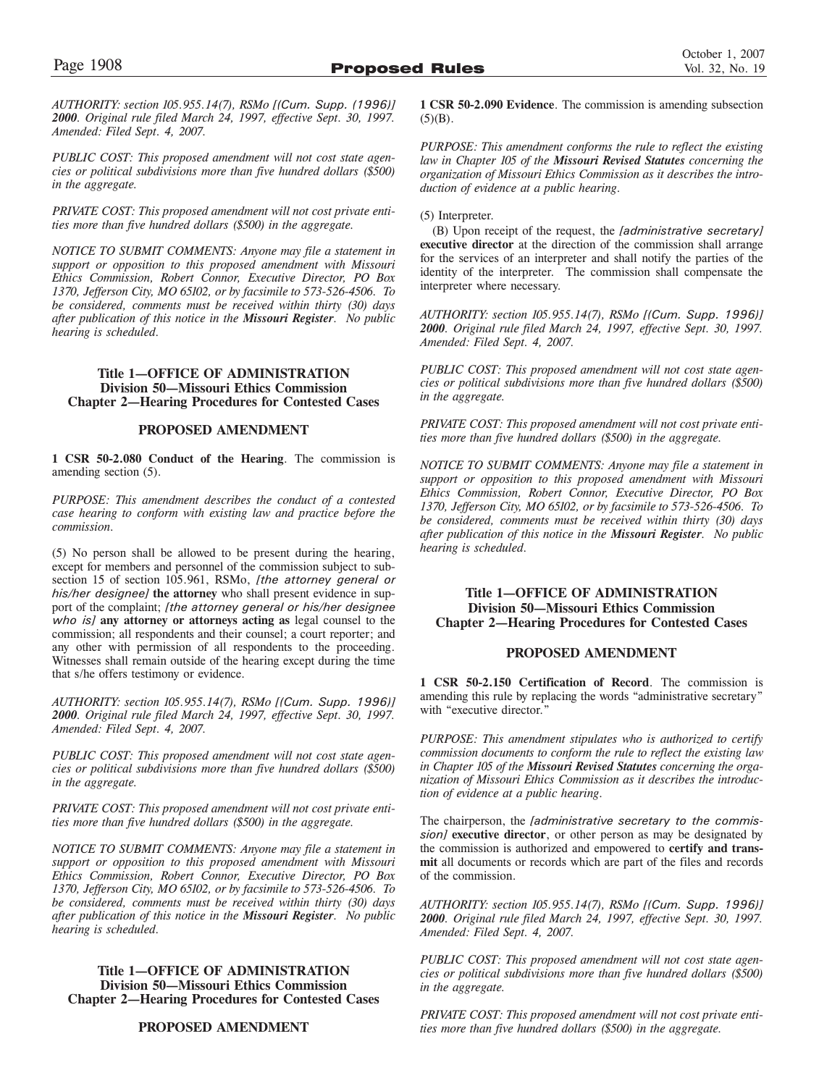*AUTHORITY: section 105.955.14(7), RSMo [(Cum. Supp. (1996)] 2000. Original rule filed March 24, 1997, effective Sept. 30, 1997. Amended: Filed Sept. 4, 2007.*

*PUBLIC COST: This proposed amendment will not cost state agencies or political subdivisions more than five hundred dollars (\$500) in the aggregate.* 

*PRIVATE COST: This proposed amendment will not cost private entities more than five hundred dollars (\$500) in the aggregate.*

*NOTICE TO SUBMIT COMMENTS: Anyone may file a statement in support or opposition to this proposed amendment with Missouri Ethics Commission, Robert Connor, Executive Director, PO Box 1370, Jefferson City, MO 65102, or by facsimile to 573-526-4506. To be considered, comments must be received within thirty (30) days after publication of this notice in the Missouri Register. No public hearing is scheduled.*

### **Title 1—OFFICE OF ADMINISTRATION Division 50—Missouri Ethics Commission Chapter 2—Hearing Procedures for Contested Cases**

### **PROPOSED AMENDMENT**

**1 CSR 50-2.080 Conduct of the Hearing**. The commission is amending section (5).

*PURPOSE: This amendment describes the conduct of a contested case hearing to conform with existing law and practice before the commission.*

(5) No person shall be allowed to be present during the hearing, except for members and personnel of the commission subject to subsection 15 of section 105.961, RSMo, *[the attorney general or his/her designee]* **the attorney** who shall present evidence in support of the complaint; *[the attorney general or his/her designee who is]* **any attorney or attorneys acting as** legal counsel to the commission; all respondents and their counsel; a court reporter; and any other with permission of all respondents to the proceeding. Witnesses shall remain outside of the hearing except during the time that s/he offers testimony or evidence.

*AUTHORITY: section 105.955.14(7), RSMo [(Cum. Supp. 1996)] 2000. Original rule filed March 24, 1997, effective Sept. 30, 1997. Amended: Filed Sept. 4, 2007.*

*PUBLIC COST: This proposed amendment will not cost state agencies or political subdivisions more than five hundred dollars (\$500) in the aggregate.* 

*PRIVATE COST: This proposed amendment will not cost private entities more than five hundred dollars (\$500) in the aggregate.*

*NOTICE TO SUBMIT COMMENTS: Anyone may file a statement in support or opposition to this proposed amendment with Missouri Ethics Commission, Robert Connor, Executive Director, PO Box 1370, Jefferson City, MO 65102, or by facsimile to 573-526-4506. To be considered, comments must be received within thirty (30) days after publication of this notice in the Missouri Register. No public hearing is scheduled.*

### **Title 1—OFFICE OF ADMINISTRATION Division 50—Missouri Ethics Commission Chapter 2—Hearing Procedures for Contested Cases**

### **PROPOSED AMENDMENT**

**1 CSR 50-2.090 Evidence**. The commission is amending subsection  $(5)(B)$ .

*PURPOSE: This amendment conforms the rule to reflect the existing law in Chapter 105 of the Missouri Revised Statutes concerning the organization of Missouri Ethics Commission as it describes the introduction of evidence at a public hearing.*

(5) Interpreter.

(B) Upon receipt of the request, the *[administrative secretary]* **executive director** at the direction of the commission shall arrange for the services of an interpreter and shall notify the parties of the identity of the interpreter. The commission shall compensate the interpreter where necessary.

*AUTHORITY: section 105.955.14(7), RSMo [(Cum. Supp. 1996)] 2000. Original rule filed March 24, 1997, effective Sept. 30, 1997. Amended: Filed Sept. 4, 2007.*

*PUBLIC COST: This proposed amendment will not cost state agencies or political subdivisions more than five hundred dollars (\$500) in the aggregate.* 

*PRIVATE COST: This proposed amendment will not cost private entities more than five hundred dollars (\$500) in the aggregate.*

*NOTICE TO SUBMIT COMMENTS: Anyone may file a statement in support or opposition to this proposed amendment with Missouri Ethics Commission, Robert Connor, Executive Director, PO Box 1370, Jefferson City, MO 65102, or by facsimile to 573-526-4506. To be considered, comments must be received within thirty (30) days after publication of this notice in the Missouri Register. No public hearing is scheduled.*

### **Title 1—OFFICE OF ADMINISTRATION Division 50—Missouri Ethics Commission Chapter 2—Hearing Procedures for Contested Cases**

### **PROPOSED AMENDMENT**

**1 CSR 50-2.150 Certification of Record**. The commission is amending this rule by replacing the words "administrative secretary" with "executive director."

*PURPOSE: This amendment stipulates who is authorized to certify commission documents to conform the rule to reflect the existing law in Chapter 105 of the Missouri Revised Statutes concerning the organization of Missouri Ethics Commission as it describes the introduction of evidence at a public hearing.*

The chairperson, the *[administrative secretary to the commission]* **executive director**, or other person as may be designated by the commission is authorized and empowered to **certify and transmit** all documents or records which are part of the files and records of the commission.

*AUTHORITY: section 105.955.14(7), RSMo [(Cum. Supp. 1996)] 2000. Original rule filed March 24, 1997, effective Sept. 30, 1997. Amended: Filed Sept. 4, 2007.*

*PUBLIC COST: This proposed amendment will not cost state agencies or political subdivisions more than five hundred dollars (\$500) in the aggregate.* 

*PRIVATE COST: This proposed amendment will not cost private entities more than five hundred dollars (\$500) in the aggregate.*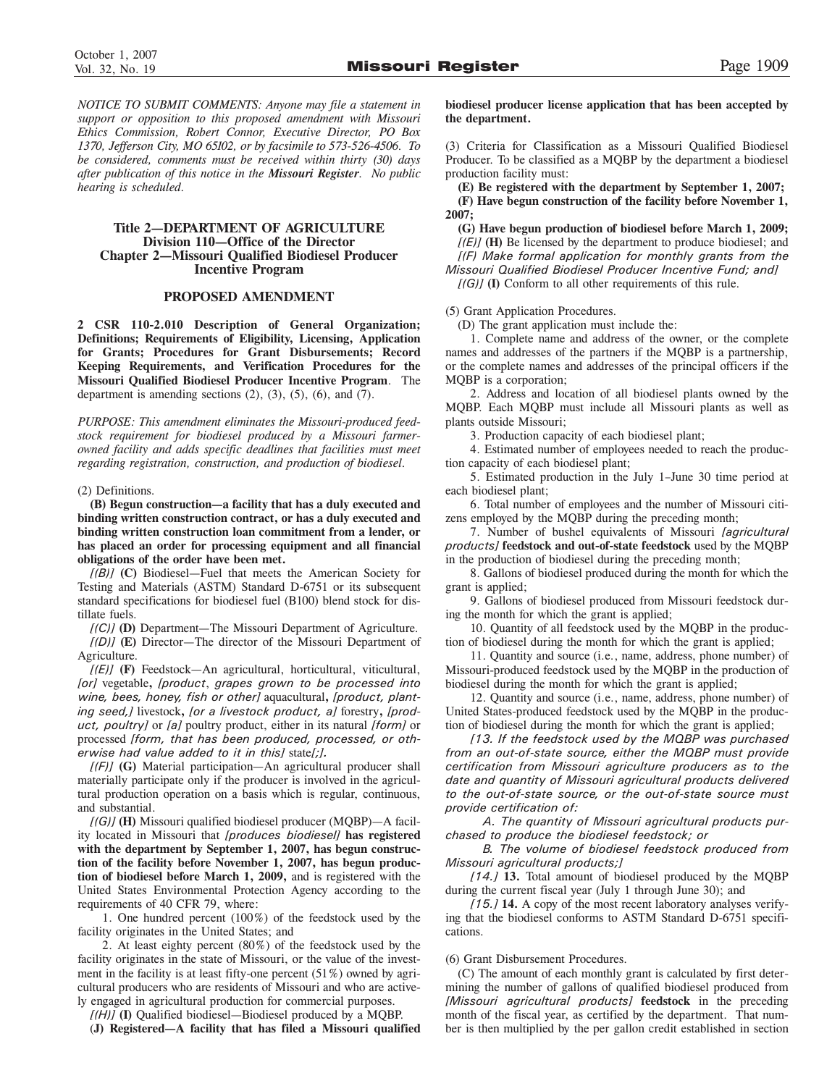*NOTICE TO SUBMIT COMMENTS: Anyone may file a statement in support or opposition to this proposed amendment with Missouri Ethics Commission, Robert Connor, Executive Director, PO Box 1370, Jefferson City, MO 65102, or by facsimile to 573-526-4506. To be considered, comments must be received within thirty (30) days after publication of this notice in the Missouri Register. No public hearing is scheduled.*

### **Title 2—DEPARTMENT OF AGRICULTURE Division 110—Office of the Director Chapter 2—Missouri Qualified Biodiesel Producer Incentive Program**

### **PROPOSED AMENDMENT**

**2 CSR 110-2.010 Description of General Organization; Definitions; Requirements of Eligibility, Licensing, Application for Grants; Procedures for Grant Disbursements; Record Keeping Requirements, and Verification Procedures for the Missouri Qualified Biodiesel Producer Incentive Program**. The department is amending sections  $(2)$ ,  $(3)$ ,  $(5)$ ,  $(6)$ , and  $(7)$ .

*PURPOSE: This amendment eliminates the Missouri-produced feedstock requirement for biodiesel produced by a Missouri farmerowned facility and adds specific deadlines that facilities must meet regarding registration, construction, and production of biodiesel.*

(2) Definitions.

**(B) Begun construction—a facility that has a duly executed and binding written construction contract, or has a duly executed and binding written construction loan commitment from a lender, or has placed an order for processing equipment and all financial obligations of the order have been met.**

*[(B)]* **(C)** Biodiesel—Fuel that meets the American Society for Testing and Materials (ASTM) Standard D-6751 or its subsequent standard specifications for biodiesel fuel (B100) blend stock for distillate fuels.

*[(C)]* **(D)** Department—The Missouri Department of Agriculture. *[(D)]* **(E)** Director—The director of the Missouri Department of Agriculture.

*[(E)]* **(F)** Feedstock—An agricultural, horticultural, viticultural, *[or]* vegetable**,** *[product*, *grapes grown to be processed into wine, bees, honey, fish or other]* aquacultural**,** *[product, planting seed,]* livestock**,** *[or a livestock product, a]* forestry**,** *[product, poultry]* or *[a]* poultry product, either in its natural *[form]* or processed *[form, that has been produced, processed, or otherwise had value added to it in this]* state*[;].*

*[(F)]* **(G)** Material participation—An agricultural producer shall materially participate only if the producer is involved in the agricultural production operation on a basis which is regular, continuous, and substantial.

*[(G)]* **(H)** Missouri qualified biodiesel producer (MQBP)—A facility located in Missouri that *[produces biodiesel]* **has registered with the department by September 1, 2007, has begun construction of the facility before November 1, 2007, has begun production of biodiesel before March 1, 2009,** and is registered with the United States Environmental Protection Agency according to the requirements of 40 CFR 79, where:

1. One hundred percent (100%) of the feedstock used by the facility originates in the United States; and

2. At least eighty percent (80%) of the feedstock used by the facility originates in the state of Missouri, or the value of the investment in the facility is at least fifty-one percent (51%) owned by agricultural producers who are residents of Missouri and who are actively engaged in agricultural production for commercial purposes.

*[(H)]* **(I)** Qualified biodiesel—Biodiesel produced by a MQBP.

(**J) Registered—A facility that has filed a Missouri qualified**

**biodiesel producer license application that has been accepted by the department.** 

(3) Criteria for Classification as a Missouri Qualified Biodiesel Producer. To be classified as a MQBP by the department a biodiesel production facility must:

**(E) Be registered with the department by September 1, 2007; (F) Have begun construction of the facility before November 1, 2007;**

**(G) Have begun production of biodiesel before March 1, 2009;** 

*[(E)]* **(H)** Be licensed by the department to produce biodiesel; and *[(F) Make formal application for monthly grants from the Missouri Qualified Biodiesel Producer Incentive Fund; and]*

*[(G)]* **(I)** Conform to all other requirements of this rule.

(5) Grant Application Procedures.

(D) The grant application must include the:

1. Complete name and address of the owner, or the complete names and addresses of the partners if the MQBP is a partnership, or the complete names and addresses of the principal officers if the MQBP is a corporation;

2. Address and location of all biodiesel plants owned by the MQBP. Each MQBP must include all Missouri plants as well as plants outside Missouri;

3. Production capacity of each biodiesel plant;

4. Estimated number of employees needed to reach the production capacity of each biodiesel plant;

5. Estimated production in the July 1–June 30 time period at each biodiesel plant;

6. Total number of employees and the number of Missouri citizens employed by the MQBP during the preceding month;

7. Number of bushel equivalents of Missouri *[agricultural products]* **feedstock and out-of-state feedstock** used by the MQBP in the production of biodiesel during the preceding month;

8. Gallons of biodiesel produced during the month for which the grant is applied;

9. Gallons of biodiesel produced from Missouri feedstock during the month for which the grant is applied;

10. Quantity of all feedstock used by the MQBP in the production of biodiesel during the month for which the grant is applied;

11. Quantity and source (i.e., name, address, phone number) of Missouri-produced feedstock used by the MQBP in the production of biodiesel during the month for which the grant is applied;

12. Quantity and source (i.e., name, address, phone number) of United States-produced feedstock used by the MQBP in the production of biodiesel during the month for which the grant is applied;

*[13. If the feedstock used by the MQBP was purchased from an out-of-state source, either the MQBP must provide certification from Missouri agriculture producers as to the date and quantity of Missouri agricultural products delivered to the out-of-state source, or the out-of-state source must provide certification of:*

*A. The quantity of Missouri agricultural products purchased to produce the biodiesel feedstock; or*

*B. The volume of biodiesel feedstock produced from Missouri agricultural products;]* 

*[14.]* **13.** Total amount of biodiesel produced by the MQBP during the current fiscal year (July 1 through June 30); and

*[15.]* **14.** A copy of the most recent laboratory analyses verifying that the biodiesel conforms to ASTM Standard D-6751 specifications.

(6) Grant Disbursement Procedures.

(C) The amount of each monthly grant is calculated by first determining the number of gallons of qualified biodiesel produced from *[Missouri agricultural products]* **feedstock** in the preceding month of the fiscal year, as certified by the department. That number is then multiplied by the per gallon credit established in section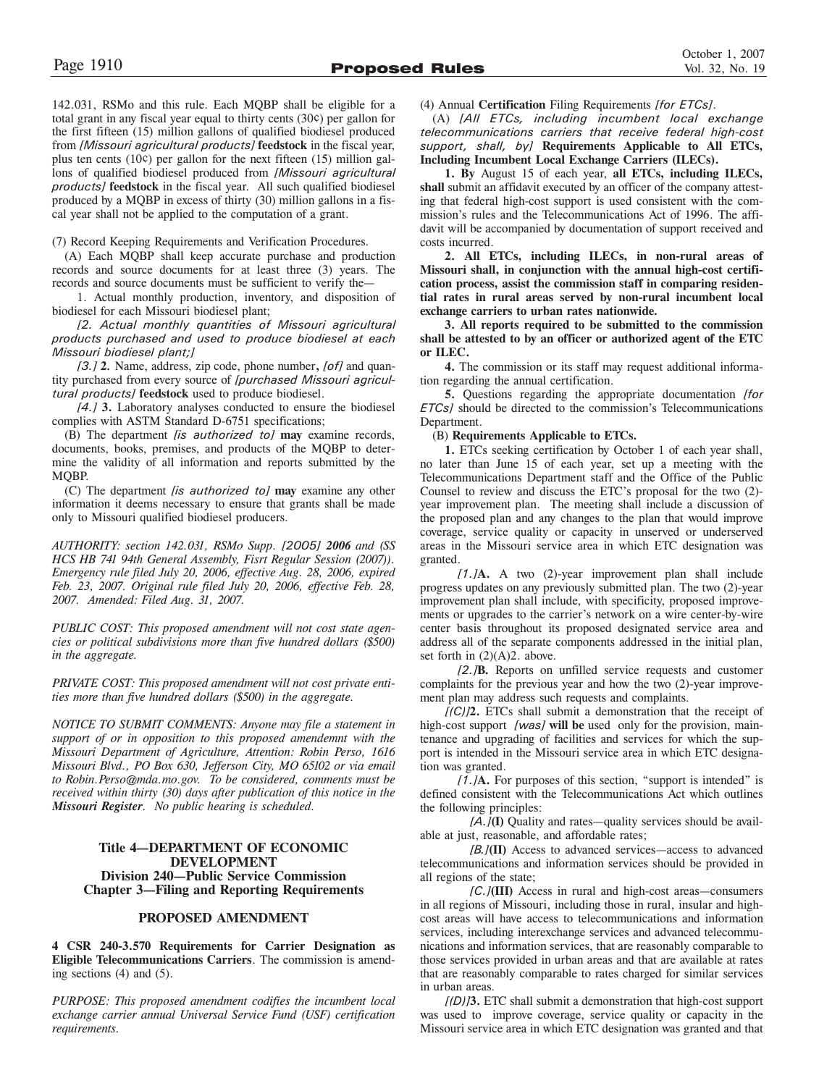142.031, RSMo and this rule. Each MQBP shall be eligible for a total grant in any fiscal year equal to thirty cents (30¢) per gallon for the first fifteen (15) million gallons of qualified biodiesel produced from *[Missouri agricultural products]* **feedstock** in the fiscal year, plus ten cents (10¢) per gallon for the next fifteen (15) million gallons of qualified biodiesel produced from *[Missouri agricultural products]* **feedstock** in the fiscal year. All such qualified biodiesel produced by a MQBP in excess of thirty (30) million gallons in a fiscal year shall not be applied to the computation of a grant.

(7) Record Keeping Requirements and Verification Procedures.

(A) Each MQBP shall keep accurate purchase and production records and source documents for at least three (3) years. The records and source documents must be sufficient to verify the—

1. Actual monthly production, inventory, and disposition of biodiesel for each Missouri biodiesel plant;

*[2. Actual monthly quantities of Missouri agricultural products purchased and used to produce biodiesel at each Missouri biodiesel plant;]* 

*[3.]* **2***.* Name, address, zip code, phone number**,** *[of]* and quantity purchased from every source of *[purchased Missouri agricultural products]* **feedstock** used to produce biodiesel.

*[4.]* **3.** Laboratory analyses conducted to ensure the biodiesel complies with ASTM Standard D-6751 specifications;

(B) The department *[is authorized to]* **may** examine records, documents, books, premises, and products of the MQBP to determine the validity of all information and reports submitted by the MQBP.

(C) The department *[is authorized to]* **may** examine any other information it deems necessary to ensure that grants shall be made only to Missouri qualified biodiesel producers.

*AUTHORITY: section 142.031, RSMo Supp. [2005] 2006 and (SS HCS HB 741 94th General Assembly, Fisrt Regular Session (2007)). Emergency rule filed July 20, 2006, effective Aug. 28, 2006, expired Feb. 23, 2007. Original rule filed July 20, 2006, effective Feb. 28, 2007. Amended: Filed Aug. 31, 2007.*

*PUBLIC COST: This proposed amendment will not cost state agencies or political subdivisions more than five hundred dollars (\$500) in the aggregate.* 

*PRIVATE COST: This proposed amendment will not cost private entities more than five hundred dollars (\$500) in the aggregate.* 

*NOTICE TO SUBMIT COMMENTS: Anyone may file a statement in support of or in opposition to this proposed amendemnt with the Missouri Department of Agriculture, Attention: Robin Perso, 1616 Missouri Blvd., PO Box 630, Jefferson City, MO 65102 or via email to Robin.Perso@mda.mo.gov. To be considered, comments must be received within thirty (30) days after publication of this notice in the Missouri Register. No public hearing is scheduled.*

### **Title 4—DEPARTMENT OF ECONOMIC DEVELOPMENT Division 240—Public Service Commission Chapter 3—Filing and Reporting Requirements**

### **PROPOSED AMENDMENT**

**4 CSR 240-3.570 Requirements for Carrier Designation as Eligible Telecommunications Carriers**. The commission is amending sections (4) and (5).

*PURPOSE: This proposed amendment codifies the incumbent local exchange carrier annual Universal Service Fund (USF) certification requirements.* 

(4) Annual **Certification** Filing Requirements *[for ETCs]*.

(A) *[All ETCs, including incumbent local exchange telecommunications carriers that receive federal high-cost support, shall, by]* **Requirements Applicable to All ETCs, Including Incumbent Local Exchange Carriers (ILECs).** 

**1. By** August 15 of each year, **all ETCs, including ILECs, shall** submit an affidavit executed by an officer of the company attesting that federal high-cost support is used consistent with the commission's rules and the Telecommunications Act of 1996. The affidavit will be accompanied by documentation of support received and costs incurred.

**2. All ETCs, including ILECs, in non-rural areas of Missouri shall, in conjunction with the annual high-cost certification process, assist the commission staff in comparing residential rates in rural areas served by non-rural incumbent local exchange carriers to urban rates nationwide.**

**3. All reports required to be submitted to the commission shall be attested to by an officer or authorized agent of the ETC or ILEC.**

**4.** The commission or its staff may request additional information regarding the annual certification.

**5.** Questions regarding the appropriate documentation *[for ETCs]* should be directed to the commission's Telecommunications Department.

### (B) **Requirements Applicable to ETCs.**

**1.** ETCs seeking certification by October 1 of each year shall, no later than June 15 of each year, set up a meeting with the Telecommunications Department staff and the Office of the Public Counsel to review and discuss the ETC's proposal for the two (2) year improvement plan. The meeting shall include a discussion of the proposed plan and any changes to the plan that would improve coverage, service quality or capacity in unserved or underserved areas in the Missouri service area in which ETC designation was granted.

*[1.]***A.** A two (2)-year improvement plan shall include progress updates on any previously submitted plan. The two (2)-year improvement plan shall include, with specificity, proposed improvements or upgrades to the carrier's network on a wire center-by-wire center basis throughout its proposed designated service area and address all of the separate components addressed in the initial plan, set forth in  $(2)(A)2$ . above.

*[2.]***B.** Reports on unfilled service requests and customer complaints for the previous year and how the two (2)-year improvement plan may address such requests and complaints.

*[(C)]***2.** ETCs shall submit a demonstration that the receipt of high-cost support *[was]* **will be** used only for the provision, maintenance and upgrading of facilities and services for which the support is intended in the Missouri service area in which ETC designation was granted.

*[1.]***A.** For purposes of this section, "support is intended" is defined consistent with the Telecommunications Act which outlines the following principles:

*[A.]***(I)** Quality and rates—quality services should be available at just, reasonable, and affordable rates;

*[B.]***(II)** Access to advanced services—access to advanced telecommunications and information services should be provided in all regions of the state;

*[C.]***(III)** Access in rural and high-cost areas—consumers in all regions of Missouri, including those in rural, insular and highcost areas will have access to telecommunications and information services, including interexchange services and advanced telecommunications and information services, that are reasonably comparable to those services provided in urban areas and that are available at rates that are reasonably comparable to rates charged for similar services in urban areas.

*[(D)]***3.** ETC shall submit a demonstration that high-cost support was used to improve coverage, service quality or capacity in the Missouri service area in which ETC designation was granted and that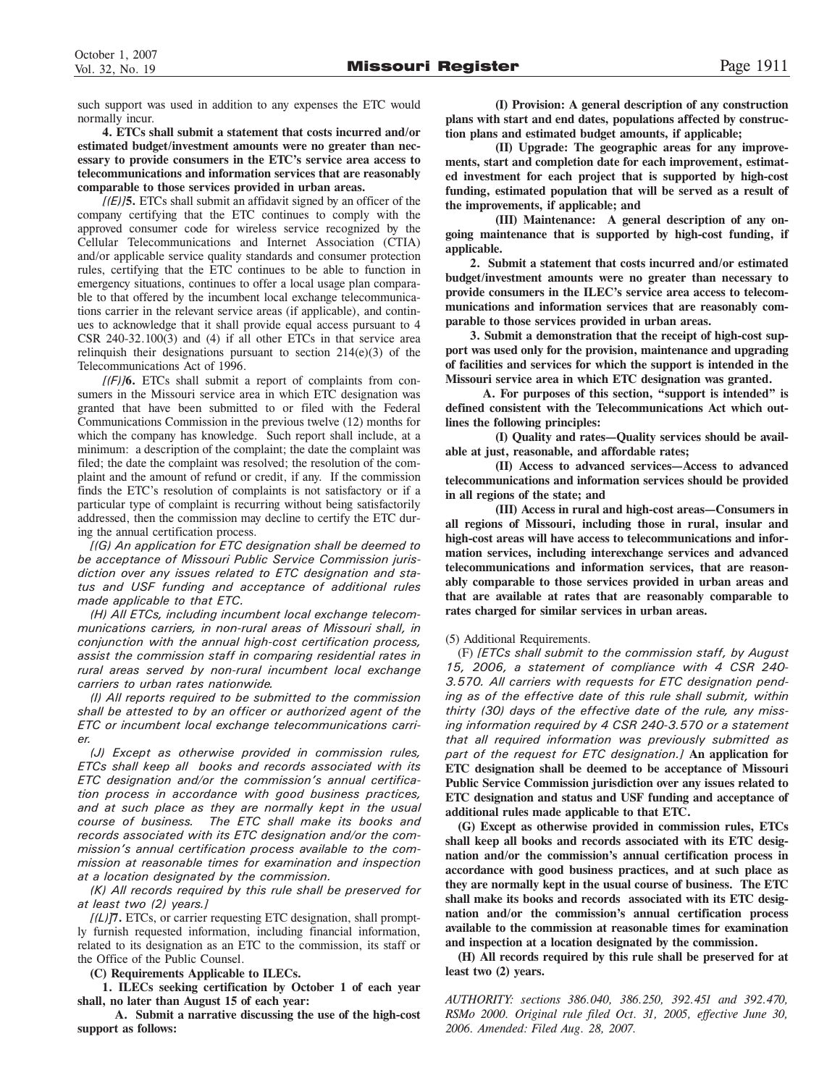such support was used in addition to any expenses the ETC would normally incur.

**4. ETCs shall submit a statement that costs incurred and/or estimated budget/investment amounts were no greater than necessary to provide consumers in the ETC's service area access to telecommunications and information services that are reasonably comparable to those services provided in urban areas.**

*[(E)]***5.** ETCs shall submit an affidavit signed by an officer of the company certifying that the ETC continues to comply with the approved consumer code for wireless service recognized by the Cellular Telecommunications and Internet Association (CTIA) and/or applicable service quality standards and consumer protection rules, certifying that the ETC continues to be able to function in emergency situations, continues to offer a local usage plan comparable to that offered by the incumbent local exchange telecommunications carrier in the relevant service areas (if applicable), and continues to acknowledge that it shall provide equal access pursuant to 4 CSR 240-32.100(3) and (4) if all other ETCs in that service area relinquish their designations pursuant to section  $214(e)(3)$  of the Telecommunications Act of 1996.

*[(F)]***6.** ETCs shall submit a report of complaints from consumers in the Missouri service area in which ETC designation was granted that have been submitted to or filed with the Federal Communications Commission in the previous twelve (12) months for which the company has knowledge. Such report shall include, at a minimum: a description of the complaint; the date the complaint was filed; the date the complaint was resolved; the resolution of the complaint and the amount of refund or credit, if any. If the commission finds the ETC's resolution of complaints is not satisfactory or if a particular type of complaint is recurring without being satisfactorily addressed, then the commission may decline to certify the ETC during the annual certification process.

*[(G) An application for ETC designation shall be deemed to be acceptance of Missouri Public Service Commission jurisdiction over any issues related to ETC designation and status and USF funding and acceptance of additional rules made applicable to that ETC.*

*(H) All ETCs, including incumbent local exchange telecommunications carriers, in non-rural areas of Missouri shall, in conjunction with the annual high-cost certification process, assist the commission staff in comparing residential rates in rural areas served by non-rural incumbent local exchange carriers to urban rates nationwide.*

*(I) All reports required to be submitted to the commission shall be attested to by an officer or authorized agent of the ETC or incumbent local exchange telecommunications carrier.*

*(J) Except as otherwise provided in commission rules, ETCs shall keep all books and records associated with its ETC designation and/or the commission's annual certification process in accordance with good business practices, and at such place as they are normally kept in the usual course of business. The ETC shall make its books and records associated with its ETC designation and/or the commission's annual certification process available to the commission at reasonable times for examination and inspection at a location designated by the commission.*

*(K) All records required by this rule shall be preserved for at least two (2) years.]*

*[(L)]***7.** ETCs, or carrier requesting ETC designation, shall promptly furnish requested information, including financial information, related to its designation as an ETC to the commission, its staff or the Office of the Public Counsel.

**(C) Requirements Applicable to ILECs.**

**1. ILECs seeking certification by October 1 of each year shall, no later than August 15 of each year:** 

**A. Submit a narrative discussing the use of the high-cost support as follows:**

**(I) Provision: A general description of any construction plans with start and end dates, populations affected by construction plans and estimated budget amounts, if applicable;**

**(II) Upgrade: The geographic areas for any improvements, start and completion date for each improvement, estimated investment for each project that is supported by high-cost funding, estimated population that will be served as a result of the improvements, if applicable; and**

**(III) Maintenance: A general description of any ongoing maintenance that is supported by high-cost funding, if applicable.** 

**2. Submit a statement that costs incurred and/or estimated budget/investment amounts were no greater than necessary to provide consumers in the ILEC's service area access to telecommunications and information services that are reasonably comparable to those services provided in urban areas.**

**3. Submit a demonstration that the receipt of high-cost support was used only for the provision, maintenance and upgrading of facilities and services for which the support is intended in the Missouri service area in which ETC designation was granted.** 

**A. For purposes of this section, "support is intended" is defined consistent with the Telecommunications Act which outlines the following principles:**

**(I) Quality and rates—Quality services should be available at just, reasonable, and affordable rates;**

**(II) Access to advanced services—Access to advanced telecommunications and information services should be provided in all regions of the state; and**

**(III) Access in rural and high-cost areas—Consumers in all regions of Missouri, including those in rural, insular and high-cost areas will have access to telecommunications and information services, including interexchange services and advanced telecommunications and information services, that are reasonably comparable to those services provided in urban areas and that are available at rates that are reasonably comparable to rates charged for similar services in urban areas.** 

### (5) Additional Requirements.

(F) *[ETCs shall submit to the commission staff, by August 15, 2006, a statement of compliance with 4 CSR 240- 3.570. All carriers with requests for ETC designation pending as of the effective date of this rule shall submit, within thirty (30) days of the effective date of the rule, any missing information required by 4 CSR 240-3.570 or a statement that all required information was previously submitted as part of the request for ETC designation.]* **An application for ETC designation shall be deemed to be acceptance of Missouri Public Service Commission jurisdiction over any issues related to ETC designation and status and USF funding and acceptance of additional rules made applicable to that ETC.**

**(G) Except as otherwise provided in commission rules, ETCs shall keep all books and records associated with its ETC designation and/or the commission's annual certification process in accordance with good business practices, and at such place as they are normally kept in the usual course of business. The ETC shall make its books and records associated with its ETC designation and/or the commission's annual certification process available to the commission at reasonable times for examination and inspection at a location designated by the commission.**

**(H) All records required by this rule shall be preserved for at least two (2) years.**

*AUTHORITY: sections 386.040, 386.250, 392.451 and 392.470, RSMo 2000. Original rule filed Oct. 31, 2005, effective June 30, 2006. Amended: Filed Aug. 28, 2007.*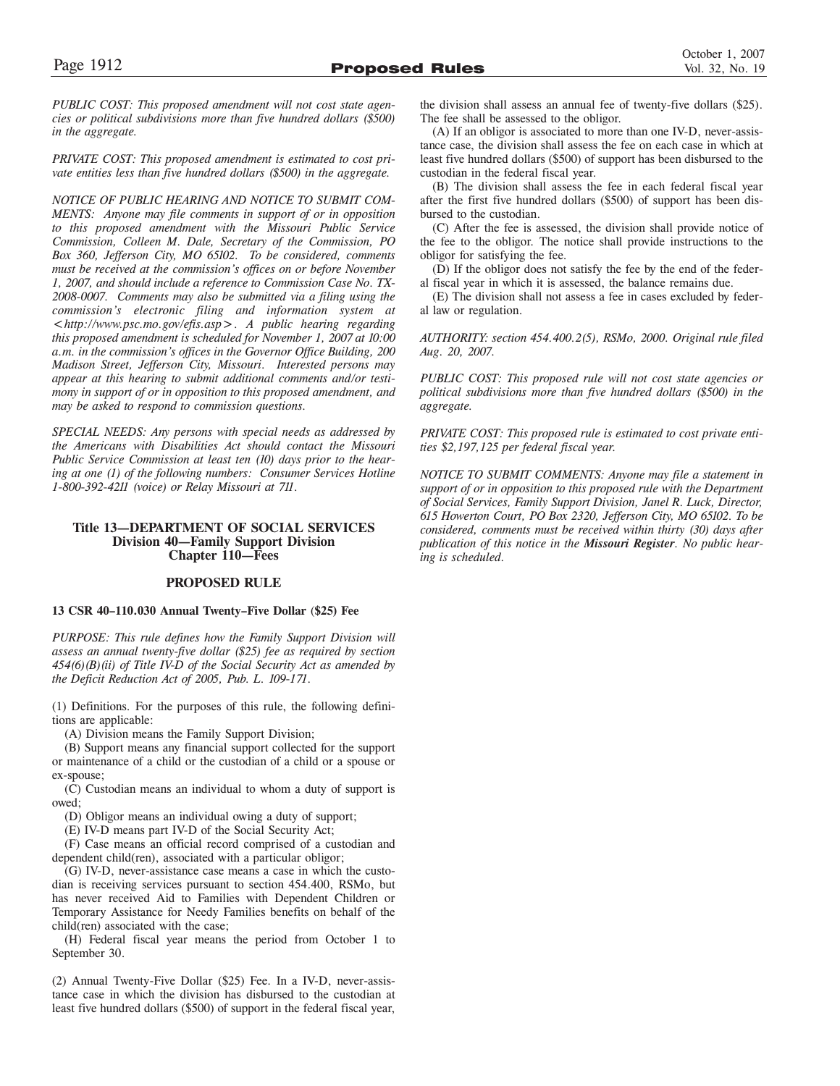*PUBLIC COST: This proposed amendment will not cost state agencies or political subdivisions more than five hundred dollars (\$500) in the aggregate.*

*PRIVATE COST: This proposed amendment is estimated to cost private entities less than five hundred dollars (\$500) in the aggregate.*

*NOTICE OF PUBLIC HEARING AND NOTICE TO SUBMIT COM-MENTS: Anyone may file comments in support of or in opposition to this proposed amendment with the Missouri Public Service Commission, Colleen M. Dale, Secretary of the Commission, PO Box 360, Jefferson City, MO 65102. To be considered, comments must be received at the commission's offices on or before November 1, 2007, and should include a reference to Commission Case No. TX-2008-0007. Comments may also be submitted via a filing using the commission's electronic filing and information system at <http://www.psc.mo.gov/efis.asp>. A public hearing regarding this proposed amendment is scheduled for November 1, 2007 at 10:00 a.m. in the commission's offices in the Governor Office Building, 200 Madison Street, Jefferson City, Missouri. Interested persons may appear at this hearing to submit additional comments and/or testimony in support of or in opposition to this proposed amendment, and may be asked to respond to commission questions.*

*SPECIAL NEEDS: Any persons with special needs as addressed by the Americans with Disabilities Act should contact the Missouri Public Service Commission at least ten (10) days prior to the hearing at one (1) of the following numbers: Consumer Services Hotline 1-800-392-4211 (voice) or Relay Missouri at 711.*

### **Title 13—DEPARTMENT OF SOCIAL SERVICES Division 40—Family Support Division Chapter 110—Fees**

### **PROPOSED RULE**

### **13 CSR 40–110.030 Annual Twenty–Five Dollar** (**\$25) Fee**

*PURPOSE: This rule defines how the Family Support Division will assess an annual twenty-five dollar (\$25) fee as required by section 454(6)(B)(ii) of Title IV-D of the Social Security Act as amended by the Deficit Reduction Act of 2005, Pub. L. 109-171.*

(1) Definitions. For the purposes of this rule, the following definitions are applicable:

(A) Division means the Family Support Division;

(B) Support means any financial support collected for the support or maintenance of a child or the custodian of a child or a spouse or ex-spouse;

(C) Custodian means an individual to whom a duty of support is owed;

(D) Obligor means an individual owing a duty of support;

(E) IV-D means part IV-D of the Social Security Act;

(F) Case means an official record comprised of a custodian and dependent child(ren), associated with a particular obligor;

(G) IV-D, never-assistance case means a case in which the custodian is receiving services pursuant to section 454.400, RSMo, but has never received Aid to Families with Dependent Children or Temporary Assistance for Needy Families benefits on behalf of the child(ren) associated with the case;

(H) Federal fiscal year means the period from October 1 to September 30.

(2) Annual Twenty-Five Dollar (\$25) Fee. In a IV-D, never-assistance case in which the division has disbursed to the custodian at least five hundred dollars (\$500) of support in the federal fiscal year, the division shall assess an annual fee of twenty-five dollars (\$25). The fee shall be assessed to the obligor.

(A) If an obligor is associated to more than one IV-D, never-assistance case, the division shall assess the fee on each case in which at least five hundred dollars (\$500) of support has been disbursed to the custodian in the federal fiscal year.

(B) The division shall assess the fee in each federal fiscal year after the first five hundred dollars (\$500) of support has been disbursed to the custodian.

(C) After the fee is assessed, the division shall provide notice of the fee to the obligor. The notice shall provide instructions to the obligor for satisfying the fee.

(D) If the obligor does not satisfy the fee by the end of the federal fiscal year in which it is assessed, the balance remains due.

(E) The division shall not assess a fee in cases excluded by federal law or regulation.

*AUTHORITY: section 454.400.2(5), RSMo, 2000. Original rule filed Aug. 20, 2007.*

*PUBLIC COST: This proposed rule will not cost state agencies or political subdivisions more than five hundred dollars (\$500) in the aggregate.*

*PRIVATE COST: This proposed rule is estimated to cost private entities \$2,197,125 per federal fiscal year.*

*NOTICE TO SUBMIT COMMENTS: Anyone may file a statement in support of or in opposition to this proposed rule with the Department of Social Services, Family Support Division, Janel R. Luck, Director, 615 Howerton Court, PO Box 2320, Jefferson City, MO 65102. To be considered, comments must be received within thirty (30) days after publication of this notice in the Missouri Register. No public hearing is scheduled.*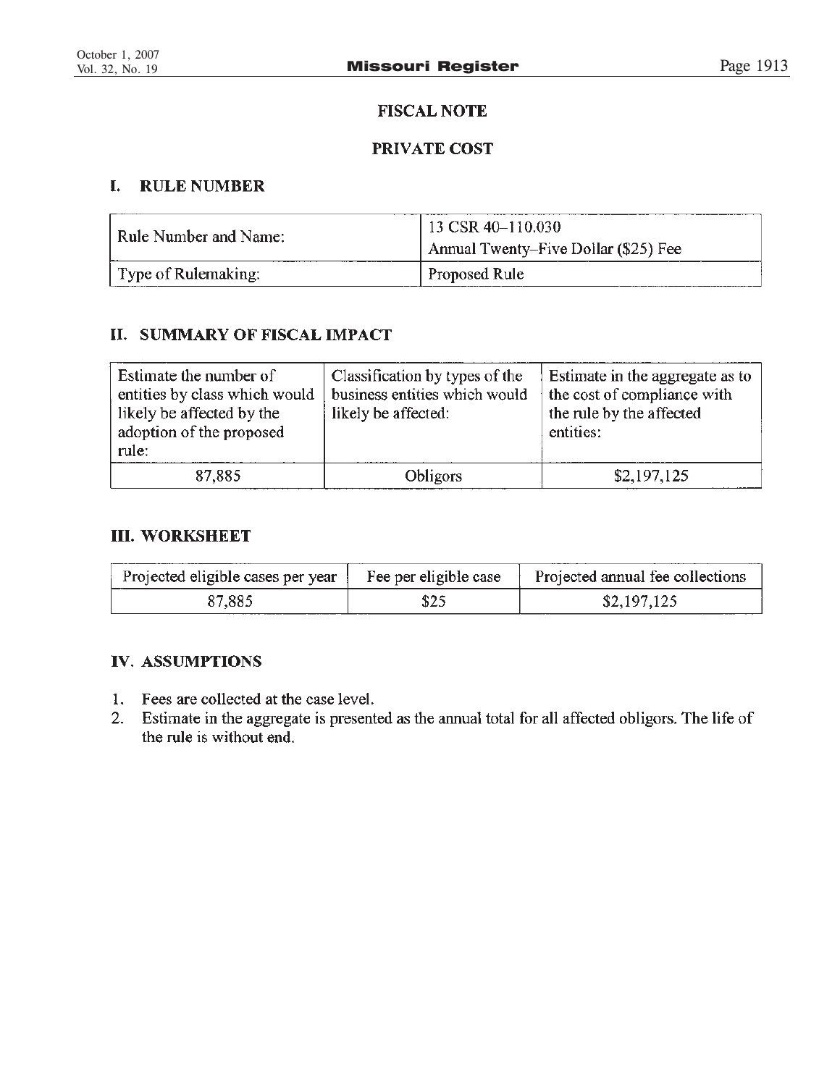# **FISCAL NOTE**

# PRIVATE COST

### $\mathbf{I}$ . **RULE NUMBER**

| Rule Number and Name: | 13 CSR 40–110.030                    |
|-----------------------|--------------------------------------|
|                       | Annual Twenty–Five Dollar (\$25) Fee |
| Type of Rulemaking:   | Proposed Rule                        |

# **II. SUMMARY OF FISCAL IMPACT**

| Estimate the number of<br>entities by class which would<br>likely be affected by the<br>adoption of the proposed<br>rule: | Classification by types of the<br>business entities which would<br>likely be affected: | Estimate in the aggregate as to<br>the cost of compliance with<br>the rule by the affected<br>entities: |
|---------------------------------------------------------------------------------------------------------------------------|----------------------------------------------------------------------------------------|---------------------------------------------------------------------------------------------------------|
| 87,885                                                                                                                    | <b>Obligors</b>                                                                        | \$2,197,125                                                                                             |

# **III. WORKSHEET**

| Projected eligible cases per year | Fee per eligible case | Projected annual fee collections |
|-----------------------------------|-----------------------|----------------------------------|
| 87,885                            | \$25                  | \$2,197,125                      |

# **IV. ASSUMPTIONS**

- 1. Fees are collected at the case level.
- Estimate in the aggregate is presented as the annual total for all affected obligors. The life of  $2.$ the rule is without end.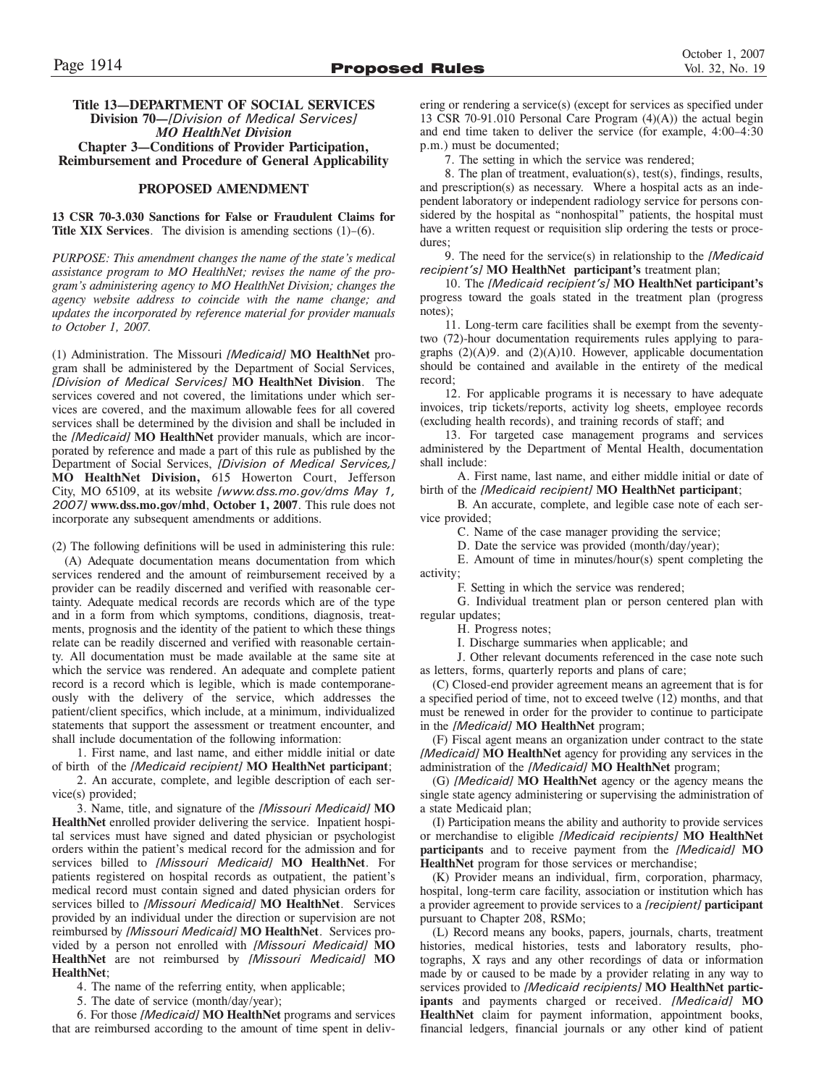### **Title 13—DEPARTMENT OF SOCIAL SERVICES Division 70—***[Division of Medical Services] MO HealthNet Division* **Chapter 3—Conditions of Provider Participation, Reimbursement and Procedure of General Applicability**

### **PROPOSED AMENDMENT**

**13 CSR 70-3.030 Sanctions for False or Fraudulent Claims for Title XIX Services**. The division is amending sections (1)–(6).

*PURPOSE: This amendment changes the name of the state's medical assistance program to MO HealthNet; revises the name of the program's administering agency to MO HealthNet Division; changes the agency website address to coincide with the name change; and updates the incorporated by reference material for provider manuals to October 1, 2007.*

(1) Administration. The Missouri *[Medicaid]* **MO HealthNet** program shall be administered by the Department of Social Services, *[Division of Medical Services]* **MO HealthNet Division**. The services covered and not covered, the limitations under which services are covered, and the maximum allowable fees for all covered services shall be determined by the division and shall be included in the *[Medicaid]* **MO HealthNet** provider manuals, which are incorporated by reference and made a part of this rule as published by the Department of Social Services, *[Division of Medical Services,]* **MO HealthNet Division,** 615 Howerton Court, Jefferson City, MO 65109, at its website *[www.dss.mo.gov/dms May 1, 2007]* **www.dss.mo.gov/mhd**, **October 1, 2007**. This rule does not incorporate any subsequent amendments or additions.

(2) The following definitions will be used in administering this rule:

(A) Adequate documentation means documentation from which services rendered and the amount of reimbursement received by a provider can be readily discerned and verified with reasonable certainty. Adequate medical records are records which are of the type and in a form from which symptoms, conditions, diagnosis, treatments, prognosis and the identity of the patient to which these things relate can be readily discerned and verified with reasonable certainty. All documentation must be made available at the same site at which the service was rendered. An adequate and complete patient record is a record which is legible, which is made contemporaneously with the delivery of the service, which addresses the patient/client specifics, which include, at a minimum, individualized statements that support the assessment or treatment encounter, and shall include documentation of the following information:

1. First name, and last name, and either middle initial or date of birth of the *[Medicaid recipient]* **MO HealthNet participant**;

2. An accurate, complete, and legible description of each service(s) provided;

3. Name, title, and signature of the *[Missouri Medicaid]* **MO HealthNet** enrolled provider delivering the service. Inpatient hospital services must have signed and dated physician or psychologist orders within the patient's medical record for the admission and for services billed to *[Missouri Medicaid]* **MO HealthNet**. For patients registered on hospital records as outpatient, the patient's medical record must contain signed and dated physician orders for services billed to *[Missouri Medicaid]* **MO HealthNet**. Services provided by an individual under the direction or supervision are not reimbursed by *[Missouri Medicaid]* **MO HealthNet**. Services provided by a person not enrolled with *[Missouri Medicaid]* **MO HealthNet** are not reimbursed by *[Missouri Medicaid]* **MO HealthNet**;

4. The name of the referring entity, when applicable;

5. The date of service (month/day/year);

6. For those *[Medicaid]* **MO HealthNet** programs and services that are reimbursed according to the amount of time spent in delivering or rendering a service(s) (except for services as specified under 13 CSR 70-91.010 Personal Care Program  $(4)(A)$  the actual begin and end time taken to deliver the service (for example, 4:00–4:30 p.m.) must be documented;

7. The setting in which the service was rendered;

8. The plan of treatment, evaluation(s), test(s), findings, results, and prescription(s) as necessary. Where a hospital acts as an independent laboratory or independent radiology service for persons considered by the hospital as "nonhospital" patients, the hospital must have a written request or requisition slip ordering the tests or procedures;

9. The need for the service(s) in relationship to the *[Medicaid recipient's]* **MO HealthNet participant's** treatment plan;

10. The *[Medicaid recipient's]* **MO HealthNet participant's** progress toward the goals stated in the treatment plan (progress notes);

11. Long-term care facilities shall be exempt from the seventytwo (72)-hour documentation requirements rules applying to paragraphs  $(2)(A)9$ . and  $(2)(A)10$ . However, applicable documentation should be contained and available in the entirety of the medical record;

12. For applicable programs it is necessary to have adequate invoices, trip tickets/reports, activity log sheets, employee records (excluding health records), and training records of staff; and

13. For targeted case management programs and services administered by the Department of Mental Health, documentation shall include:

A. First name, last name, and either middle initial or date of birth of the *[Medicaid recipient]* **MO HealthNet participant**;

B. An accurate, complete, and legible case note of each service provided;

C. Name of the case manager providing the service;

D. Date the service was provided (month/day/year);

E. Amount of time in minutes/hour(s) spent completing the activity;

F. Setting in which the service was rendered;

G. Individual treatment plan or person centered plan with regular updates;

H. Progress notes;

I. Discharge summaries when applicable; and

J. Other relevant documents referenced in the case note such as letters, forms, quarterly reports and plans of care;

(C) Closed-end provider agreement means an agreement that is for a specified period of time, not to exceed twelve (12) months, and that must be renewed in order for the provider to continue to participate in the *[Medicaid]* **MO HealthNet** program;

(F) Fiscal agent means an organization under contract to the state *[Medicaid]* **MO HealthNet** agency for providing any services in the administration of the *[Medicaid]* **MO HealthNet** program;

(G) *[Medicaid]* **MO HealthNet** agency or the agency means the single state agency administering or supervising the administration of a state Medicaid plan;

(I) Participation means the ability and authority to provide services or merchandise to eligible *[Medicaid recipients]* **MO HealthNet participants** and to receive payment from the *[Medicaid]* **MO HealthNet** program for those services or merchandise;

(K) Provider means an individual, firm, corporation, pharmacy, hospital, long-term care facility, association or institution which has a provider agreement to provide services to a *[recipient]* **participant** pursuant to Chapter 208, RSMo;

(L) Record means any books, papers, journals, charts, treatment histories, medical histories, tests and laboratory results, photographs, X rays and any other recordings of data or information made by or caused to be made by a provider relating in any way to services provided to *[Medicaid recipients]* **MO HealthNet participants** and payments charged or received. *[Medicaid]* **MO HealthNet** claim for payment information, appointment books, financial ledgers, financial journals or any other kind of patient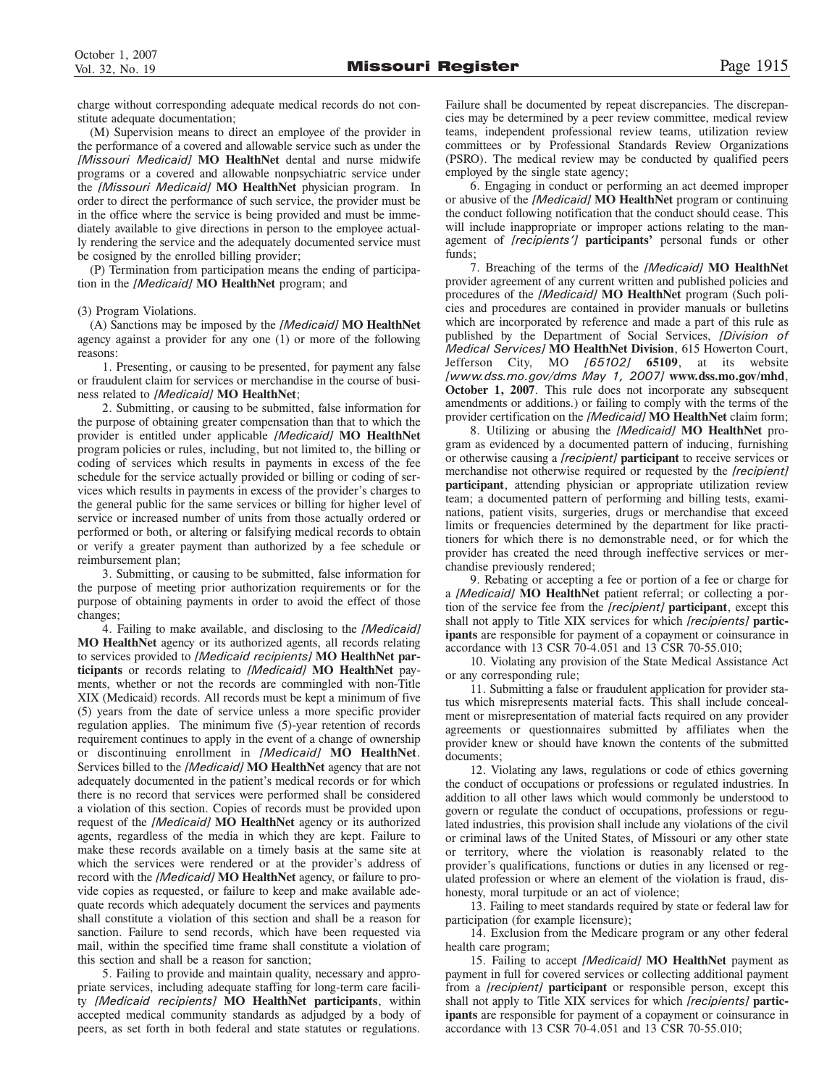charge without corresponding adequate medical records do not constitute adequate documentation;

(M) Supervision means to direct an employee of the provider in the performance of a covered and allowable service such as under the *[Missouri Medicaid]* **MO HealthNet** dental and nurse midwife programs or a covered and allowable nonpsychiatric service under the *[Missouri Medicaid]* **MO HealthNet** physician program. In order to direct the performance of such service, the provider must be in the office where the service is being provided and must be immediately available to give directions in person to the employee actually rendering the service and the adequately documented service must be cosigned by the enrolled billing provider;

(P) Termination from participation means the ending of participation in the *[Medicaid]* **MO HealthNet** program; and

### (3) Program Violations.

(A) Sanctions may be imposed by the *[Medicaid]* **MO HealthNet** agency against a provider for any one (1) or more of the following reasons:

1. Presenting, or causing to be presented, for payment any false or fraudulent claim for services or merchandise in the course of business related to *[Medicaid]* **MO HealthNet**;

2. Submitting, or causing to be submitted, false information for the purpose of obtaining greater compensation than that to which the provider is entitled under applicable *[Medicaid]* **MO HealthNet** program policies or rules, including, but not limited to, the billing or coding of services which results in payments in excess of the fee schedule for the service actually provided or billing or coding of services which results in payments in excess of the provider's charges to the general public for the same services or billing for higher level of service or increased number of units from those actually ordered or performed or both, or altering or falsifying medical records to obtain or verify a greater payment than authorized by a fee schedule or reimbursement plan;

3. Submitting, or causing to be submitted, false information for the purpose of meeting prior authorization requirements or for the purpose of obtaining payments in order to avoid the effect of those changes;

4. Failing to make available, and disclosing to the *[Medicaid]* **MO HealthNet** agency or its authorized agents, all records relating to services provided to *[Medicaid recipients]* **MO HealthNet participants** or records relating to *[Medicaid]* **MO HealthNet** payments, whether or not the records are commingled with non-Title XIX (Medicaid) records. All records must be kept a minimum of five (5) years from the date of service unless a more specific provider regulation applies. The minimum five (5)-year retention of records requirement continues to apply in the event of a change of ownership or discontinuing enrollment in *[Medicaid]* **MO HealthNet**. Services billed to the *[Medicaid]* **MO HealthNet** agency that are not adequately documented in the patient's medical records or for which there is no record that services were performed shall be considered a violation of this section. Copies of records must be provided upon request of the *[Medicaid]* **MO HealthNet** agency or its authorized agents, regardless of the media in which they are kept. Failure to make these records available on a timely basis at the same site at which the services were rendered or at the provider's address of record with the *[Medicaid]* **MO HealthNet** agency, or failure to provide copies as requested, or failure to keep and make available adequate records which adequately document the services and payments shall constitute a violation of this section and shall be a reason for sanction. Failure to send records, which have been requested via mail, within the specified time frame shall constitute a violation of this section and shall be a reason for sanction;

5. Failing to provide and maintain quality, necessary and appropriate services, including adequate staffing for long-term care facility *[Medicaid recipients]* **MO HealthNet participants**, within accepted medical community standards as adjudged by a body of peers, as set forth in both federal and state statutes or regulations.

Failure shall be documented by repeat discrepancies. The discrepancies may be determined by a peer review committee, medical review teams, independent professional review teams, utilization review committees or by Professional Standards Review Organizations (PSRO). The medical review may be conducted by qualified peers employed by the single state agency;

6. Engaging in conduct or performing an act deemed improper or abusive of the *[Medicaid]* **MO HealthNet** program or continuing the conduct following notification that the conduct should cease. This will include inappropriate or improper actions relating to the management of *[recipients']* **participants'** personal funds or other funds;

7. Breaching of the terms of the *[Medicaid]* **MO HealthNet** provider agreement of any current written and published policies and procedures of the *[Medicaid]* **MO HealthNet** program (Such policies and procedures are contained in provider manuals or bulletins which are incorporated by reference and made a part of this rule as published by the Department of Social Services, *[Division of Medical Services]* **MO HealthNet Division**, 615 Howerton Court, Jefferson City, MO *[65102]* **65109**, at its website *[www.dss.mo.gov/dms May 1, 2007]* **www.dss.mo.gov/mhd**, **October 1, 2007**. This rule does not incorporate any subsequent amendments or additions.) or failing to comply with the terms of the provider certification on the *[Medicaid]* **MO HealthNet** claim form;

8. Utilizing or abusing the *[Medicaid]* **MO HealthNet** program as evidenced by a documented pattern of inducing, furnishing or otherwise causing a *[recipient]* **participant** to receive services or merchandise not otherwise required or requested by the *[recipient]* **participant**, attending physician or appropriate utilization review team; a documented pattern of performing and billing tests, examinations, patient visits, surgeries, drugs or merchandise that exceed limits or frequencies determined by the department for like practitioners for which there is no demonstrable need, or for which the provider has created the need through ineffective services or merchandise previously rendered;

9. Rebating or accepting a fee or portion of a fee or charge for a *[Medicaid]* **MO HealthNet** patient referral; or collecting a portion of the service fee from the *[recipient]* **participant**, except this shall not apply to Title XIX services for which *[recipients]* **participants** are responsible for payment of a copayment or coinsurance in accordance with 13 CSR 70-4.051 and 13 CSR 70-55.010;

10. Violating any provision of the State Medical Assistance Act or any corresponding rule;

11. Submitting a false or fraudulent application for provider status which misrepresents material facts. This shall include concealment or misrepresentation of material facts required on any provider agreements or questionnaires submitted by affiliates when the provider knew or should have known the contents of the submitted documents;

12. Violating any laws, regulations or code of ethics governing the conduct of occupations or professions or regulated industries. In addition to all other laws which would commonly be understood to govern or regulate the conduct of occupations, professions or regulated industries, this provision shall include any violations of the civil or criminal laws of the United States, of Missouri or any other state or territory, where the violation is reasonably related to the provider's qualifications, functions or duties in any licensed or regulated profession or where an element of the violation is fraud, dishonesty, moral turpitude or an act of violence;

13. Failing to meet standards required by state or federal law for participation (for example licensure);

14. Exclusion from the Medicare program or any other federal health care program;

15. Failing to accept *[Medicaid]* **MO HealthNet** payment as payment in full for covered services or collecting additional payment from a *[recipient]* **participant** or responsible person, except this shall not apply to Title XIX services for which *[recipients]* **participants** are responsible for payment of a copayment or coinsurance in accordance with 13 CSR 70-4.051 and 13 CSR 70-55.010;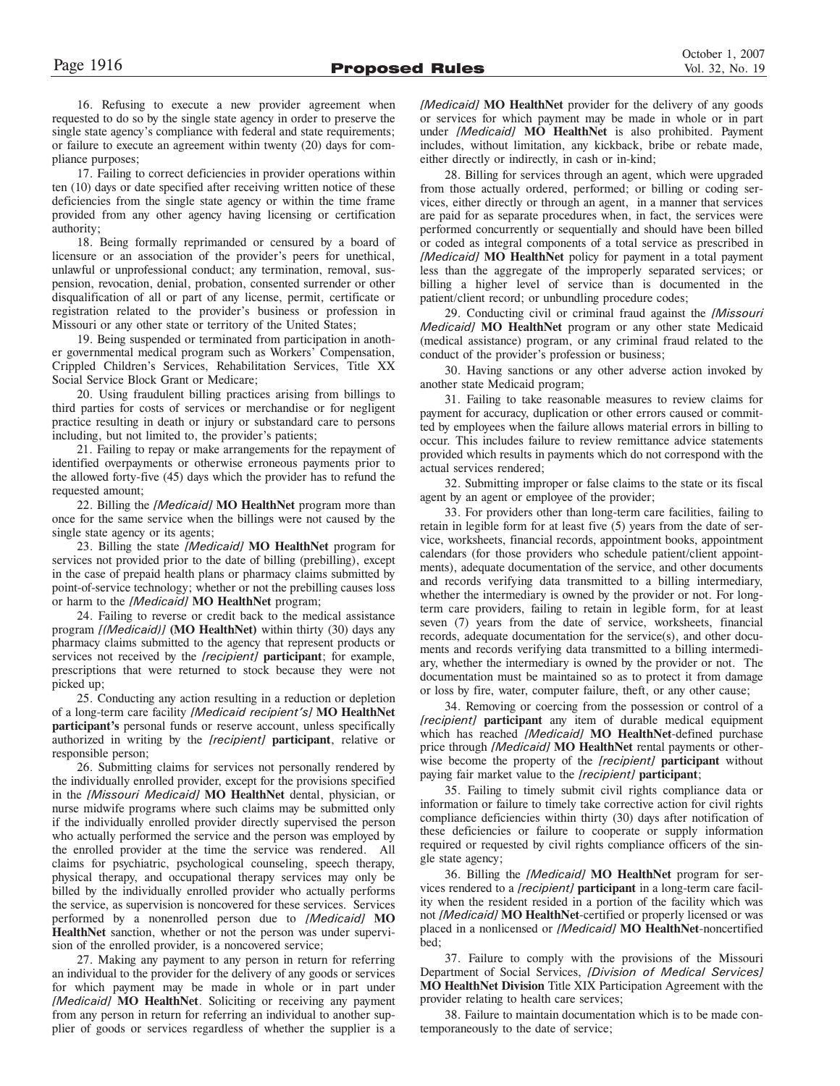16. Refusing to execute a new provider agreement when requested to do so by the single state agency in order to preserve the single state agency's compliance with federal and state requirements; or failure to execute an agreement within twenty (20) days for compliance purposes;

17. Failing to correct deficiencies in provider operations within ten (10) days or date specified after receiving written notice of these deficiencies from the single state agency or within the time frame provided from any other agency having licensing or certification authority;

18. Being formally reprimanded or censured by a board of licensure or an association of the provider's peers for unethical, unlawful or unprofessional conduct; any termination, removal, suspension, revocation, denial, probation, consented surrender or other disqualification of all or part of any license, permit, certificate or registration related to the provider's business or profession in Missouri or any other state or territory of the United States;

19. Being suspended or terminated from participation in another governmental medical program such as Workers' Compensation, Crippled Children's Services, Rehabilitation Services, Title XX Social Service Block Grant or Medicare;

20. Using fraudulent billing practices arising from billings to third parties for costs of services or merchandise or for negligent practice resulting in death or injury or substandard care to persons including, but not limited to, the provider's patients;

21. Failing to repay or make arrangements for the repayment of identified overpayments or otherwise erroneous payments prior to the allowed forty-five (45) days which the provider has to refund the requested amount;

22. Billing the *[Medicaid]* **MO HealthNet** program more than once for the same service when the billings were not caused by the single state agency or its agents;

23. Billing the state *[Medicaid]* **MO HealthNet** program for services not provided prior to the date of billing (prebilling), except in the case of prepaid health plans or pharmacy claims submitted by point-of-service technology; whether or not the prebilling causes loss or harm to the *[Medicaid]* **MO HealthNet** program;

24. Failing to reverse or credit back to the medical assistance program *[(Medicaid)]* **(MO HealthNet)** within thirty (30) days any pharmacy claims submitted to the agency that represent products or services not received by the *[recipient]* **participant**; for example, prescriptions that were returned to stock because they were not picked up;

25. Conducting any action resulting in a reduction or depletion of a long-term care facility *[Medicaid recipient's]* **MO HealthNet participant's** personal funds or reserve account, unless specifically authorized in writing by the *[recipient]* **participant**, relative or responsible person;

26. Submitting claims for services not personally rendered by the individually enrolled provider, except for the provisions specified in the *[Missouri Medicaid]* **MO HealthNet** dental, physician, or nurse midwife programs where such claims may be submitted only if the individually enrolled provider directly supervised the person who actually performed the service and the person was employed by the enrolled provider at the time the service was rendered. All claims for psychiatric, psychological counseling, speech therapy, physical therapy, and occupational therapy services may only be billed by the individually enrolled provider who actually performs the service, as supervision is noncovered for these services. Services performed by a nonenrolled person due to *[Medicaid]* **MO HealthNet** sanction, whether or not the person was under supervision of the enrolled provider, is a noncovered service;

27. Making any payment to any person in return for referring an individual to the provider for the delivery of any goods or services for which payment may be made in whole or in part under *[Medicaid]* **MO HealthNet**. Soliciting or receiving any payment from any person in return for referring an individual to another supplier of goods or services regardless of whether the supplier is a *[Medicaid]* **MO HealthNet** provider for the delivery of any goods or services for which payment may be made in whole or in part under *[Medicaid]* **MO HealthNet** is also prohibited. Payment includes, without limitation, any kickback, bribe or rebate made, either directly or indirectly, in cash or in-kind;

28. Billing for services through an agent, which were upgraded from those actually ordered, performed; or billing or coding services, either directly or through an agent, in a manner that services are paid for as separate procedures when, in fact, the services were performed concurrently or sequentially and should have been billed or coded as integral components of a total service as prescribed in *[Medicaid]* **MO HealthNet** policy for payment in a total payment less than the aggregate of the improperly separated services; or billing a higher level of service than is documented in the patient/client record; or unbundling procedure codes;

29. Conducting civil or criminal fraud against the *[Missouri Medicaid]* **MO HealthNet** program or any other state Medicaid (medical assistance) program, or any criminal fraud related to the conduct of the provider's profession or business;

30. Having sanctions or any other adverse action invoked by another state Medicaid program;

31. Failing to take reasonable measures to review claims for payment for accuracy, duplication or other errors caused or committed by employees when the failure allows material errors in billing to occur. This includes failure to review remittance advice statements provided which results in payments which do not correspond with the actual services rendered;

32. Submitting improper or false claims to the state or its fiscal agent by an agent or employee of the provider;

33. For providers other than long-term care facilities, failing to retain in legible form for at least five (5) years from the date of service, worksheets, financial records, appointment books, appointment calendars (for those providers who schedule patient/client appointments), adequate documentation of the service, and other documents and records verifying data transmitted to a billing intermediary, whether the intermediary is owned by the provider or not. For longterm care providers, failing to retain in legible form, for at least seven (7) years from the date of service, worksheets, financial records, adequate documentation for the service(s), and other documents and records verifying data transmitted to a billing intermediary, whether the intermediary is owned by the provider or not. The documentation must be maintained so as to protect it from damage or loss by fire, water, computer failure, theft, or any other cause;

34. Removing or coercing from the possession or control of a *[recipient]* **participant** any item of durable medical equipment which has reached *[Medicaid]* **MO HealthNet**-defined purchase price through *[Medicaid]* **MO HealthNet** rental payments or otherwise become the property of the *[recipient]* **participant** without paying fair market value to the *[recipient]* **participant**;

35. Failing to timely submit civil rights compliance data or information or failure to timely take corrective action for civil rights compliance deficiencies within thirty (30) days after notification of these deficiencies or failure to cooperate or supply information required or requested by civil rights compliance officers of the single state agency;

36. Billing the *[Medicaid]* **MO HealthNet** program for services rendered to a *[recipient]* **participant** in a long-term care facility when the resident resided in a portion of the facility which was not *[Medicaid]* **MO HealthNet**-certified or properly licensed or was placed in a nonlicensed or *[Medicaid]* **MO HealthNet**-noncertified bed;

37. Failure to comply with the provisions of the Missouri Department of Social Services, *[Division of Medical Services]* **MO HealthNet Division** Title XIX Participation Agreement with the provider relating to health care services;

38. Failure to maintain documentation which is to be made contemporaneously to the date of service;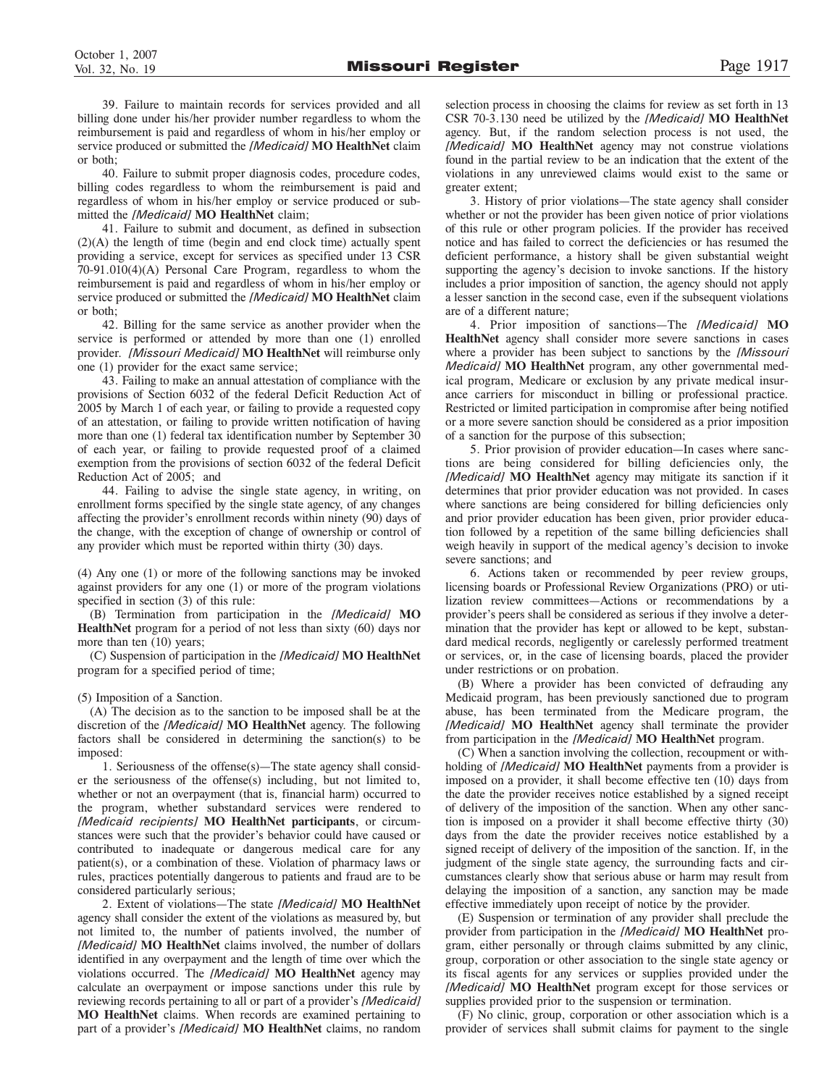39. Failure to maintain records for services provided and all billing done under his/her provider number regardless to whom the reimbursement is paid and regardless of whom in his/her employ or service produced or submitted the *[Medicaid]* **MO HealthNet** claim or both;

40. Failure to submit proper diagnosis codes, procedure codes, billing codes regardless to whom the reimbursement is paid and regardless of whom in his/her employ or service produced or submitted the *[Medicaid]* **MO HealthNet** claim;

41. Failure to submit and document, as defined in subsection (2)(A) the length of time (begin and end clock time) actually spent providing a service, except for services as specified under 13 CSR 70-91.010(4)(A) Personal Care Program, regardless to whom the reimbursement is paid and regardless of whom in his/her employ or service produced or submitted the *[Medicaid]* **MO HealthNet** claim or both;

42. Billing for the same service as another provider when the service is performed or attended by more than one (1) enrolled provider. *[Missouri Medicaid]* **MO HealthNet** will reimburse only one (1) provider for the exact same service;

43. Failing to make an annual attestation of compliance with the provisions of Section 6032 of the federal Deficit Reduction Act of 2005 by March 1 of each year, or failing to provide a requested copy of an attestation, or failing to provide written notification of having more than one (1) federal tax identification number by September 30 of each year, or failing to provide requested proof of a claimed exemption from the provisions of section 6032 of the federal Deficit Reduction Act of 2005; and

44. Failing to advise the single state agency, in writing, on enrollment forms specified by the single state agency, of any changes affecting the provider's enrollment records within ninety (90) days of the change, with the exception of change of ownership or control of any provider which must be reported within thirty (30) days.

(4) Any one (1) or more of the following sanctions may be invoked against providers for any one (1) or more of the program violations specified in section (3) of this rule:

(B) Termination from participation in the *[Medicaid]* **MO HealthNet** program for a period of not less than sixty (60) days nor more than ten  $(10)$  years;

(C) Suspension of participation in the *[Medicaid]* **MO HealthNet** program for a specified period of time;

(5) Imposition of a Sanction.

(A) The decision as to the sanction to be imposed shall be at the discretion of the *[Medicaid]* **MO HealthNet** agency. The following factors shall be considered in determining the sanction(s) to be imposed:

1. Seriousness of the offense(s)—The state agency shall consider the seriousness of the offense(s) including, but not limited to, whether or not an overpayment (that is, financial harm) occurred to the program, whether substandard services were rendered to *[Medicaid recipients]* **MO HealthNet participants**, or circumstances were such that the provider's behavior could have caused or contributed to inadequate or dangerous medical care for any patient(s), or a combination of these. Violation of pharmacy laws or rules, practices potentially dangerous to patients and fraud are to be considered particularly serious;

2. Extent of violations—The state *[Medicaid]* **MO HealthNet** agency shall consider the extent of the violations as measured by, but not limited to, the number of patients involved, the number of *[Medicaid]* **MO HealthNet** claims involved, the number of dollars identified in any overpayment and the length of time over which the violations occurred. The *[Medicaid]* **MO HealthNet** agency may calculate an overpayment or impose sanctions under this rule by reviewing records pertaining to all or part of a provider's *[Medicaid]* **MO HealthNet** claims. When records are examined pertaining to part of a provider's *[Medicaid]* **MO HealthNet** claims, no random

selection process in choosing the claims for review as set forth in 13 CSR 70-3.130 need be utilized by the *[Medicaid]* **MO HealthNet** agency. But, if the random selection process is not used, the *[Medicaid]* **MO HealthNet** agency may not construe violations found in the partial review to be an indication that the extent of the violations in any unreviewed claims would exist to the same or greater extent;

3. History of prior violations—The state agency shall consider whether or not the provider has been given notice of prior violations of this rule or other program policies. If the provider has received notice and has failed to correct the deficiencies or has resumed the deficient performance, a history shall be given substantial weight supporting the agency's decision to invoke sanctions. If the history includes a prior imposition of sanction, the agency should not apply a lesser sanction in the second case, even if the subsequent violations are of a different nature;

4. Prior imposition of sanctions—The *[Medicaid]* **MO HealthNet** agency shall consider more severe sanctions in cases where a provider has been subject to sanctions by the *[Missouri Medicaid]* **MO HealthNet** program, any other governmental medical program, Medicare or exclusion by any private medical insurance carriers for misconduct in billing or professional practice. Restricted or limited participation in compromise after being notified or a more severe sanction should be considered as a prior imposition of a sanction for the purpose of this subsection;

5. Prior provision of provider education—In cases where sanctions are being considered for billing deficiencies only, the *[Medicaid]* **MO HealthNet** agency may mitigate its sanction if it determines that prior provider education was not provided. In cases where sanctions are being considered for billing deficiencies only and prior provider education has been given, prior provider education followed by a repetition of the same billing deficiencies shall weigh heavily in support of the medical agency's decision to invoke severe sanctions; and

6. Actions taken or recommended by peer review groups, licensing boards or Professional Review Organizations (PRO) or utilization review committees—Actions or recommendations by a provider's peers shall be considered as serious if they involve a determination that the provider has kept or allowed to be kept, substandard medical records, negligently or carelessly performed treatment or services, or, in the case of licensing boards, placed the provider under restrictions or on probation.

(B) Where a provider has been convicted of defrauding any Medicaid program, has been previously sanctioned due to program abuse, has been terminated from the Medicare program, the *[Medicaid]* **MO HealthNet** agency shall terminate the provider from participation in the *[Medicaid]* **MO HealthNet** program.

(C) When a sanction involving the collection, recoupment or withholding of *[Medicaid]* **MO HealthNet** payments from a provider is imposed on a provider, it shall become effective ten (10) days from the date the provider receives notice established by a signed receipt of delivery of the imposition of the sanction. When any other sanction is imposed on a provider it shall become effective thirty (30) days from the date the provider receives notice established by a signed receipt of delivery of the imposition of the sanction. If, in the judgment of the single state agency, the surrounding facts and circumstances clearly show that serious abuse or harm may result from delaying the imposition of a sanction, any sanction may be made effective immediately upon receipt of notice by the provider.

(E) Suspension or termination of any provider shall preclude the provider from participation in the *[Medicaid]* **MO HealthNet** program, either personally or through claims submitted by any clinic, group, corporation or other association to the single state agency or its fiscal agents for any services or supplies provided under the *[Medicaid]* **MO HealthNet** program except for those services or supplies provided prior to the suspension or termination.

(F) No clinic, group, corporation or other association which is a provider of services shall submit claims for payment to the single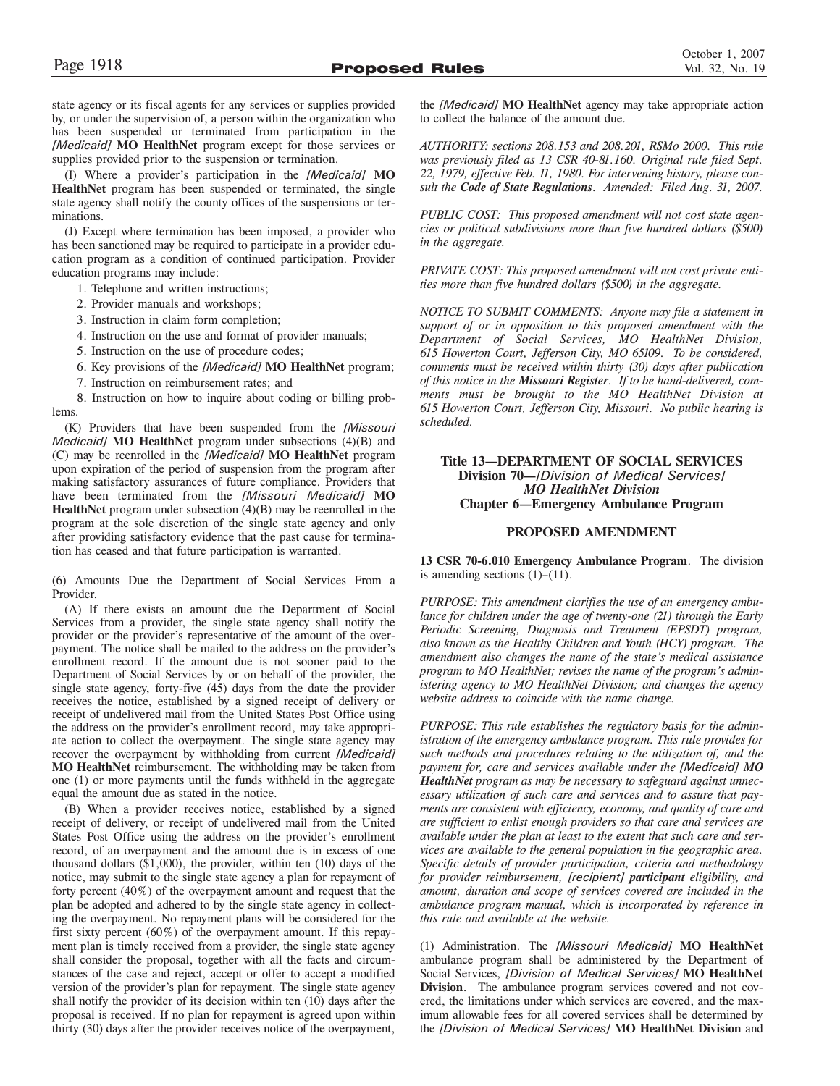state agency or its fiscal agents for any services or supplies provided by, or under the supervision of, a person within the organization who has been suspended or terminated from participation in the *[Medicaid]* **MO HealthNet** program except for those services or supplies provided prior to the suspension or termination.

(I) Where a provider's participation in the *[Medicaid]* **MO HealthNet** program has been suspended or terminated, the single state agency shall notify the county offices of the suspensions or terminations.

(J) Except where termination has been imposed, a provider who has been sanctioned may be required to participate in a provider education program as a condition of continued participation. Provider education programs may include:

- 1. Telephone and written instructions;
- 2. Provider manuals and workshops;
- 3. Instruction in claim form completion;
- 4. Instruction on the use and format of provider manuals;
- 5. Instruction on the use of procedure codes;
- 6. Key provisions of the *[Medicaid]* **MO HealthNet** program;
- 7. Instruction on reimbursement rates; and

8. Instruction on how to inquire about coding or billing problems.

(K) Providers that have been suspended from the *[Missouri Medicaid* **MO** HealthNet program under subsections (4)(B) and (C) may be reenrolled in the *[Medicaid]* **MO HealthNet** program upon expiration of the period of suspension from the program after making satisfactory assurances of future compliance. Providers that have been terminated from the *[Missouri Medicaid]* **MO HealthNet** program under subsection (4)(B) may be reenrolled in the program at the sole discretion of the single state agency and only after providing satisfactory evidence that the past cause for termination has ceased and that future participation is warranted.

(6) Amounts Due the Department of Social Services From a Provider.

(A) If there exists an amount due the Department of Social Services from a provider, the single state agency shall notify the provider or the provider's representative of the amount of the overpayment. The notice shall be mailed to the address on the provider's enrollment record. If the amount due is not sooner paid to the Department of Social Services by or on behalf of the provider, the single state agency, forty-five (45) days from the date the provider receives the notice, established by a signed receipt of delivery or receipt of undelivered mail from the United States Post Office using the address on the provider's enrollment record, may take appropriate action to collect the overpayment. The single state agency may recover the overpayment by withholding from current *[Medicaid]* **MO HealthNet** reimbursement. The withholding may be taken from one (1) or more payments until the funds withheld in the aggregate equal the amount due as stated in the notice.

(B) When a provider receives notice, established by a signed receipt of delivery, or receipt of undelivered mail from the United States Post Office using the address on the provider's enrollment record, of an overpayment and the amount due is in excess of one thousand dollars (\$1,000), the provider, within ten (10) days of the notice, may submit to the single state agency a plan for repayment of forty percent (40%) of the overpayment amount and request that the plan be adopted and adhered to by the single state agency in collecting the overpayment. No repayment plans will be considered for the first sixty percent (60%) of the overpayment amount. If this repayment plan is timely received from a provider, the single state agency shall consider the proposal, together with all the facts and circumstances of the case and reject, accept or offer to accept a modified version of the provider's plan for repayment. The single state agency shall notify the provider of its decision within ten (10) days after the proposal is received. If no plan for repayment is agreed upon within thirty (30) days after the provider receives notice of the overpayment,

the *[Medicaid]* **MO HealthNet** agency may take appropriate action to collect the balance of the amount due.

*AUTHORITY: sections 208.153 and 208.201, RSMo 2000. This rule was previously filed as 13 CSR 40-81.160. Original rule filed Sept. 22, 1979, effective Feb. 11, 1980. For intervening history, please consult the Code of State Regulations. Amended: Filed Aug. 31, 2007.*

*PUBLIC COST: This proposed amendment will not cost state agencies or political subdivisions more than five hundred dollars (\$500) in the aggregate.*

*PRIVATE COST: This proposed amendment will not cost private entities more than five hundred dollars (\$500) in the aggregate.*

*NOTICE TO SUBMIT COMMENTS: Anyone may file a statement in support of or in opposition to this proposed amendment with the Department of Social Services, MO HealthNet Division, 615 Howerton Court, Jefferson City, MO 65109. To be considered, comments must be received within thirty (30) days after publication of this notice in the Missouri Register. If to be hand-delivered, comments must be brought to the MO HealthNet Division at 615 Howerton Court, Jefferson City, Missouri. No public hearing is scheduled.*

### **Title 13—DEPARTMENT OF SOCIAL SERVICES Division 70—***[Division of Medical Services] MO HealthNet Division* **Chapter 6—Emergency Ambulance Program**

### **PROPOSED AMENDMENT**

**13 CSR 70-6.010 Emergency Ambulance Program**. The division is amending sections  $(1)$ – $(11)$ .

*PURPOSE: This amendment clarifies the use of an emergency ambulance for children under the age of twenty-one (21) through the Early Periodic Screening, Diagnosis and Treatment (EPSDT) program, also known as the Healthy Children and Youth (HCY) program. The amendment also changes the name of the state's medical assistance program to MO HealthNet; revises the name of the program's administering agency to MO HealthNet Division; and changes the agency website address to coincide with the name change.*

*PURPOSE: This rule establishes the regulatory basis for the administration of the emergency ambulance program. This rule provides for such methods and procedures relating to the utilization of, and the payment for, care and services available under the [Medicaid] MO HealthNet program as may be necessary to safeguard against unnecessary utilization of such care and services and to assure that payments are consistent with efficiency, economy, and quality of care and are sufficient to enlist enough providers so that care and services are available under the plan at least to the extent that such care and services are available to the general population in the geographic area. Specific details of provider participation, criteria and methodology for provider reimbursement, [recipient] participant eligibility, and amount, duration and scope of services covered are included in the ambulance program manual, which is incorporated by reference in this rule and available at the website.*

(1) Administration. The *[Missouri Medicaid]* **MO HealthNet** ambulance program shall be administered by the Department of Social Services, *[Division of Medical Services]* **MO HealthNet Division**. The ambulance program services covered and not covered, the limitations under which services are covered, and the maximum allowable fees for all covered services shall be determined by the *[Division of Medical Services]* **MO HealthNet Division** and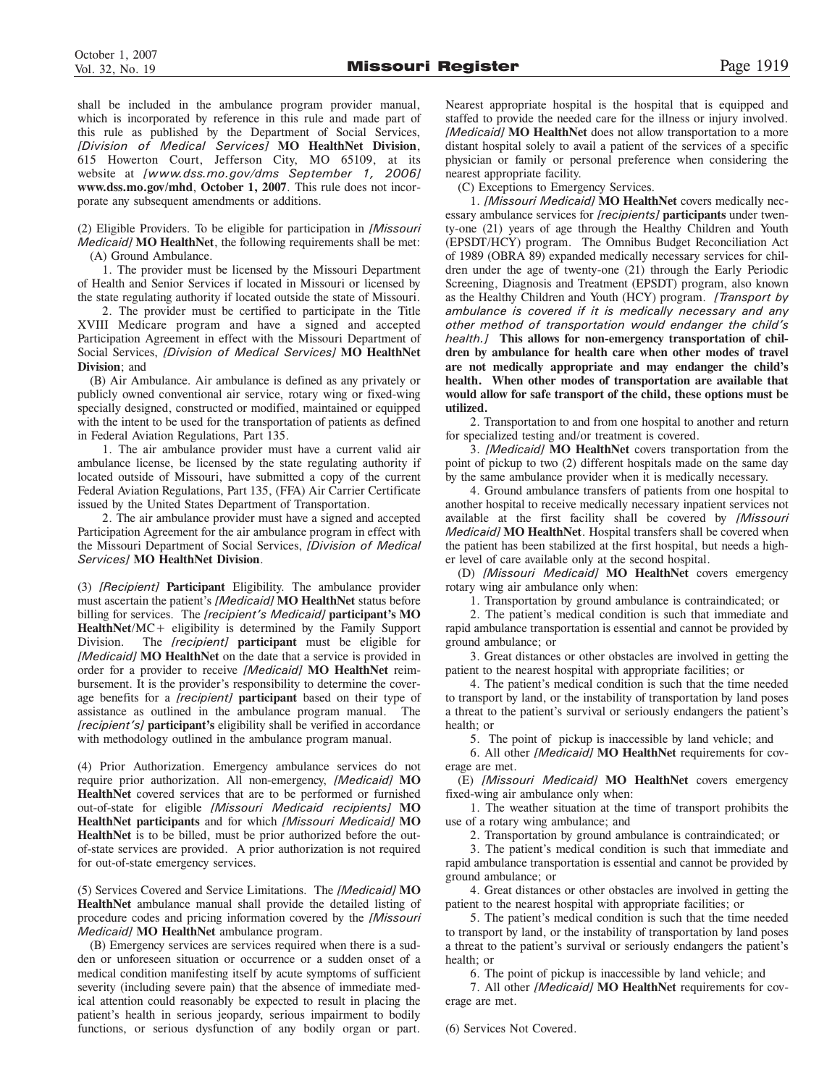shall be included in the ambulance program provider manual, which is incorporated by reference in this rule and made part of this rule as published by the Department of Social Services, *[Division of Medical Services]* **MO HealthNet Division**, 615 Howerton Court, Jefferson City, MO 65109, at its website at *[www.dss.mo.gov/dms September 1, 2006]* **www.dss.mo.gov/mhd**, **October 1, 2007**. This rule does not incorporate any subsequent amendments or additions.

(2) Eligible Providers. To be eligible for participation in *[Missouri Medicaid]* **MO HealthNet**, the following requirements shall be met:

(A) Ground Ambulance.

1. The provider must be licensed by the Missouri Department of Health and Senior Services if located in Missouri or licensed by the state regulating authority if located outside the state of Missouri.

2. The provider must be certified to participate in the Title XVIII Medicare program and have a signed and accepted Participation Agreement in effect with the Missouri Department of Social Services, *[Division of Medical Services]* **MO HealthNet Division**; and

(B) Air Ambulance. Air ambulance is defined as any privately or publicly owned conventional air service, rotary wing or fixed-wing specially designed, constructed or modified, maintained or equipped with the intent to be used for the transportation of patients as defined in Federal Aviation Regulations, Part 135.

1. The air ambulance provider must have a current valid air ambulance license, be licensed by the state regulating authority if located outside of Missouri, have submitted a copy of the current Federal Aviation Regulations, Part 135, (FFA) Air Carrier Certificate issued by the United States Department of Transportation.

2. The air ambulance provider must have a signed and accepted Participation Agreement for the air ambulance program in effect with the Missouri Department of Social Services, *[Division of Medical Services]* **MO HealthNet Division**.

(3) *[Recipient]* **Participant** Eligibility. The ambulance provider must ascertain the patient's *[Medicaid]* **MO HealthNet** status before billing for services. The *[recipient's Medicaid]* **participant's MO HealthNet**/MC+ eligibility is determined by the Family Support Division. The *[recipient]* **participant** must be eligible for *[Medicaid]* **MO HealthNet** on the date that a service is provided in order for a provider to receive *[Medicaid]* **MO HealthNet** reimbursement. It is the provider's responsibility to determine the coverage benefits for a *[recipient]* **participant** based on their type of assistance as outlined in the ambulance program manual. The *[recipient's]* **participant's** eligibility shall be verified in accordance with methodology outlined in the ambulance program manual.

(4) Prior Authorization. Emergency ambulance services do not require prior authorization. All non-emergency, *[Medicaid]* **MO HealthNet** covered services that are to be performed or furnished out-of-state for eligible *[Missouri Medicaid recipients]* **MO HealthNet participants** and for which *[Missouri Medicaid]* **MO HealthNet** is to be billed, must be prior authorized before the outof-state services are provided. A prior authorization is not required for out-of-state emergency services.

(5) Services Covered and Service Limitations. The *[Medicaid]* **MO HealthNet** ambulance manual shall provide the detailed listing of procedure codes and pricing information covered by the *[Missouri Medicaid]* **MO HealthNet** ambulance program.

(B) Emergency services are services required when there is a sudden or unforeseen situation or occurrence or a sudden onset of a medical condition manifesting itself by acute symptoms of sufficient severity (including severe pain) that the absence of immediate medical attention could reasonably be expected to result in placing the patient's health in serious jeopardy, serious impairment to bodily functions, or serious dysfunction of any bodily organ or part.

Nearest appropriate hospital is the hospital that is equipped and staffed to provide the needed care for the illness or injury involved. *[Medicaid]* **MO HealthNet** does not allow transportation to a more distant hospital solely to avail a patient of the services of a specific physician or family or personal preference when considering the nearest appropriate facility.

(C) Exceptions to Emergency Services.

1. *[Missouri Medicaid]* **MO HealthNet** covers medically necessary ambulance services for *[recipients]* **participants** under twenty-one (21) years of age through the Healthy Children and Youth (EPSDT/HCY) program. The Omnibus Budget Reconciliation Act of 1989 (OBRA 89) expanded medically necessary services for children under the age of twenty-one (21) through the Early Periodic Screening, Diagnosis and Treatment (EPSDT) program, also known as the Healthy Children and Youth (HCY) program. *[Transport by ambulance is covered if it is medically necessary and any other method of transportation would endanger the child's health.]* **This allows for non-emergency transportation of children by ambulance for health care when other modes of travel are not medically appropriate and may endanger the child's health. When other modes of transportation are available that would allow for safe transport of the child, these options must be utilized.**

2. Transportation to and from one hospital to another and return for specialized testing and/or treatment is covered.

3. *[Medicaid]* **MO HealthNet** covers transportation from the point of pickup to two (2) different hospitals made on the same day by the same ambulance provider when it is medically necessary.

4. Ground ambulance transfers of patients from one hospital to another hospital to receive medically necessary inpatient services not available at the first facility shall be covered by *[Missouri Medicaid]* **MO HealthNet**. Hospital transfers shall be covered when the patient has been stabilized at the first hospital, but needs a higher level of care available only at the second hospital.

(D) *[Missouri Medicaid]* **MO HealthNet** covers emergency rotary wing air ambulance only when:

1. Transportation by ground ambulance is contraindicated; or

2. The patient's medical condition is such that immediate and rapid ambulance transportation is essential and cannot be provided by ground ambulance; or

3. Great distances or other obstacles are involved in getting the patient to the nearest hospital with appropriate facilities; or

4. The patient's medical condition is such that the time needed to transport by land, or the instability of transportation by land poses a threat to the patient's survival or seriously endangers the patient's health; or

5. The point of pickup is inaccessible by land vehicle; and

6. All other *[Medicaid]* **MO HealthNet** requirements for coverage are met.

(E) *[Missouri Medicaid]* **MO HealthNet** covers emergency fixed-wing air ambulance only when:

1. The weather situation at the time of transport prohibits the use of a rotary wing ambulance; and

2. Transportation by ground ambulance is contraindicated; or

3. The patient's medical condition is such that immediate and rapid ambulance transportation is essential and cannot be provided by ground ambulance; or

4. Great distances or other obstacles are involved in getting the patient to the nearest hospital with appropriate facilities; or

5. The patient's medical condition is such that the time needed to transport by land, or the instability of transportation by land poses a threat to the patient's survival or seriously endangers the patient's health; or

6. The point of pickup is inaccessible by land vehicle; and

7. All other *[Medicaid]* **MO HealthNet** requirements for coverage are met.

(6) Services Not Covered.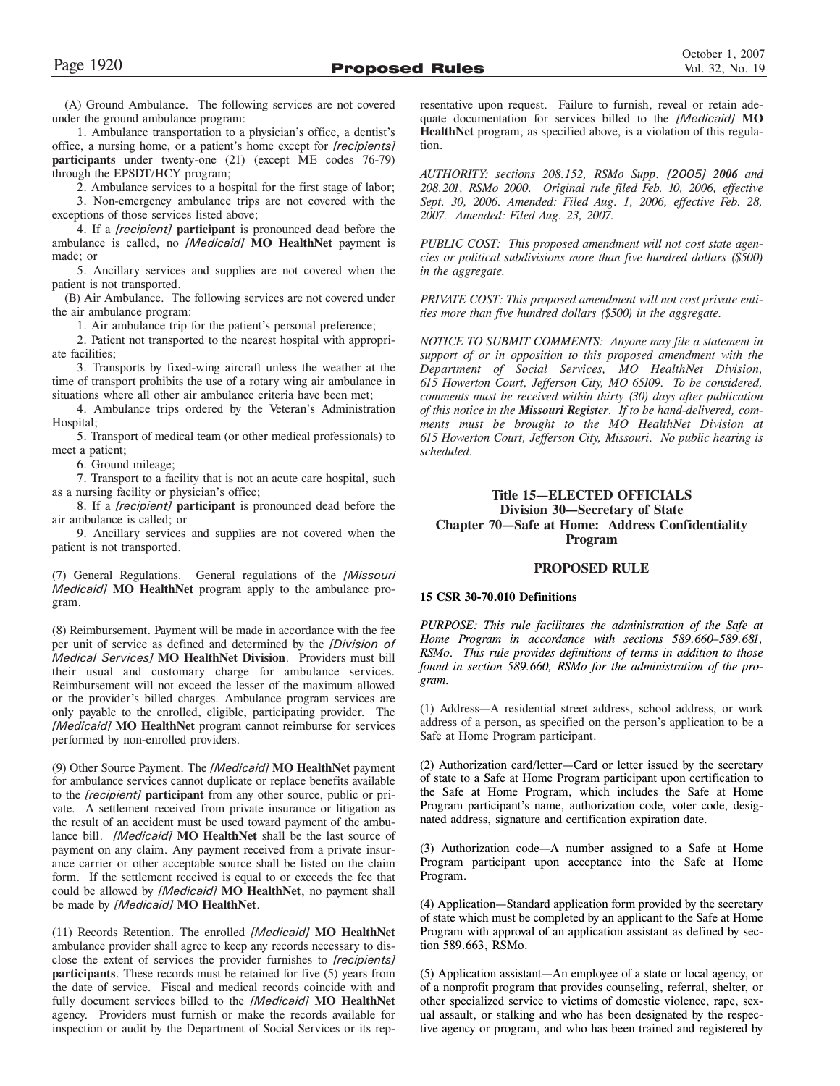under the ground ambulance program: 1. Ambulance transportation to a physician's office, a dentist's office, a nursing home, or a patient's home except for *[recipients]* **participants** under twenty-one (21) (except ME codes 76-79)

through the EPSDT/HCY program;

2. Ambulance services to a hospital for the first stage of labor; 3. Non-emergency ambulance trips are not covered with the exceptions of those services listed above;

4. If a *[recipient]* **participant** is pronounced dead before the ambulance is called, no *[Medicaid]* **MO HealthNet** payment is made; or

5. Ancillary services and supplies are not covered when the patient is not transported.

(B) Air Ambulance. The following services are not covered under the air ambulance program:

1. Air ambulance trip for the patient's personal preference;

2. Patient not transported to the nearest hospital with appropriate facilities;

3. Transports by fixed-wing aircraft unless the weather at the time of transport prohibits the use of a rotary wing air ambulance in situations where all other air ambulance criteria have been met;

4. Ambulance trips ordered by the Veteran's Administration Hospital;

5. Transport of medical team (or other medical professionals) to meet a patient;

6. Ground mileage;

7. Transport to a facility that is not an acute care hospital, such as a nursing facility or physician's office;

8. If a *[recipient]* **participant** is pronounced dead before the air ambulance is called; or

9. Ancillary services and supplies are not covered when the patient is not transported.

(7) General Regulations. General regulations of the *[Missouri Medicaid]* **MO HealthNet** program apply to the ambulance program.

(8) Reimbursement. Payment will be made in accordance with the fee per unit of service as defined and determined by the *[Division of Medical Services]* **MO HealthNet Division**. Providers must bill their usual and customary charge for ambulance services. Reimbursement will not exceed the lesser of the maximum allowed or the provider's billed charges. Ambulance program services are only payable to the enrolled, eligible, participating provider. The *[Medicaid]* **MO HealthNet** program cannot reimburse for services performed by non-enrolled providers.

(9) Other Source Payment. The *[Medicaid]* **MO HealthNet** payment for ambulance services cannot duplicate or replace benefits available to the *[recipient]* **participant** from any other source, public or private. A settlement received from private insurance or litigation as the result of an accident must be used toward payment of the ambulance bill. *[Medicaid]* **MO HealthNet** shall be the last source of payment on any claim. Any payment received from a private insurance carrier or other acceptable source shall be listed on the claim form. If the settlement received is equal to or exceeds the fee that could be allowed by *[Medicaid]* **MO HealthNet**, no payment shall be made by *[Medicaid]* **MO HealthNet**.

(11) Records Retention. The enrolled *[Medicaid]* **MO HealthNet** ambulance provider shall agree to keep any records necessary to disclose the extent of services the provider furnishes to *[recipients]* **participants**. These records must be retained for five (5) years from the date of service. Fiscal and medical records coincide with and fully document services billed to the *[Medicaid]* **MO HealthNet** agency. Providers must furnish or make the records available for inspection or audit by the Department of Social Services or its representative upon request. Failure to furnish, reveal or retain adequate documentation for services billed to the *[Medicaid]* **MO HealthNet** program, as specified above, is a violation of this regulation.

*AUTHORITY: sections 208.152, RSMo Supp. [2005] 2006 and 208.201, RSMo 2000. Original rule filed Feb. 10, 2006, effective Sept. 30, 2006. Amended: Filed Aug. 1, 2006, effective Feb. 28, 2007. Amended: Filed Aug. 23, 2007.*

*PUBLIC COST: This proposed amendment will not cost state agencies or political subdivisions more than five hundred dollars (\$500) in the aggregate.*

*PRIVATE COST: This proposed amendment will not cost private entities more than five hundred dollars (\$500) in the aggregate.*

*NOTICE TO SUBMIT COMMENTS: Anyone may file a statement in support of or in opposition to this proposed amendment with the Department of Social Services, MO HealthNet Division, 615 Howerton Court, Jefferson City, MO 65109. To be considered, comments must be received within thirty (30) days after publication of this notice in the Missouri Register. If to be hand-delivered, comments must be brought to the MO HealthNet Division at 615 Howerton Court, Jefferson City, Missouri. No public hearing is scheduled.*

### **Title 15—ELECTED OFFICIALS Division 30—Secretary of State Chapter 70—Safe at Home: Address Confidentiality Program**

### **PROPOSED RULE**

### **15 CSR 30-70.010 Definitions**

*PURPOSE: This rule facilitates the administration of the Safe at Home Program in accordance with sections 589.660–589.681, RSMo. This rule provides definitions of terms in addition to those found in section 589.660, RSMo for the administration of the program.*

(1) Address—A residential street address, school address, or work address of a person, as specified on the person's application to be a Safe at Home Program participant.

(2) Authorization card/letter—Card or letter issued by the secretary of state to a Safe at Home Program participant upon certification to the Safe at Home Program, which includes the Safe at Home Program participant's name, authorization code, voter code, designated address, signature and certification expiration date.

(3) Authorization code—A number assigned to a Safe at Home Program participant upon acceptance into the Safe at Home Program.

(4) Application—Standard application form provided by the secretary of state which must be completed by an applicant to the Safe at Home Program with approval of an application assistant as defined by section 589.663, RSMo.

(5) Application assistant—An employee of a state or local agency, or of a nonprofit program that provides counseling, referral, shelter, or other specialized service to victims of domestic violence, rape, sexual assault, or stalking and who has been designated by the respective agency or program, and who has been trained and registered by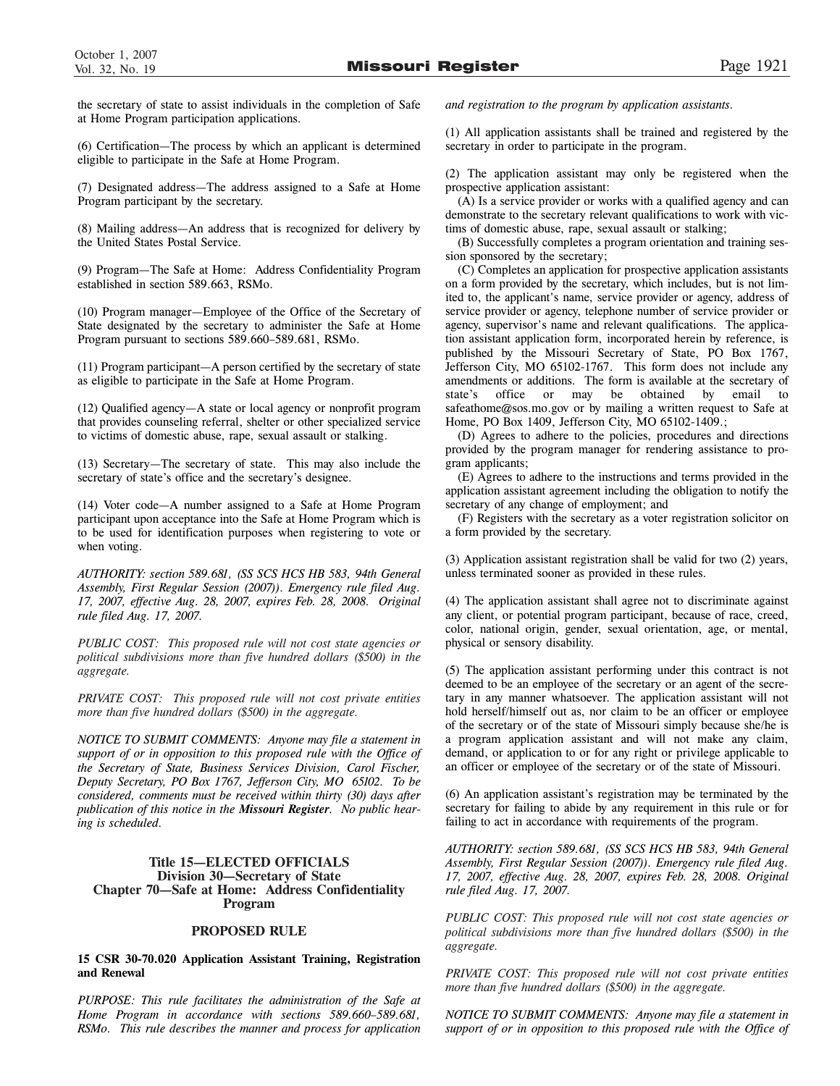the secretary of state to assist individuals in the completion of Safe at Home Program participation applications.

(6) Certification—The process by which an applicant is determined eligible to participate in the Safe at Home Program.

(7) Designated address—The address assigned to a Safe at Home Program participant by the secretary.

(8) Mailing address—An address that is recognized for delivery by the United States Postal Service.

(9) Program—The Safe at Home: Address Confidentiality Program established in section 589.663, RSMo.

(10) Program manager—Employee of the Office of the Secretary of State designated by the secretary to administer the Safe at Home Program pursuant to sections 589.660–589.681, RSMo.

(11) Program participant—A person certified by the secretary of state as eligible to participate in the Safe at Home Program.

(12) Qualified agency—A state or local agency or nonprofit program that provides counseling referral, shelter or other specialized service to victims of domestic abuse, rape, sexual assault or stalking.

(13) Secretary—The secretary of state. This may also include the secretary of state's office and the secretary's designee.

(14) Voter code—A number assigned to a Safe at Home Program participant upon acceptance into the Safe at Home Program which is to be used for identification purposes when registering to vote or when voting.

*AUTHORITY: section 589.681, (SS SCS HCS HB 583, 94th General Assembly, First Regular Session (2007)). Emergency rule filed Aug. 17, 2007, effective Aug. 28, 2007, expires Feb. 28, 2008. Original rule filed Aug. 17, 2007.*

*PUBLIC COST: This proposed rule will not cost state agencies or political subdivisions more than five hundred dollars (\$500) in the aggregate.*

*PRIVATE COST: This proposed rule will not cost private entities more than five hundred dollars (\$500) in the aggregate.*

*NOTICE TO SUBMIT COMMENTS: Anyone may file a statement in support of or in opposition to this proposed rule with the Office of the Secretary of State, Business Services Division, Carol Fischer, Deputy Secretary, PO Box 1767, Jefferson City, MO 65102. To be considered, comments must be received within thirty (30) days after publication of this notice in the Missouri Register. No public hearing is scheduled.*

### **Title 15—ELECTED OFFICIALS Division 30—Secretary of State Chapter 70—Safe at Home: Address Confidentiality Program**

### **PROPOSED RULE**

### **15 CSR 30-70.020 Application Assistant Training, Registration and Renewal**

*PURPOSE: This rule facilitates the administration of the Safe at Home Program in accordance with sections 589.660–589.681, RSMo. This rule describes the manner and process for application*

*and registration to the program by application assistants.* 

(1) All application assistants shall be trained and registered by the secretary in order to participate in the program.

(2) The application assistant may only be registered when the prospective application assistant:

(A) Is a service provider or works with a qualified agency and can demonstrate to the secretary relevant qualifications to work with victims of domestic abuse, rape, sexual assault or stalking;

(B) Successfully completes a program orientation and training session sponsored by the secretary;

(C) Completes an application for prospective application assistants on a form provided by the secretary, which includes, but is not limited to, the applicant's name, service provider or agency, address of service provider or agency, telephone number of service provider or agency, supervisor's name and relevant qualifications. The application assistant application form, incorporated herein by reference, is published by the Missouri Secretary of State, PO Box 1767, Jefferson City, MO 65102-1767. This form does not include any amendments or additions. The form is available at the secretary of state's office or may be obtained by email to safeathome@sos.mo.gov or by mailing a written request to Safe at Home, PO Box 1409, Jefferson City, MO 65102-1409.;

(D) Agrees to adhere to the policies, procedures and directions provided by the program manager for rendering assistance to program applicants;

(E) Agrees to adhere to the instructions and terms provided in the application assistant agreement including the obligation to notify the secretary of any change of employment; and

(F) Registers with the secretary as a voter registration solicitor on a form provided by the secretary.

(3) Application assistant registration shall be valid for two (2) years, unless terminated sooner as provided in these rules.

(4) The application assistant shall agree not to discriminate against any client, or potential program participant, because of race, creed, color, national origin, gender, sexual orientation, age, or mental, physical or sensory disability.

(5) The application assistant performing under this contract is not deemed to be an employee of the secretary or an agent of the secretary in any manner whatsoever. The application assistant will not hold herself/himself out as, nor claim to be an officer or employee of the secretary or of the state of Missouri simply because she/he is a program application assistant and will not make any claim, demand, or application to or for any right or privilege applicable to an officer or employee of the secretary or of the state of Missouri.

(6) An application assistant's registration may be terminated by the secretary for failing to abide by any requirement in this rule or for failing to act in accordance with requirements of the program.

*AUTHORITY: section 589.681, (SS SCS HCS HB 583, 94th General Assembly, First Regular Session (2007)). Emergency rule filed Aug. 17, 2007, effective Aug. 28, 2007, expires Feb. 28, 2008. Original rule filed Aug. 17, 2007.* 

*PUBLIC COST: This proposed rule will not cost state agencies or political subdivisions more than five hundred dollars (\$500) in the aggregate.*

*PRIVATE COST: This proposed rule will not cost private entities more than five hundred dollars (\$500) in the aggregate.*

*NOTICE TO SUBMIT COMMENTS: Anyone may file a statement in support of or in opposition to this proposed rule with the Office of*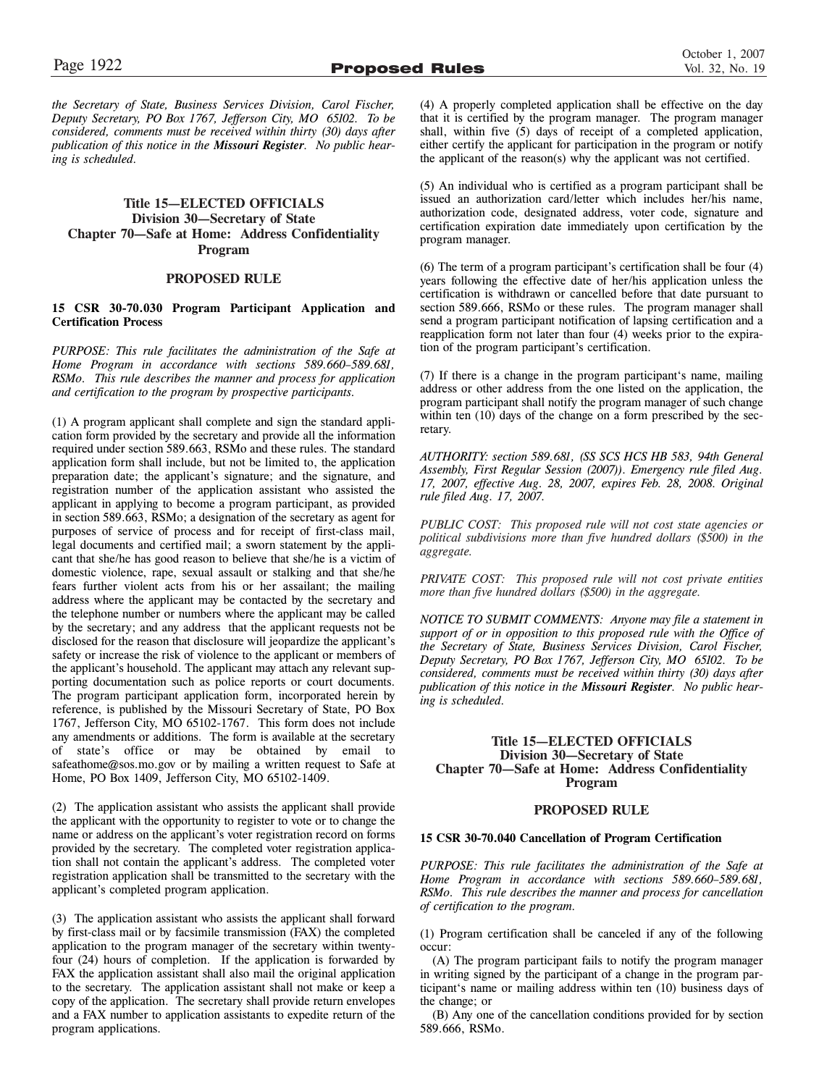*the Secretary of State, Business Services Division, Carol Fischer, Deputy Secretary, PO Box 1767, Jefferson City, MO 65102. To be considered, comments must be received within thirty (30) days after publication of this notice in the Missouri Register. No public hearing is scheduled.*

### **Title 15—ELECTED OFFICIALS Division 30—Secretary of State Chapter 70—Safe at Home: Address Confidentiality Program**

### **PROPOSED RULE**

### **15 CSR 30-70.030 Program Participant Application and Certification Process**

*PURPOSE: This rule facilitates the administration of the Safe at Home Program in accordance with sections 589.660–589.681, RSMo. This rule describes the manner and process for application and certification to the program by prospective participants.* 

(1) A program applicant shall complete and sign the standard application form provided by the secretary and provide all the information required under section 589.663, RSMo and these rules. The standard application form shall include, but not be limited to, the application preparation date; the applicant's signature; and the signature, and registration number of the application assistant who assisted the applicant in applying to become a program participant, as provided in section 589.663, RSMo; a designation of the secretary as agent for purposes of service of process and for receipt of first-class mail, legal documents and certified mail; a sworn statement by the applicant that she/he has good reason to believe that she/he is a victim of domestic violence, rape, sexual assault or stalking and that she/he fears further violent acts from his or her assailant; the mailing address where the applicant may be contacted by the secretary and the telephone number or numbers where the applicant may be called by the secretary; and any address that the applicant requests not be disclosed for the reason that disclosure will jeopardize the applicant's safety or increase the risk of violence to the applicant or members of the applicant's household. The applicant may attach any relevant supporting documentation such as police reports or court documents. The program participant application form, incorporated herein by reference, is published by the Missouri Secretary of State, PO Box 1767, Jefferson City, MO 65102-1767. This form does not include any amendments or additions. The form is available at the secretary of state's office or may be obtained by email to safeathome@sos.mo.gov or by mailing a written request to Safe at Home, PO Box 1409, Jefferson City, MO 65102-1409.

(2) The application assistant who assists the applicant shall provide the applicant with the opportunity to register to vote or to change the name or address on the applicant's voter registration record on forms provided by the secretary. The completed voter registration application shall not contain the applicant's address. The completed voter registration application shall be transmitted to the secretary with the applicant's completed program application.

(3) The application assistant who assists the applicant shall forward by first-class mail or by facsimile transmission (FAX) the completed application to the program manager of the secretary within twentyfour (24) hours of completion. If the application is forwarded by FAX the application assistant shall also mail the original application to the secretary. The application assistant shall not make or keep a copy of the application. The secretary shall provide return envelopes and a FAX number to application assistants to expedite return of the program applications.

(4) A properly completed application shall be effective on the day that it is certified by the program manager. The program manager shall, within five (5) days of receipt of a completed application, either certify the applicant for participation in the program or notify the applicant of the reason(s) why the applicant was not certified.

(5) An individual who is certified as a program participant shall be issued an authorization card/letter which includes her/his name, authorization code, designated address, voter code, signature and certification expiration date immediately upon certification by the program manager.

(6) The term of a program participant's certification shall be four (4) years following the effective date of her/his application unless the certification is withdrawn or cancelled before that date pursuant to section 589.666, RSMo or these rules. The program manager shall send a program participant notification of lapsing certification and a reapplication form not later than four (4) weeks prior to the expiration of the program participant's certification.

(7) If there is a change in the program participant's name, mailing address or other address from the one listed on the application, the program participant shall notify the program manager of such change within ten (10) days of the change on a form prescribed by the secretary.

*AUTHORITY: section 589.681, (SS SCS HCS HB 583, 94th General Assembly, First Regular Session (2007)). Emergency rule filed Aug. 17, 2007, effective Aug. 28, 2007, expires Feb. 28, 2008. Original rule filed Aug. 17, 2007.*

*PUBLIC COST: This proposed rule will not cost state agencies or political subdivisions more than five hundred dollars (\$500) in the aggregate.*

*PRIVATE COST: This proposed rule will not cost private entities more than five hundred dollars (\$500) in the aggregate.*

*NOTICE TO SUBMIT COMMENTS: Anyone may file a statement in support of or in opposition to this proposed rule with the Office of the Secretary of State, Business Services Division, Carol Fischer, Deputy Secretary, PO Box 1767, Jefferson City, MO 65102. To be considered, comments must be received within thirty (30) days after publication of this notice in the Missouri Register. No public hearing is scheduled.*

### **Title 15—ELECTED OFFICIALS Division 30—Secretary of State Chapter 70—Safe at Home: Address Confidentiality Program**

### **PROPOSED RULE**

### **15 CSR 30-70.040 Cancellation of Program Certification**

*PURPOSE: This rule facilitates the administration of the Safe at Home Program in accordance with sections 589.660–589.681, RSMo. This rule describes the manner and process for cancellation of certification to the program.*

(1) Program certification shall be canceled if any of the following occur:

(A) The program participant fails to notify the program manager in writing signed by the participant of a change in the program participant's name or mailing address within ten (10) business days of the change; or

(B) Any one of the cancellation conditions provided for by section 589.666, RSMo.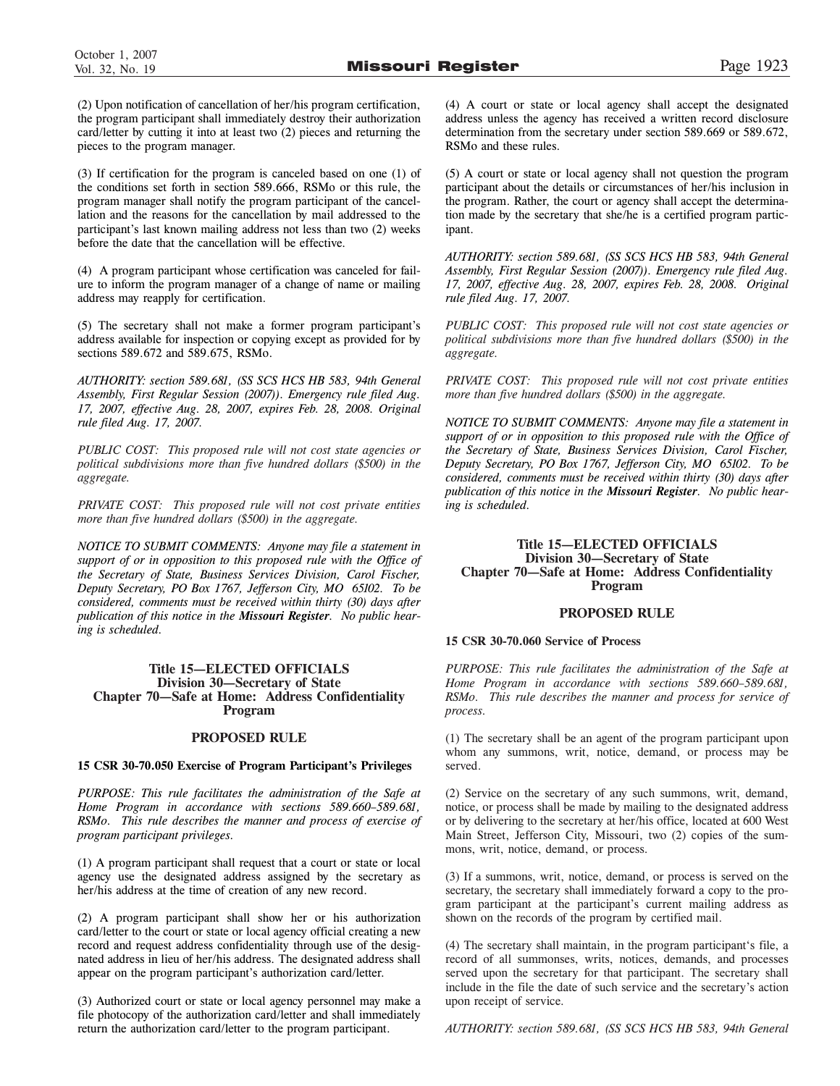(2) Upon notification of cancellation of her/his program certification, the program participant shall immediately destroy their authorization card/letter by cutting it into at least two (2) pieces and returning the pieces to the program manager.

(3) If certification for the program is canceled based on one (1) of the conditions set forth in section 589.666, RSMo or this rule, the program manager shall notify the program participant of the cancellation and the reasons for the cancellation by mail addressed to the participant's last known mailing address not less than two (2) weeks before the date that the cancellation will be effective.

(4) A program participant whose certification was canceled for failure to inform the program manager of a change of name or mailing address may reapply for certification.

(5) The secretary shall not make a former program participant's address available for inspection or copying except as provided for by sections 589.672 and 589.675, RSMo.

*AUTHORITY: section 589.681, (SS SCS HCS HB 583, 94th General Assembly, First Regular Session (2007)). Emergency rule filed Aug. 17, 2007, effective Aug. 28, 2007, expires Feb. 28, 2008. Original rule filed Aug. 17, 2007.* 

*PUBLIC COST: This proposed rule will not cost state agencies or political subdivisions more than five hundred dollars (\$500) in the aggregate.*

*PRIVATE COST: This proposed rule will not cost private entities more than five hundred dollars (\$500) in the aggregate.*

*NOTICE TO SUBMIT COMMENTS: Anyone may file a statement in support of or in opposition to this proposed rule with the Office of the Secretary of State, Business Services Division, Carol Fischer, Deputy Secretary, PO Box 1767, Jefferson City, MO 65102. To be considered, comments must be received within thirty (30) days after publication of this notice in the Missouri Register. No public hearing is scheduled.*

### **Title 15—ELECTED OFFICIALS Division 30—Secretary of State Chapter 70—Safe at Home: Address Confidentiality Program**

### **PROPOSED RULE**

### **15 CSR 30-70.050 Exercise of Program Participant's Privileges**

*PURPOSE: This rule facilitates the administration of the Safe at Home Program in accordance with sections 589.660–589.681, RSMo. This rule describes the manner and process of exercise of program participant privileges.*

(1) A program participant shall request that a court or state or local agency use the designated address assigned by the secretary as her/his address at the time of creation of any new record.

(2) A program participant shall show her or his authorization card/letter to the court or state or local agency official creating a new record and request address confidentiality through use of the designated address in lieu of her/his address. The designated address shall appear on the program participant's authorization card/letter.

(3) Authorized court or state or local agency personnel may make a file photocopy of the authorization card/letter and shall immediately return the authorization card/letter to the program participant.

(4) A court or state or local agency shall accept the designated address unless the agency has received a written record disclosure determination from the secretary under section 589.669 or 589.672, RSMo and these rules.

(5) A court or state or local agency shall not question the program participant about the details or circumstances of her/his inclusion in the program. Rather, the court or agency shall accept the determination made by the secretary that she/he is a certified program participant.

*AUTHORITY: section 589.681, (SS SCS HCS HB 583, 94th General Assembly, First Regular Session (2007)). Emergency rule filed Aug. 17, 2007, effective Aug. 28, 2007, expires Feb. 28, 2008. Original rule filed Aug. 17, 2007.*

*PUBLIC COST: This proposed rule will not cost state agencies or political subdivisions more than five hundred dollars (\$500) in the aggregate.*

*PRIVATE COST: This proposed rule will not cost private entities more than five hundred dollars (\$500) in the aggregate.*

*NOTICE TO SUBMIT COMMENTS: Anyone may file a statement in support of or in opposition to this proposed rule with the Office of the Secretary of State, Business Services Division, Carol Fischer, Deputy Secretary, PO Box 1767, Jefferson City, MO 65102. To be considered, comments must be received within thirty (30) days after publication of this notice in the Missouri Register. No public hearing is scheduled.*

### **Title 15—ELECTED OFFICIALS Division 30—Secretary of State Chapter 70—Safe at Home: Address Confidentiality Program**

### **PROPOSED RULE**

### **15 CSR 30-70.060 Service of Process**

*PURPOSE: This rule facilitates the administration of the Safe at Home Program in accordance with sections 589.660–589.681, RSMo. This rule describes the manner and process for service of process.*

(1) The secretary shall be an agent of the program participant upon whom any summons, writ, notice, demand, or process may be served.

(2) Service on the secretary of any such summons, writ, demand, notice, or process shall be made by mailing to the designated address or by delivering to the secretary at her/his office, located at 600 West Main Street, Jefferson City, Missouri, two (2) copies of the summons, writ, notice, demand, or process.

(3) If a summons, writ, notice, demand, or process is served on the secretary, the secretary shall immediately forward a copy to the program participant at the participant's current mailing address as shown on the records of the program by certified mail.

(4) The secretary shall maintain, in the program participant's file, a record of all summonses, writs, notices, demands, and processes served upon the secretary for that participant. The secretary shall include in the file the date of such service and the secretary's action upon receipt of service.

*AUTHORITY: section 589.681, (SS SCS HCS HB 583, 94th General*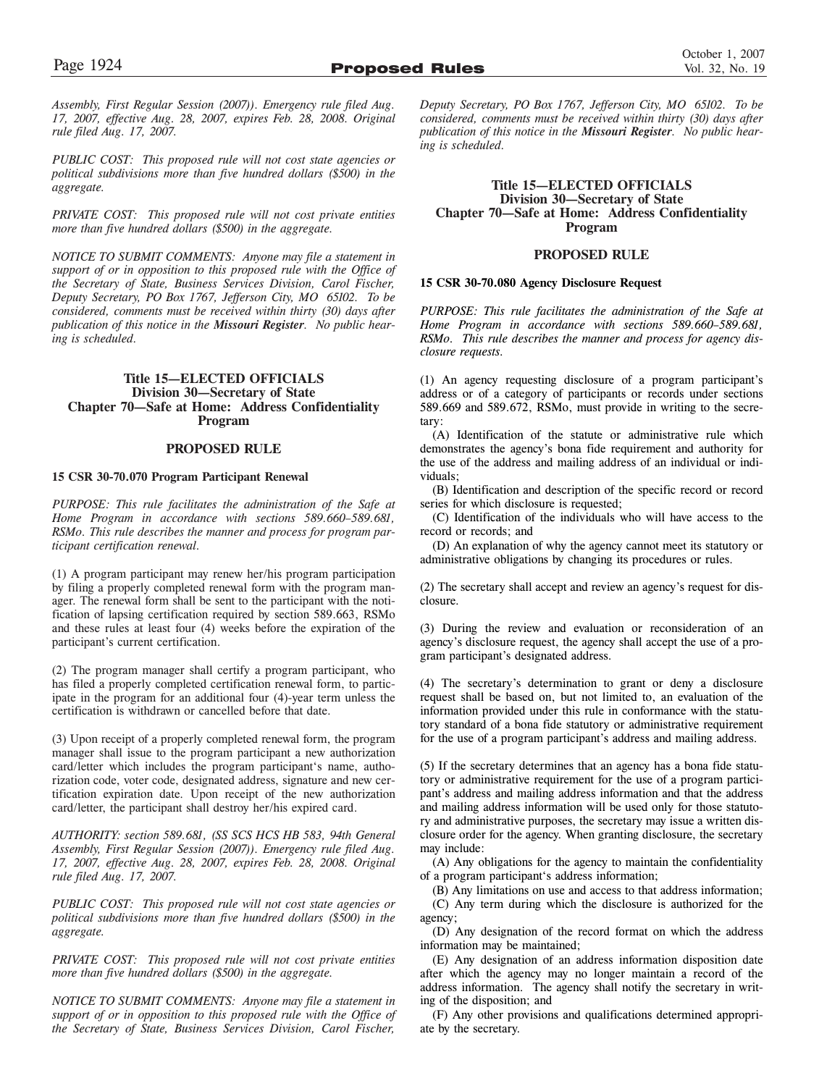*Assembly, First Regular Session (2007)). Emergency rule filed Aug. 17, 2007, effective Aug. 28, 2007, expires Feb. 28, 2008. Original rule filed Aug. 17, 2007.*

*PUBLIC COST: This proposed rule will not cost state agencies or political subdivisions more than five hundred dollars (\$500) in the aggregate.*

*PRIVATE COST: This proposed rule will not cost private entities more than five hundred dollars (\$500) in the aggregate.*

*NOTICE TO SUBMIT COMMENTS: Anyone may file a statement in support of or in opposition to this proposed rule with the Office of the Secretary of State, Business Services Division, Carol Fischer, Deputy Secretary, PO Box 1767, Jefferson City, MO 65102. To be considered, comments must be received within thirty (30) days after publication of this notice in the Missouri Register. No public hearing is scheduled.*

### **Title 15—ELECTED OFFICIALS Division 30—Secretary of State Chapter 70—Safe at Home: Address Confidentiality Program**

### **PROPOSED RULE**

### **15 CSR 30-70.070 Program Participant Renewal**

*PURPOSE: This rule facilitates the administration of the Safe at Home Program in accordance with sections 589.660–589.681, RSMo. This rule describes the manner and process for program participant certification renewal.*

(1) A program participant may renew her/his program participation by filing a properly completed renewal form with the program manager. The renewal form shall be sent to the participant with the notification of lapsing certification required by section 589.663, RSMo and these rules at least four (4) weeks before the expiration of the participant's current certification.

(2) The program manager shall certify a program participant, who has filed a properly completed certification renewal form, to participate in the program for an additional four (4)-year term unless the certification is withdrawn or cancelled before that date.

(3) Upon receipt of a properly completed renewal form, the program manager shall issue to the program participant a new authorization card/letter which includes the program participant's name, authorization code, voter code, designated address, signature and new certification expiration date. Upon receipt of the new authorization card/letter, the participant shall destroy her/his expired card.

*AUTHORITY: section 589.681, (SS SCS HCS HB 583, 94th General Assembly, First Regular Session (2007)). Emergency rule filed Aug. 17, 2007, effective Aug. 28, 2007, expires Feb. 28, 2008. Original rule filed Aug. 17, 2007.* 

*PUBLIC COST: This proposed rule will not cost state agencies or political subdivisions more than five hundred dollars (\$500) in the aggregate.*

*PRIVATE COST: This proposed rule will not cost private entities more than five hundred dollars (\$500) in the aggregate.*

*NOTICE TO SUBMIT COMMENTS: Anyone may file a statement in support of or in opposition to this proposed rule with the Office of the Secretary of State, Business Services Division, Carol Fischer,*

*Deputy Secretary, PO Box 1767, Jefferson City, MO 65102. To be considered, comments must be received within thirty (30) days after publication of this notice in the Missouri Register. No public hearing is scheduled.*

### **Title 15—ELECTED OFFICIALS Division 30—Secretary of State Chapter 70—Safe at Home: Address Confidentiality Program**

### **PROPOSED RULE**

### **15 CSR 30-70.080 Agency Disclosure Request**

*PURPOSE: This rule facilitates the administration of the Safe at Home Program in accordance with sections 589.660–589.681, RSMo. This rule describes the manner and process for agency disclosure requests.*

(1) An agency requesting disclosure of a program participant's address or of a category of participants or records under sections 589.669 and 589.672, RSMo, must provide in writing to the secretary:

(A) Identification of the statute or administrative rule which demonstrates the agency's bona fide requirement and authority for the use of the address and mailing address of an individual or individuals;

(B) Identification and description of the specific record or record series for which disclosure is requested;

(C) Identification of the individuals who will have access to the record or records; and

(D) An explanation of why the agency cannot meet its statutory or administrative obligations by changing its procedures or rules.

(2) The secretary shall accept and review an agency's request for disclosure.

(3) During the review and evaluation or reconsideration of an agency's disclosure request, the agency shall accept the use of a program participant's designated address.

(4) The secretary's determination to grant or deny a disclosure request shall be based on, but not limited to, an evaluation of the information provided under this rule in conformance with the statutory standard of a bona fide statutory or administrative requirement for the use of a program participant's address and mailing address.

(5) If the secretary determines that an agency has a bona fide statutory or administrative requirement for the use of a program participant's address and mailing address information and that the address and mailing address information will be used only for those statutory and administrative purposes, the secretary may issue a written disclosure order for the agency. When granting disclosure, the secretary may include:

(A) Any obligations for the agency to maintain the confidentiality of a program participant's address information;

(B) Any limitations on use and access to that address information; (C) Any term during which the disclosure is authorized for the agency;

(D) Any designation of the record format on which the address information may be maintained;

(E) Any designation of an address information disposition date after which the agency may no longer maintain a record of the address information. The agency shall notify the secretary in writing of the disposition; and

(F) Any other provisions and qualifications determined appropriate by the secretary.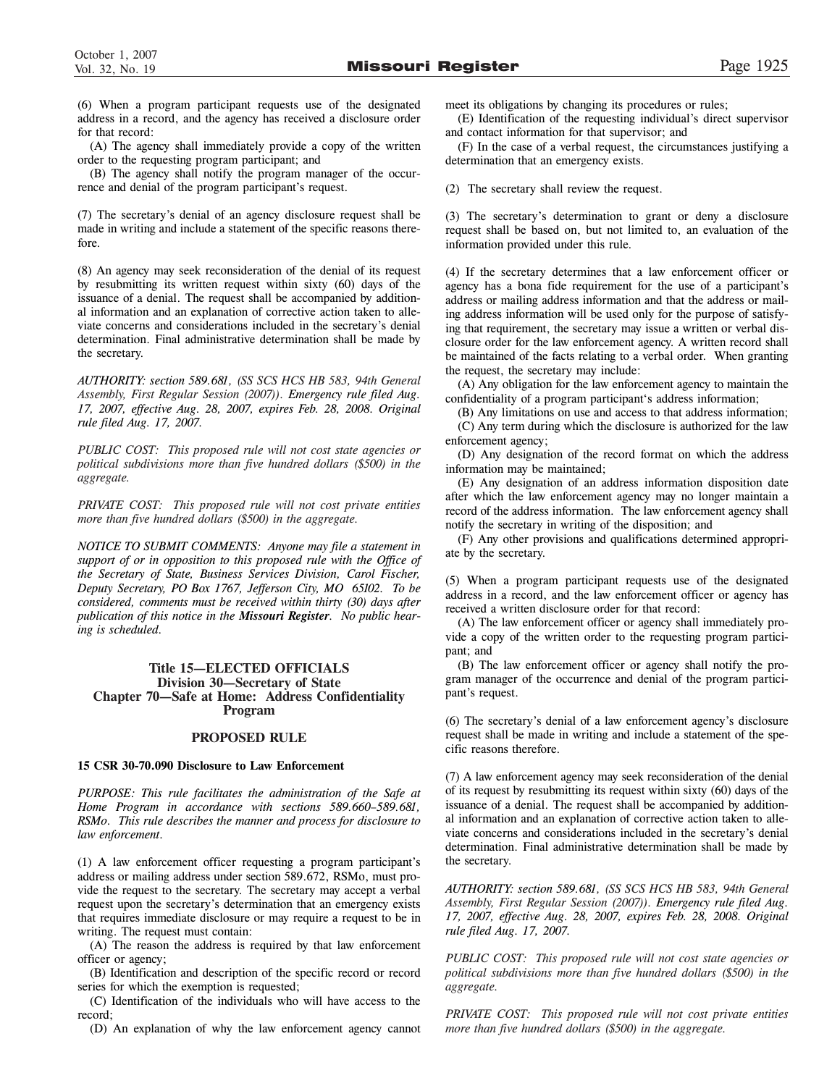(6) When a program participant requests use of the designated address in a record, and the agency has received a disclosure order for that record:

(A) The agency shall immediately provide a copy of the written order to the requesting program participant; and

(B) The agency shall notify the program manager of the occurrence and denial of the program participant's request.

(7) The secretary's denial of an agency disclosure request shall be made in writing and include a statement of the specific reasons therefore.

(8) An agency may seek reconsideration of the denial of its request by resubmitting its written request within sixty (60) days of the issuance of a denial. The request shall be accompanied by additional information and an explanation of corrective action taken to alleviate concerns and considerations included in the secretary's denial determination. Final administrative determination shall be made by the secretary.

*AUTHORITY: section 589.681, (SS SCS HCS HB 583, 94th General Assembly, First Regular Session (2007)). Emergency rule filed Aug. 17, 2007, effective Aug. 28, 2007, expires Feb. 28, 2008. Original rule filed Aug. 17, 2007.* 

*PUBLIC COST: This proposed rule will not cost state agencies or political subdivisions more than five hundred dollars (\$500) in the aggregate.*

*PRIVATE COST: This proposed rule will not cost private entities more than five hundred dollars (\$500) in the aggregate.*

*NOTICE TO SUBMIT COMMENTS: Anyone may file a statement in support of or in opposition to this proposed rule with the Office of the Secretary of State, Business Services Division, Carol Fischer, Deputy Secretary, PO Box 1767, Jefferson City, MO 65102. To be considered, comments must be received within thirty (30) days after publication of this notice in the Missouri Register. No public hearing is scheduled.*

### **Title 15—ELECTED OFFICIALS Division 30—Secretary of State Chapter 70—Safe at Home: Address Confidentiality Program**

### **PROPOSED RULE**

### **15 CSR 30-70.090 Disclosure to Law Enforcement**

*PURPOSE: This rule facilitates the administration of the Safe at Home Program in accordance with sections 589.660–589.681, RSMo. This rule describes the manner and process for disclosure to law enforcement.*

(1) A law enforcement officer requesting a program participant's address or mailing address under section 589.672, RSMo, must provide the request to the secretary. The secretary may accept a verbal request upon the secretary's determination that an emergency exists that requires immediate disclosure or may require a request to be in writing. The request must contain:

(A) The reason the address is required by that law enforcement officer or agency;

(B) Identification and description of the specific record or record series for which the exemption is requested;

(C) Identification of the individuals who will have access to the record;

(D) An explanation of why the law enforcement agency cannot

meet its obligations by changing its procedures or rules;

(E) Identification of the requesting individual's direct supervisor and contact information for that supervisor; and

(F) In the case of a verbal request, the circumstances justifying a determination that an emergency exists.

(2) The secretary shall review the request.

(3) The secretary's determination to grant or deny a disclosure request shall be based on, but not limited to, an evaluation of the information provided under this rule.

(4) If the secretary determines that a law enforcement officer or agency has a bona fide requirement for the use of a participant's address or mailing address information and that the address or mailing address information will be used only for the purpose of satisfying that requirement, the secretary may issue a written or verbal disclosure order for the law enforcement agency. A written record shall be maintained of the facts relating to a verbal order. When granting the request, the secretary may include:

(A) Any obligation for the law enforcement agency to maintain the confidentiality of a program participant's address information;

(B) Any limitations on use and access to that address information;

(C) Any term during which the disclosure is authorized for the law enforcement agency;

(D) Any designation of the record format on which the address information may be maintained;

(E) Any designation of an address information disposition date after which the law enforcement agency may no longer maintain a record of the address information. The law enforcement agency shall notify the secretary in writing of the disposition; and

(F) Any other provisions and qualifications determined appropriate by the secretary.

(5) When a program participant requests use of the designated address in a record, and the law enforcement officer or agency has received a written disclosure order for that record:

(A) The law enforcement officer or agency shall immediately provide a copy of the written order to the requesting program participant; and

(B) The law enforcement officer or agency shall notify the program manager of the occurrence and denial of the program participant's request.

(6) The secretary's denial of a law enforcement agency's disclosure request shall be made in writing and include a statement of the specific reasons therefore.

(7) A law enforcement agency may seek reconsideration of the denial of its request by resubmitting its request within sixty (60) days of the issuance of a denial. The request shall be accompanied by additional information and an explanation of corrective action taken to alleviate concerns and considerations included in the secretary's denial determination. Final administrative determination shall be made by the secretary.

*AUTHORITY: section 589.681, (SS SCS HCS HB 583, 94th General Assembly, First Regular Session (2007)). Emergency rule filed Aug. 17, 2007, effective Aug. 28, 2007, expires Feb. 28, 2008. Original rule filed Aug. 17, 2007.* 

*PUBLIC COST: This proposed rule will not cost state agencies or political subdivisions more than five hundred dollars (\$500) in the aggregate.*

*PRIVATE COST: This proposed rule will not cost private entities more than five hundred dollars (\$500) in the aggregate.*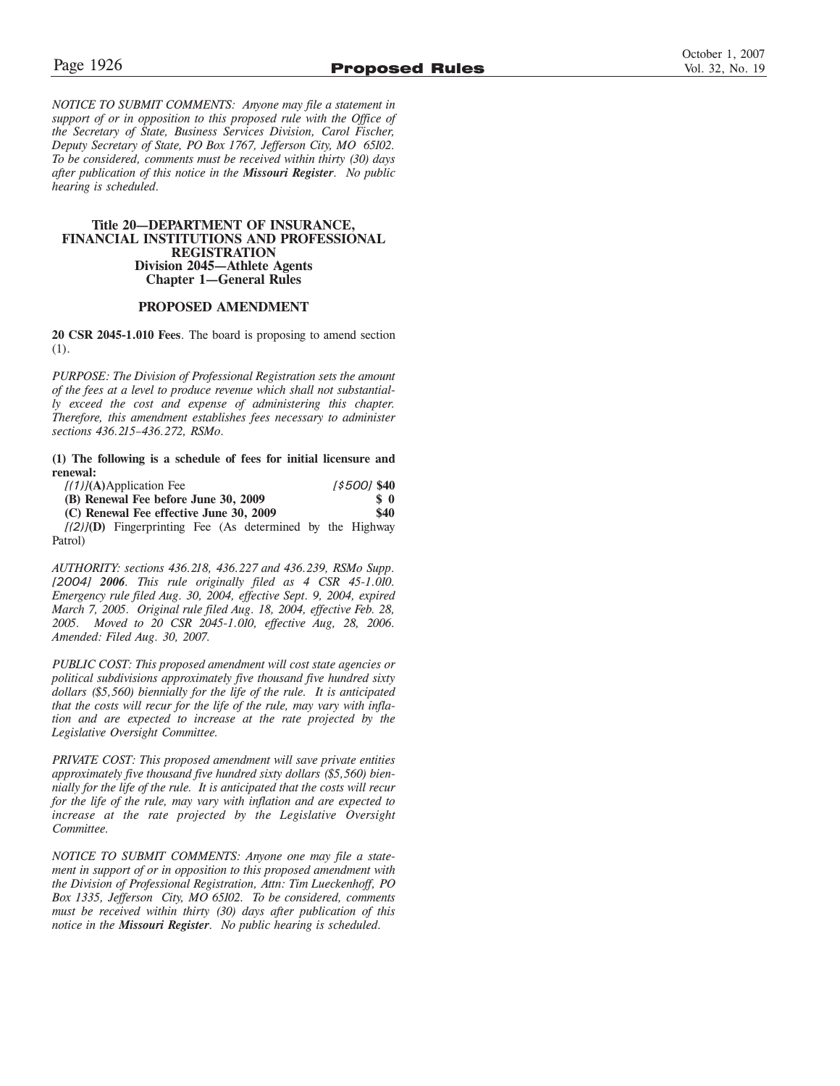*NOTICE TO SUBMIT COMMENTS: Anyone may file a statement in support of or in opposition to this proposed rule with the Office of the Secretary of State, Business Services Division, Carol Fischer, Deputy Secretary of State, PO Box 1767, Jefferson City, MO 65102. To be considered, comments must be received within thirty (30) days after publication of this notice in the Missouri Register. No public hearing is scheduled.*

### **Title 20—DEPARTMENT OF INSURANCE, FINANCIAL INSTITUTIONS AND PROFESSIONAL REGISTRATION Division 2045—Athlete Agents Chapter 1—General Rules**

### **PROPOSED AMENDMENT**

**20 CSR 2045-1.010 Fees**. The board is proposing to amend section (1).

*PURPOSE: The Division of Professional Registration sets the amount of the fees at a level to produce revenue which shall not substantially exceed the cost and expense of administering this chapter. Therefore, this amendment establishes fees necessary to administer sections 436.215–436.272, RSMo.*

**(1) The following is a schedule of fees for initial licensure and renewal:**

| $[(1)]$ (A)Application Fee                                   | 1\$5001 \$40       |
|--------------------------------------------------------------|--------------------|
| (B) Renewal Fee before June 30, 2009                         | $\boldsymbol{s}$ 0 |
| (C) Renewal Fee effective June 30, 2009                      | \$40               |
| $[(2)]$ (D) Fingerprinting Fee (As determined by the Highway |                    |

Patrol)

*AUTHORITY: sections 436.218, 436.227 and 436.239, RSMo Supp. [2004] 2006. This rule originally filed as 4 CSR 45-1.010. Emergency rule filed Aug. 30, 2004, effective Sept. 9, 2004, expired March 7, 2005. Original rule filed Aug. 18, 2004, effective Feb. 28, 2005. Moved to 20 CSR 2045-1.010, effective Aug, 28, 2006. Amended: Filed Aug. 30, 2007.*

*PUBLIC COST: This proposed amendment will cost state agencies or political subdivisions approximately five thousand five hundred sixty dollars (\$5,560) biennially for the life of the rule. It is anticipated that the costs will recur for the life of the rule, may vary with inflation and are expected to increase at the rate projected by the Legislative Oversight Committee.*

*PRIVATE COST: This proposed amendment will save private entities approximately five thousand five hundred sixty dollars (\$5,560) biennially for the life of the rule. It is anticipated that the costs will recur for the life of the rule, may vary with inflation and are expected to increase at the rate projected by the Legislative Oversight Committee.*

*NOTICE TO SUBMIT COMMENTS: Anyone one may file a statement in support of or in opposition to this proposed amendment with the Division of Professional Registration, Attn: Tim Lueckenhoff, PO Box 1335, Jefferson City, MO 65102. To be considered, comments must be received within thirty (30) days after publication of this notice in the Missouri Register. No public hearing is scheduled.*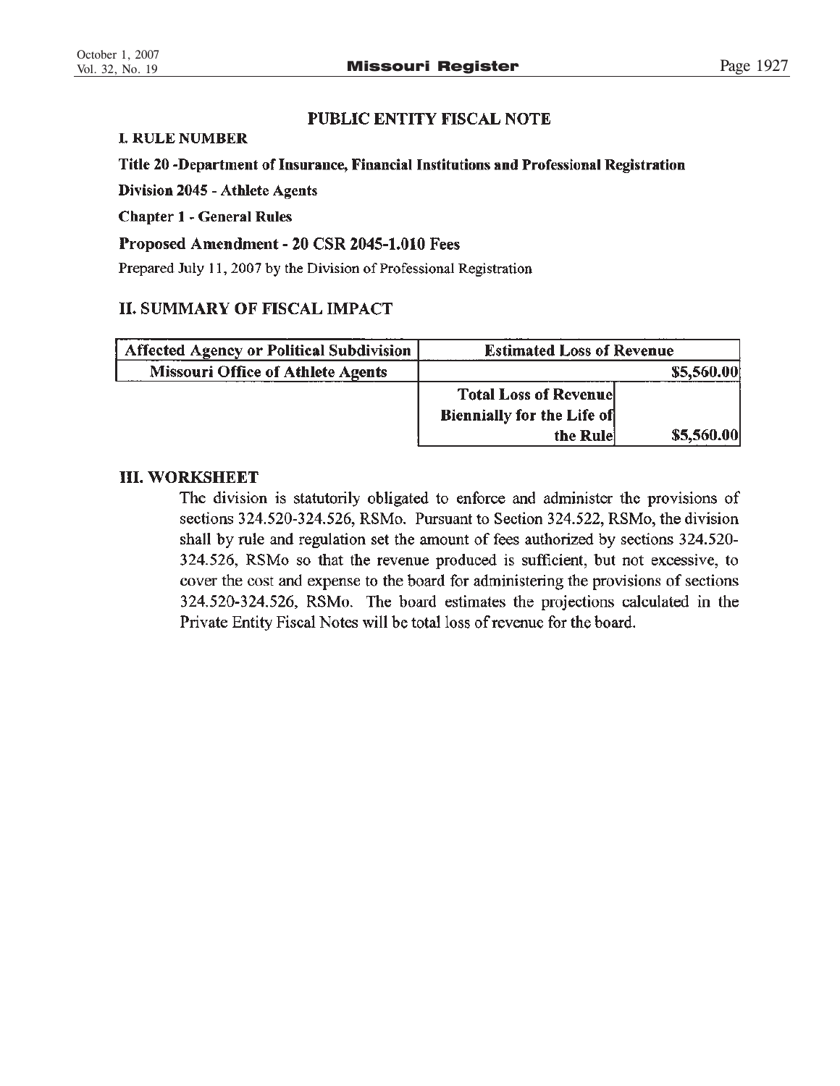# PUBLIC ENTITY FISCAL NOTE

# **I. RULE NUMBER**

# Title 20 -Department of Insurance, Financial Institutions and Professional Registration

**Division 2045 - Athlete Agents** 

**Chapter 1 - General Rules** 

# Proposed Amendment - 20 CSR 2045-1.010 Fees

Prepared July 11, 2007 by the Division of Professional Registration

# **II. SUMMARY OF FISCAL IMPACT**

| Affected Agency or Political Subdivision | <b>Estimated Loss of Revenue</b>  |            |
|------------------------------------------|-----------------------------------|------------|
| <b>Missouri Office of Athlete Agents</b> |                                   | \$5,560.00 |
|                                          | <b>Total Loss of Revenuel</b>     |            |
|                                          | <b>Biennially for the Life of</b> |            |
|                                          | the Rule                          | \$5,560.00 |

# **III. WORKSHEET**

The division is statutorily obligated to enforce and administer the provisions of sections 324.520-324.526, RSMo. Pursuant to Section 324.522, RSMo, the division shall by rule and regulation set the amount of fees authorized by sections 324.520-324.526, RSMo so that the revenue produced is sufficient, but not excessive, to cover the cost and expense to the board for administering the provisions of sections 324.520-324.526, RSMo. The board estimates the projections calculated in the Private Entity Fiscal Notes will be total loss of revenue for the board.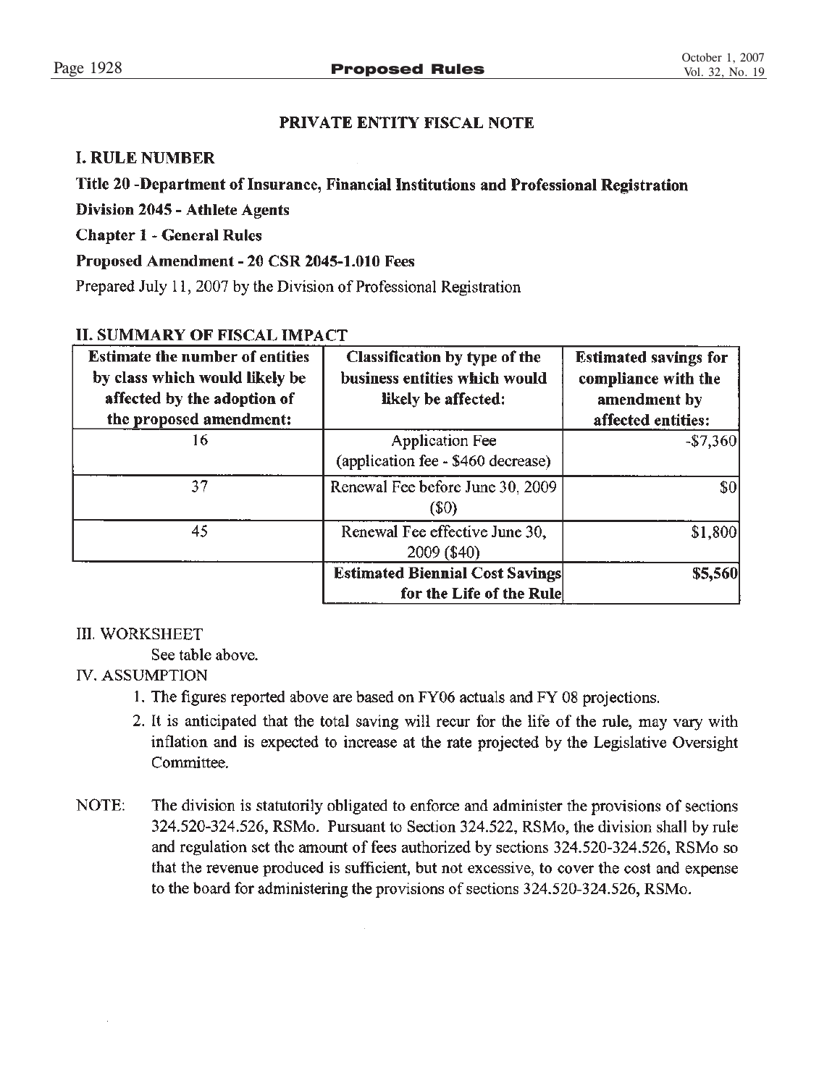# PRIVATE ENTITY FISCAL NOTE

# **I. RULE NUMBER**

# Title 20 -Department of Insurance, Financial Institutions and Professional Registration

**Division 2045 - Athlete Agents** 

**Chapter 1 - General Rules** 

# Proposed Amendment - 20 CSR 2045-1.010 Fees

Prepared July 11, 2007 by the Division of Professional Registration

# **II. SUMMARY OF FISCAL IMPACT**

| <b>Estimate the number of entities</b><br>by class which would likely be<br>affected by the adoption of<br>the proposed amendment: | Classification by type of the<br>business entities which would<br>likely be affected: | <b>Estimated savings for</b><br>compliance with the<br>amendment by<br>affected entities: |
|------------------------------------------------------------------------------------------------------------------------------------|---------------------------------------------------------------------------------------|-------------------------------------------------------------------------------------------|
| 16                                                                                                                                 | <b>Application Fee</b><br>(application fee - \$460 decrease)                          | $-$7,360$                                                                                 |
| 37                                                                                                                                 | Renewal Fee before June 30, 2009<br>$(\$0)$                                           | \$0                                                                                       |
| 45                                                                                                                                 | Renewal Fee effective June 30,<br>2009 (\$40)                                         | \$1,800                                                                                   |
|                                                                                                                                    | <b>Estimated Biennial Cost Savings</b><br>for the Life of the Rule                    | \$5,560                                                                                   |

# **III. WORKSHEET**

See table above.

# **IV. ASSUMPTION**

- 1. The figures reported above are based on FY06 actuals and FY08 projections.
- 2. It is anticipated that the total saving will recur for the life of the rule, may vary with inflation and is expected to increase at the rate projected by the Legislative Oversight Committee.
- NOTE: The division is statutorily obligated to enforce and administer the provisions of sections 324.520-324.526, RSMo. Pursuant to Section 324.522, RSMo, the division shall by rule and regulation set the amount of fees authorized by sections 324.520-324.526, RSMo so that the revenue produced is sufficient, but not excessive, to cover the cost and expense to the board for administering the provisions of sections 324.520-324.526, RSMo.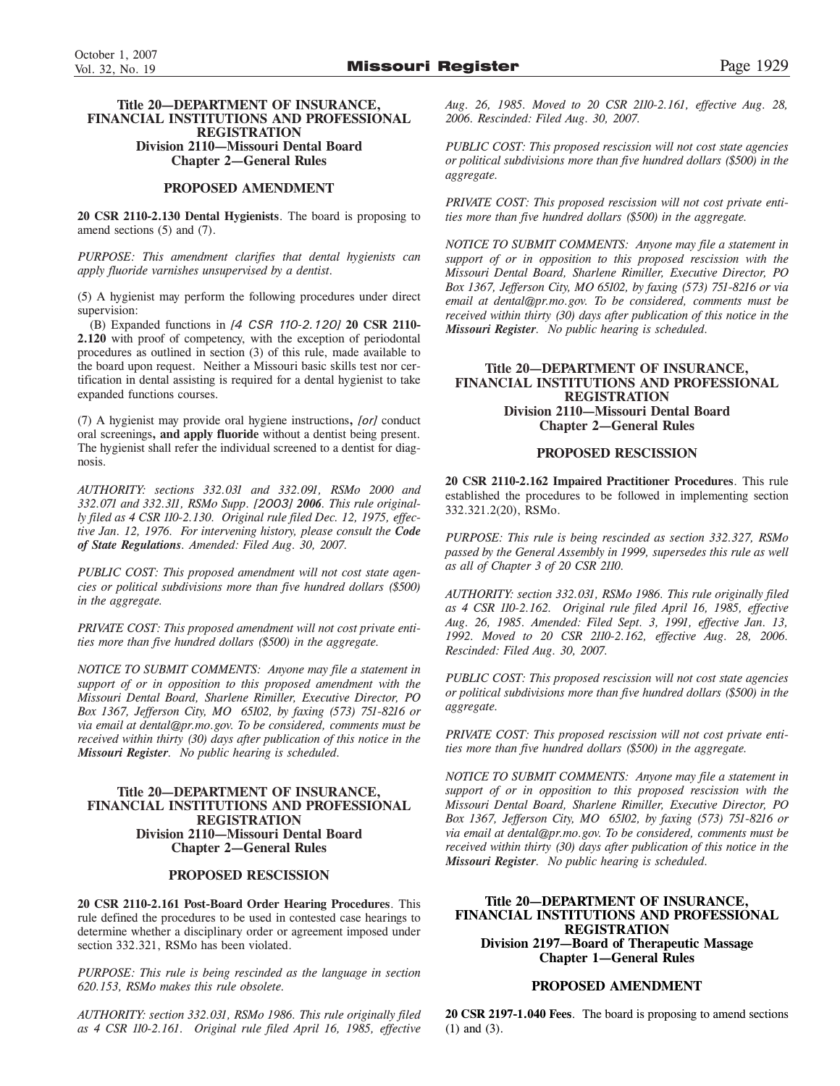### **PROPOSED AMENDMENT**

**20 CSR 2110-2.130 Dental Hygienists**. The board is proposing to amend sections (5) and (7).

*PURPOSE: This amendment clarifies that dental hygienists can apply fluoride varnishes unsupervised by a dentist.*

(5) A hygienist may perform the following procedures under direct supervision:

(B) Expanded functions in *[4 CSR 110-2.120]* **20 CSR 2110- 2.120** with proof of competency, with the exception of periodontal procedures as outlined in section (3) of this rule, made available to the board upon request. Neither a Missouri basic skills test nor certification in dental assisting is required for a dental hygienist to take expanded functions courses.

(7) A hygienist may provide oral hygiene instructions**,** *[or]* conduct oral screenings**, and apply fluoride** without a dentist being present. The hygienist shall refer the individual screened to a dentist for diagnosis.

*AUTHORITY: sections 332.031 and 332.091, RSMo 2000 and 332.071 and 332.311, RSMo Supp. [2003] 2006. This rule originally filed as 4 CSR 110-2.130. Original rule filed Dec. 12, 1975, effective Jan. 12, 1976. For intervening history, please consult the Code of State Regulations. Amended: Filed Aug. 30, 2007.*

*PUBLIC COST: This proposed amendment will not cost state agencies or political subdivisions more than five hundred dollars (\$500) in the aggregate.*

*PRIVATE COST: This proposed amendment will not cost private entities more than five hundred dollars (\$500) in the aggregate.*

*NOTICE TO SUBMIT COMMENTS: Anyone may file a statement in support of or in opposition to this proposed amendment with the Missouri Dental Board, Sharlene Rimiller, Executive Director, PO Box 1367, Jefferson City, MO 65102, by faxing (573) 751-8216 or via email at dental@pr.mo.gov. To be considered, comments must be received within thirty (30) days after publication of this notice in the Missouri Register. No public hearing is scheduled.*

### **Title 20—DEPARTMENT OF INSURANCE, FINANCIAL INSTITUTIONS AND PROFESSIONAL REGISTRATION Division 2110—Missouri Dental Board Chapter 2—General Rules**

### **PROPOSED RESCISSION**

**20 CSR 2110-2.161 Post-Board Order Hearing Procedures**. This rule defined the procedures to be used in contested case hearings to determine whether a disciplinary order or agreement imposed under section 332.321, RSMo has been violated.

*PURPOSE: This rule is being rescinded as the language in section 620.153, RSMo makes this rule obsolete.*

*AUTHORITY: section 332.031, RSMo 1986. This rule originally filed as 4 CSR 110-2.161. Original rule filed April 16, 1985, effective*

*Aug. 26, 1985. Moved to 20 CSR 2110-2.161, effective Aug. 28, 2006. Rescinded: Filed Aug. 30, 2007.*

*PUBLIC COST: This proposed rescission will not cost state agencies or political subdivisions more than five hundred dollars (\$500) in the aggregate.*

*PRIVATE COST: This proposed rescission will not cost private entities more than five hundred dollars (\$500) in the aggregate.*

*NOTICE TO SUBMIT COMMENTS: Anyone may file a statement in support of or in opposition to this proposed rescission with the Missouri Dental Board, Sharlene Rimiller, Executive Director, PO Box 1367, Jefferson City, MO 65102, by faxing (573) 751-8216 or via email at dental@pr.mo.gov. To be considered, comments must be received within thirty (30) days after publication of this notice in the Missouri Register. No public hearing is scheduled.*

### **Title 20—DEPARTMENT OF INSURANCE, FINANCIAL INSTITUTIONS AND PROFESSIONAL REGISTRATION Division 2110—Missouri Dental Board Chapter 2—General Rules**

### **PROPOSED RESCISSION**

**20 CSR 2110-2.162 Impaired Practitioner Procedures**. This rule established the procedures to be followed in implementing section 332.321.2(20), RSMo.

*PURPOSE: This rule is being rescinded as section 332.327, RSMo passed by the General Assembly in 1999, supersedes this rule as well as all of Chapter 3 of 20 CSR 2110.*

*AUTHORITY: section 332.031, RSMo 1986. This rule originally filed as 4 CSR 110-2.162. Original rule filed April 16, 1985, effective Aug. 26, 1985. Amended: Filed Sept. 3, 1991, effective Jan. 13, 1992. Moved to 20 CSR 2110-2.162, effective Aug. 28, 2006. Rescinded: Filed Aug. 30, 2007.*

*PUBLIC COST: This proposed rescission will not cost state agencies or political subdivisions more than five hundred dollars (\$500) in the aggregate.*

*PRIVATE COST: This proposed rescission will not cost private entities more than five hundred dollars (\$500) in the aggregate.*

*NOTICE TO SUBMIT COMMENTS: Anyone may file a statement in support of or in opposition to this proposed rescission with the Missouri Dental Board, Sharlene Rimiller, Executive Director, PO Box 1367, Jefferson City, MO 65102, by faxing (573) 751-8216 or via email at dental@pr.mo.gov. To be considered, comments must be received within thirty (30) days after publication of this notice in the Missouri Register. No public hearing is scheduled.*

### **Title 20—DEPARTMENT OF INSURANCE, FINANCIAL INSTITUTIONS AND PROFESSIONAL REGISTRATION Division 2197—Board of Therapeutic Massage Chapter 1—General Rules**

### **PROPOSED AMENDMENT**

**20 CSR 2197-1.040 Fees**. The board is proposing to amend sections (1) and (3).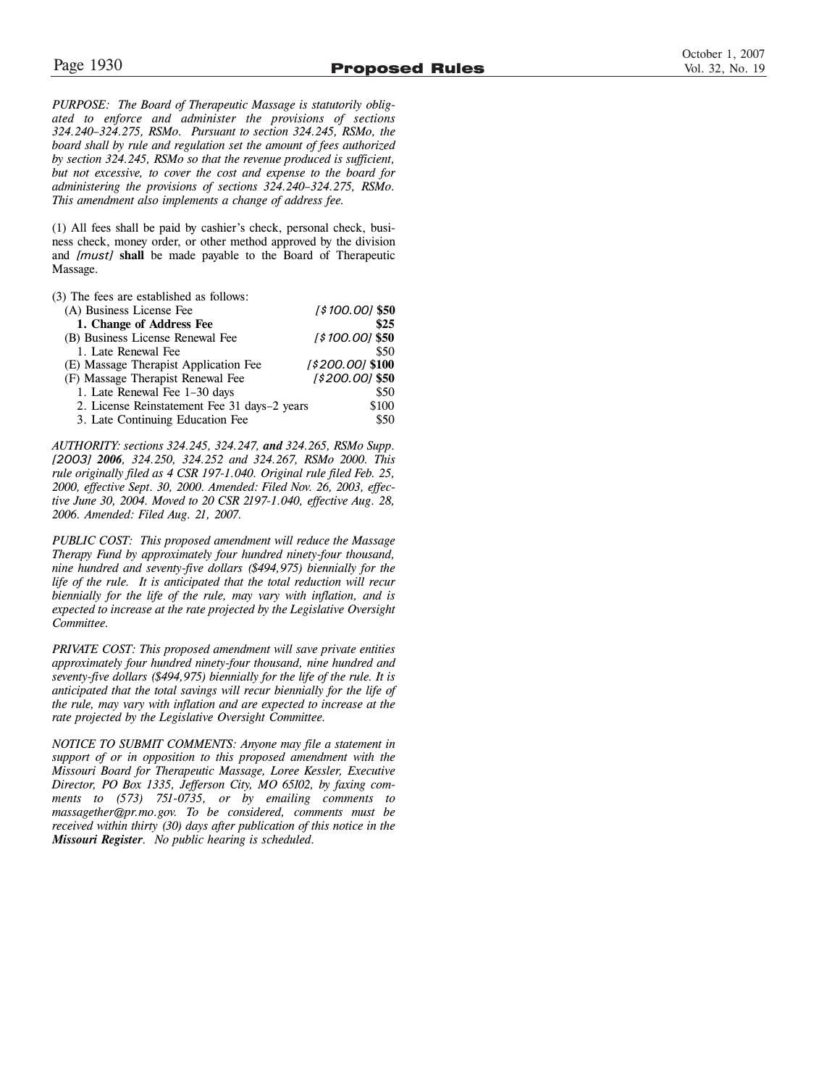*PURPOSE: The Board of Therapeutic Massage is statutorily obligated to enforce and administer the provisions of sections 324.240–324.275, RSMo. Pursuant to section 324.245, RSMo, the board shall by rule and regulation set the amount of fees authorized by section 324.245, RSMo so that the revenue produced is sufficient, but not excessive, to cover the cost and expense to the board for administering the provisions of sections 324.240–324.275, RSMo. This amendment also implements a change of address fee.*

(1) All fees shall be paid by cashier's check, personal check, business check, money order, or other method approved by the division and *[must]* **shall** be made payable to the Board of Therapeutic Massage.

| [\$100.00] \$50                                       |
|-------------------------------------------------------|
| \$25                                                  |
| [\$100.00] \$50                                       |
| \$50                                                  |
| [\$200.00] \$100                                      |
| $[$200.00]$ \$50                                      |
| \$50                                                  |
| \$100<br>2. License Reinstatement Fee 31 days-2 years |
| \$50                                                  |
|                                                       |

*AUTHORITY: sections 324.245, 324.247, and 324.265, RSMo Supp. [2003] 2006, 324.250, 324.252 and 324.267, RSMo 2000. This rule originally filed as 4 CSR 197-1.040. Original rule filed Feb. 25, 2000, effective Sept. 30, 2000. Amended: Filed Nov. 26, 2003, effective June 30, 2004. Moved to 20 CSR 2197-1.040, effective Aug. 28, 2006. Amended: Filed Aug. 21, 2007.*

*PUBLIC COST: This proposed amendment will reduce the Massage Therapy Fund by approximately four hundred ninety-four thousand, nine hundred and seventy-five dollars (\$494,975) biennially for the life of the rule. It is anticipated that the total reduction will recur biennially for the life of the rule, may vary with inflation, and is expected to increase at the rate projected by the Legislative Oversight Committee.*

*PRIVATE COST: This proposed amendment will save private entities approximately four hundred ninety-four thousand, nine hundred and seventy-five dollars (\$494,975) biennially for the life of the rule. It is anticipated that the total savings will recur biennially for the life of the rule, may vary with inflation and are expected to increase at the rate projected by the Legislative Oversight Committee.*

*NOTICE TO SUBMIT COMMENTS: Anyone may file a statement in support of or in opposition to this proposed amendment with the Missouri Board for Therapeutic Massage, Loree Kessler, Executive Director, PO Box 1335, Jefferson City, MO 65102, by faxing comments to (573) 751-0735, or by emailing comments to massagether@pr.mo.gov. To be considered, comments must be received within thirty (30) days after publication of this notice in the Missouri Register. No public hearing is scheduled.*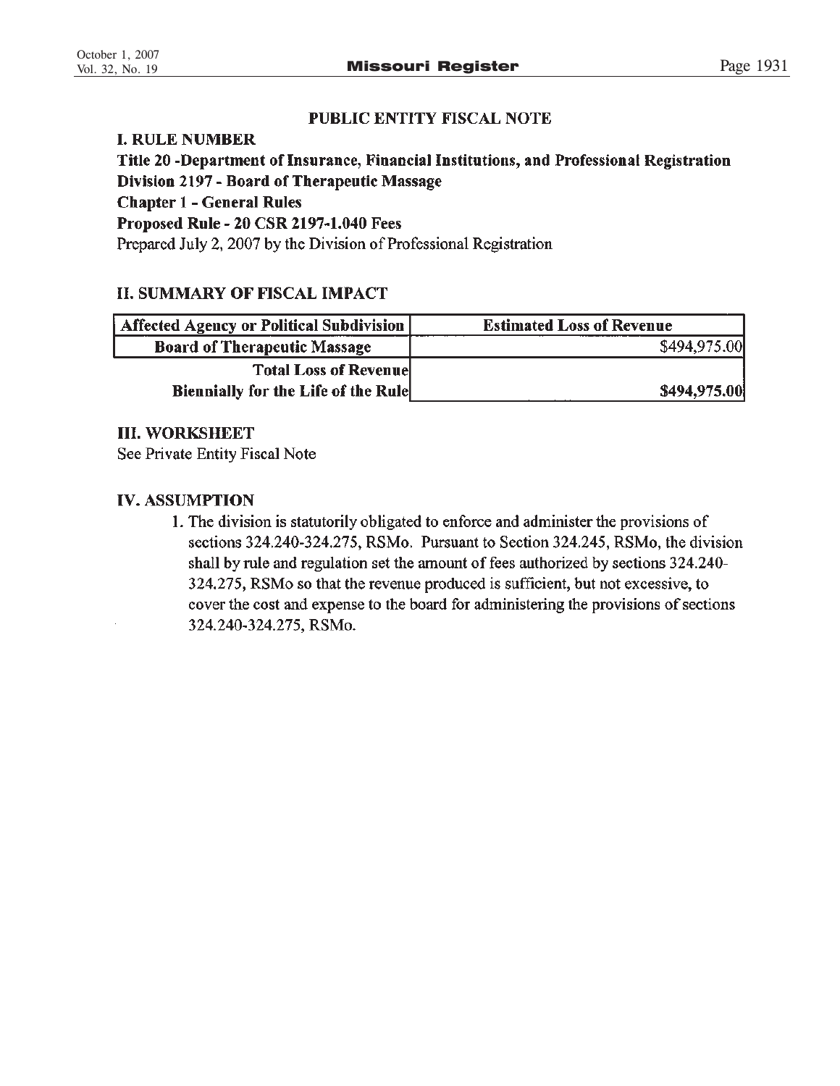# PUBLIC ENTITY FISCAL NOTE

# **I. RULE NUMBER**

Title 20 -Department of Insurance, Financial Institutions, and Professional Registration Division 2197 - Board of Therapeutic Massage **Chapter 1 - General Rules Proposed Rule - 20 CSR 2197-1.040 Fees** Prepared July 2, 2007 by the Division of Professional Registration

# **II. SUMMARY OF FISCAL IMPACT**

| Affected Agency or Political Subdivision   | <b>Estimated Loss of Revenue</b> |
|--------------------------------------------|----------------------------------|
| <b>Board of Therapeutic Massage</b>        | \$494,975.00                     |
| <b>Total Loss of Revenuel</b>              |                                  |
| <b>Biennially for the Life of the Rule</b> | \$494,975.00                     |

# **III. WORKSHEET**

See Private Entity Fiscal Note

# **IV. ASSUMPTION**

1. The division is statutorily obligated to enforce and administer the provisions of sections 324.240-324.275, RSMo. Pursuant to Section 324.245, RSMo, the division shall by rule and regulation set the amount of fees authorized by sections 324.240-324.275, RSMo so that the revenue produced is sufficient, but not excessive, to cover the cost and expense to the board for administering the provisions of sections 324.240-324.275, RSMo.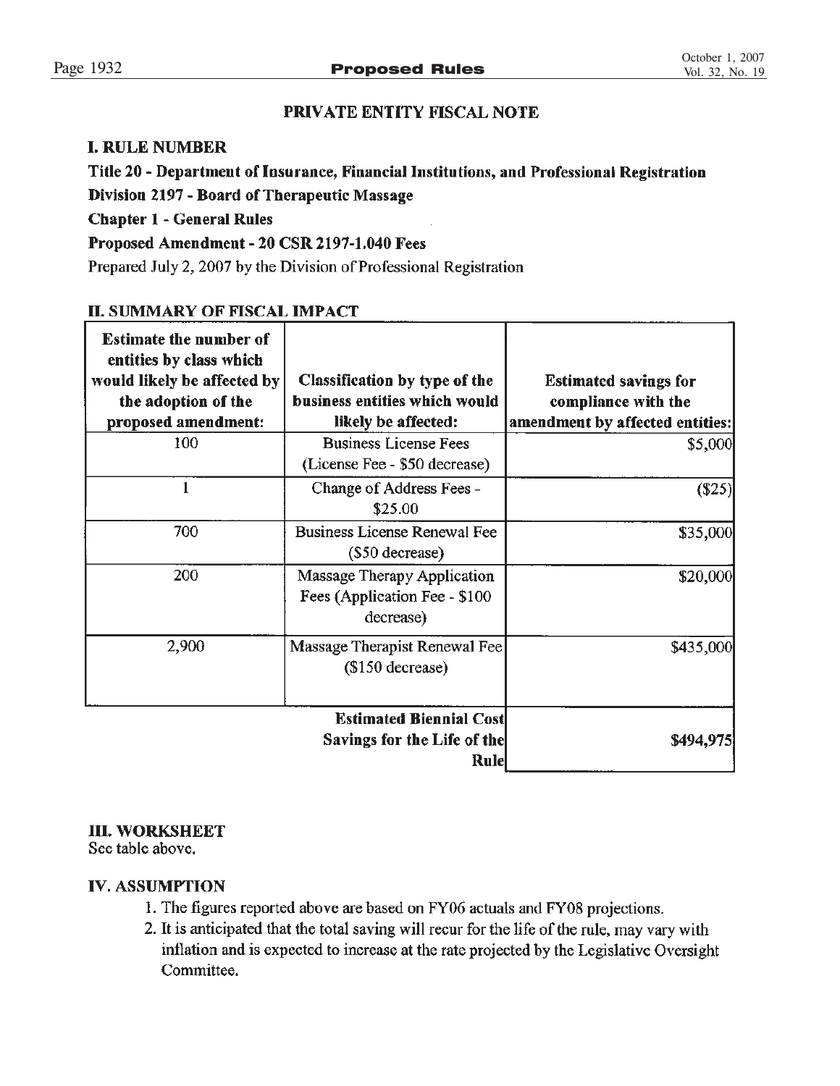# PRIVATE ENTITY FISCAL NOTE

# **I. RULE NUMBER**

# Title 20 - Department of Insurance, Financial Institutions, and Professional Registration

Division 2197 - Board of Therapeutic Massage

**Chapter 1 - General Rules** 

# Proposed Amendment - 20 CSR 2197-1.040 Fees

Prepared July 2, 2007 by the Division of Professional Registration

# **II. SUMMARY OF FISCAL IMPACT**

| <b>Estimate the number of</b><br>entities by class which<br>would likely be affected by<br>the adoption of the<br>proposed amendment: | Classification by type of the<br>business entities which would<br>likely be affected: | <b>Estimated savings for</b><br>compliance with the<br>amendment by affected entities: |
|---------------------------------------------------------------------------------------------------------------------------------------|---------------------------------------------------------------------------------------|----------------------------------------------------------------------------------------|
| 100                                                                                                                                   | <b>Business License Fees</b><br>(License Fee - \$50 decrease)                         | \$5,000                                                                                |
|                                                                                                                                       | Change of Address Fees -<br>\$25.00                                                   | (\$25)                                                                                 |
| 700                                                                                                                                   | <b>Business License Renewal Fee</b><br>(\$50 decrease)                                | \$35,000                                                                               |
| 200                                                                                                                                   | Massage Therapy Application<br>Fees (Application Fee - \$100<br>decrease)             | \$20,000                                                                               |
| 2,900                                                                                                                                 | Massage Therapist Renewal Fee<br>$($150$ decrease)                                    | \$435,000                                                                              |
|                                                                                                                                       | <b>Estimated Biennial Cost</b>                                                        |                                                                                        |
|                                                                                                                                       | Savings for the Life of the<br><b>Rule</b>                                            | \$494,975                                                                              |

# **III. WORKSHEET**

See table above.

# **IV. ASSUMPTION**

- 1. The figures reported above are based on FY06 actuals and FY08 projections.
- 2. It is anticipated that the total saving will recur for the life of the rule, may vary with inflation and is expected to increase at the rate projected by the Legislative Oversight Committee.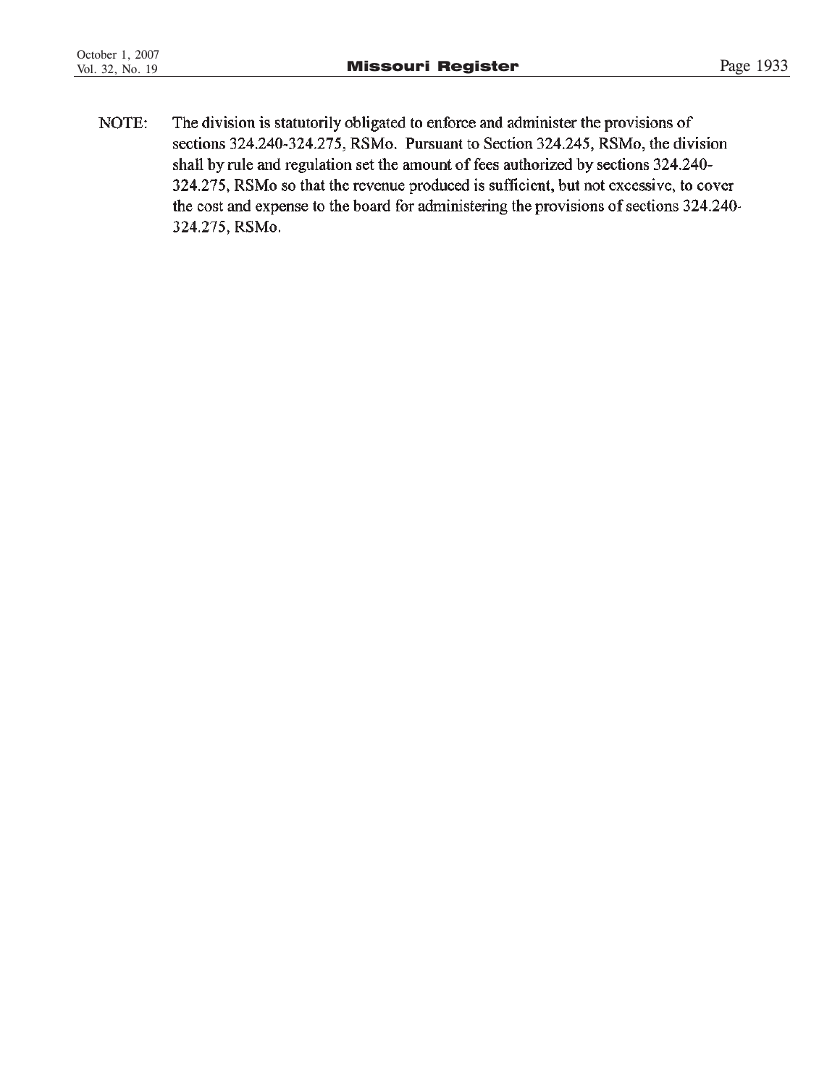The division is statutorily obligated to enforce and administer the provisions of NOTE: sections 324.240-324.275, RSMo. Pursuant to Section 324.245, RSMo, the division shall by rule and regulation set the amount of fees authorized by sections 324.240-324.275, RSMo so that the revenue produced is sufficient, but not excessive, to cover the cost and expense to the board for administering the provisions of sections 324.240-324.275, RSMo.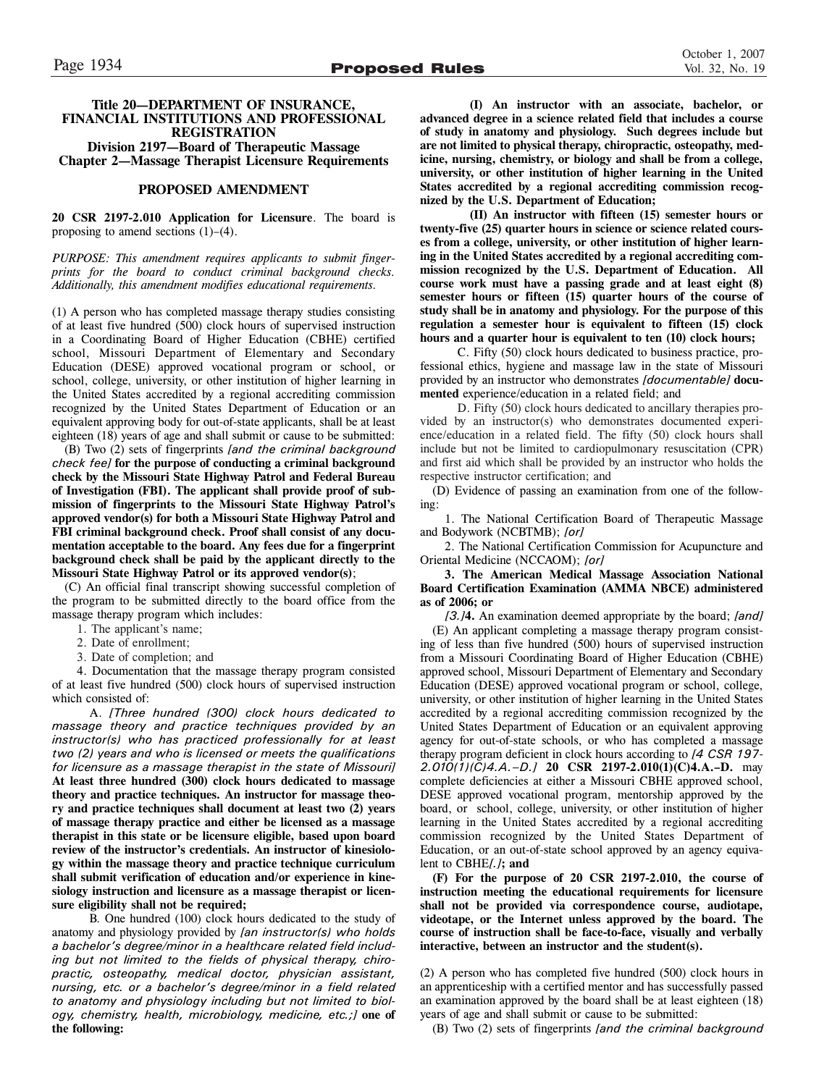### **Title 20—DEPARTMENT OF INSURANCE, FINANCIAL INSTITUTIONS AND PROFESSIONAL REGISTRATION Division 2197—Board of Therapeutic Massage**

**Chapter 2—Massage Therapist Licensure Requirements**

### **PROPOSED AMENDMENT**

**20 CSR 2197-2.010 Application for Licensure**. The board is proposing to amend sections  $(1)$ – $(4)$ .

*PURPOSE: This amendment requires applicants to submit fingerprints for the board to conduct criminal background checks. Additionally, this amendment modifies educational requirements.*

(1) A person who has completed massage therapy studies consisting of at least five hundred (500) clock hours of supervised instruction in a Coordinating Board of Higher Education (CBHE) certified school, Missouri Department of Elementary and Secondary Education (DESE) approved vocational program or school, or school, college, university, or other institution of higher learning in the United States accredited by a regional accrediting commission recognized by the United States Department of Education or an equivalent approving body for out-of-state applicants, shall be at least eighteen (18) years of age and shall submit or cause to be submitted:

(B) Two (2) sets of fingerprints *[and the criminal background check fee]* **for the purpose of conducting a criminal background check by the Missouri State Highway Patrol and Federal Bureau of Investigation (FBI). The applicant shall provide proof of submission of fingerprints to the Missouri State Highway Patrol's approved vendor(s) for both a Missouri State Highway Patrol and FBI criminal background check. Proof shall consist of any documentation acceptable to the board. Any fees due for a fingerprint background check shall be paid by the applicant directly to the Missouri State Highway Patrol or its approved vendor(s)**;

(C) An official final transcript showing successful completion of the program to be submitted directly to the board office from the massage therapy program which includes:

- 1. The applicant's name;
- 2. Date of enrollment;
- 3. Date of completion; and

4. Documentation that the massage therapy program consisted of at least five hundred (500) clock hours of supervised instruction which consisted of:

A. *[Three hundred (300) clock hours dedicated to massage theory and practice techniques provided by an instructor(s) who has practiced professionally for at least two (2) years and who is licensed or meets the qualifications for licensure as a massage therapist in the state of Missouri]* **At least three hundred (300) clock hours dedicated to massage theory and practice techniques. An instructor for massage theory and practice techniques shall document at least two (2) years of massage therapy practice and either be licensed as a massage therapist in this state or be licensure eligible, based upon board review of the instructor's credentials. An instructor of kinesiology within the massage theory and practice technique curriculum shall submit verification of education and/or experience in kinesiology instruction and licensure as a massage therapist or licensure eligibility shall not be required;**

B. One hundred (100) clock hours dedicated to the study of anatomy and physiology provided by *[an instructor(s) who holds a bachelor's degree/minor in a healthcare related field including but not limited to the fields of physical therapy, chiropractic, osteopathy, medical doctor, physician assistant, nursing, etc. or a bachelor's degree/minor in a field related to anatomy and physiology including but not limited to biology, chemistry, health, microbiology, medicine, etc.;]* **one of the following:**

**(I) An instructor with an associate, bachelor, or advanced degree in a science related field that includes a course of study in anatomy and physiology. Such degrees include but are not limited to physical therapy, chiropractic, osteopathy, medicine, nursing, chemistry, or biology and shall be from a college, university, or other institution of higher learning in the United States accredited by a regional accrediting commission recognized by the U.S. Department of Education;**

**(II) An instructor with fifteen (15) semester hours or twenty-five (25) quarter hours in science or science related courses from a college, university, or other institution of higher learning in the United States accredited by a regional accrediting commission recognized by the U.S. Department of Education. All course work must have a passing grade and at least eight (8) semester hours or fifteen (15) quarter hours of the course of study shall be in anatomy and physiology. For the purpose of this regulation a semester hour is equivalent to fifteen (15) clock hours and a quarter hour is equivalent to ten (10) clock hours;**

C. Fifty (50) clock hours dedicated to business practice, professional ethics, hygiene and massage law in the state of Missouri provided by an instructor who demonstrates *[documentable]* **documented** experience/education in a related field; and

D. Fifty (50) clock hours dedicated to ancillary therapies provided by an instructor(s) who demonstrates documented experience/education in a related field. The fifty (50) clock hours shall include but not be limited to cardiopulmonary resuscitation (CPR) and first aid which shall be provided by an instructor who holds the respective instructor certification; and

(D) Evidence of passing an examination from one of the following:

1. The National Certification Board of Therapeutic Massage and Bodywork (NCBTMB); *[or]*

2. The National Certification Commission for Acupuncture and Oriental Medicine (NCCAOM); *[or]*

**3. The American Medical Massage Association National Board Certification Examination (AMMA NBCE) administered as of 2006; or**

*[3.]***4.** An examination deemed appropriate by the board; *[and]* (E) An applicant completing a massage therapy program consisting of less than five hundred (500) hours of supervised instruction from a Missouri Coordinating Board of Higher Education (CBHE) approved school, Missouri Department of Elementary and Secondary Education (DESE) approved vocational program or school, college, university, or other institution of higher learning in the United States accredited by a regional accrediting commission recognized by the United States Department of Education or an equivalent approving agency for out-of-state schools, or who has completed a massage therapy program deficient in clock hours according to *[4 CSR 197- 2.010(1)(C)4.A.–D.]* **20 CSR 2197-2.010(1)(C)4.A.–D.** may complete deficiencies at either a Missouri CBHE approved school, DESE approved vocational program, mentorship approved by the board, or school, college, university, or other institution of higher learning in the United States accredited by a regional accrediting commission recognized by the United States Department of Education, or an out-of-state school approved by an agency equivalent to CBHE*[.]***; and**

**(F) For the purpose of 20 CSR 2197-2.010, the course of instruction meeting the educational requirements for licensure shall not be provided via correspondence course, audiotape, videotape, or the Internet unless approved by the board. The course of instruction shall be face-to-face, visually and verbally interactive, between an instructor and the student(s).**

(2) A person who has completed five hundred (500) clock hours in an apprenticeship with a certified mentor and has successfully passed an examination approved by the board shall be at least eighteen (18) years of age and shall submit or cause to be submitted:

(B) Two (2) sets of fingerprints *[and the criminal background*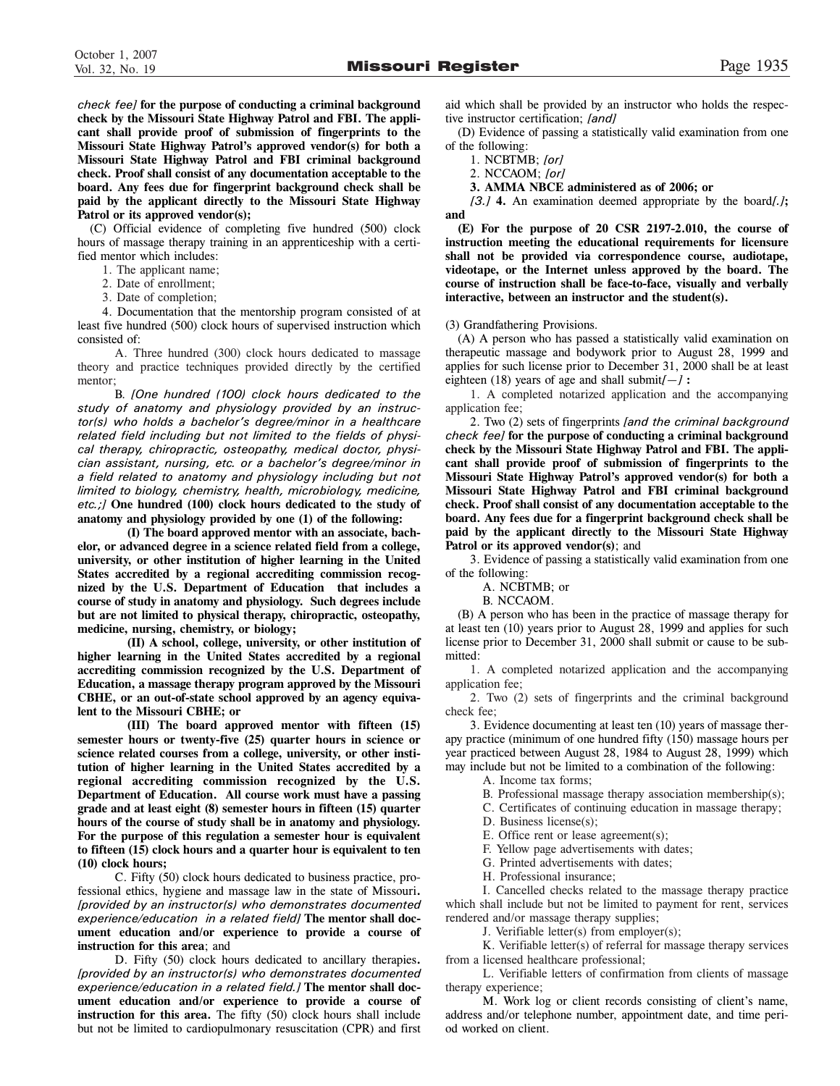*check fee]* **for the purpose of conducting a criminal background check by the Missouri State Highway Patrol and FBI. The applicant shall provide proof of submission of fingerprints to the Missouri State Highway Patrol's approved vendor(s) for both a Missouri State Highway Patrol and FBI criminal background check. Proof shall consist of any documentation acceptable to the board. Any fees due for fingerprint background check shall be paid by the applicant directly to the Missouri State Highway Patrol or its approved vendor(s);**

(C) Official evidence of completing five hundred (500) clock hours of massage therapy training in an apprenticeship with a certified mentor which includes:

- 1. The applicant name;
- 2. Date of enrollment;
- 3. Date of completion;

4. Documentation that the mentorship program consisted of at least five hundred (500) clock hours of supervised instruction which consisted of:

A. Three hundred (300) clock hours dedicated to massage theory and practice techniques provided directly by the certified mentor;

B. *[One hundred (100) clock hours dedicated to the study of anatomy and physiology provided by an instructor(s) who holds a bachelor's degree/minor in a healthcare related field including but not limited to the fields of physical therapy, chiropractic, osteopathy, medical doctor, physician assistant, nursing, etc. or a bachelor's degree/minor in a field related to anatomy and physiology including but not limited to biology, chemistry, health, microbiology, medicine, etc.;]* **One hundred (100) clock hours dedicated to the study of anatomy and physiology provided by one (1) of the following:**

**(I) The board approved mentor with an associate, bachelor, or advanced degree in a science related field from a college, university, or other institution of higher learning in the United States accredited by a regional accrediting commission recognized by the U.S. Department of Education that includes a course of study in anatomy and physiology. Such degrees include but are not limited to physical therapy, chiropractic, osteopathy, medicine, nursing, chemistry, or biology;** 

**(II) A school, college, university, or other institution of higher learning in the United States accredited by a regional accrediting commission recognized by the U.S. Department of Education, a massage therapy program approved by the Missouri CBHE, or an out-of-state school approved by an agency equivalent to the Missouri CBHE; or**

**(III) The board approved mentor with fifteen (15) semester hours or twenty-five (25) quarter hours in science or science related courses from a college, university, or other institution of higher learning in the United States accredited by a regional accrediting commission recognized by the U.S. Department of Education. All course work must have a passing grade and at least eight (8) semester hours in fifteen (15) quarter hours of the course of study shall be in anatomy and physiology. For the purpose of this regulation a semester hour is equivalent to fifteen (15) clock hours and a quarter hour is equivalent to ten (10) clock hours;**

C. Fifty (50) clock hours dedicated to business practice, professional ethics, hygiene and massage law in the state of Missouri**.** *[provided by an instructor(s) who demonstrates documented experience/education in a related field]* **The mentor shall document education and/or experience to provide a course of instruction for this area**; and

D. Fifty (50) clock hours dedicated to ancillary therapies**.** *[provided by an instructor(s) who demonstrates documented experience/education in a related field.]* **The mentor shall document education and/or experience to provide a course of instruction for this area.** The fifty (50) clock hours shall include but not be limited to cardiopulmonary resuscitation (CPR) and first

aid which shall be provided by an instructor who holds the respective instructor certification; *[and]*

(D) Evidence of passing a statistically valid examination from one of the following:

1. NCBTMB; *[or]*

2. NCCAOM; *[or]*

**3. AMMA NBCE administered as of 2006; or**

*[3.]* **4.** An examination deemed appropriate by the board*[.]***; and**

**(E) For the purpose of 20 CSR 2197-2.010, the course of instruction meeting the educational requirements for licensure shall not be provided via correspondence course, audiotape, videotape, or the Internet unless approved by the board. The course of instruction shall be face-to-face, visually and verbally interactive, between an instructor and the student(s).**

(3) Grandfathering Provisions.

(A) A person who has passed a statistically valid examination on therapeutic massage and bodywork prior to August 28, 1999 and applies for such license prior to December 31, 2000 shall be at least eighteen (18) years of age and shall submit*[—]* **:**

1. A completed notarized application and the accompanying application fee;

2. Two (2) sets of fingerprints *[and the criminal background check fee]* **for the purpose of conducting a criminal background check by the Missouri State Highway Patrol and FBI. The applicant shall provide proof of submission of fingerprints to the Missouri State Highway Patrol's approved vendor(s) for both a Missouri State Highway Patrol and FBI criminal background check. Proof shall consist of any documentation acceptable to the board. Any fees due for a fingerprint background check shall be paid by the applicant directly to the Missouri State Highway Patrol or its approved vendor(s)**; and

3. Evidence of passing a statistically valid examination from one of the following:

A. NCBTMB; or

B. NCCAOM.

(B) A person who has been in the practice of massage therapy for at least ten (10) years prior to August 28, 1999 and applies for such license prior to December 31, 2000 shall submit or cause to be submitted:

1. A completed notarized application and the accompanying application fee;

2. Two (2) sets of fingerprints and the criminal background check fee;

3. Evidence documenting at least ten (10) years of massage therapy practice (minimum of one hundred fifty (150) massage hours per year practiced between August 28, 1984 to August 28, 1999) which may include but not be limited to a combination of the following:

A. Income tax forms;

B. Professional massage therapy association membership(s);

C. Certificates of continuing education in massage therapy;

D. Business license(s);

E. Office rent or lease agreement(s);

F. Yellow page advertisements with dates;

G. Printed advertisements with dates;

H. Professional insurance;

I. Cancelled checks related to the massage therapy practice which shall include but not be limited to payment for rent, services rendered and/or massage therapy supplies;

J. Verifiable letter(s) from employer(s);

K. Verifiable letter(s) of referral for massage therapy services from a licensed healthcare professional;

L. Verifiable letters of confirmation from clients of massage therapy experience;

M. Work log or client records consisting of client's name, address and/or telephone number, appointment date, and time period worked on client.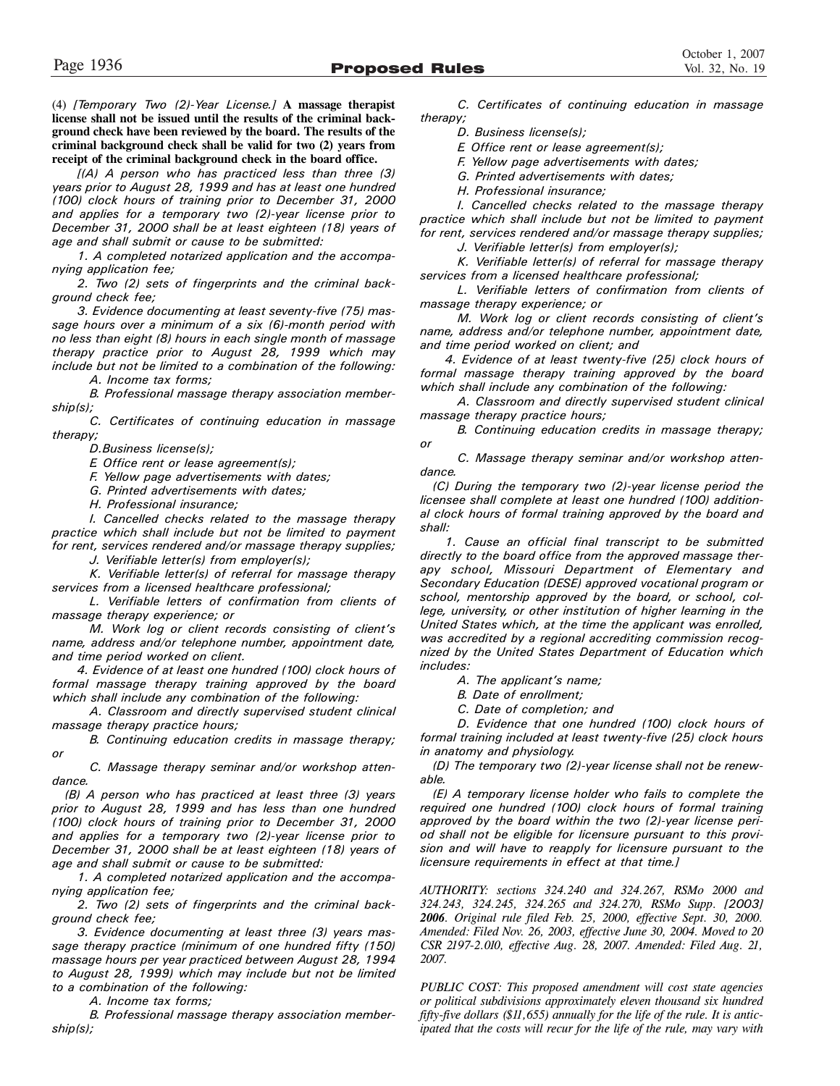(4) *[Temporary Two (2)-Year License.]* **A massage therapist license shall not be issued until the results of the criminal background check have been reviewed by the board. The results of the criminal background check shall be valid for two (2) years from receipt of the criminal background check in the board office.**

*[(A) A person who has practiced less than three (3) years prior to August 28, 1999 and has at least one hundred (100) clock hours of training prior to December 31, 2000 and applies for a temporary two (2)-year license prior to December 31, 2000 shall be at least eighteen (18) years of age and shall submit or cause to be submitted:*

*1. A completed notarized application and the accompanying application fee;*

*2. Two (2) sets of fingerprints and the criminal background check fee;* 

*3. Evidence documenting at least seventy-five (75) massage hours over a minimum of a six (6)-month period with no less than eight (8) hours in each single month of massage therapy practice prior to August 28, 1999 which may include but not be limited to a combination of the following:*

*A. Income tax forms;*

*B. Professional massage therapy association membership(s);* 

*C. Certificates of continuing education in massage therapy;*

*D.Business license(s);*

*E. Office rent or lease agreement(s);* 

*F. Yellow page advertisements with dates;*

*G. Printed advertisements with dates;* 

*H. Professional insurance;*

*I. Cancelled checks related to the massage therapy practice which shall include but not be limited to payment for rent, services rendered and/or massage therapy supplies;*

*J. Verifiable letter(s) from employer(s);*

*K. Verifiable letter(s) of referral for massage therapy services from a licensed healthcare professional;* 

*L. Verifiable letters of confirmation from clients of massage therapy experience; or*

*M. Work log or client records consisting of client's name, address and/or telephone number, appointment date, and time period worked on client.*

*4. Evidence of at least one hundred (100) clock hours of formal massage therapy training approved by the board which shall include any combination of the following:*

*A. Classroom and directly supervised student clinical massage therapy practice hours;*

*B. Continuing education credits in massage therapy; or*

*C. Massage therapy seminar and/or workshop attendance.*

*(B) A person who has practiced at least three (3) years prior to August 28, 1999 and has less than one hundred (100) clock hours of training prior to December 31, 2000 and applies for a temporary two (2)-year license prior to December 31, 2000 shall be at least eighteen (18) years of age and shall submit or cause to be submitted:*

*1. A completed notarized application and the accompanying application fee;*

*2. Two (2) sets of fingerprints and the criminal background check fee;* 

*3. Evidence documenting at least three (3) years massage therapy practice (minimum of one hundred fifty (150) massage hours per year practiced between August 28, 1994 to August 28, 1999) which may include but not be limited to a combination of the following:*

*A. Income tax forms;*

*B. Professional massage therapy association membership(s);* 

*C. Certificates of continuing education in massage therapy;*

*D. Business license(s);*

*E. Office rent or lease agreement(s);* 

*F. Yellow page advertisements with dates;*

*G. Printed advertisements with dates;* 

*H. Professional insurance;*

*I. Cancelled checks related to the massage therapy practice which shall include but not be limited to payment for rent, services rendered and/or massage therapy supplies;*

*J. Verifiable letter(s) from employer(s);*

*K. Verifiable letter(s) of referral for massage therapy services from a licensed healthcare professional;* 

*L. Verifiable letters of confirmation from clients of massage therapy experience; or*

*M. Work log or client records consisting of client's name, address and/or telephone number, appointment date, and time period worked on client; and* 

*4. Evidence of at least twenty-five (25) clock hours of formal massage therapy training approved by the board which shall include any combination of the following:*

*A. Classroom and directly supervised student clinical massage therapy practice hours;*

*B. Continuing education credits in massage therapy; or*

*C. Massage therapy seminar and/or workshop attendance.* 

*(C) During the temporary two (2)-year license period the licensee shall complete at least one hundred (100) additional clock hours of formal training approved by the board and shall:*

*1. Cause an official final transcript to be submitted directly to the board office from the approved massage therapy school, Missouri Department of Elementary and Secondary Education (DESE) approved vocational program or school, mentorship approved by the board, or school, college, university, or other institution of higher learning in the United States which, at the time the applicant was enrolled, was accredited by a regional accrediting commission recognized by the United States Department of Education which includes:*

*A. The applicant's name;*

*B. Date of enrollment;*

*C. Date of completion; and*

*D. Evidence that one hundred (100) clock hours of formal training included at least twenty-five (25) clock hours in anatomy and physiology.*

*(D) The temporary two (2)-year license shall not be renewable.*

*(E) A temporary license holder who fails to complete the required one hundred (100) clock hours of formal training approved by the board within the two (2)-year license period shall not be eligible for licensure pursuant to this provision and will have to reapply for licensure pursuant to the licensure requirements in effect at that time.]*

*AUTHORITY: sections 324.240 and 324.267, RSMo 2000 and 324.243, 324.245, 324.265 and 324.270, RSMo Supp. [2003] 2006. Original rule filed Feb. 25, 2000, effective Sept. 30, 2000. Amended: Filed Nov. 26, 2003, effective June 30, 2004. Moved to 20 CSR 2197-2.010, effective Aug. 28, 2007. Amended: Filed Aug. 21, 2007.*

*PUBLIC COST: This proposed amendment will cost state agencies or political subdivisions approximately eleven thousand six hundred fifty-five dollars (\$11,655) annually for the life of the rule. It is anticipated that the costs will recur for the life of the rule, may vary with*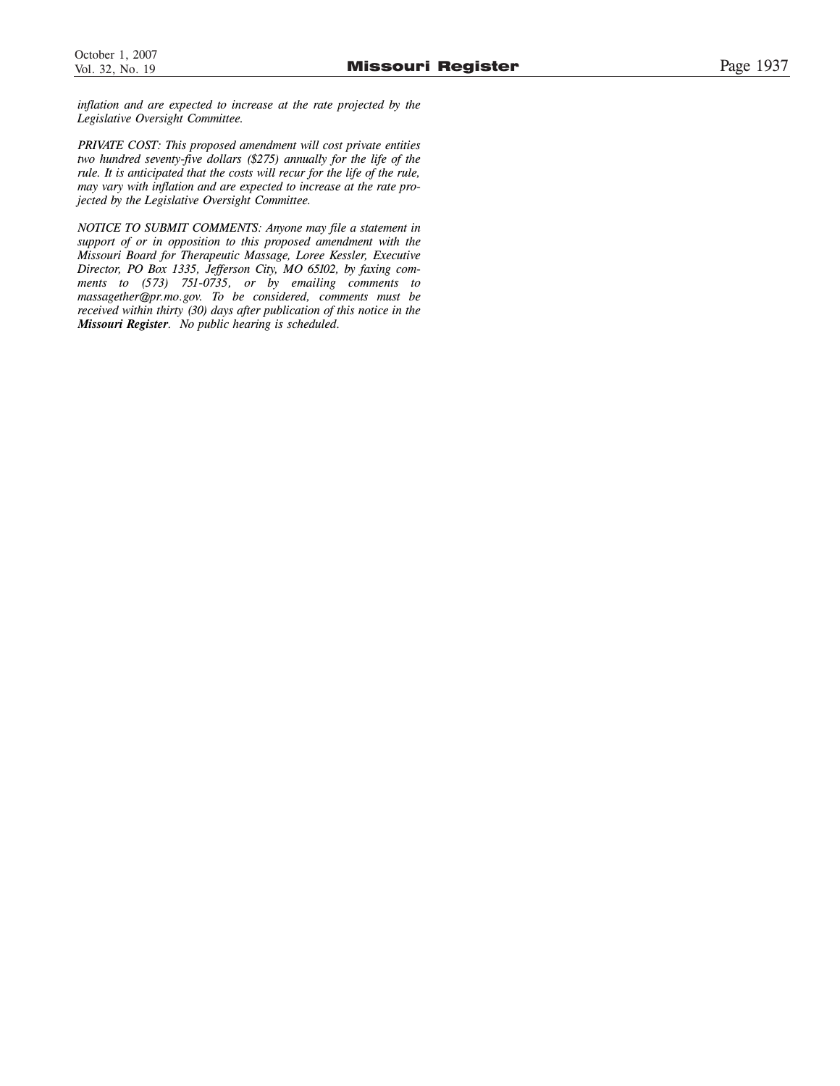*inflation and are expected to increase at the rate projected by the Legislative Oversight Committee.*

*PRIVATE COST: This proposed amendment will cost private entities two hundred seventy-five dollars (\$275) annually for the life of the rule. It is anticipated that the costs will recur for the life of the rule, may vary with inflation and are expected to increase at the rate projected by the Legislative Oversight Committee.*

*NOTICE TO SUBMIT COMMENTS: Anyone may file a statement in support of or in opposition to this proposed amendment with the Missouri Board for Therapeutic Massage, Loree Kessler, Executive Director, PO Box 1335, Jefferson City, MO 65102, by faxing comments to (573) 751-0735, or by emailing comments to massagether@pr.mo.gov. To be considered, comments must be received within thirty (30) days after publication of this notice in the Missouri Register. No public hearing is scheduled.*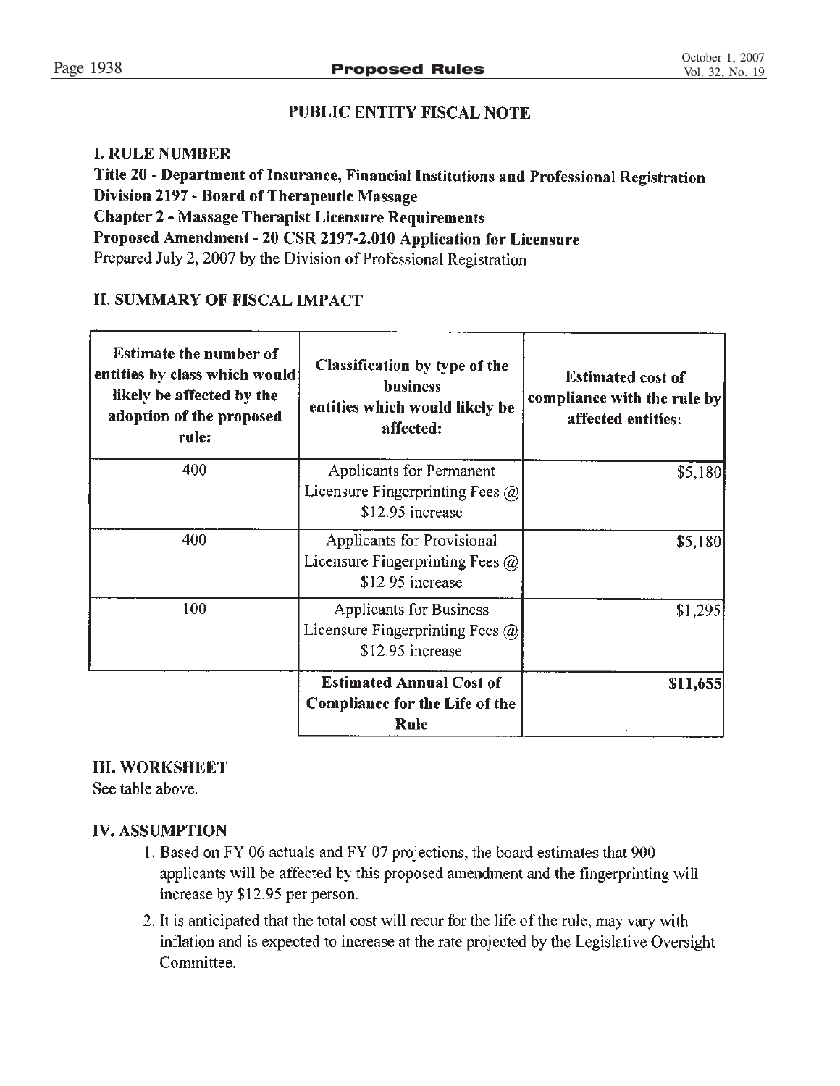# PUBLIC ENTITY FISCAL NOTE

# **I. RULE NUMBER**

Title 20 - Department of Insurance, Financial Institutions and Professional Registration Division 2197 - Board of Therapeutic Massage **Chapter 2 - Massage Therapist Licensure Requirements** Proposed Amendment - 20 CSR 2197-2.010 Application for Licensure Prepared July 2, 2007 by the Division of Professional Registration

# **II. SUMMARY OF FISCAL IMPACT**

| <b>Estimate the number of</b><br>entities by class which would<br>likely be affected by the<br>adoption of the proposed<br>rule: | Classification by type of the<br><b>business</b><br>entities which would likely be<br>affected: | <b>Estimated cost of</b><br>compliance with the rule by<br>affected entities: |
|----------------------------------------------------------------------------------------------------------------------------------|-------------------------------------------------------------------------------------------------|-------------------------------------------------------------------------------|
| 400                                                                                                                              | <b>Applicants for Permanent</b><br>Licensure Fingerprinting Fees $\omega$<br>\$12.95 increase   | \$5,180                                                                       |
| 400                                                                                                                              | Applicants for Provisional<br>Licensure Fingerprinting Fees $\omega$<br>\$12.95 increase        | \$5,180                                                                       |
| 100                                                                                                                              | <b>Applicants for Business</b><br>Licensure Fingerprinting Fees $\omega$<br>\$12.95 increase    | \$1,295                                                                       |
|                                                                                                                                  | <b>Estimated Annual Cost of</b><br><b>Compliance for the Life of the</b><br>Rule                | \$11,655                                                                      |

# **III. WORKSHEET**

See table above.

# **IV. ASSUMPTION**

- 1. Based on FY 06 actuals and FY 07 projections, the board estimates that 900 applicants will be affected by this proposed amendment and the fingerprinting will increase by \$12.95 per person.
- 2. It is anticipated that the total cost will recur for the life of the rule, may vary with inflation and is expected to increase at the rate projected by the Legislative Oversight Committee.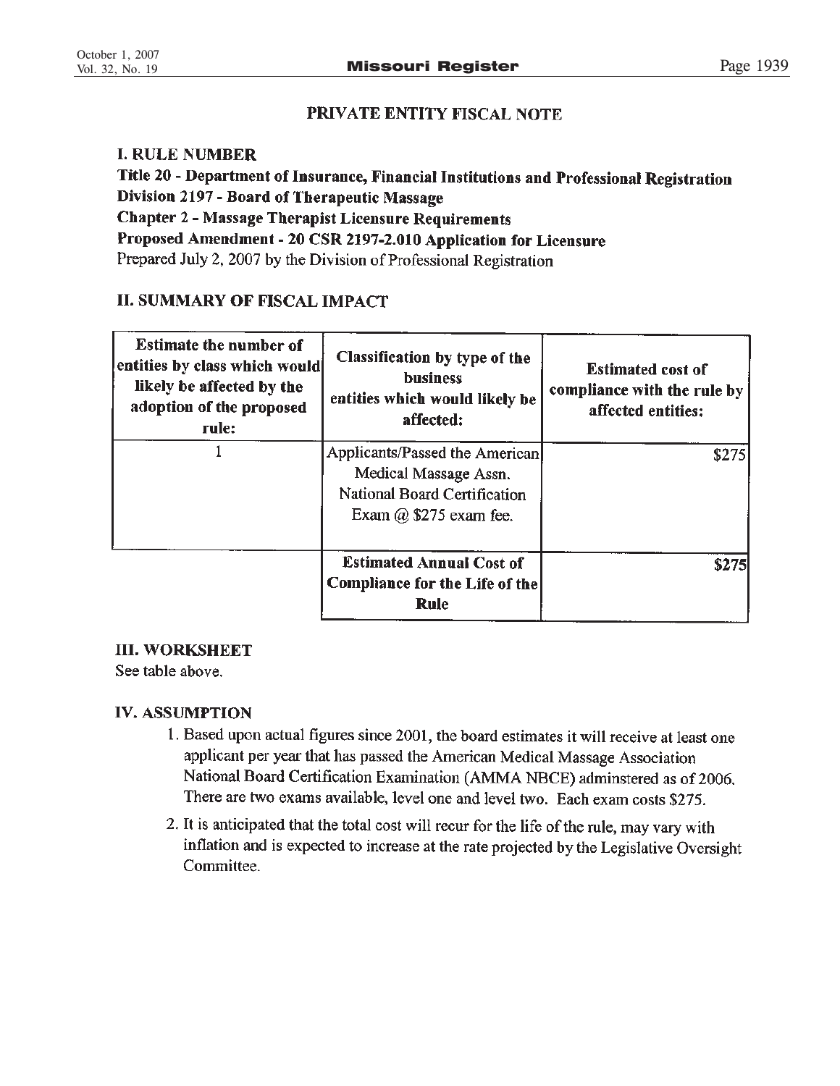# PRIVATE ENTITY FISCAL NOTE

# **I. RULE NUMBER**

Title 20 - Department of Insurance, Financial Institutions and Professional Registration Division 2197 - Board of Therapeutic Massage **Chapter 2 - Massage Therapist Licensure Requirements** Proposed Amendment - 20 CSR 2197-2.010 Application for Licensure Prepared July 2, 2007 by the Division of Professional Registration

# **II. SUMMARY OF FISCAL IMPACT**

| <b>Estimate the number of</b><br>entities by class which would<br>likely be affected by the<br>adoption of the proposed<br>rule: | Classification by type of the<br><b>business</b><br>entities which would likely be<br>affected:                          | <b>Estimated cost of</b><br>compliance with the rule by<br>affected entities: |
|----------------------------------------------------------------------------------------------------------------------------------|--------------------------------------------------------------------------------------------------------------------------|-------------------------------------------------------------------------------|
|                                                                                                                                  | Applicants/Passed the American<br>Medical Massage Assn.<br>National Board Certification<br>Exam $\omega$ \$275 exam fee. | \$275                                                                         |
|                                                                                                                                  | <b>Estimated Annual Cost of</b><br>Compliance for the Life of the<br>Rule                                                | <b>\$275</b>                                                                  |

# **III. WORKSHEET**

See table above.

# **IV. ASSUMPTION**

- 1. Based upon actual figures since 2001, the board estimates it will receive at least one applicant per year that has passed the American Medical Massage Association National Board Certification Examination (AMMA NBCE) adminstered as of 2006. There are two exams available, level one and level two. Each exam costs \$275.
- 2. It is anticipated that the total cost will recur for the life of the rule, may vary with inflation and is expected to increase at the rate projected by the Legislative Oversight Committee.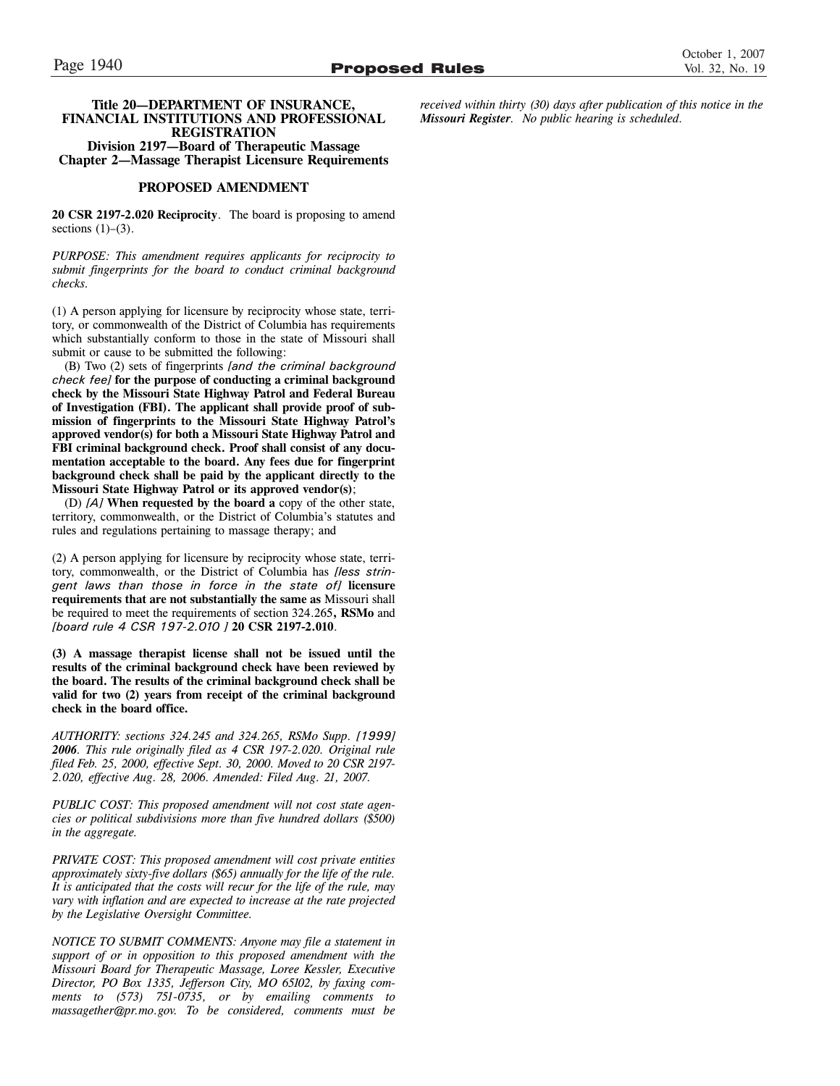# **Chapter 2—Massage Therapist Licensure Requirements**

### **PROPOSED AMENDMENT**

**20 CSR 2197-2.020 Reciprocity**. The board is proposing to amend sections  $(1)-(3)$ .

*PURPOSE: This amendment requires applicants for reciprocity to submit fingerprints for the board to conduct criminal background checks.*

(1) A person applying for licensure by reciprocity whose state, territory, or commonwealth of the District of Columbia has requirements which substantially conform to those in the state of Missouri shall submit or cause to be submitted the following:

(B) Two (2) sets of fingerprints *[and the criminal background check fee]* **for the purpose of conducting a criminal background check by the Missouri State Highway Patrol and Federal Bureau of Investigation (FBI). The applicant shall provide proof of submission of fingerprints to the Missouri State Highway Patrol's approved vendor(s) for both a Missouri State Highway Patrol and FBI criminal background check. Proof shall consist of any documentation acceptable to the board. Any fees due for fingerprint background check shall be paid by the applicant directly to the Missouri State Highway Patrol or its approved vendor(s)**;

(D) *[A]* **When requested by the board a** copy of the other state, territory, commonwealth, or the District of Columbia's statutes and rules and regulations pertaining to massage therapy; and

(2) A person applying for licensure by reciprocity whose state, territory, commonwealth, or the District of Columbia has *[less stringent laws than those in force in the state of]* **licensure requirements that are not substantially the same as** Missouri shall be required to meet the requirements of section 324.265**, RSMo** and *[board rule 4 CSR 197-2.010 ]* **20 CSR 2197-2.010**.

**(3) A massage therapist license shall not be issued until the results of the criminal background check have been reviewed by the board. The results of the criminal background check shall be valid for two (2) years from receipt of the criminal background check in the board office.**

*AUTHORITY: sections 324.245 and 324.265, RSMo Supp. [1999] 2006. This rule originally filed as 4 CSR 197-2.020. Original rule filed Feb. 25, 2000, effective Sept. 30, 2000. Moved to 20 CSR 2197- 2.020, effective Aug. 28, 2006. Amended: Filed Aug. 21, 2007.*

*PUBLIC COST: This proposed amendment will not cost state agencies or political subdivisions more than five hundred dollars (\$500) in the aggregate.*

*PRIVATE COST: This proposed amendment will cost private entities approximately sixty-five dollars (\$65) annually for the life of the rule. It is anticipated that the costs will recur for the life of the rule, may vary with inflation and are expected to increase at the rate projected by the Legislative Oversight Committee.*

*NOTICE TO SUBMIT COMMENTS: Anyone may file a statement in support of or in opposition to this proposed amendment with the Missouri Board for Therapeutic Massage, Loree Kessler, Executive Director, PO Box 1335, Jefferson City, MO 65102, by faxing comments to (573) 751-0735, or by emailing comments to massagether@pr.mo.gov. To be considered, comments must be* *received within thirty (30) days after publication of this notice in the Missouri Register. No public hearing is scheduled.*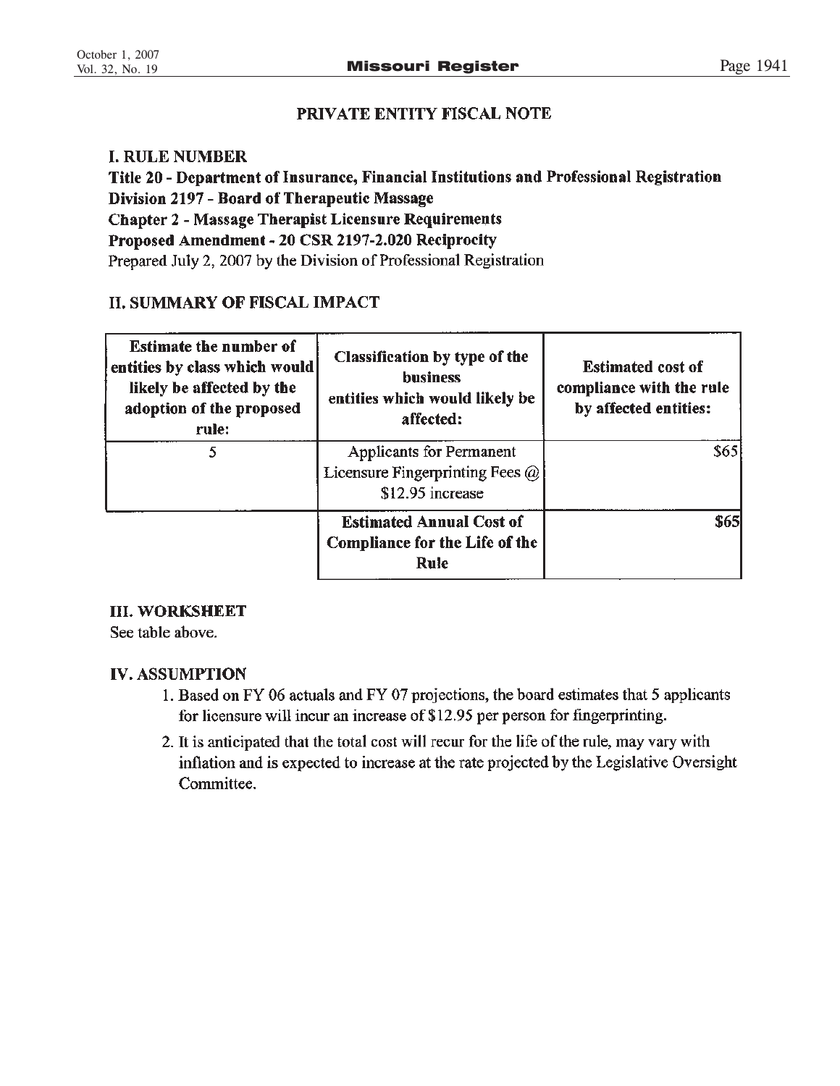# PRIVATE ENTITY FISCAL NOTE

# **I. RULE NUMBER**

Title 20 - Department of Insurance, Financial Institutions and Professional Registration Division 2197 - Board of Therapeutic Massage **Chapter 2 - Massage Therapist Licensure Requirements** Proposed Amendment - 20 CSR 2197-2.020 Reciprocity Prepared July 2, 2007 by the Division of Professional Registration

# **II. SUMMARY OF FISCAL IMPACT**

| <b>Estimate the number of</b><br>entities by class which would<br>likely be affected by the<br>adoption of the proposed<br>rule: | Classification by type of the<br><b>business</b><br>entities which would likely be<br>affected: | <b>Estimated cost of</b><br>compliance with the rule<br>by affected entities: |
|----------------------------------------------------------------------------------------------------------------------------------|-------------------------------------------------------------------------------------------------|-------------------------------------------------------------------------------|
| 5                                                                                                                                | <b>Applicants for Permanent</b><br>Licensure Fingerprinting Fees @<br>\$12.95 increase          | \$65                                                                          |
|                                                                                                                                  | <b>Estimated Annual Cost of</b><br><b>Compliance for the Life of the</b><br>Rule                | \$65                                                                          |

# **III. WORKSHEET**

See table above.

# **IV. ASSUMPTION**

- 1. Based on FY 06 actuals and FY 07 projections, the board estimates that 5 applicants for licensure will incur an increase of \$12.95 per person for fingerprinting.
- 2. It is anticipated that the total cost will recur for the life of the rule, may vary with inflation and is expected to increase at the rate projected by the Legislative Oversight Committee.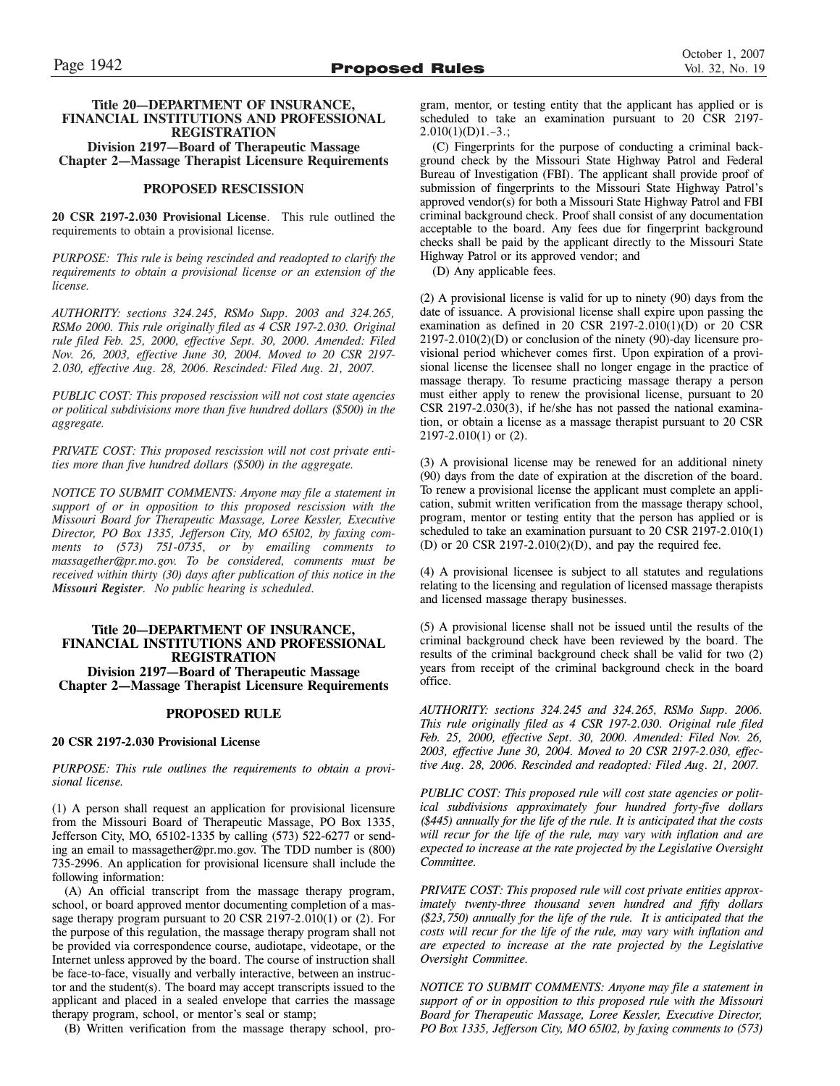### **Title 20—DEPARTMENT OF INSURANCE, FINANCIAL INSTITUTIONS AND PROFESSIONAL REGISTRATION Division 2197—Board of Therapeutic Massage Chapter 2—Massage Therapist Licensure Requirements**

### **PROPOSED RESCISSION**

**20 CSR 2197-2.030 Provisional License**. This rule outlined the requirements to obtain a provisional license.

*PURPOSE: This rule is being rescinded and readopted to clarify the requirements to obtain a provisional license or an extension of the license.*

*AUTHORITY: sections 324.245, RSMo Supp. 2003 and 324.265, RSMo 2000. This rule originally filed as 4 CSR 197-2.030. Original rule filed Feb. 25, 2000, effective Sept. 30, 2000. Amended: Filed Nov. 26, 2003, effective June 30, 2004. Moved to 20 CSR 2197- 2.030, effective Aug. 28, 2006. Rescinded: Filed Aug. 21, 2007.*

*PUBLIC COST: This proposed rescission will not cost state agencies or political subdivisions more than five hundred dollars (\$500) in the aggregate.*

*PRIVATE COST: This proposed rescission will not cost private entities more than five hundred dollars (\$500) in the aggregate.*

*NOTICE TO SUBMIT COMMENTS: Anyone may file a statement in support of or in opposition to this proposed rescission with the Missouri Board for Therapeutic Massage, Loree Kessler, Executive Director, PO Box 1335, Jefferson City, MO 65102, by faxing comments to (573) 751-0735, or by emailing comments to massagether@pr.mo.gov. To be considered, comments must be received within thirty (30) days after publication of this notice in the Missouri Register. No public hearing is scheduled.*

### **Title 20—DEPARTMENT OF INSURANCE, FINANCIAL INSTITUTIONS AND PROFESSIONAL REGISTRATION Division 2197—Board of Therapeutic Massage Chapter 2—Massage Therapist Licensure Requirements**

### **PROPOSED RULE**

### **20 CSR 2197-2.030 Provisional License**

*PURPOSE: This rule outlines the requirements to obtain a provisional license.*

(1) A person shall request an application for provisional licensure from the Missouri Board of Therapeutic Massage, PO Box 1335, Jefferson City, MO, 65102-1335 by calling (573) 522-6277 or sending an email to massagether@pr.mo.gov. The TDD number is (800) 735-2996. An application for provisional licensure shall include the following information:

(A) An official transcript from the massage therapy program, school, or board approved mentor documenting completion of a massage therapy program pursuant to 20 CSR 2197-2.010(1) or (2). For the purpose of this regulation, the massage therapy program shall not be provided via correspondence course, audiotape, videotape, or the Internet unless approved by the board. The course of instruction shall be face-to-face, visually and verbally interactive, between an instructor and the student(s). The board may accept transcripts issued to the applicant and placed in a sealed envelope that carries the massage therapy program, school, or mentor's seal or stamp;

(B) Written verification from the massage therapy school, pro-

gram, mentor, or testing entity that the applicant has applied or is scheduled to take an examination pursuant to 20 CSR 2197-  $2.010(1)(D)1.-3.$ ;

(C) Fingerprints for the purpose of conducting a criminal background check by the Missouri State Highway Patrol and Federal Bureau of Investigation (FBI). The applicant shall provide proof of submission of fingerprints to the Missouri State Highway Patrol's approved vendor(s) for both a Missouri State Highway Patrol and FBI criminal background check. Proof shall consist of any documentation acceptable to the board. Any fees due for fingerprint background checks shall be paid by the applicant directly to the Missouri State Highway Patrol or its approved vendor; and

(D) Any applicable fees.

(2) A provisional license is valid for up to ninety (90) days from the date of issuance. A provisional license shall expire upon passing the examination as defined in 20 CSR 2197-2.010(1)(D) or 20 CSR 2197-2.010(2)(D) or conclusion of the ninety (90)-day licensure provisional period whichever comes first. Upon expiration of a provisional license the licensee shall no longer engage in the practice of massage therapy. To resume practicing massage therapy a person must either apply to renew the provisional license, pursuant to 20 CSR 2197-2.030(3), if he/she has not passed the national examination, or obtain a license as a massage therapist pursuant to 20 CSR 2197-2.010(1) or (2).

(3) A provisional license may be renewed for an additional ninety (90) days from the date of expiration at the discretion of the board. To renew a provisional license the applicant must complete an application, submit written verification from the massage therapy school, program, mentor or testing entity that the person has applied or is scheduled to take an examination pursuant to 20 CSR 2197-2.010(1) (D) or 20 CSR 2197-2.010(2)(D), and pay the required fee.

(4) A provisional licensee is subject to all statutes and regulations relating to the licensing and regulation of licensed massage therapists and licensed massage therapy businesses.

(5) A provisional license shall not be issued until the results of the criminal background check have been reviewed by the board. The results of the criminal background check shall be valid for two (2) years from receipt of the criminal background check in the board office.

*AUTHORITY: sections 324.245 and 324.265, RSMo Supp. 2006. This rule originally filed as 4 CSR 197-2.030. Original rule filed Feb. 25, 2000, effective Sept. 30, 2000. Amended: Filed Nov. 26, 2003, effective June 30, 2004. Moved to 20 CSR 2197-2.030, effective Aug. 28, 2006. Rescinded and readopted: Filed Aug. 21, 2007.*

*PUBLIC COST: This proposed rule will cost state agencies or political subdivisions approximately four hundred forty-five dollars (\$445) annually for the life of the rule. It is anticipated that the costs will recur for the life of the rule, may vary with inflation and are expected to increase at the rate projected by the Legislative Oversight Committee.*

*PRIVATE COST: This proposed rule will cost private entities approximately twenty-three thousand seven hundred and fifty dollars (\$23,750) annually for the life of the rule. It is anticipated that the costs will recur for the life of the rule, may vary with inflation and are expected to increase at the rate projected by the Legislative Oversight Committee.*

*NOTICE TO SUBMIT COMMENTS: Anyone may file a statement in support of or in opposition to this proposed rule with the Missouri Board for Therapeutic Massage, Loree Kessler, Executive Director, PO Box 1335, Jefferson City, MO 65102, by faxing comments to (573)*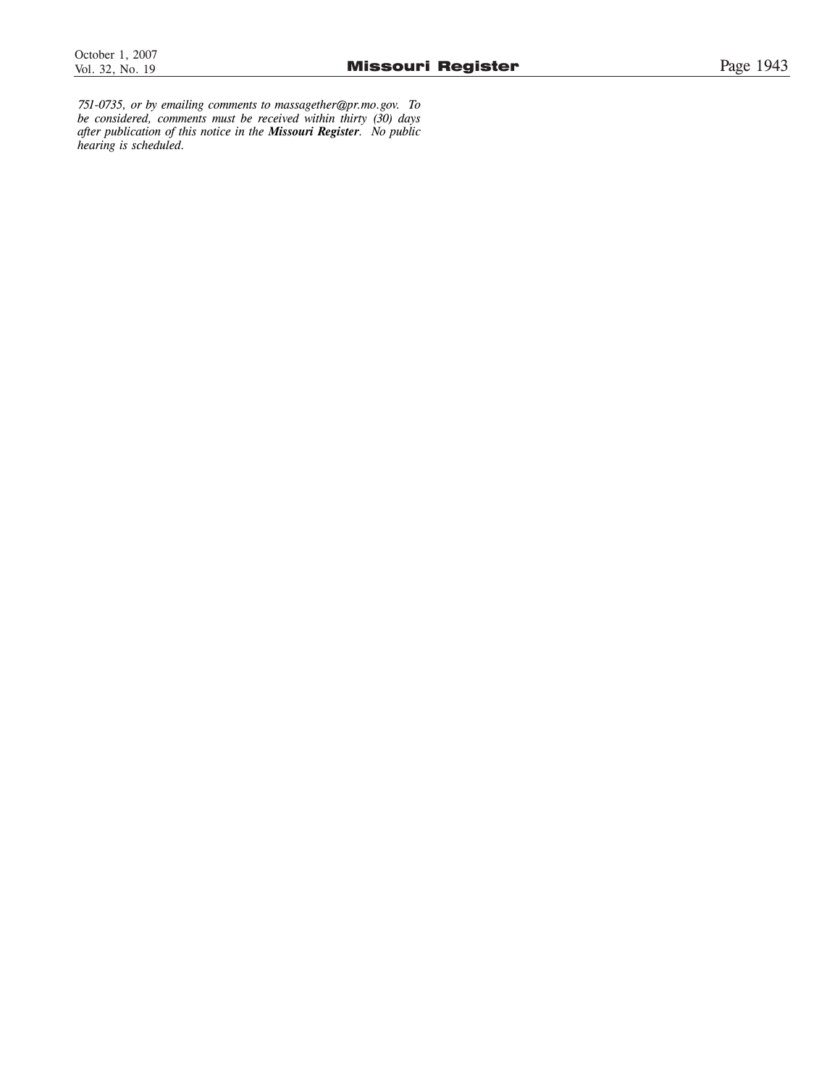*751-0735, or by emailing comments to massagether@pr.mo.gov. To be considered, comments must be received within thirty (30) days after publication of this notice in the Missouri Register. No public hearing is scheduled.*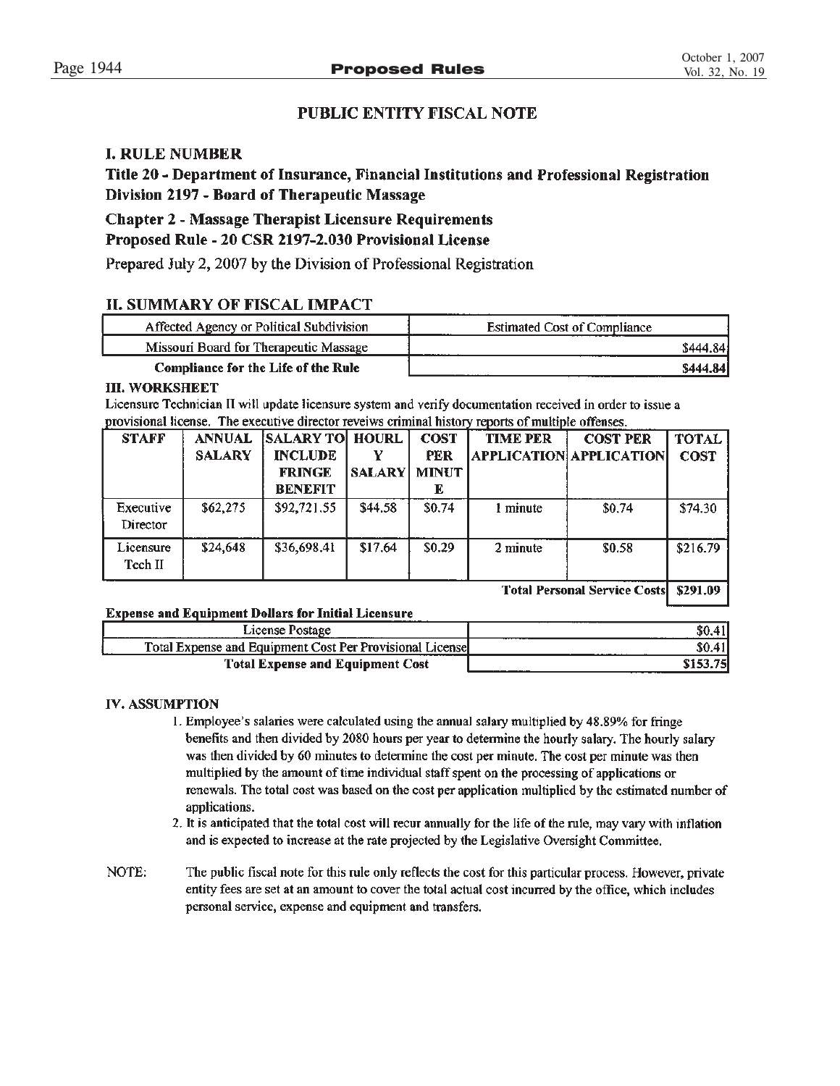# **PUBLIC ENTITY FISCAL NOTE**

# **I. RULE NUMBER**

Title 20 - Department of Insurance, Financial Institutions and Professional Registration Division 2197 - Board of Therapeutic Massage

# **Chapter 2 - Massage Therapist Licensure Requirements**

# Proposed Rule - 20 CSR 2197-2.030 Provisional License

Prepared July 2, 2007 by the Division of Professional Registration

## **II. SUMMARY OF FISCAL IMPACT**

| Affected Agency or Political Subdivision | <b>Estimated Cost of Compliance</b> |
|------------------------------------------|-------------------------------------|
| Missouri Board for Therapeutic Massage   | \$444.84                            |
| Compliance for the Life of the Rule      | <b>\$444.841</b>                    |

### **III. WORKSHEET**

Licensure Technician II will update licensure system and verify documentation received in order to issue a provisional license. The executive director reveiws criminal history reports of multiple offenses.

| <b>STAFF</b>          | <b>ANNUAL</b><br><b>SALARY</b> | <b>SALARY TO HOURL</b><br><b>INCLUDE</b><br><b>FRINGE</b><br><b>BENEFIT</b> | <b>SALARY</b> | <b>COST</b><br>PER<br><b>MINUT</b><br>E | <b>TIME PER</b> | <b>COST PER</b><br><b>APPLICATION APPLICATION</b> | <b>TOTAL</b><br><b>COST</b> |
|-----------------------|--------------------------------|-----------------------------------------------------------------------------|---------------|-----------------------------------------|-----------------|---------------------------------------------------|-----------------------------|
| Executive<br>Director | \$62,275                       | \$92,721.55                                                                 | \$44.58       | \$0.74                                  | 1 minute        | \$0.74                                            | \$74.30                     |
| Licensure<br>Tech II  | \$24,648                       | \$36,698.41                                                                 | \$17.64       | \$0.29                                  | 2 minute        | \$0.58                                            | \$216.79                    |

**Total Personal Service Costs \$291.09** 

### **Expense and Equipment Dollars for Initial Licensure**

| License F                                                 |      |
|-----------------------------------------------------------|------|
| Total Expense and Equipment Cost Per Provisional Licensel | .    |
| <b>Total Expense and Equipment Cost</b>                   | ____ |

### **IV. ASSUMPTION**

- 1. Employee's salaries were calculated using the annual salary multiplied by 48.89% for fringe benefits and then divided by 2080 hours per year to determine the hourly salary. The hourly salary was then divided by 60 minutes to determine the cost per minute. The cost per minute was then multiplied by the amount of time individual staff spent on the processing of applications or renewals. The total cost was based on the cost per application multiplied by the estimated number of applications.
- 2. It is anticipated that the total cost will recur annually for the life of the rule, may vary with inflation and is expected to increase at the rate projected by the Legislative Oversight Committee.
- NOTE: The public fiscal note for this rule only reflects the cost for this particular process. However, private entity fees are set at an amount to cover the total actual cost incurred by the office, which includes personal service, expense and equipment and transfers.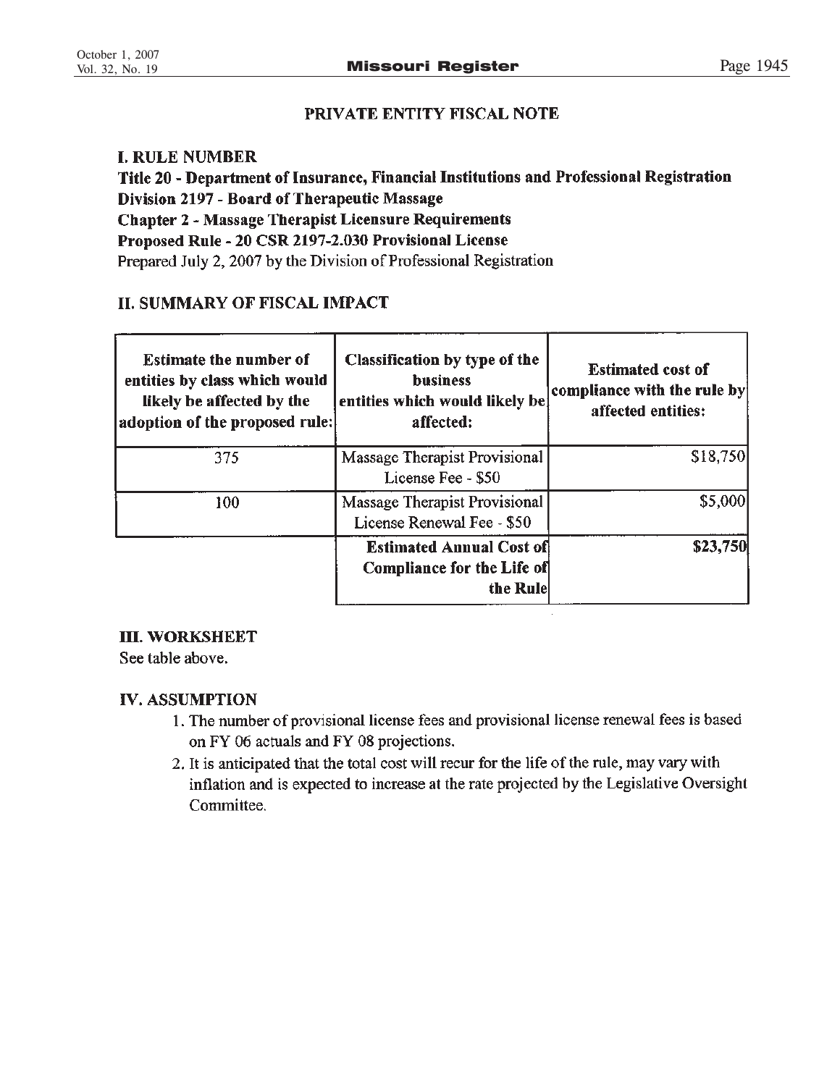# PRIVATE ENTITY FISCAL NOTE

# **I. RULE NUMBER**

Title 20 - Department of Insurance, Financial Institutions and Professional Registration Division 2197 - Board of Therapeutic Massage **Chapter 2 - Massage Therapist Licensure Requirements** Proposed Rule - 20 CSR 2197-2.030 Provisional License Prepared July 2, 2007 by the Division of Professional Registration

# **II. SUMMARY OF FISCAL IMPACT**

| <b>Estimate the number of</b><br>entities by class which would<br>likely be affected by the<br>adoption of the proposed rule: | Classification by type of the<br><b>business</b><br>entities which would likely be<br>affected: | <b>Estimated cost of</b><br>$ {\rm$ compliance with the rule by<br>affected entities: |
|-------------------------------------------------------------------------------------------------------------------------------|-------------------------------------------------------------------------------------------------|---------------------------------------------------------------------------------------|
| 375                                                                                                                           | Massage Therapist Provisional<br>License Fee - \$50                                             | \$18,750                                                                              |
| 100                                                                                                                           | Massage Therapist Provisional<br>License Renewal Fee - \$50                                     | \$5,000                                                                               |
|                                                                                                                               | <b>Estimated Annual Cost of</b><br><b>Compliance for the Life of</b><br>the Rule                | \$23,750                                                                              |

# **III. WORKSHEET**

See table above.

# **IV. ASSUMPTION**

- 1. The number of provisional license fees and provisional license renewal fees is based on FY 06 actuals and FY 08 projections.
- 2. It is anticipated that the total cost will recur for the life of the rule, may vary with inflation and is expected to increase at the rate projected by the Legislative Oversight Committee.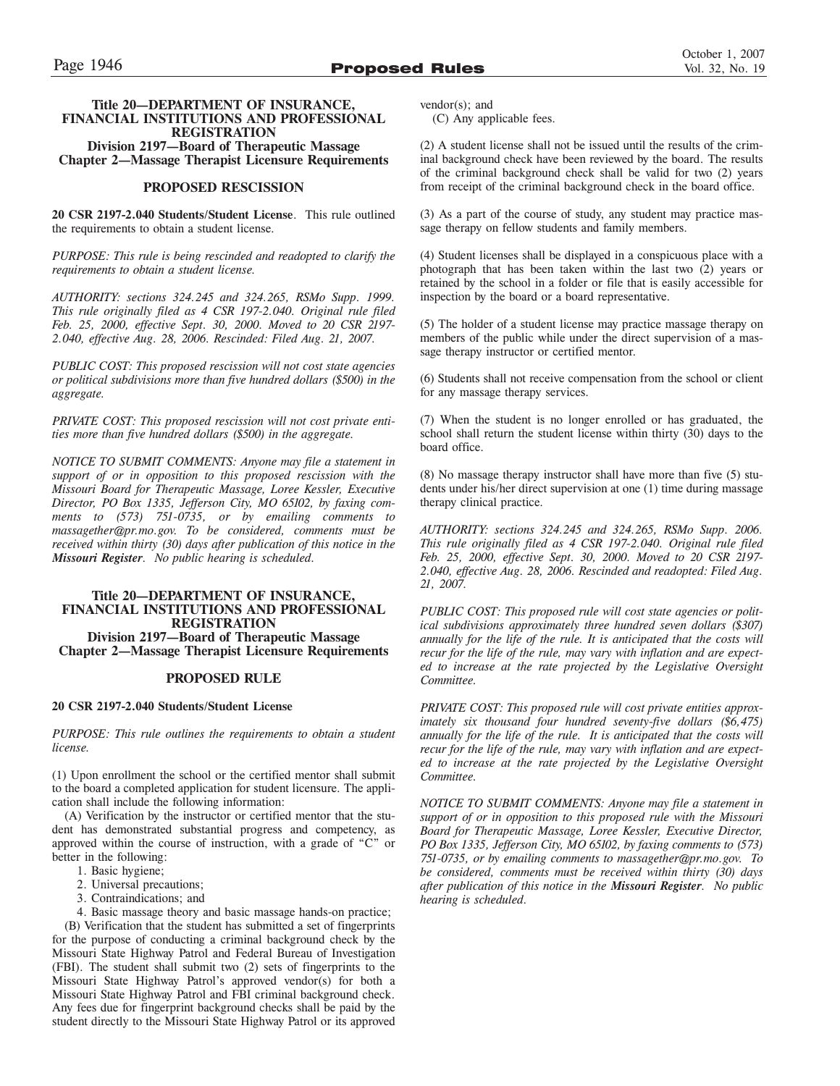### **Title 20—DEPARTMENT OF INSURANCE, FINANCIAL INSTITUTIONS AND PROFESSIONAL REGISTRATION**

**Division 2197—Board of Therapeutic Massage Chapter 2—Massage Therapist Licensure Requirements**

### **PROPOSED RESCISSION**

**20 CSR 2197-2.040 Students/Student License**. This rule outlined the requirements to obtain a student license.

*PURPOSE: This rule is being rescinded and readopted to clarify the requirements to obtain a student license.*

*AUTHORITY: sections 324.245 and 324.265, RSMo Supp. 1999. This rule originally filed as 4 CSR 197-2.040. Original rule filed Feb. 25, 2000, effective Sept. 30, 2000. Moved to 20 CSR 2197- 2.040, effective Aug. 28, 2006. Rescinded: Filed Aug. 21, 2007.*

*PUBLIC COST: This proposed rescission will not cost state agencies or political subdivisions more than five hundred dollars (\$500) in the aggregate.*

*PRIVATE COST: This proposed rescission will not cost private entities more than five hundred dollars (\$500) in the aggregate.*

*NOTICE TO SUBMIT COMMENTS: Anyone may file a statement in support of or in opposition to this proposed rescission with the Missouri Board for Therapeutic Massage, Loree Kessler, Executive Director, PO Box 1335, Jefferson City, MO 65102, by faxing comments to (573) 751-0735, or by emailing comments to massagether@pr.mo.gov. To be considered, comments must be received within thirty (30) days after publication of this notice in the Missouri Register. No public hearing is scheduled.*

### **Title 20—DEPARTMENT OF INSURANCE, FINANCIAL INSTITUTIONS AND PROFESSIONAL REGISTRATION Division 2197—Board of Therapeutic Massage Chapter 2—Massage Therapist Licensure Requirements**

### **PROPOSED RULE**

### **20 CSR 2197-2.040 Students/Student License**

*PURPOSE: This rule outlines the requirements to obtain a student license.*

(1) Upon enrollment the school or the certified mentor shall submit to the board a completed application for student licensure. The application shall include the following information:

(A) Verification by the instructor or certified mentor that the student has demonstrated substantial progress and competency, as approved within the course of instruction, with a grade of "C" or better in the following:

- 1. Basic hygiene;
- 2. Universal precautions;
- 3. Contraindications; and
- 4. Basic massage theory and basic massage hands-on practice;

(B) Verification that the student has submitted a set of fingerprints for the purpose of conducting a criminal background check by the Missouri State Highway Patrol and Federal Bureau of Investigation (FBI). The student shall submit two (2) sets of fingerprints to the Missouri State Highway Patrol's approved vendor(s) for both a Missouri State Highway Patrol and FBI criminal background check. Any fees due for fingerprint background checks shall be paid by the student directly to the Missouri State Highway Patrol or its approved vendor(s); and

(C) Any applicable fees.

(2) A student license shall not be issued until the results of the criminal background check have been reviewed by the board. The results of the criminal background check shall be valid for two (2) years from receipt of the criminal background check in the board office.

(3) As a part of the course of study, any student may practice massage therapy on fellow students and family members.

(4) Student licenses shall be displayed in a conspicuous place with a photograph that has been taken within the last two (2) years or retained by the school in a folder or file that is easily accessible for inspection by the board or a board representative.

(5) The holder of a student license may practice massage therapy on members of the public while under the direct supervision of a massage therapy instructor or certified mentor.

(6) Students shall not receive compensation from the school or client for any massage therapy services.

(7) When the student is no longer enrolled or has graduated, the school shall return the student license within thirty (30) days to the board office.

(8) No massage therapy instructor shall have more than five (5) students under his/her direct supervision at one (1) time during massage therapy clinical practice.

*AUTHORITY: sections 324.245 and 324.265, RSMo Supp. 2006. This rule originally filed as 4 CSR 197-2.040. Original rule filed Feb. 25, 2000, effective Sept. 30, 2000. Moved to 20 CSR 2197- 2.040, effective Aug. 28, 2006. Rescinded and readopted: Filed Aug. 21, 2007.*

*PUBLIC COST: This proposed rule will cost state agencies or political subdivisions approximately three hundred seven dollars (\$307) annually for the life of the rule. It is anticipated that the costs will recur for the life of the rule, may vary with inflation and are expected to increase at the rate projected by the Legislative Oversight Committee.*

*PRIVATE COST: This proposed rule will cost private entities approximately six thousand four hundred seventy-five dollars (\$6,475) annually for the life of the rule. It is anticipated that the costs will recur for the life of the rule, may vary with inflation and are expected to increase at the rate projected by the Legislative Oversight Committee.*

*NOTICE TO SUBMIT COMMENTS: Anyone may file a statement in support of or in opposition to this proposed rule with the Missouri Board for Therapeutic Massage, Loree Kessler, Executive Director, PO Box 1335, Jefferson City, MO 65102, by faxing comments to (573) 751-0735, or by emailing comments to massagether@pr.mo.gov. To be considered, comments must be received within thirty (30) days after publication of this notice in the Missouri Register. No public hearing is scheduled.*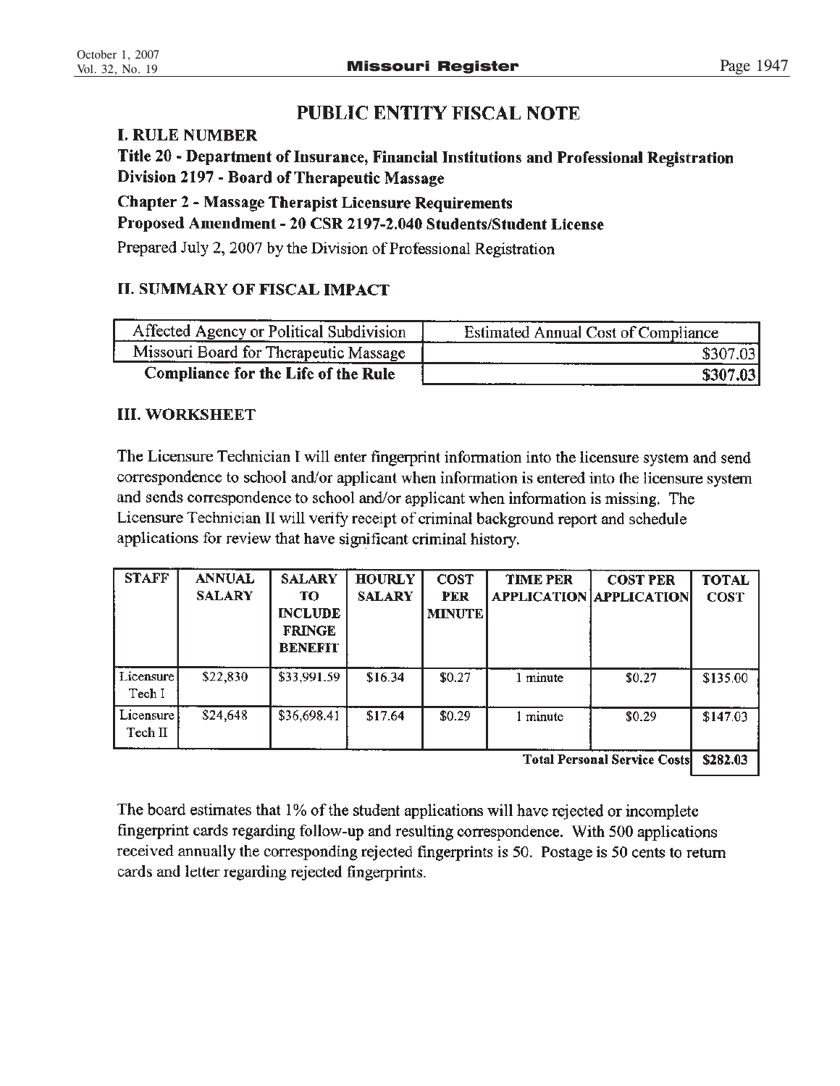# **PUBLIC ENTITY FISCAL NOTE**

# **I. RULE NUMBER**

Title 20 - Department of Insurance, Financial Institutions and Professional Registration Division 2197 - Board of Therapeutic Massage

**Chapter 2 - Massage Therapist Licensure Requirements** 

Proposed Amendment - 20 CSR 2197-2.040 Students/Student License

Prepared July 2, 2007 by the Division of Professional Registration

# **II. SUMMARY OF FISCAL IMPACT**

| Affected Agency or Political Subdivision | Estimated Annual Cost of Compliance |
|------------------------------------------|-------------------------------------|
| Missouri Board for Therapeutic Massage   | \$307.03                            |
| Compliance for the Life of the Rule      | \$307.03                            |

# **III. WORKSHEET**

The Licensure Technician I will enter fingerprint information into the licensure system and send correspondence to school and/or applicant when information is entered into the licensure system and sends correspondence to school and/or applicant when information is missing. The Licensure Technician II will verify receipt of criminal background report and schedule applications for review that have significant criminal history.

| <b>STAFF</b>         | <b>ANNUAL</b><br><b>SALARY</b> | <b>SALARY</b><br>TO<br><b>INCLUDE</b><br><b>FRINGE</b><br><b>BENEFIT</b> | <b>HOURLY</b><br><b>SALARY</b> | <b>COST</b><br><b>PER</b><br><b>MINUTE</b> | <b>TIME PER</b> | <b>COST PER</b><br><b>APPLICATION APPLICATION</b> | <b>TOTAL</b><br><b>COST</b> |
|----------------------|--------------------------------|--------------------------------------------------------------------------|--------------------------------|--------------------------------------------|-----------------|---------------------------------------------------|-----------------------------|
| Licensure<br>Tech I  | \$22,830                       | \$33,991.59                                                              | \$16.34                        | \$0.27                                     | 1 minute        | \$0.27                                            | \$135.00                    |
| Licensure<br>Tech II | \$24,648                       | \$36,698.41                                                              | \$17.64                        | \$0.29                                     | 1 minute        | \$0.29                                            | \$147.03                    |

Total Personal Service Costs \\$282.03

The board estimates that 1% of the student applications will have rejected or incomplete fingerprint cards regarding follow-up and resulting correspondence. With 500 applications received annually the corresponding rejected fingerprints is 50. Postage is 50 cents to return cards and letter regarding rejected fingerprints.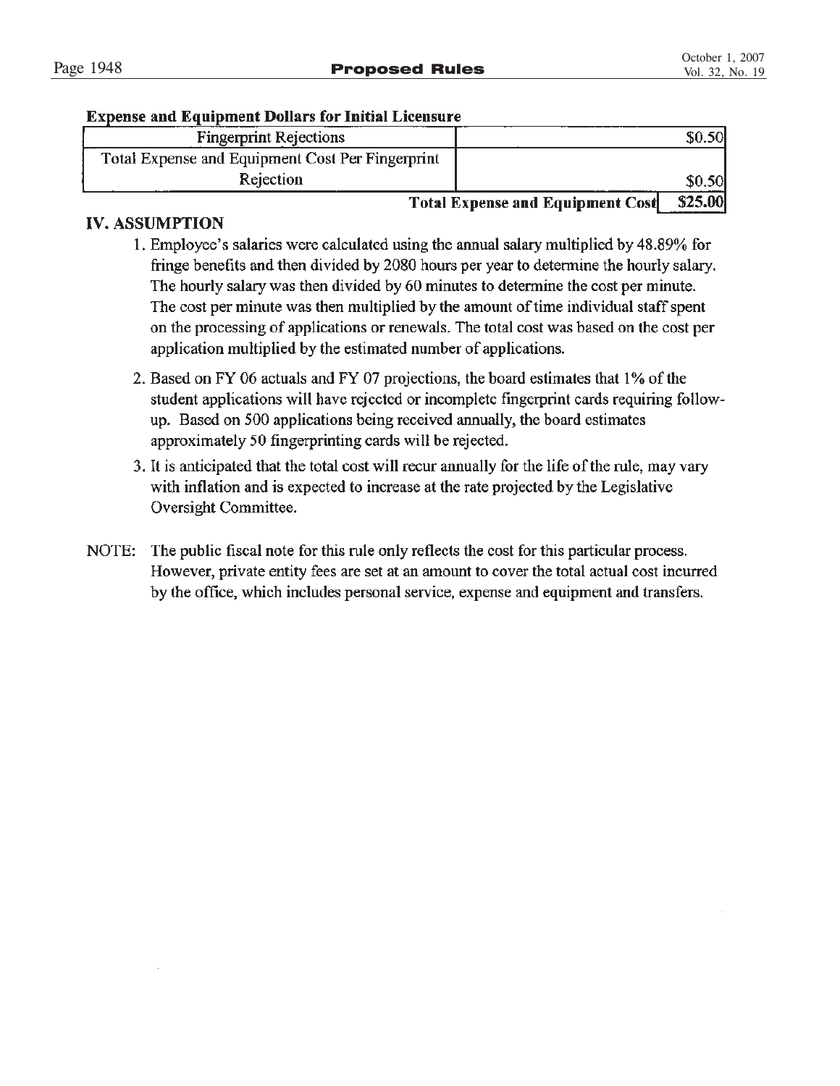# **Expense and Equipment Dollars for Initial Licensure**

| <b>Fingerprint Rejections</b>                    |                                         |         |
|--------------------------------------------------|-----------------------------------------|---------|
| Total Expense and Equipment Cost Per Fingerprint |                                         |         |
| Rejection                                        |                                         | \$0,50  |
|                                                  | <b>Total Expense and Equipment Cost</b> | \$25.00 |

# **IV. ASSUMPTION**

- 1. Employee's salaries were calculated using the annual salary multiplied by 48.89% for fringe benefits and then divided by 2080 hours per year to determine the hourly salary. The hourly salary was then divided by 60 minutes to determine the cost per minute. The cost per minute was then multiplied by the amount of time individual staff spent on the processing of applications or renewals. The total cost was based on the cost per application multiplied by the estimated number of applications.
- 2. Based on FY 06 actuals and FY 07 projections, the board estimates that 1% of the student applications will have rejected or incomplete fingerprint cards requiring followup. Based on 500 applications being received annually, the board estimates approximately 50 fingerprinting cards will be rejected.
- 3. It is anticipated that the total cost will recur annually for the life of the rule, may vary with inflation and is expected to increase at the rate projected by the Legislative Oversight Committee.
- NOTE: The public fiscal note for this rule only reflects the cost for this particular process. However, private entity fees are set at an amount to cover the total actual cost incurred by the office, which includes personal service, expense and equipment and transfers.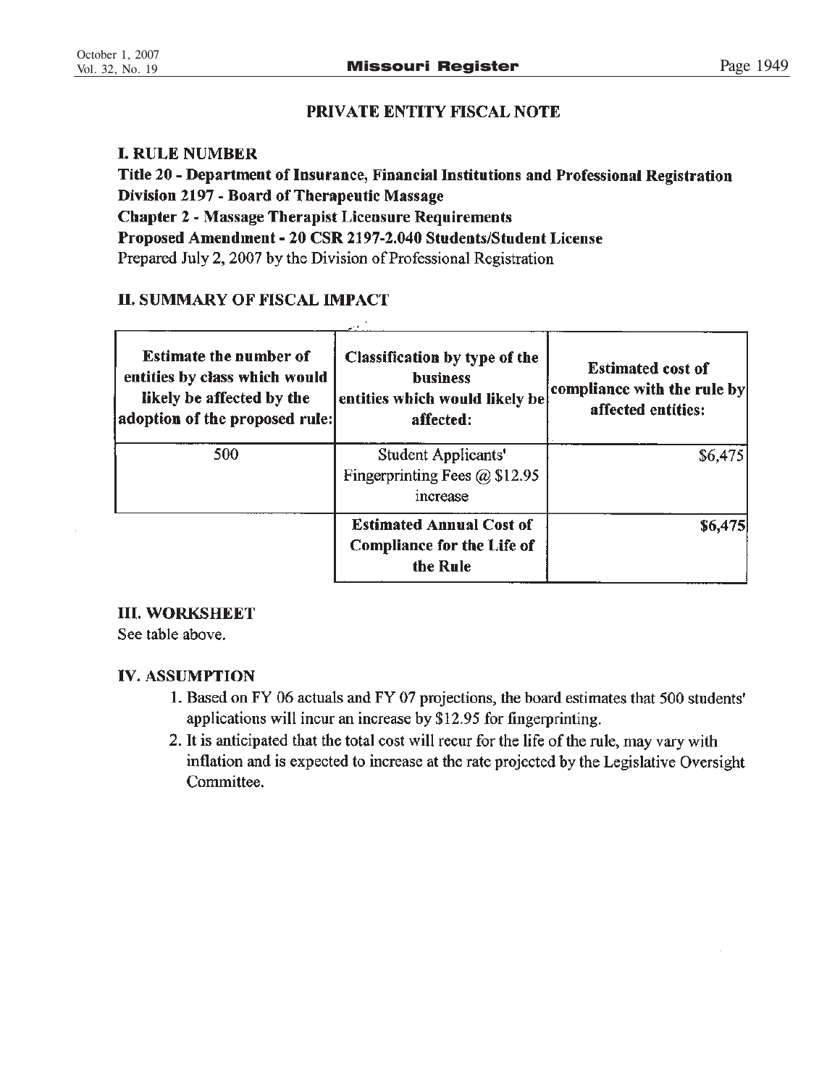# **PRIVATE ENTITY FISCAL NOTE**

# **I. RULE NUMBER**

Title 20 - Department of Insurance, Financial Institutions and Professional Registration Division 2197 - Board of Therapeutic Massage **Chapter 2 - Massage Therapist Licensure Requirements** Proposed Amendment - 20 CSR 2197-2.040 Students/Student License Prepared July 2, 2007 by the Division of Professional Registration

# **II. SUMMARY OF FISCAL IMPACT**

| <b>Estimate the number of</b><br>entities by class which would<br>likely be affected by the<br>adoption of the proposed rule: | Classification by type of the<br><b>business</b><br>entities which would likely be<br>affected: | <b>Estimated cost of</b><br>compliance with the rule by<br>affected entities: |
|-------------------------------------------------------------------------------------------------------------------------------|-------------------------------------------------------------------------------------------------|-------------------------------------------------------------------------------|
| 500                                                                                                                           | Student Applicants'<br>Fingerprinting Fees $@$ \$12.95<br>increase                              | \$6,475                                                                       |
|                                                                                                                               | <b>Estimated Annual Cost of</b><br><b>Compliance for the Life of</b><br>the Rule                | \$6,475                                                                       |

# **III. WORKSHEET**

See table above.

# **IV. ASSUMPTION**

- 1. Based on FY 06 actuals and FY 07 projections, the board estimates that 500 students' applications will incur an increase by \$12.95 for fingerprinting.
- 2. It is anticipated that the total cost will recur for the life of the rule, may vary with inflation and is expected to increase at the rate projected by the Legislative Oversight Committee.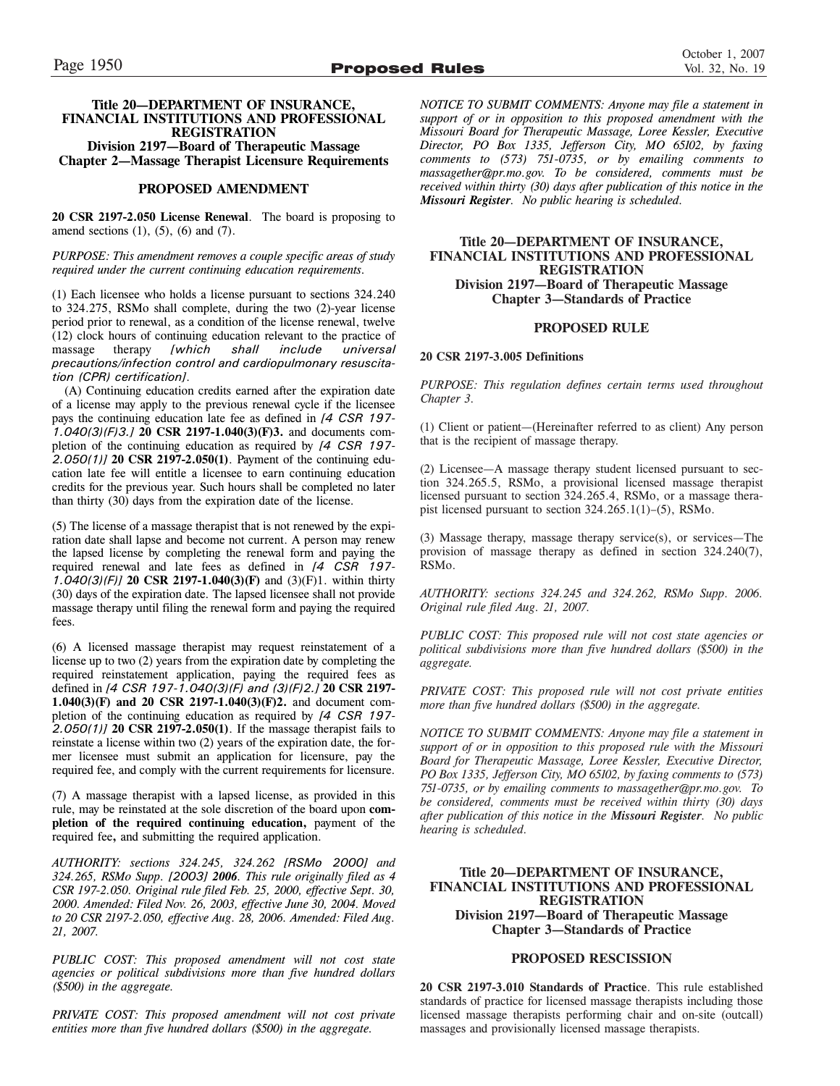### **Title 20—DEPARTMENT OF INSURANCE, FINANCIAL INSTITUTIONS AND PROFESSIONAL REGISTRATION**

**Division 2197—Board of Therapeutic Massage Chapter 2—Massage Therapist Licensure Requirements**

## **PROPOSED AMENDMENT**

**20 CSR 2197-2.050 License Renewal**. The board is proposing to amend sections  $(1)$ ,  $(5)$ ,  $(6)$  and  $(7)$ .

*PURPOSE: This amendment removes a couple specific areas of study required under the current continuing education requirements.*

(1) Each licensee who holds a license pursuant to sections 324.240 to 324.275, RSMo shall complete, during the two (2)-year license period prior to renewal, as a condition of the license renewal, twelve  $(12)$  clock hours of continuing education relevant to the practice of massage therapy [which shall include universal massage therapy *[which shall include universal precautions/infection control and cardiopulmonary resuscitation (CPR) certification]*.

(A) Continuing education credits earned after the expiration date of a license may apply to the previous renewal cycle if the licensee pays the continuing education late fee as defined in *[4 CSR 197- 1.040(3)(F)3.]* **20 CSR 2197-1.040(3)(F)3.** and documents completion of the continuing education as required by *[4 CSR 197- 2.050(1)]* **20 CSR 2197-2.050(1)**. Payment of the continuing education late fee will entitle a licensee to earn continuing education credits for the previous year. Such hours shall be completed no later than thirty (30) days from the expiration date of the license.

(5) The license of a massage therapist that is not renewed by the expiration date shall lapse and become not current. A person may renew the lapsed license by completing the renewal form and paying the required renewal and late fees as defined in *[4 CSR 197- 1.040(3)(F)]* **20 CSR 2197-1.040(3)(F)** and (3)(F)1. within thirty (30) days of the expiration date. The lapsed licensee shall not provide massage therapy until filing the renewal form and paying the required fees.

(6) A licensed massage therapist may request reinstatement of a license up to two (2) years from the expiration date by completing the required reinstatement application, paying the required fees as defined in *[4 CSR 197-1.040(3)(F) and (3)(F)2.]* **20 CSR 2197- 1.040(3)(F) and 20 CSR 2197-1.040(3)(F)2.** and document completion of the continuing education as required by *[4 CSR 197- 2.050(1)]* **20 CSR 2197-2.050(1)**. If the massage therapist fails to reinstate a license within two (2) years of the expiration date, the former licensee must submit an application for licensure, pay the required fee, and comply with the current requirements for licensure.

(7) A massage therapist with a lapsed license, as provided in this rule, may be reinstated at the sole discretion of the board upon **completion of the required continuing education,** payment of the required fee**,** and submitting the required application.

*AUTHORITY: sections 324.245, 324.262 [RSMo 2000] and 324.265, RSMo Supp. [2003] 2006. This rule originally filed as 4 CSR 197-2.050. Original rule filed Feb. 25, 2000, effective Sept. 30, 2000. Amended: Filed Nov. 26, 2003, effective June 30, 2004. Moved to 20 CSR 2197-2.050, effective Aug. 28, 2006. Amended: Filed Aug. 21, 2007.*

*PUBLIC COST: This proposed amendment will not cost state agencies or political subdivisions more than five hundred dollars (\$500) in the aggregate.*

*PRIVATE COST: This proposed amendment will not cost private entities more than five hundred dollars (\$500) in the aggregate.*

*NOTICE TO SUBMIT COMMENTS: Anyone may file a statement in support of or in opposition to this proposed amendment with the Missouri Board for Therapeutic Massage, Loree Kessler, Executive Director, PO Box 1335, Jefferson City, MO 65102, by faxing comments to (573) 751-0735, or by emailing comments to massagether@pr.mo.gov. To be considered, comments must be received within thirty (30) days after publication of this notice in the Missouri Register. No public hearing is scheduled.*

### **Title 20—DEPARTMENT OF INSURANCE, FINANCIAL INSTITUTIONS AND PROFESSIONAL REGISTRATION Division 2197—Board of Therapeutic Massage Chapter 3—Standards of Practice**

### **PROPOSED RULE**

### **20 CSR 2197-3.005 Definitions**

*PURPOSE: This regulation defines certain terms used throughout Chapter 3.*

(1) Client or patient—(Hereinafter referred to as client) Any person that is the recipient of massage therapy.

(2) Licensee—A massage therapy student licensed pursuant to section 324.265.5, RSMo, a provisional licensed massage therapist licensed pursuant to section 324.265.4, RSMo, or a massage therapist licensed pursuant to section 324.265.1(1)–(5), RSMo.

(3) Massage therapy, massage therapy service(s), or services—The provision of massage therapy as defined in section 324.240(7), RSMo.

*AUTHORITY: sections 324.245 and 324.262, RSMo Supp. 2006. Original rule filed Aug. 21, 2007.*

*PUBLIC COST: This proposed rule will not cost state agencies or political subdivisions more than five hundred dollars (\$500) in the aggregate.*

*PRIVATE COST: This proposed rule will not cost private entities more than five hundred dollars (\$500) in the aggregate.*

*NOTICE TO SUBMIT COMMENTS: Anyone may file a statement in support of or in opposition to this proposed rule with the Missouri Board for Therapeutic Massage, Loree Kessler, Executive Director, PO Box 1335, Jefferson City, MO 65102, by faxing comments to (573) 751-0735, or by emailing comments to massagether@pr.mo.gov. To be considered, comments must be received within thirty (30) days after publication of this notice in the Missouri Register. No public hearing is scheduled.*

### **Title 20—DEPARTMENT OF INSURANCE, FINANCIAL INSTITUTIONS AND PROFESSIONAL REGISTRATION Division 2197—Board of Therapeutic Massage Chapter 3—Standards of Practice**

### **PROPOSED RESCISSION**

**20 CSR 2197-3.010 Standards of Practice**. This rule established standards of practice for licensed massage therapists including those licensed massage therapists performing chair and on-site (outcall) massages and provisionally licensed massage therapists.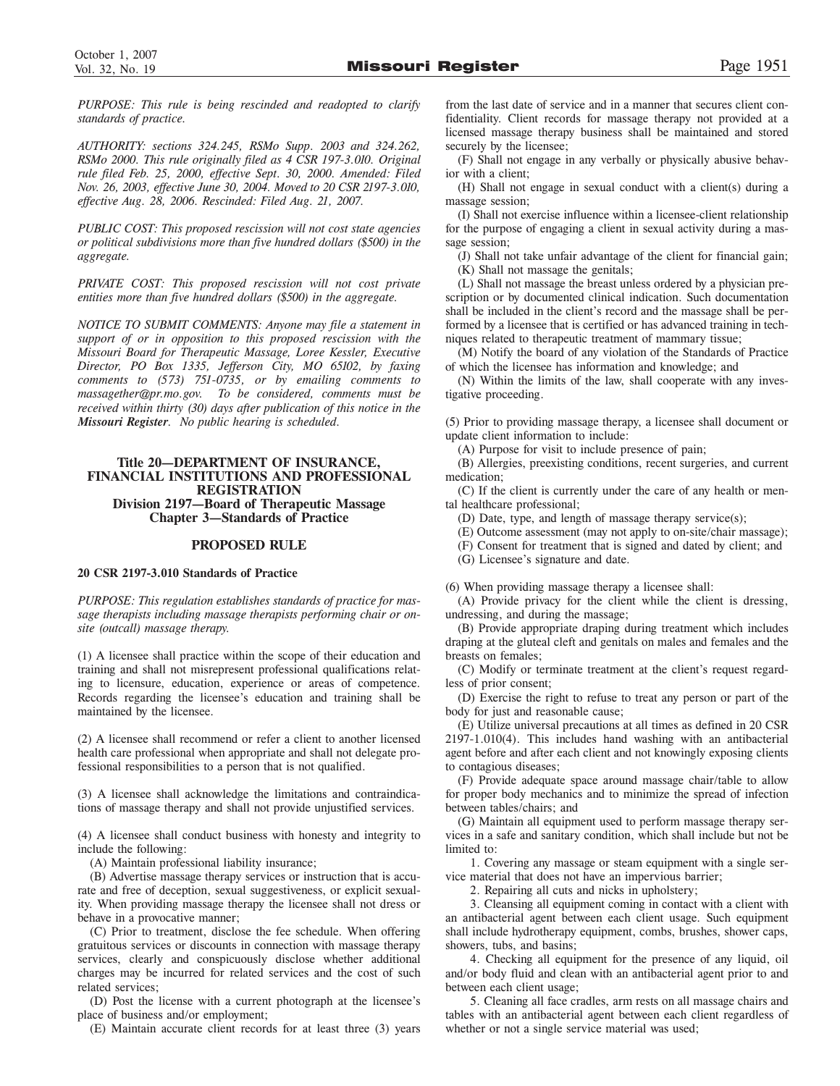*PURPOSE: This rule is being rescinded and readopted to clarify standards of practice.*

*AUTHORITY: sections 324.245, RSMo Supp. 2003 and 324.262, RSMo 2000. This rule originally filed as 4 CSR 197-3.010. Original rule filed Feb. 25, 2000, effective Sept. 30, 2000. Amended: Filed Nov. 26, 2003, effective June 30, 2004. Moved to 20 CSR 2197-3.010, effective Aug. 28, 2006. Rescinded: Filed Aug. 21, 2007.*

*PUBLIC COST: This proposed rescission will not cost state agencies or political subdivisions more than five hundred dollars (\$500) in the aggregate.*

*PRIVATE COST: This proposed rescission will not cost private entities more than five hundred dollars (\$500) in the aggregate.*

*NOTICE TO SUBMIT COMMENTS: Anyone may file a statement in support of or in opposition to this proposed rescission with the Missouri Board for Therapeutic Massage, Loree Kessler, Executive Director, PO Box 1335, Jefferson City, MO 65102, by faxing comments to (573) 751-0735, or by emailing comments to massagether@pr.mo.gov. To be considered, comments must be received within thirty (30) days after publication of this notice in the Missouri Register. No public hearing is scheduled.*

### **Title 20—DEPARTMENT OF INSURANCE, FINANCIAL INSTITUTIONS AND PROFESSIONAL REGISTRATION Division 2197—Board of Therapeutic Massage Chapter 3—Standards of Practice**

### **PROPOSED RULE**

### **20 CSR 2197-3.010 Standards of Practice**

*PURPOSE: This regulation establishes standards of practice for massage therapists including massage therapists performing chair or onsite (outcall) massage therapy.*

(1) A licensee shall practice within the scope of their education and training and shall not misrepresent professional qualifications relating to licensure, education, experience or areas of competence. Records regarding the licensee's education and training shall be maintained by the licensee.

(2) A licensee shall recommend or refer a client to another licensed health care professional when appropriate and shall not delegate professional responsibilities to a person that is not qualified.

(3) A licensee shall acknowledge the limitations and contraindications of massage therapy and shall not provide unjustified services.

(4) A licensee shall conduct business with honesty and integrity to include the following:

(A) Maintain professional liability insurance;

(B) Advertise massage therapy services or instruction that is accurate and free of deception, sexual suggestiveness, or explicit sexuality. When providing massage therapy the licensee shall not dress or behave in a provocative manner;

(C) Prior to treatment, disclose the fee schedule. When offering gratuitous services or discounts in connection with massage therapy services, clearly and conspicuously disclose whether additional charges may be incurred for related services and the cost of such related services;

(D) Post the license with a current photograph at the licensee's place of business and/or employment;

(E) Maintain accurate client records for at least three (3) years

from the last date of service and in a manner that secures client confidentiality. Client records for massage therapy not provided at a licensed massage therapy business shall be maintained and stored securely by the licensee;

(F) Shall not engage in any verbally or physically abusive behavior with a client;

(H) Shall not engage in sexual conduct with a client(s) during a massage session;

(I) Shall not exercise influence within a licensee-client relationship for the purpose of engaging a client in sexual activity during a massage session;

(J) Shall not take unfair advantage of the client for financial gain; (K) Shall not massage the genitals;

(L) Shall not massage the breast unless ordered by a physician prescription or by documented clinical indication. Such documentation shall be included in the client's record and the massage shall be performed by a licensee that is certified or has advanced training in techniques related to therapeutic treatment of mammary tissue;

(M) Notify the board of any violation of the Standards of Practice of which the licensee has information and knowledge; and

(N) Within the limits of the law, shall cooperate with any investigative proceeding.

(5) Prior to providing massage therapy, a licensee shall document or update client information to include:

(A) Purpose for visit to include presence of pain;

(B) Allergies, preexisting conditions, recent surgeries, and current medication;

(C) If the client is currently under the care of any health or mental healthcare professional;

(D) Date, type, and length of massage therapy service(s);

(E) Outcome assessment (may not apply to on-site/chair massage);

(F) Consent for treatment that is signed and dated by client; and

(G) Licensee's signature and date.

(6) When providing massage therapy a licensee shall:

(A) Provide privacy for the client while the client is dressing, undressing, and during the massage;

(B) Provide appropriate draping during treatment which includes draping at the gluteal cleft and genitals on males and females and the breasts on females;

(C) Modify or terminate treatment at the client's request regardless of prior consent;

(D) Exercise the right to refuse to treat any person or part of the body for just and reasonable cause;

(E) Utilize universal precautions at all times as defined in 20 CSR 2197-1.010(4). This includes hand washing with an antibacterial agent before and after each client and not knowingly exposing clients to contagious diseases;

(F) Provide adequate space around massage chair/table to allow for proper body mechanics and to minimize the spread of infection between tables/chairs; and

(G) Maintain all equipment used to perform massage therapy services in a safe and sanitary condition, which shall include but not be limited to:

1. Covering any massage or steam equipment with a single service material that does not have an impervious barrier;

2. Repairing all cuts and nicks in upholstery;

3. Cleansing all equipment coming in contact with a client with an antibacterial agent between each client usage. Such equipment shall include hydrotherapy equipment, combs, brushes, shower caps, showers, tubs, and basins;

4. Checking all equipment for the presence of any liquid, oil and/or body fluid and clean with an antibacterial agent prior to and between each client usage;

5. Cleaning all face cradles, arm rests on all massage chairs and tables with an antibacterial agent between each client regardless of whether or not a single service material was used;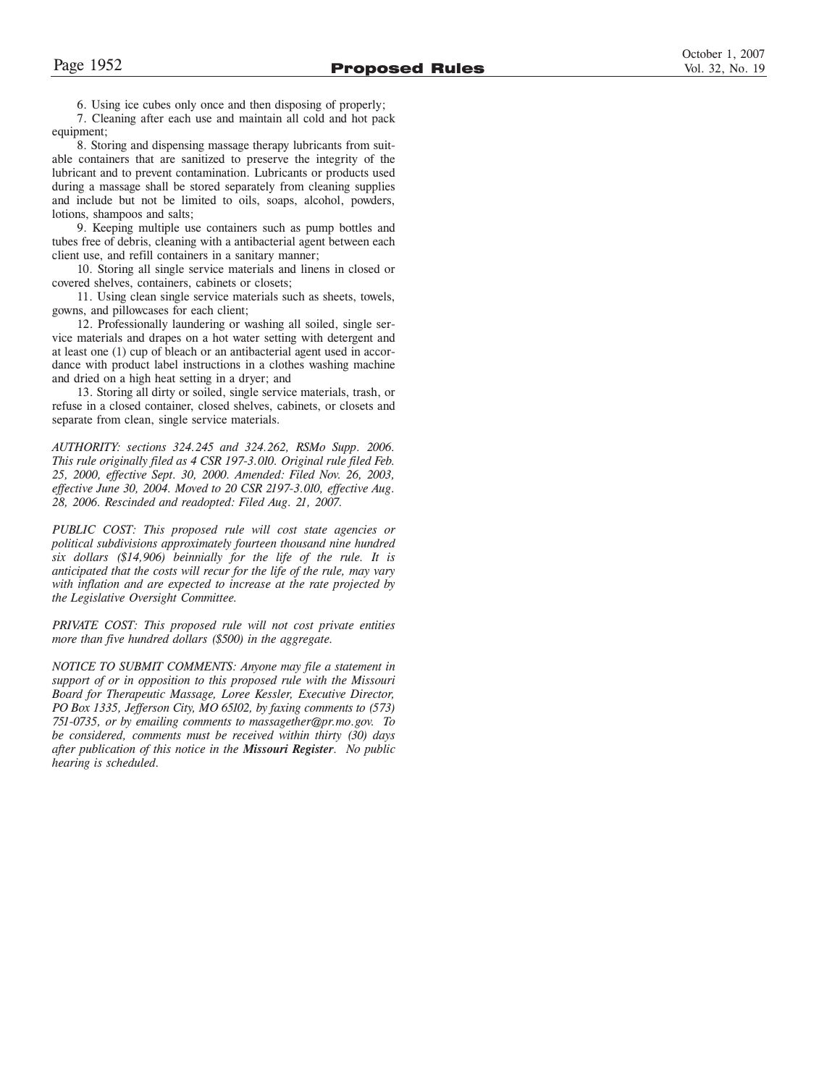6. Using ice cubes only once and then disposing of properly;

7. Cleaning after each use and maintain all cold and hot pack equipment;

8. Storing and dispensing massage therapy lubricants from suitable containers that are sanitized to preserve the integrity of the lubricant and to prevent contamination. Lubricants or products used during a massage shall be stored separately from cleaning supplies and include but not be limited to oils, soaps, alcohol, powders, lotions, shampoos and salts;

9. Keeping multiple use containers such as pump bottles and tubes free of debris, cleaning with a antibacterial agent between each client use, and refill containers in a sanitary manner;

10. Storing all single service materials and linens in closed or covered shelves, containers, cabinets or closets;

11. Using clean single service materials such as sheets, towels, gowns, and pillowcases for each client;

12. Professionally laundering or washing all soiled, single service materials and drapes on a hot water setting with detergent and at least one (1) cup of bleach or an antibacterial agent used in accordance with product label instructions in a clothes washing machine and dried on a high heat setting in a dryer; and

13. Storing all dirty or soiled, single service materials, trash, or refuse in a closed container, closed shelves, cabinets, or closets and separate from clean, single service materials.

*AUTHORITY: sections 324.245 and 324.262, RSMo Supp. 2006. This rule originally filed as 4 CSR 197-3.010. Original rule filed Feb. 25, 2000, effective Sept. 30, 2000. Amended: Filed Nov. 26, 2003, effective June 30, 2004. Moved to 20 CSR 2197-3.010, effective Aug. 28, 2006. Rescinded and readopted: Filed Aug. 21, 2007.*

*PUBLIC COST: This proposed rule will cost state agencies or political subdivisions approximately fourteen thousand nine hundred six dollars (\$14,906) beinnially for the life of the rule. It is anticipated that the costs will recur for the life of the rule, may vary with inflation and are expected to increase at the rate projected by the Legislative Oversight Committee.*

*PRIVATE COST: This proposed rule will not cost private entities more than five hundred dollars (\$500) in the aggregate.*

*NOTICE TO SUBMIT COMMENTS: Anyone may file a statement in support of or in opposition to this proposed rule with the Missouri Board for Therapeutic Massage, Loree Kessler, Executive Director, PO Box 1335, Jefferson City, MO 65102, by faxing comments to (573) 751-0735, or by emailing comments to massagether@pr.mo.gov. To be considered, comments must be received within thirty (30) days after publication of this notice in the Missouri Register. No public hearing is scheduled.*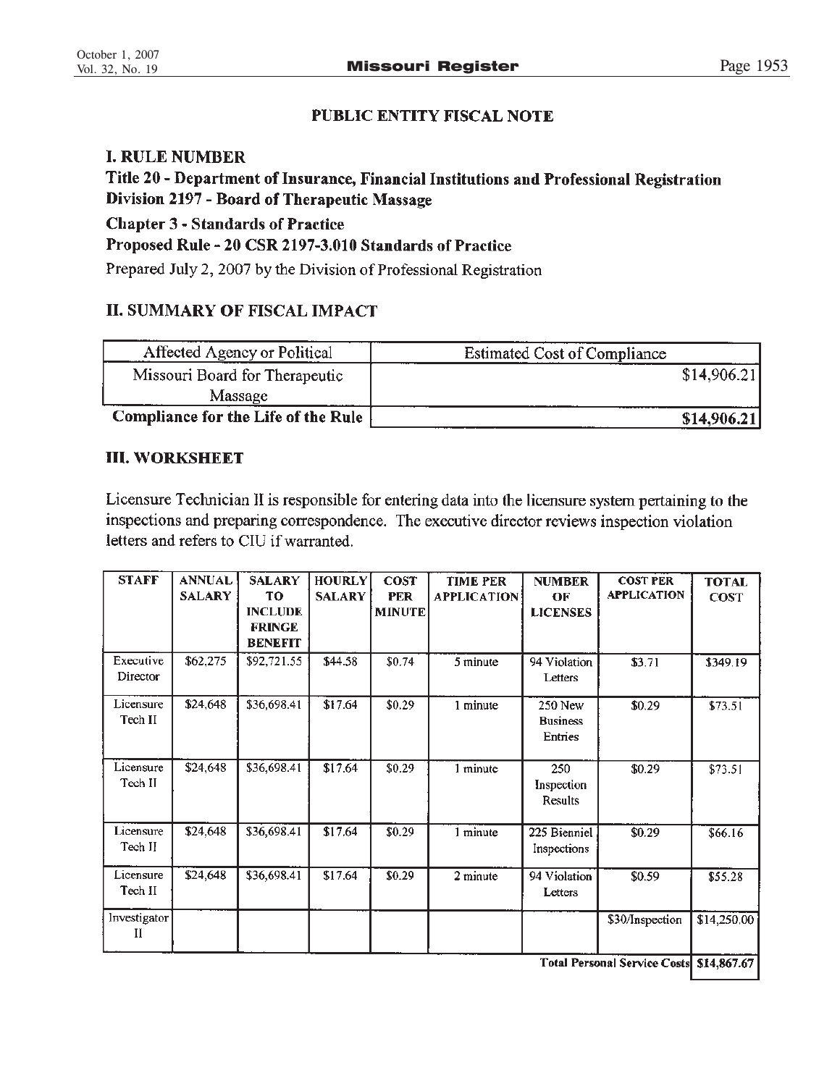# **PUBLIC ENTITY FISCAL NOTE**

# **I. RULE NUMBER**

Title 20 - Department of Insurance, Financial Institutions and Professional Registration Division 2197 - Board of Therapeutic Massage

**Chapter 3 - Standards of Practice** 

Proposed Rule - 20 CSR 2197-3.010 Standards of Practice

Prepared July 2, 2007 by the Division of Professional Registration

# **II. SUMMARY OF FISCAL IMPACT**

| Affected Agency or Political               | <b>Estimated Cost of Compliance</b> |
|--------------------------------------------|-------------------------------------|
| Missouri Board for Therapeutic             | \$14,906.21                         |
| <b>Massage</b>                             |                                     |
| <b>Compliance for the Life of the Rule</b> | \$14,906.21                         |

# **III. WORKSHEET**

Licensure Technician II is responsible for entering data into the licensure system pertaining to the inspections and preparing correspondence. The executive director reviews inspection violation letters and refers to CIU if warranted.

| <b>STAFF</b>                    | <b>ANNUAL</b><br><b>SALARY</b> | <b>SALARY</b><br>TО<br><b>INCLUDE</b><br><b>FRINGE</b><br><b>BENEFIT</b> | <b>HOURLY</b><br><b>SALARY</b> | <b>COST</b><br><b>PER</b><br><b>MINUTE</b> | <b>TIME PER</b><br><b>APPLICATION</b> | <b>NUMBER</b><br>OF<br><b>LICENSES</b> | <b>COST PER</b><br><b>APPLICATION</b> | <b>TOTAL</b><br><b>COST</b> |
|---------------------------------|--------------------------------|--------------------------------------------------------------------------|--------------------------------|--------------------------------------------|---------------------------------------|----------------------------------------|---------------------------------------|-----------------------------|
| Executive<br>Director           | \$62,275                       | \$92,721.55                                                              | \$44.58                        | \$0.74                                     | 5 minute                              | 94 Violation<br>Letters                | \$3.71                                | \$349.19                    |
| Licensure<br>Tech II            | \$24,648                       | \$36,698.41                                                              | \$17.64                        | \$0.29                                     | 1 minute                              | 250 New<br><b>Business</b><br>Entries  | \$0.29                                | \$73.51                     |
| Licensure<br>Tech <sub>II</sub> | \$24,648                       | \$36,698.41                                                              | \$17.64                        | \$0.29                                     | 1 minute                              | 250<br>Inspection<br>Results           | \$0.29                                | \$73.51                     |
| Licensure<br>Tech II            | \$24,648                       | \$36,698.41                                                              | \$17.64                        | \$0.29                                     | 1 minute                              | 225 Bienniel<br>Inspections            | \$0.29                                | \$66.16                     |
| Licensure<br>Tech II            | \$24,648                       | \$36,698.41                                                              | \$17.64                        | \$0.29                                     | 2 minute                              | 94 Violation<br>Letters                | \$0.59                                | \$55.28                     |
| Investigator<br>н               |                                |                                                                          |                                |                                            |                                       |                                        | \$30/Inspection                       | \$14,250,00                 |

Total Personal Service Costs \$14,867.67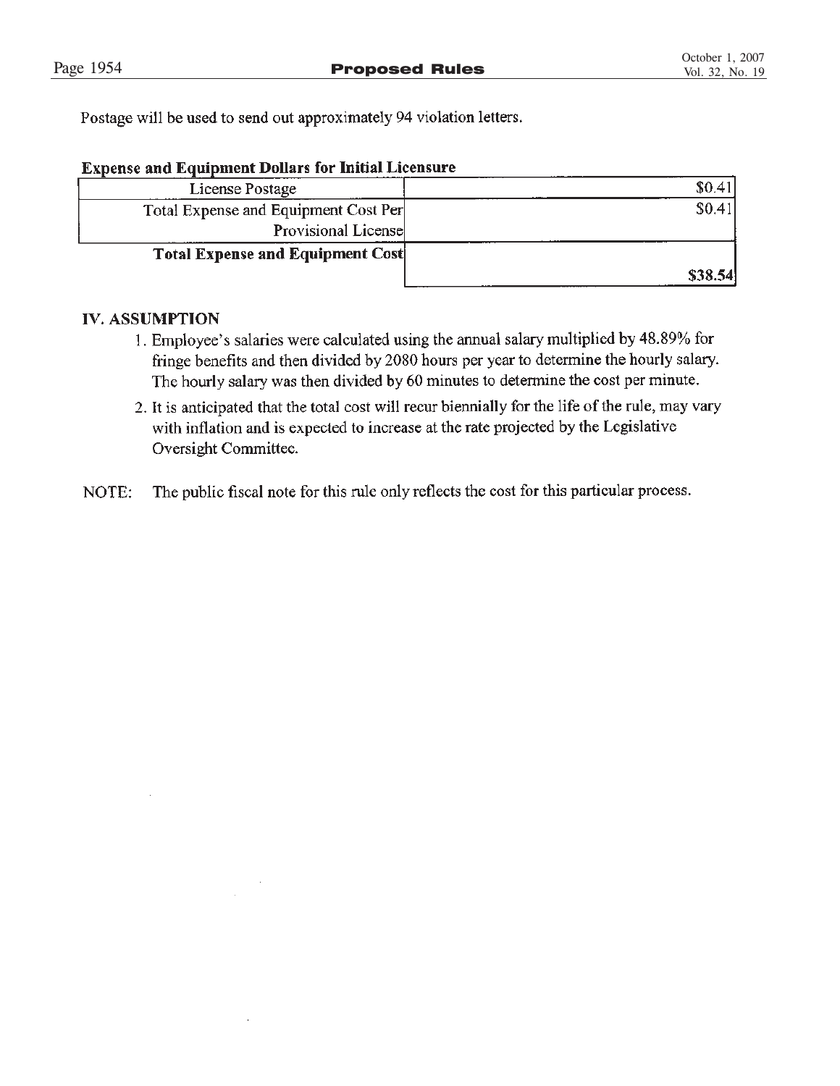Postage will be used to send out approximately 94 violation letters.

| <b>Expense and Equipment Dollars for Initial Licensure</b> |
|------------------------------------------------------------|
|------------------------------------------------------------|

| License Postage                         |         |
|-----------------------------------------|---------|
| Total Expense and Equipment Cost Per    | \$0.41  |
| Provisional License                     |         |
| <b>Total Expense and Equipment Cost</b> |         |
|                                         | \$38.54 |

# **IV. ASSUMPTION**

- 1. Employee's salaries were calculated using the annual salary multiplied by 48.89% for fringe benefits and then divided by 2080 hours per year to determine the hourly salary. The hourly salary was then divided by 60 minutes to determine the cost per minute.
- 2. It is anticipated that the total cost will recur biennially for the life of the rule, may vary with inflation and is expected to increase at the rate projected by the Legislative Oversight Committee.
- The public fiscal note for this rule only reflects the cost for this particular process. NOTE: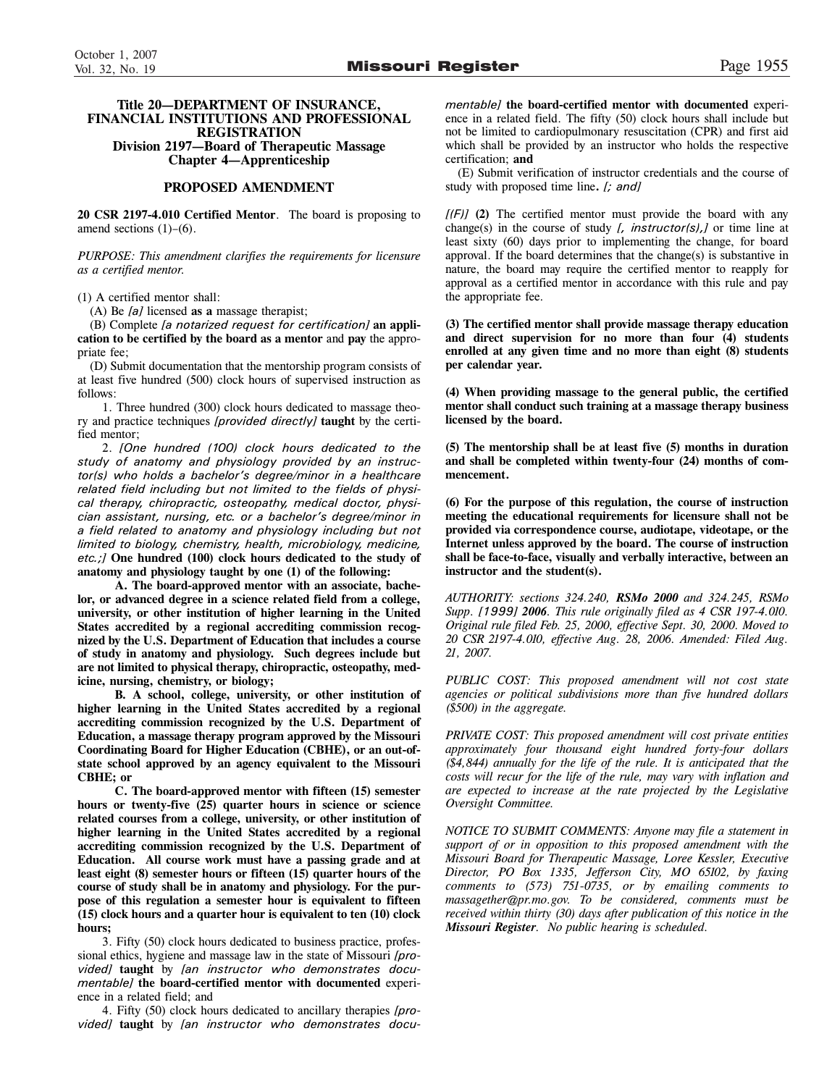### **Title 20—DEPARTMENT OF INSURANCE, FINANCIAL INSTITUTIONS AND PROFESSIONAL REGISTRATION Division 2197—Board of Therapeutic Massage Chapter 4—Apprenticeship**

### **PROPOSED AMENDMENT**

**20 CSR 2197-4.010 Certified Mentor**. The board is proposing to amend sections  $(1)$ – $(6)$ .

*PURPOSE: This amendment clarifies the requirements for licensure as a certified mentor.*

(1) A certified mentor shall:

(A) Be *[a]* licensed **as a** massage therapist;

(B) Complete *[a notarized request for certification]* **an application to be certified by the board as a mentor** and **pay** the appropriate fee;

(D) Submit documentation that the mentorship program consists of at least five hundred (500) clock hours of supervised instruction as follows:

1. Three hundred (300) clock hours dedicated to massage theory and practice techniques *[provided directly]* **taught** by the certified mentor;

2. *[One hundred (100) clock hours dedicated to the study of anatomy and physiology provided by an instructor(s) who holds a bachelor's degree/minor in a healthcare related field including but not limited to the fields of physical therapy, chiropractic, osteopathy, medical doctor, physician assistant, nursing, etc. or a bachelor's degree/minor in a field related to anatomy and physiology including but not limited to biology, chemistry, health, microbiology, medicine, etc.;]* **One hundred (100) clock hours dedicated to the study of anatomy and physiology taught by one (1) of the following:**

**A. The board-approved mentor with an associate, bachelor, or advanced degree in a science related field from a college, university, or other institution of higher learning in the United States accredited by a regional accrediting commission recognized by the U.S. Department of Education that includes a course of study in anatomy and physiology. Such degrees include but are not limited to physical therapy, chiropractic, osteopathy, medicine, nursing, chemistry, or biology;** 

**B. A school, college, university, or other institution of higher learning in the United States accredited by a regional accrediting commission recognized by the U.S. Department of Education, a massage therapy program approved by the Missouri Coordinating Board for Higher Education (CBHE), or an out-ofstate school approved by an agency equivalent to the Missouri CBHE; or**

**C. The board-approved mentor with fifteen (15) semester hours or twenty-five (25) quarter hours in science or science related courses from a college, university, or other institution of higher learning in the United States accredited by a regional accrediting commission recognized by the U.S. Department of Education. All course work must have a passing grade and at least eight (8) semester hours or fifteen (15) quarter hours of the course of study shall be in anatomy and physiology. For the purpose of this regulation a semester hour is equivalent to fifteen (15) clock hours and a quarter hour is equivalent to ten (10) clock hours;**

3. Fifty (50) clock hours dedicated to business practice, professional ethics, hygiene and massage law in the state of Missouri *[provided]* **taught** by *[an instructor who demonstrates documentable]* **the board-certified mentor with documented** experience in a related field; and

4. Fifty (50) clock hours dedicated to ancillary therapies *[provided]* **taught** by *[an instructor who demonstrates docu-* *mentable]* **the board-certified mentor with documented** experience in a related field. The fifty (50) clock hours shall include but not be limited to cardiopulmonary resuscitation (CPR) and first aid which shall be provided by an instructor who holds the respective certification; **and**

(E) Submit verification of instructor credentials and the course of study with proposed time line**.** *[; and]*

 $[(F)]$  (2) The certified mentor must provide the board with any change(s) in the course of study *[, instructor(s),]* or time line at least sixty (60) days prior to implementing the change, for board approval. If the board determines that the change $(s)$  is substantive in nature, the board may require the certified mentor to reapply for approval as a certified mentor in accordance with this rule and pay the appropriate fee.

**(3) The certified mentor shall provide massage therapy education and direct supervision for no more than four (4) students enrolled at any given time and no more than eight (8) students per calendar year.**

**(4) When providing massage to the general public, the certified mentor shall conduct such training at a massage therapy business licensed by the board.**

**(5) The mentorship shall be at least five (5) months in duration and shall be completed within twenty-four (24) months of commencement.**

**(6) For the purpose of this regulation, the course of instruction meeting the educational requirements for licensure shall not be provided via correspondence course, audiotape, videotape, or the Internet unless approved by the board. The course of instruction shall be face-to-face, visually and verbally interactive, between an instructor and the student(s).**

*AUTHORITY: sections 324.240, RSMo 2000 and 324.245, RSMo Supp. [1999] 2006. This rule originally filed as 4 CSR 197-4.010. Original rule filed Feb. 25, 2000, effective Sept. 30, 2000. Moved to 20 CSR 2197-4.010, effective Aug. 28, 2006. Amended: Filed Aug. 21, 2007.*

*PUBLIC COST: This proposed amendment will not cost state agencies or political subdivisions more than five hundred dollars (\$500) in the aggregate.*

*PRIVATE COST: This proposed amendment will cost private entities approximately four thousand eight hundred forty-four dollars (\$4,844) annually for the life of the rule. It is anticipated that the costs will recur for the life of the rule, may vary with inflation and are expected to increase at the rate projected by the Legislative Oversight Committee.*

*NOTICE TO SUBMIT COMMENTS: Anyone may file a statement in support of or in opposition to this proposed amendment with the Missouri Board for Therapeutic Massage, Loree Kessler, Executive Director, PO Box 1335, Jefferson City, MO 65102, by faxing comments to (573) 751-0735, or by emailing comments to massagether@pr.mo.gov. To be considered, comments must be received within thirty (30) days after publication of this notice in the Missouri Register. No public hearing is scheduled.*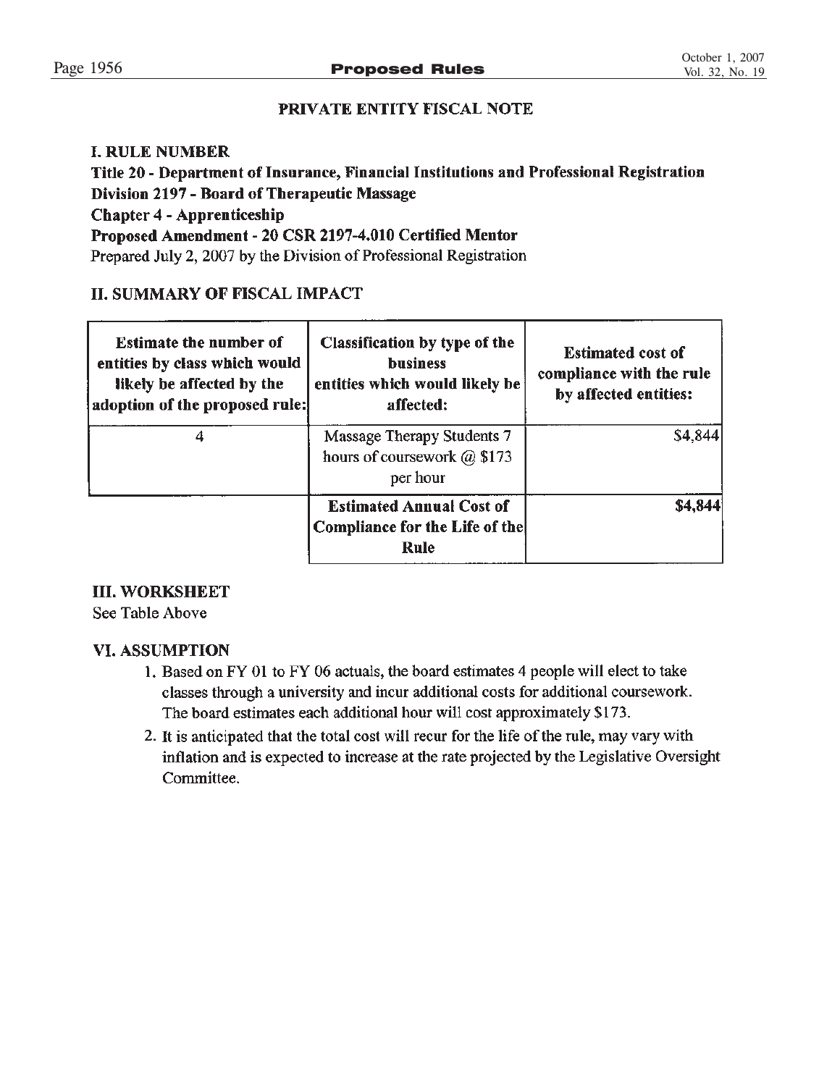# PRIVATE ENTITY FISCAL NOTE

# **I. RULE NUMBER**

Title 20 - Department of Insurance, Financial Institutions and Professional Registration Division 2197 - Board of Therapeutic Massage **Chapter 4 - Apprenticeship** Proposed Amendment - 20 CSR 2197-4.010 Certified Mentor Prepared July 2, 2007 by the Division of Professional Registration

# **II. SUMMARY OF FISCAL IMPACT**

| <b>Estimate the number of</b><br>entities by class which would<br>likely be affected by the<br>adoption of the proposed rule: | Classification by type of the<br><b>business</b><br>entities which would likely be<br>affected: | <b>Estimated cost of</b><br>compliance with the rule<br>by affected entities: |
|-------------------------------------------------------------------------------------------------------------------------------|-------------------------------------------------------------------------------------------------|-------------------------------------------------------------------------------|
|                                                                                                                               | Massage Therapy Students 7<br>hours of coursework @ \$173<br>per hour                           | \$4,844                                                                       |
|                                                                                                                               | <b>Estimated Annual Cost of</b><br>Compliance for the Life of the<br>Rule                       | \$4,844                                                                       |

# **III. WORKSHEET**

See Table Above

# **VI. ASSUMPTION**

- 1. Based on FY 01 to FY 06 actuals, the board estimates 4 people will elect to take classes through a university and incur additional costs for additional coursework. The board estimates each additional hour will cost approximately \$173.
- 2. It is anticipated that the total cost will recur for the life of the rule, may vary with inflation and is expected to increase at the rate projected by the Legislative Oversight Committee.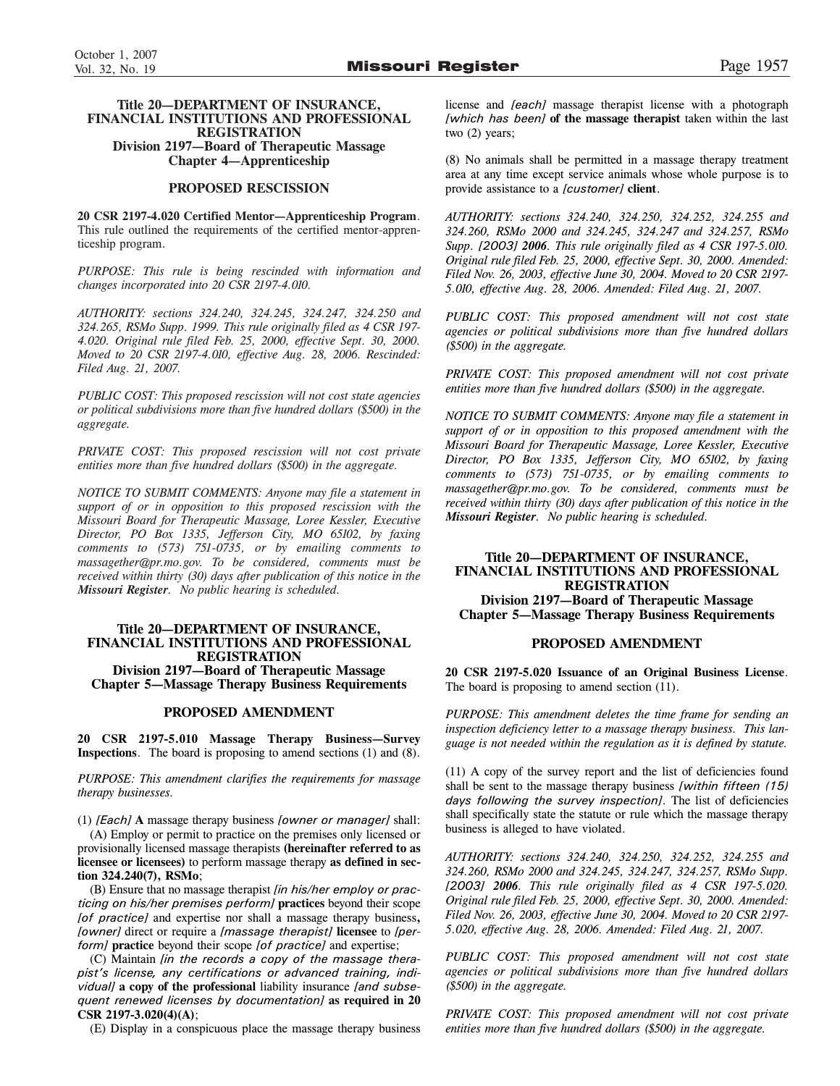### **Title 20—DEPARTMENT OF INSURANCE, FINANCIAL INSTITUTIONS AND PROFESSIONAL REGISTRATION Division 2197—Board of Therapeutic Massage Chapter 4—Apprenticeship**

### **PROPOSED RESCISSION**

**20 CSR 2197-4.020 Certified Mentor—Apprenticeship Program**. This rule outlined the requirements of the certified mentor-apprenticeship program.

*PURPOSE: This rule is being rescinded with information and changes incorporated into 20 CSR 2197-4.010.*

*AUTHORITY: sections 324.240, 324.245, 324.247, 324.250 and 324.265, RSMo Supp. 1999. This rule originally filed as 4 CSR 197- 4.020. Original rule filed Feb. 25, 2000, effective Sept. 30, 2000. Moved to 20 CSR 2197-4.010, effective Aug. 28, 2006. Rescinded: Filed Aug. 21, 2007.*

*PUBLIC COST: This proposed rescission will not cost state agencies or political subdivisions more than five hundred dollars (\$500) in the aggregate.*

*PRIVATE COST: This proposed rescission will not cost private entities more than five hundred dollars (\$500) in the aggregate.*

*NOTICE TO SUBMIT COMMENTS: Anyone may file a statement in support of or in opposition to this proposed rescission with the Missouri Board for Therapeutic Massage, Loree Kessler, Executive Director, PO Box 1335, Jefferson City, MO 65102, by faxing comments to (573) 751-0735, or by emailing comments to massagether@pr.mo.gov. To be considered, comments must be received within thirty (30) days after publication of this notice in the Missouri Register. No public hearing is scheduled.*

### **Title 20—DEPARTMENT OF INSURANCE, FINANCIAL INSTITUTIONS AND PROFESSIONAL REGISTRATION**

**Division 2197—Board of Therapeutic Massage Chapter 5—Massage Therapy Business Requirements**

### **PROPOSED AMENDMENT**

**20 CSR 2197-5.010 Massage Therapy Business—Survey Inspections**. The board is proposing to amend sections (1) and (8).

*PURPOSE: This amendment clarifies the requirements for massage therapy businesses.*

(1) *[Each]* **A** massage therapy business *[owner or manager]* shall: (A) Employ or permit to practice on the premises only licensed or provisionally licensed massage therapists **(hereinafter referred to as licensee or licensees)** to perform massage therapy **as defined in section 324.240(7), RSMo**;

(B) Ensure that no massage therapist *[in his/her employ or practicing on his/her premises perform]* **practices** beyond their scope *[of practice]* and expertise nor shall a massage therapy business**,** *[owner]* direct or require a *[massage therapist]* **licensee** to *[perform]* **practice** beyond their scope *[of practice]* and expertise;

(C) Maintain *[in the records a copy of the massage therapist's license, any certifications or advanced training, individual]* **a copy of the professional** liability insurance *[and subsequent renewed licenses by documentation]* **as required in 20 CSR 2197-3.020(4)(A)**;

(E) Display in a conspicuous place the massage therapy business

license and *[each]* massage therapist license with a photograph *[which has been]* **of the massage therapist** taken within the last two (2) years;

(8) No animals shall be permitted in a massage therapy treatment area at any time except service animals whose whole purpose is to provide assistance to a *[customer]* **client**.

*AUTHORITY: sections 324.240, 324.250, 324.252, 324.255 and 324.260, RSMo 2000 and 324.245, 324.247 and 324.257, RSMo Supp. [2003] 2006. This rule originally filed as 4 CSR 197-5.010. Original rule filed Feb. 25, 2000, effective Sept. 30, 2000. Amended: Filed Nov. 26, 2003, effective June 30, 2004. Moved to 20 CSR 2197- 5.010, effective Aug. 28, 2006. Amended: Filed Aug. 21, 2007.*

*PUBLIC COST: This proposed amendment will not cost state agencies or political subdivisions more than five hundred dollars (\$500) in the aggregate.*

*PRIVATE COST: This proposed amendment will not cost private entities more than five hundred dollars (\$500) in the aggregate.*

*NOTICE TO SUBMIT COMMENTS: Anyone may file a statement in support of or in opposition to this proposed amendment with the Missouri Board for Therapeutic Massage, Loree Kessler, Executive Director, PO Box 1335, Jefferson City, MO 65102, by faxing comments to (573) 751-0735, or by emailing comments to massagether@pr.mo.gov. To be considered, comments must be received within thirty (30) days after publication of this notice in the Missouri Register. No public hearing is scheduled.*

### **Title 20—DEPARTMENT OF INSURANCE, FINANCIAL INSTITUTIONS AND PROFESSIONAL REGISTRATION Division 2197—Board of Therapeutic Massage Chapter 5—Massage Therapy Business Requirements**

### **PROPOSED AMENDMENT**

**20 CSR 2197-5.020 Issuance of an Original Business License**. The board is proposing to amend section (11).

*PURPOSE: This amendment deletes the time frame for sending an inspection deficiency letter to a massage therapy business. This language is not needed within the regulation as it is defined by statute.*

(11) A copy of the survey report and the list of deficiencies found shall be sent to the massage therapy business *[within fifteen (15) days following the survey inspection]*. The list of deficiencies shall specifically state the statute or rule which the massage therapy business is alleged to have violated.

*AUTHORITY: sections 324.240, 324.250, 324.252, 324.255 and 324.260, RSMo 2000 and 324.245, 324.247, 324.257, RSMo Supp. [2003] 2006. This rule originally filed as 4 CSR 197-5.020. Original rule filed Feb. 25, 2000, effective Sept. 30, 2000. Amended: Filed Nov. 26, 2003, effective June 30, 2004. Moved to 20 CSR 2197- 5.020, effective Aug. 28, 2006. Amended: Filed Aug. 21, 2007.*

*PUBLIC COST: This proposed amendment will not cost state agencies or political subdivisions more than five hundred dollars (\$500) in the aggregate.*

*PRIVATE COST: This proposed amendment will not cost private entities more than five hundred dollars (\$500) in the aggregate.*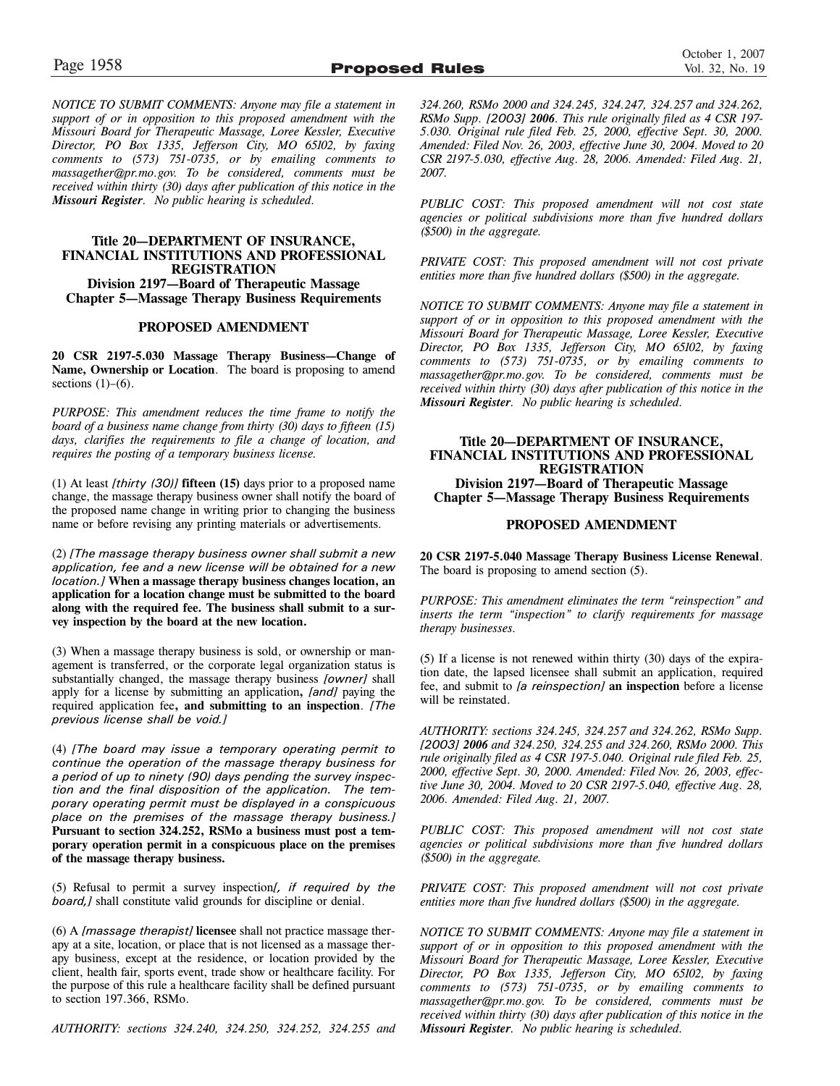*NOTICE TO SUBMIT COMMENTS: Anyone may file a statement in support of or in opposition to this proposed amendment with the Missouri Board for Therapeutic Massage, Loree Kessler, Executive Director, PO Box 1335, Jefferson City, MO 65102, by faxing comments to (573) 751-0735, or by emailing comments to massagether@pr.mo.gov. To be considered, comments must be received within thirty (30) days after publication of this notice in the Missouri Register. No public hearing is scheduled.*

### **Title 20—DEPARTMENT OF INSURANCE, FINANCIAL INSTITUTIONS AND PROFESSIONAL REGISTRATION Division 2197—Board of Therapeutic Massage Chapter 5—Massage Therapy Business Requirements**

### **PROPOSED AMENDMENT**

**20 CSR 2197-5.030 Massage Therapy Business—Change of Name, Ownership or Location**. The board is proposing to amend sections  $(1)-(6)$ .

*PURPOSE: This amendment reduces the time frame to notify the board of a business name change from thirty (30) days to fifteen (15) days, clarifies the requirements to file a change of location, and requires the posting of a temporary business license.*

(1) At least *[thirty (30)]* **fifteen (15)** days prior to a proposed name change, the massage therapy business owner shall notify the board of the proposed name change in writing prior to changing the business name or before revising any printing materials or advertisements.

(2) *[The massage therapy business owner shall submit a new application, fee and a new license will be obtained for a new location.]* **When a massage therapy business changes location, an application for a location change must be submitted to the board along with the required fee. The business shall submit to a survey inspection by the board at the new location.**

(3) When a massage therapy business is sold, or ownership or management is transferred, or the corporate legal organization status is substantially changed, the massage therapy business *[owner]* shall apply for a license by submitting an application**,** *[and]* paying the required application fee**, and submitting to an inspection**. *[The previous license shall be void.]*

(4) *[The board may issue a temporary operating permit to continue the operation of the massage therapy business for a period of up to ninety (90) days pending the survey inspection and the final disposition of the application. The temporary operating permit must be displayed in a conspicuous place on the premises of the massage therapy business.]* **Pursuant to section 324.252, RSMo a business must post a temporary operation permit in a conspicuous place on the premises of the massage therapy business.**

(5) Refusal to permit a survey inspection*[, if required by the board,]* shall constitute valid grounds for discipline or denial.

(6) A *[massage therapist]* **licensee** shall not practice massage therapy at a site, location, or place that is not licensed as a massage therapy business, except at the residence, or location provided by the client, health fair, sports event, trade show or healthcare facility. For the purpose of this rule a healthcare facility shall be defined pursuant to section 197.366, RSMo.

*AUTHORITY: sections 324.240, 324.250, 324.252, 324.255 and*

*324.260, RSMo 2000 and 324.245, 324.247, 324.257 and 324.262, RSMo Supp. [2003] 2006. This rule originally filed as 4 CSR 197- 5.030. Original rule filed Feb. 25, 2000, effective Sept. 30, 2000. Amended: Filed Nov. 26, 2003, effective June 30, 2004. Moved to 20 CSR 2197-5.030, effective Aug. 28, 2006. Amended: Filed Aug. 21, 2007.*

*PUBLIC COST: This proposed amendment will not cost state agencies or political subdivisions more than five hundred dollars (\$500) in the aggregate.*

*PRIVATE COST: This proposed amendment will not cost private entities more than five hundred dollars (\$500) in the aggregate.*

*NOTICE TO SUBMIT COMMENTS: Anyone may file a statement in support of or in opposition to this proposed amendment with the Missouri Board for Therapeutic Massage, Loree Kessler, Executive Director, PO Box 1335, Jefferson City, MO 65102, by faxing comments to (573) 751-0735, or by emailing comments to massagether@pr.mo.gov. To be considered, comments must be received within thirty (30) days after publication of this notice in the Missouri Register. No public hearing is scheduled.*

### **Title 20—DEPARTMENT OF INSURANCE, FINANCIAL INSTITUTIONS AND PROFESSIONAL REGISTRATION Division 2197—Board of Therapeutic Massage Chapter 5—Massage Therapy Business Requirements**

### **PROPOSED AMENDMENT**

**20 CSR 2197-5.040 Massage Therapy Business License Renewal**. The board is proposing to amend section (5).

*PURPOSE: This amendment eliminates the term "reinspection" and inserts the term "inspection" to clarify requirements for massage therapy businesses.*

(5) If a license is not renewed within thirty (30) days of the expiration date, the lapsed licensee shall submit an application, required fee, and submit to *[a reinspection]* **an inspection** before a license will be reinstated.

*AUTHORITY: sections 324.245, 324.257 and 324.262, RSMo Supp. [2003] 2006 and 324.250, 324.255 and 324.260, RSMo 2000. This rule originally filed as 4 CSR 197-5.040. Original rule filed Feb. 25, 2000, effective Sept. 30, 2000. Amended: Filed Nov. 26, 2003, effective June 30, 2004. Moved to 20 CSR 2197-5.040, effective Aug. 28, 2006. Amended: Filed Aug. 21, 2007.*

*PUBLIC COST: This proposed amendment will not cost state agencies or political subdivisions more than five hundred dollars (\$500) in the aggregate.*

*PRIVATE COST: This proposed amendment will not cost private entities more than five hundred dollars (\$500) in the aggregate.*

*NOTICE TO SUBMIT COMMENTS: Anyone may file a statement in support of or in opposition to this proposed amendment with the Missouri Board for Therapeutic Massage, Loree Kessler, Executive Director, PO Box 1335, Jefferson City, MO 65102, by faxing comments to (573) 751-0735, or by emailing comments to massagether@pr.mo.gov. To be considered, comments must be received within thirty (30) days after publication of this notice in the Missouri Register. No public hearing is scheduled.*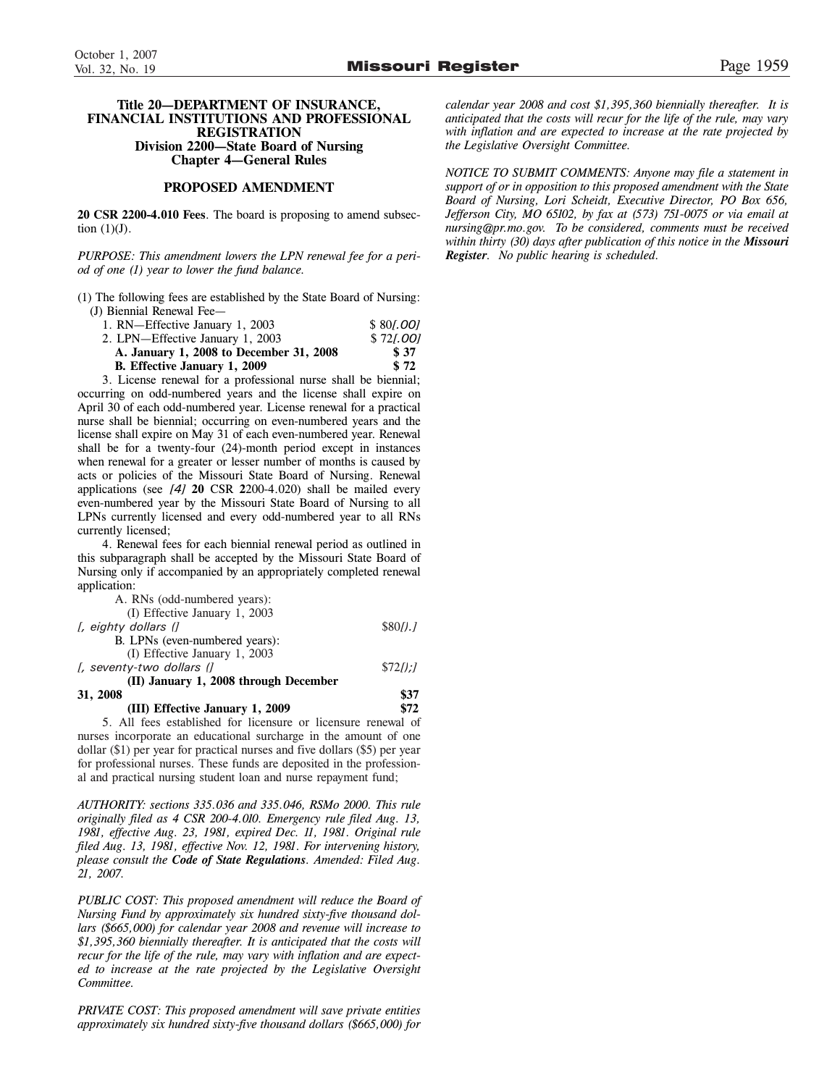### **Title 20—DEPARTMENT OF INSURANCE, FINANCIAL INSTITUTIONS AND PROFESSIONAL REGISTRATION Division 2200—State Board of Nursing Chapter 4—General Rules**

### **PROPOSED AMENDMENT**

**20 CSR 2200-4.010 Fees**. The board is proposing to amend subsection  $(1)(J)$ .

*PURPOSE: This amendment lowers the LPN renewal fee for a period of one (1) year to lower the fund balance.*

(1) The following fees are established by the State Board of Nursing: (J) Biennial Renewal Fee—

| 1. RN-Effective January 1, 2003         | \$801,001 |
|-----------------------------------------|-----------|
| 2. LPN—Effective January 1, 2003        | \$721,001 |
| A. January 1, 2008 to December 31, 2008 | \$ 37     |
| <b>B.</b> Effective January 1, 2009     | \$72      |

3. License renewal for a professional nurse shall be biennial; occurring on odd-numbered years and the license shall expire on April 30 of each odd-numbered year. License renewal for a practical nurse shall be biennial; occurring on even-numbered years and the license shall expire on May 31 of each even-numbered year. Renewal shall be for a twenty-four (24)-month period except in instances when renewal for a greater or lesser number of months is caused by acts or policies of the Missouri State Board of Nursing. Renewal applications (see *[4]* **20** CSR **2**200-4.020) shall be mailed every even-numbered year by the Missouri State Board of Nursing to all LPNs currently licensed and every odd-numbered year to all RNs currently licensed;

4. Renewal fees for each biennial renewal period as outlined in this subparagraph shall be accepted by the Missouri State Board of Nursing only if accompanied by an appropriately completed renewal application:

| A. RNs (odd-numbered years):          |            |
|---------------------------------------|------------|
| (I) Effective January 1, 2003         |            |
| [, eighty dollars (]                  | \$80/L1    |
| B. LPNs (even-numbered years):        |            |
| (I) Effective January 1, 2003         |            |
| [, seventy-two dollars (]             | $$72$ [];] |
| (II) January 1, 2008 through December |            |
| 31, 2008                              | \$37       |
| (III) Effective January 1, 2009       | \$72       |

5. All fees established for licensure or licensure renewal of nurses incorporate an educational surcharge in the amount of one dollar (\$1) per year for practical nurses and five dollars (\$5) per year for professional nurses. These funds are deposited in the professional and practical nursing student loan and nurse repayment fund;

*AUTHORITY: sections 335.036 and 335.046, RSMo 2000. This rule originally filed as 4 CSR 200-4.010. Emergency rule filed Aug. 13, 1981, effective Aug. 23, 1981, expired Dec. 11, 1981. Original rule filed Aug. 13, 1981, effective Nov. 12, 1981. For intervening history, please consult the Code of State Regulations. Amended: Filed Aug. 21, 2007.*

*PUBLIC COST: This proposed amendment will reduce the Board of Nursing Fund by approximately six hundred sixty-five thousand dollars (\$665,000) for calendar year 2008 and revenue will increase to \$1,395,360 biennially thereafter. It is anticipated that the costs will recur for the life of the rule, may vary with inflation and are expected to increase at the rate projected by the Legislative Oversight Committee.*

*PRIVATE COST: This proposed amendment will save private entities approximately six hundred sixty-five thousand dollars (\$665,000) for*

*calendar year 2008 and cost \$1,395,360 biennially thereafter. It is anticipated that the costs will recur for the life of the rule, may vary with inflation and are expected to increase at the rate projected by the Legislative Oversight Committee.*

*NOTICE TO SUBMIT COMMENTS: Anyone may file a statement in support of or in opposition to this proposed amendment with the State Board of Nursing, Lori Scheidt, Executive Director, PO Box 656, Jefferson City, MO 65102, by fax at (573) 751-0075 or via email at nursing@pr.mo.gov. To be considered, comments must be received within thirty (30) days after publication of this notice in the Missouri Register. No public hearing is scheduled.*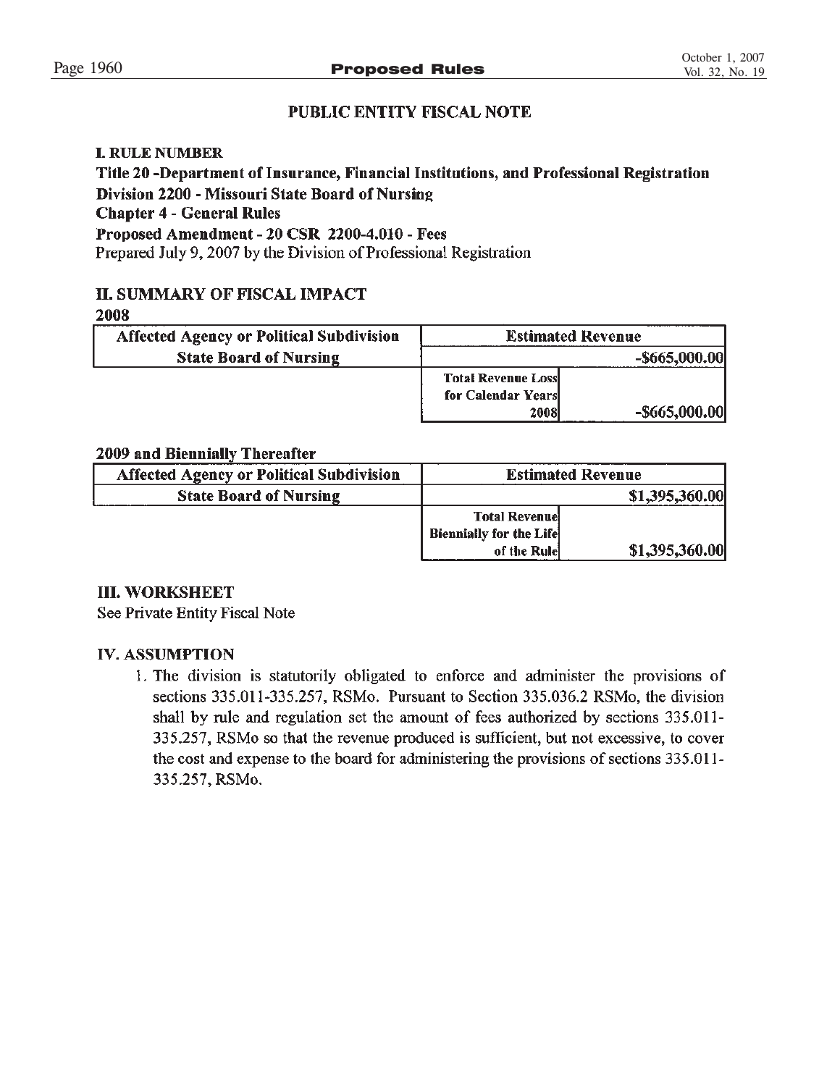# **PUBLIC ENTITY FISCAL NOTE**

# **I. RULE NUMBER**

Title 20 -Department of Insurance, Financial Institutions, and Professional Registration Division 2200 - Missouri State Board of Nursing **Chapter 4 - General Rules** Proposed Amendment - 20 CSR 2200-4.010 - Fees Prepared July 9, 2007 by the Division of Professional Registration

# **II. SUMMARY OF FISCAL IMPACT**

## 2008

| <b>Affected Agency or Political Subdivision</b> |                           | <b>Estimated Revenue</b> |
|-------------------------------------------------|---------------------------|--------------------------|
| <b>State Board of Nursing</b>                   |                           | $-$ \$665,000.00         |
|                                                 | <b>Total Revenue Loss</b> |                          |
|                                                 | for Calendar Years        |                          |
|                                                 | 2008                      | $-$ \$665,000.00         |

# 2009 and Biennially Thereafter

| <b>Affected Agency or Political Subdivision</b> |                                | <b>Estimated Revenue</b> |
|-------------------------------------------------|--------------------------------|--------------------------|
| <b>State Board of Nursing</b>                   |                                | \$1,395,360.00           |
|                                                 | <b>Total Revenuel</b>          |                          |
|                                                 | <b>Biennially for the Life</b> |                          |
|                                                 | of the Rule                    | \$1,395,360.00           |

# **III. WORKSHEET**

See Private Entity Fiscal Note

# **IV. ASSUMPTION**

1. The division is statutorily obligated to enforce and administer the provisions of sections 335.011-335.257, RSMo. Pursuant to Section 335.036.2 RSMo, the division shall by rule and regulation set the amount of fees authorized by sections 335.011-335.257, RSMo so that the revenue produced is sufficient, but not excessive, to cover the cost and expense to the board for administering the provisions of sections 335.011-335.257, RSMo.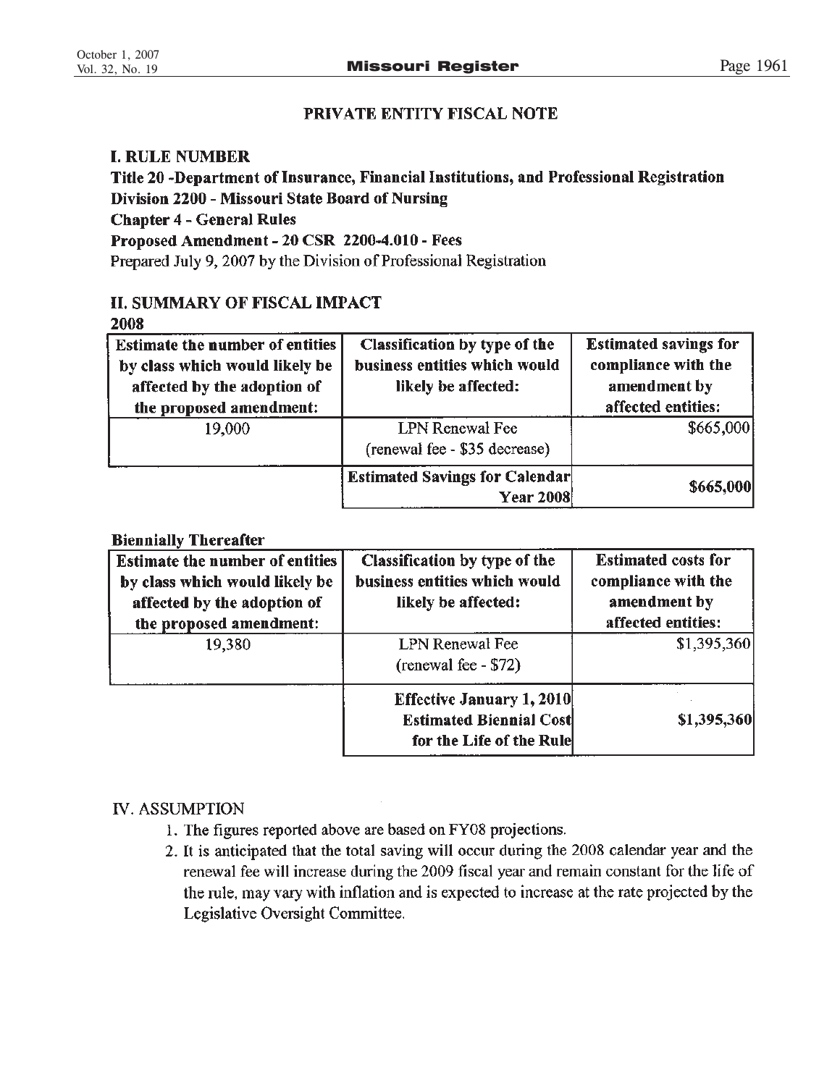# PRIVATE ENTITY FISCAL NOTE

# **I. RULE NUMBER**

Title 20 -Department of Insurance, Financial Institutions, and Professional Registration Division 2200 - Missouri State Board of Nursing **Chapter 4 - General Rules** Proposed Amendment - 20 CSR 2200-4.010 - Fees Prepared July 9, 2007 by the Division of Professional Registration

# **II. SUMMARY OF FISCAL IMPACT**

2008

| <b>Estimate the number of entities</b><br>by class which would likely be<br>affected by the adoption of<br>the proposed amendment: | Classification by type of the<br>business entities which would<br>likely be affected: | <b>Estimated savings for</b><br>compliance with the<br>amendment by<br>affected entities: |
|------------------------------------------------------------------------------------------------------------------------------------|---------------------------------------------------------------------------------------|-------------------------------------------------------------------------------------------|
| 19,000                                                                                                                             | <b>LPN</b> Renewal Fee<br>(renewal fee - \$35 decrease)                               | \$665,000                                                                                 |
|                                                                                                                                    | <b>Estimated Savings for Calendar</b><br><b>Year 2008</b>                             | \$665,000                                                                                 |

# **Biennially Thereafter**

| <b>Estimate the number of entities</b><br>by class which would likely be<br>affected by the adoption of<br>the proposed amendment: | Classification by type of the<br>business entities which would<br>likely be affected:          | <b>Estimated costs for</b><br>compliance with the<br>amendment by<br>affected entities: |
|------------------------------------------------------------------------------------------------------------------------------------|------------------------------------------------------------------------------------------------|-----------------------------------------------------------------------------------------|
| 19,380                                                                                                                             | <b>LPN</b> Renewal Fee<br>(renewal fee - \$72)                                                 | \$1,395,360                                                                             |
|                                                                                                                                    | <b>Effective January 1, 2010</b><br><b>Estimated Biennial Cost</b><br>for the Life of the Rule | \$1,395,360                                                                             |

# **IV. ASSUMPTION**

- 1. The figures reported above are based on FY08 projections.
- 2. It is anticipated that the total saving will occur during the 2008 calendar year and the renewal fee will increase during the 2009 fiscal year and remain constant for the life of the rule, may vary with inflation and is expected to increase at the rate projected by the Legislative Oversight Committee.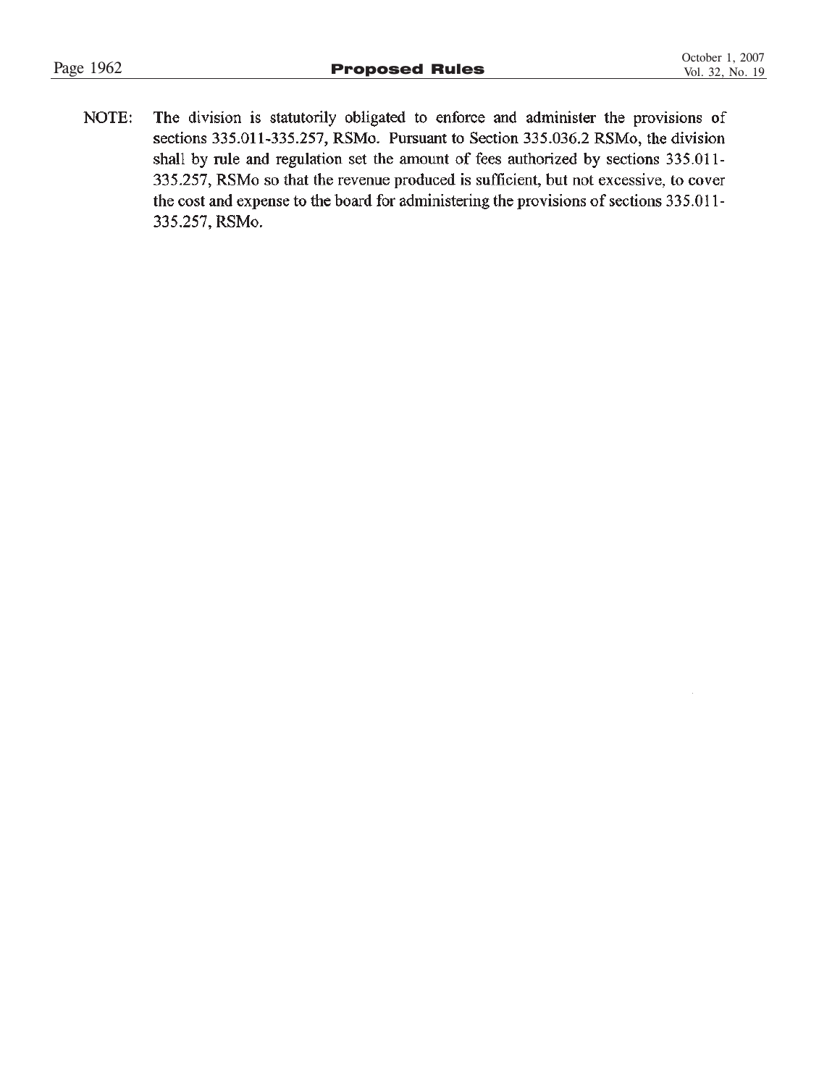NOTE: The division is statutorily obligated to enforce and administer the provisions of sections 335.011-335.257, RSMo. Pursuant to Section 335.036.2 RSMo, the division shall by rule and regulation set the amount of fees authorized by sections 335.011-335.257, RSMo so that the revenue produced is sufficient, but not excessive, to cover the cost and expense to the board for administering the provisions of sections 335.011-335.257, RSMo.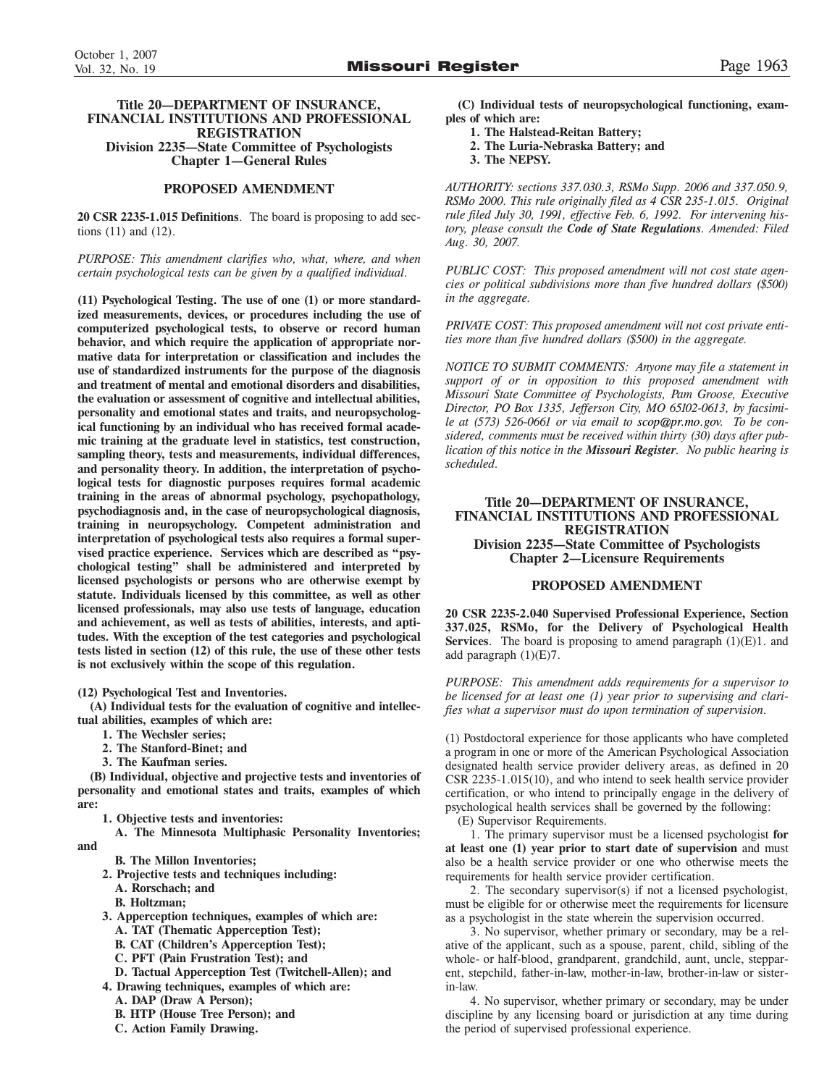### **Title 20—DEPARTMENT OF INSURANCE, FINANCIAL INSTITUTIONS AND PROFESSIONAL REGISTRATION Division 2235—State Committee of Psychologists Chapter 1—General Rules**

### **PROPOSED AMENDMENT**

**20 CSR 2235-1.015 Definitions**. The board is proposing to add sections (11) and (12).

*PURPOSE: This amendment clarifies who, what, where, and when certain psychological tests can be given by a qualified individual.*

**(11) Psychological Testing. The use of one (1) or more standardized measurements, devices, or procedures including the use of computerized psychological tests, to observe or record human behavior, and which require the application of appropriate normative data for interpretation or classification and includes the use of standardized instruments for the purpose of the diagnosis and treatment of mental and emotional disorders and disabilities, the evaluation or assessment of cognitive and intellectual abilities, personality and emotional states and traits, and neuropsychological functioning by an individual who has received formal academic training at the graduate level in statistics, test construction, sampling theory, tests and measurements, individual differences, and personality theory. In addition, the interpretation of psychological tests for diagnostic purposes requires formal academic training in the areas of abnormal psychology, psychopathology, psychodiagnosis and, in the case of neuropsychological diagnosis, training in neuropsychology. Competent administration and interpretation of psychological tests also requires a formal supervised practice experience. Services which are described as "psychological testing" shall be administered and interpreted by licensed psychologists or persons who are otherwise exempt by statute. Individuals licensed by this committee, as well as other licensed professionals, may also use tests of language, education and achievement, as well as tests of abilities, interests, and aptitudes. With the exception of the test categories and psychological tests listed in section (12) of this rule, the use of these other tests is not exclusively within the scope of this regulation.**

**(12) Psychological Test and Inventories.**

**(A) Individual tests for the evaluation of cognitive and intellectual abilities, examples of which are:**

- **1. The Wechsler series;**
- **2. The Stanford-Binet; and**
- **3. The Kaufman series.**

**(B) Individual, objective and projective tests and inventories of personality and emotional states and traits, examples of which are:**

**1. Objective tests and inventories:**

**A. The Minnesota Multiphasic Personality Inventories; and**

- **B. The Millon Inventories;**
- **2. Projective tests and techniques including:**
	- **A. Rorschach; and**
- **B. Holtzman;**
- **3. Apperception techniques, examples of which are:**
	- **A. TAT (Thematic Apperception Test);**
	- **B. CAT (Children's Apperception Test);**
	- **C. PFT (Pain Frustration Test); and**
	- **D. Tactual Apperception Test (Twitchell-Allen); and**
- **4. Drawing techniques, examples of which are:**
	- **A. DAP (Draw A Person);**
	- **B. HTP (House Tree Person); and**
	- **C. Action Family Drawing.**

**(C) Individual tests of neuropsychological functioning, examples of which are:**

- **1. The Halstead-Reitan Battery;**
- **2. The Luria-Nebraska Battery; and**
- **3. The NEPSY.**

*AUTHORITY: sections 337.030.3, RSMo Supp. 2006 and 337.050.9, RSMo 2000. This rule originally filed as 4 CSR 235-1.015. Original rule filed July 30, 1991, effective Feb. 6, 1992. For intervening history, please consult the Code of State Regulations. Amended: Filed Aug. 30, 2007.*

*PUBLIC COST: This proposed amendment will not cost state agencies or political subdivisions more than five hundred dollars (\$500) in the aggregate.*

*PRIVATE COST: This proposed amendment will not cost private entities more than five hundred dollars (\$500) in the aggregate.*

*NOTICE TO SUBMIT COMMENTS: Anyone may file a statement in support of or in opposition to this proposed amendment with Missouri State Committee of Psychologists, Pam Groose, Executive Director, PO Box 1335, Jefferson City, MO 65102-0613, by facsimile at (573) 526-0661 or via email to scop@pr.mo.gov. To be considered, comments must be received within thirty (30) days after publication of this notice in the Missouri Register. No public hearing is scheduled.* 

### **Title 20—DEPARTMENT OF INSURANCE, FINANCIAL INSTITUTIONS AND PROFESSIONAL REGISTRATION Division 2235—State Committee of Psychologists Chapter 2—Licensure Requirements**

### **PROPOSED AMENDMENT**

**20 CSR 2235-2.040 Supervised Professional Experience, Section 337.025, RSMo, for the Delivery of Psychological Health Services**. The board is proposing to amend paragraph (1)(E)1. and add paragraph (1)(E)7.

*PURPOSE: This amendment adds requirements for a supervisor to be licensed for at least one (1) year prior to supervising and clarifies what a supervisor must do upon termination of supervision.*

(1) Postdoctoral experience for those applicants who have completed a program in one or more of the American Psychological Association designated health service provider delivery areas, as defined in 20 CSR 2235-1.015(10), and who intend to seek health service provider certification, or who intend to principally engage in the delivery of psychological health services shall be governed by the following:

(E) Supervisor Requirements.

1. The primary supervisor must be a licensed psychologist **for at least one (1) year prior to start date of supervision** and must also be a health service provider or one who otherwise meets the requirements for health service provider certification.

2. The secondary supervisor(s) if not a licensed psychologist, must be eligible for or otherwise meet the requirements for licensure as a psychologist in the state wherein the supervision occurred.

3. No supervisor, whether primary or secondary, may be a relative of the applicant, such as a spouse, parent, child, sibling of the whole- or half-blood, grandparent, grandchild, aunt, uncle, stepparent, stepchild, father-in-law, mother-in-law, brother-in-law or sisterin-law.

4. No supervisor, whether primary or secondary, may be under discipline by any licensing board or jurisdiction at any time during the period of supervised professional experience.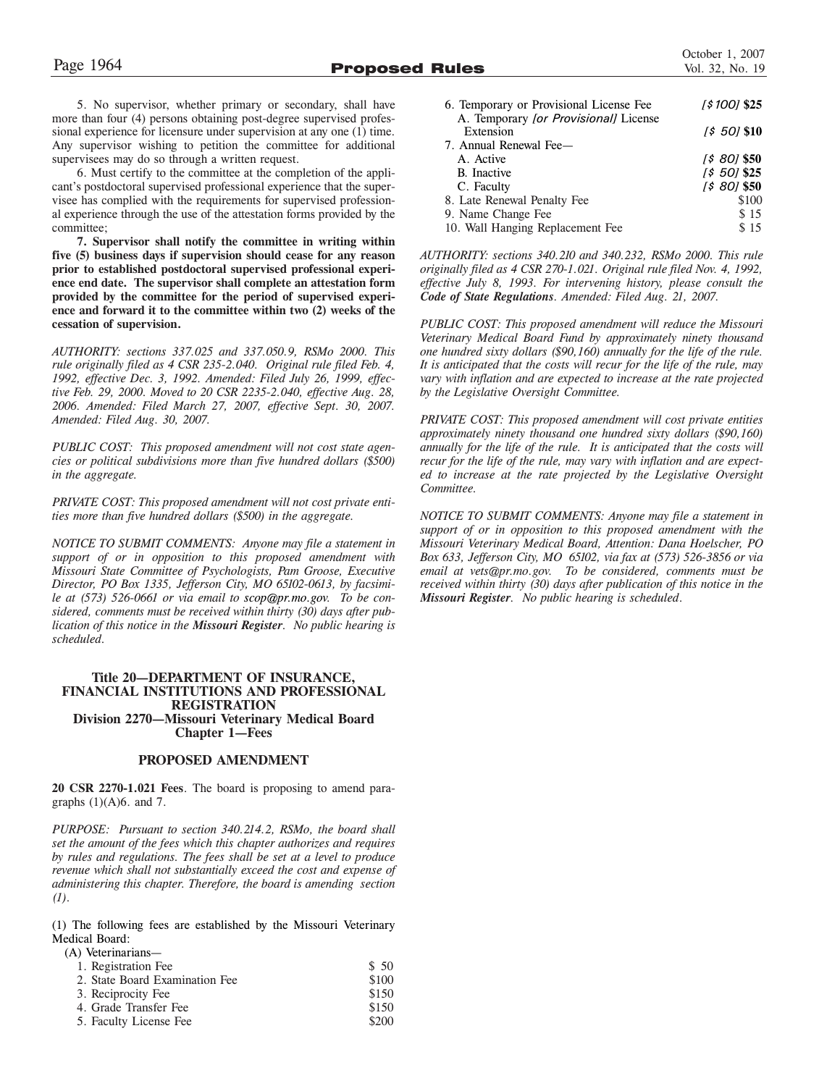5. No supervisor, whether primary or secondary, shall have more than four (4) persons obtaining post-degree supervised professional experience for licensure under supervision at any one (1) time. Any supervisor wishing to petition the committee for additional supervisees may do so through a written request.

6. Must certify to the committee at the completion of the applicant's postdoctoral supervised professional experience that the supervisee has complied with the requirements for supervised professional experience through the use of the attestation forms provided by the committee;

**7. Supervisor shall notify the committee in writing within five (5) business days if supervision should cease for any reason prior to established postdoctoral supervised professional experience end date. The supervisor shall complete an attestation form provided by the committee for the period of supervised experience and forward it to the committee within two (2) weeks of the cessation of supervision.**

*AUTHORITY: sections 337.025 and 337.050.9, RSMo 2000. This rule originally filed as 4 CSR 235-2.040. Original rule filed Feb. 4, 1992, effective Dec. 3, 1992. Amended: Filed July 26, 1999, effective Feb. 29, 2000. Moved to 20 CSR 2235-2.040, effective Aug. 28, 2006. Amended: Filed March 27, 2007, effective Sept. 30, 2007. Amended: Filed Aug. 30, 2007.*

*PUBLIC COST: This proposed amendment will not cost state agencies or political subdivisions more than five hundred dollars (\$500) in the aggregate.*

*PRIVATE COST: This proposed amendment will not cost private entities more than five hundred dollars (\$500) in the aggregate.*

*NOTICE TO SUBMIT COMMENTS: Anyone may file a statement in support of or in opposition to this proposed amendment with Missouri State Committee of Psychologists, Pam Groose, Executive Director, PO Box 1335, Jefferson City, MO 65102-0613, by facsimile at (573) 526-0661 or via email to scop@pr.mo.gov. To be considered, comments must be received within thirty (30) days after publication of this notice in the Missouri Register. No public hearing is scheduled.* 

### **Title 20—DEPARTMENT OF INSURANCE, FINANCIAL INSTITUTIONS AND PROFESSIONAL REGISTRATION Division 2270—Missouri Veterinary Medical Board Chapter 1—Fees**

### **PROPOSED AMENDMENT**

**20 CSR 2270-1.021 Fees**. The board is proposing to amend paragraphs  $(1)(A)6$ . and 7.

*PURPOSE: Pursuant to section 340.214.2, RSMo, the board shall set the amount of the fees which this chapter authorizes and requires by rules and regulations. The fees shall be set at a level to produce revenue which shall not substantially exceed the cost and expense of administering this chapter. Therefore, the board is amending section (1).*

(1) The following fees are established by the Missouri Veterinary Medical Board:

| (A) Veterinarians—             |       |
|--------------------------------|-------|
| 1. Registration Fee            | \$50  |
| 2. State Board Examination Fee | \$100 |
| 3. Reciprocity Fee             | \$150 |
| 4. Grade Transfer Fee          | \$150 |
| 5. Faculty License Fee         | \$200 |
|                                |       |

| 6. Temporary or Provisional License Fee | [\$100] \$25  |
|-----------------------------------------|---------------|
| A. Temporary [or Provisional] License   |               |
| Extension                               | 1\$ 501 \$10  |
| 7. Annual Renewal Fee-                  |               |
| A. Active                               | $[580]$ \$50  |
| <b>B.</b> Inactive                      | $[5 50]$ \$25 |
| C. Faculty                              | [\$ 80] \$50  |
| 8. Late Renewal Penalty Fee             | \$100         |
| 9. Name Change Fee                      | \$15          |
| 10. Wall Hanging Replacement Fee        | \$15          |

*AUTHORITY: sections 340.210 and 340.232, RSMo 2000. This rule originally filed as 4 CSR 270-1.021. Original rule filed Nov. 4, 1992, effective July 8, 1993. For intervening history, please consult the Code of State Regulations. Amended: Filed Aug. 21, 2007.*

*PUBLIC COST: This proposed amendment will reduce the Missouri Veterinary Medical Board Fund by approximately ninety thousand one hundred sixty dollars (\$90,160) annually for the life of the rule. It is anticipated that the costs will recur for the life of the rule, may vary with inflation and are expected to increase at the rate projected by the Legislative Oversight Committee.*

*PRIVATE COST: This proposed amendment will cost private entities approximately ninety thousand one hundred sixty dollars (\$90,160) annually for the life of the rule. It is anticipated that the costs will recur for the life of the rule, may vary with inflation and are expected to increase at the rate projected by the Legislative Oversight Committee.*

*NOTICE TO SUBMIT COMMENTS: Anyone may file a statement in support of or in opposition to this proposed amendment with the Missouri Veterinary Medical Board, Attention: Dana Hoelscher, PO Box 633, Jefferson City, MO 65102, via fax at (573) 526-3856 or via email at vets@pr.mo.gov. To be considered, comments must be received within thirty (30) days after publication of this notice in the Missouri Register. No public hearing is scheduled*.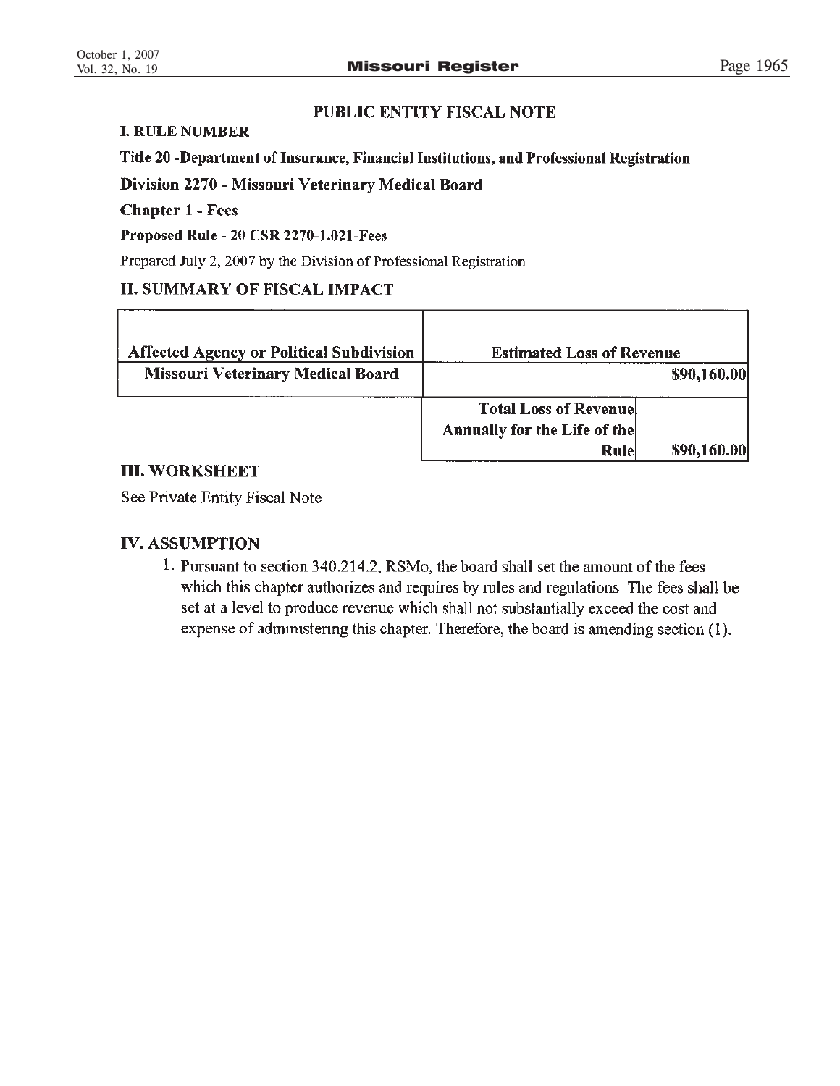# PUBLIC ENTITY FISCAL NOTE

# **I. RULE NUMBER**

# Title 20 -Department of Insurance, Financial Institutions, and Professional Registration

Division 2270 - Missouri Veterinary Medical Board

# **Chapter 1 - Fees**

Proposed Rule - 20 CSR 2270-1.021-Fees

Prepared July 2, 2007 by the Division of Professional Registration

# **II. SUMMARY OF FISCAL IMPACT**

| <b>Affected Agency or Political Subdivision</b> | <b>Estimated Loss of Revenue</b>                              |             |
|-------------------------------------------------|---------------------------------------------------------------|-------------|
| <b>Missouri Veterinary Medical Board</b>        |                                                               | \$90,160.00 |
|                                                 | <b>Total Loss of Revenuel</b><br>Annually for the Life of the |             |
|                                                 | Rule                                                          | \$90,160.00 |

# **III. WORKSHEET**

See Private Entity Fiscal Note

# **IV. ASSUMPTION**

1. Pursuant to section 340.214.2, RSMo, the board shall set the amount of the fees which this chapter authorizes and requires by rules and regulations. The fees shall be set at a level to produce revenue which shall not substantially exceed the cost and expense of administering this chapter. Therefore, the board is amending section (1).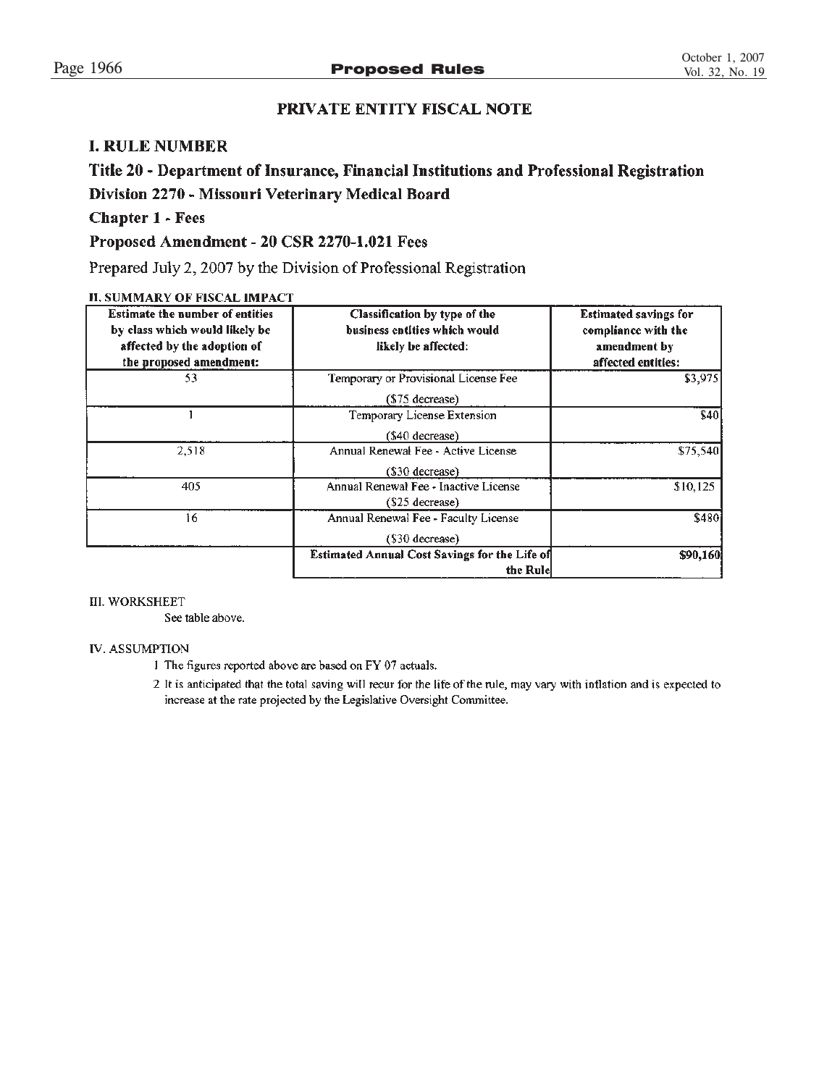# PRIVATE ENTITY FISCAL NOTE

# **I. RULE NUMBER**

# Title 20 - Department of Insurance, Financial Institutions and Professional Registration Division 2270 - Missouri Veterinary Medical Board

# **Chapter 1 - Fees**

# Proposed Amendment - 20 CSR 2270-1.021 Fees

Prepared July 2, 2007 by the Division of Professional Registration

### **II. SUMMARY OF FISCAL IMPACT**

| <b>Estimate the number of entities</b><br>by class which would likely be<br>affected by the adoption of<br>the proposed amendment: | Classification by type of the<br>business entities which would<br>likely be affected: | <b>Estimated savings for</b><br>compliance with the<br>amendment by<br>affected entities: |
|------------------------------------------------------------------------------------------------------------------------------------|---------------------------------------------------------------------------------------|-------------------------------------------------------------------------------------------|
| 53                                                                                                                                 | Temporary or Provisional License Fee<br>$($75$ decrease)                              | \$3,975                                                                                   |
|                                                                                                                                    | Temporary License Extension<br>(\$40 decrease)                                        | \$40                                                                                      |
| 2,518                                                                                                                              | Annual Renewal Fee - Active License<br>$($30$ decrease                                | \$75,540                                                                                  |
| 405                                                                                                                                | Annual Renewal Fee - Inactive License<br>$($25$ decrease)                             | \$10,125                                                                                  |
| 16                                                                                                                                 | Annual Renewal Fee - Faculty License<br>(\$30 decrease)                               | \$480                                                                                     |
|                                                                                                                                    | <b>Estimated Annual Cost Savings for the Life of</b><br>the Rule                      | \$90,160                                                                                  |

### **III. WORKSHEET**

See table above.

### **IV. ASSUMPTION**

- 1 The figures reported above are based on FY 07 actuals.
- 2 It is anticipated that the total saving will recur for the life of the rule, may vary with inflation and is expected to increase at the rate projected by the Legislative Oversight Committee.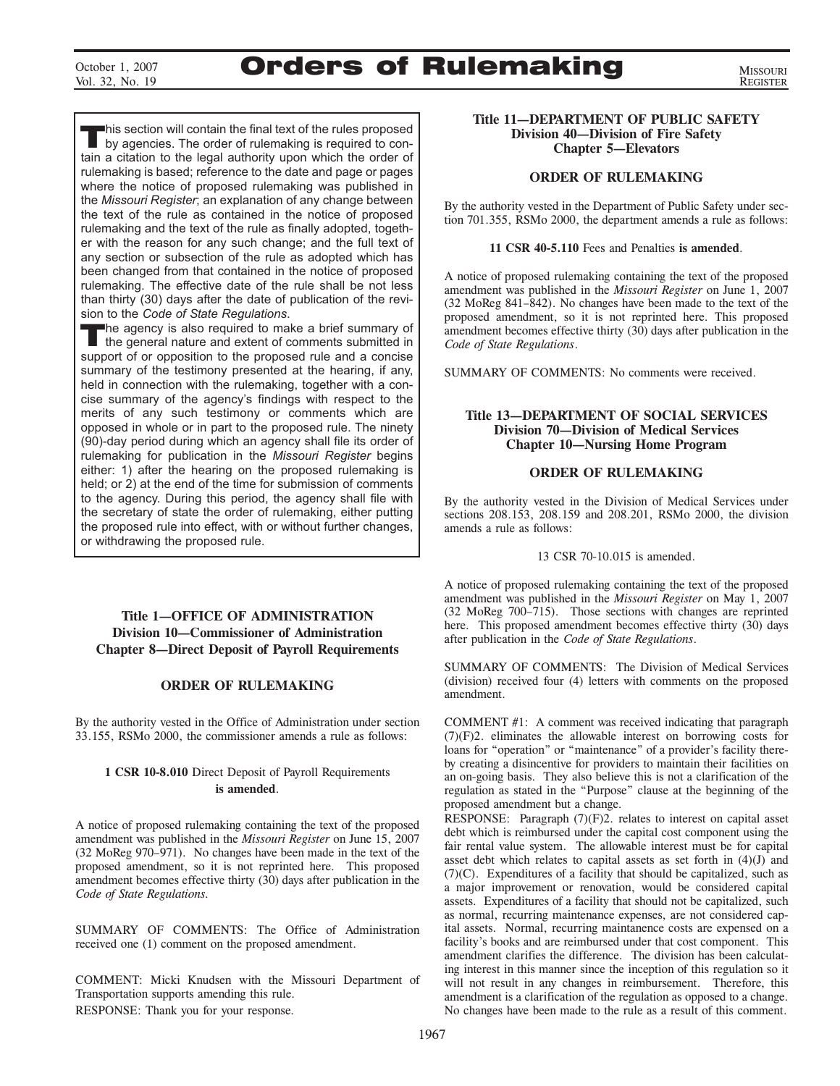# October 1, 2007 **Orders of Rulemaking**

MISSOURI REGISTER

This section will contain the final text of the rules proposed<br>by agencies. The order of rulemaking is required to contain a citation to the legal authority upon which the order of rulemaking is based; reference to the date and page or pages where the notice of proposed rulemaking was published in the *Missouri Register*; an explanation of any change between the text of the rule as contained in the notice of proposed rulemaking and the text of the rule as finally adopted, together with the reason for any such change; and the full text of any section or subsection of the rule as adopted which has been changed from that contained in the notice of proposed rulemaking. The effective date of the rule shall be not less than thirty (30) days after the date of publication of the revision to the *Code of State Regulations*.

The agency is also required to make a brief summary of the general nature and extent of comments submitted in support of or opposition to the proposed rule and a concise summary of the testimony presented at the hearing, if any, held in connection with the rulemaking, together with a concise summary of the agency's findings with respect to the merits of any such testimony or comments which are opposed in whole or in part to the proposed rule. The ninety (90)-day period during which an agency shall file its order of rulemaking for publication in the *Missouri Register* begins either: 1) after the hearing on the proposed rulemaking is held; or 2) at the end of the time for submission of comments to the agency. During this period, the agency shall file with the secretary of state the order of rulemaking, either putting the proposed rule into effect, with or without further changes, or withdrawing the proposed rule.

### **Title 1—OFFICE OF ADMINISTRATION Division 10—Commissioner of Administration Chapter 8—Direct Deposit of Payroll Requirements**

### **ORDER OF RULEMAKING**

By the authority vested in the Office of Administration under section 33.155, RSMo 2000, the commissioner amends a rule as follows:

### **1 CSR 10-8.010** Direct Deposit of Payroll Requirements **is amended**.

A notice of proposed rulemaking containing the text of the proposed amendment was published in the *Missouri Register* on June 15, 2007 (32 MoReg 970–971). No changes have been made in the text of the proposed amendment, so it is not reprinted here. This proposed amendment becomes effective thirty (30) days after publication in the *Code of State Regulations.*

SUMMARY OF COMMENTS: The Office of Administration received one (1) comment on the proposed amendment.

COMMENT: Micki Knudsen with the Missouri Department of Transportation supports amending this rule. RESPONSE: Thank you for your response.

### **Title 11—DEPARTMENT OF PUBLIC SAFETY Division 40—Division of Fire Safety Chapter 5—Elevators**

### **ORDER OF RULEMAKING**

By the authority vested in the Department of Public Safety under section 701.355, RSMo 2000, the department amends a rule as follows:

### **11 CSR 40-5.110** Fees and Penalties **is amended**.

A notice of proposed rulemaking containing the text of the proposed amendment was published in the *Missouri Register* on June 1, 2007 (32 MoReg 841–842). No changes have been made to the text of the proposed amendment, so it is not reprinted here. This proposed amendment becomes effective thirty (30) days after publication in the *Code of State Regulations*.

SUMMARY OF COMMENTS: No comments were received.

### **Title 13—DEPARTMENT OF SOCIAL SERVICES Division 70—Division of Medical Services Chapter 10—Nursing Home Program**

### **ORDER OF RULEMAKING**

By the authority vested in the Division of Medical Services under sections 208.153, 208.159 and 208.201, RSMo 2000, the division amends a rule as follows:

13 CSR 70-10.015 is amended.

A notice of proposed rulemaking containing the text of the proposed amendment was published in the *Missouri Register* on May 1, 2007 (32 MoReg 700–715). Those sections with changes are reprinted here. This proposed amendment becomes effective thirty (30) days after publication in the *Code of State Regulations*.

SUMMARY OF COMMENTS: The Division of Medical Services (division) received four (4) letters with comments on the proposed amendment.

COMMENT #1: A comment was received indicating that paragraph (7)(F)2. eliminates the allowable interest on borrowing costs for loans for "operation" or "maintenance" of a provider's facility thereby creating a disincentive for providers to maintain their facilities on an on-going basis. They also believe this is not a clarification of the regulation as stated in the "Purpose" clause at the beginning of the proposed amendment but a change.

RESPONSE: Paragraph (7)(F)2. relates to interest on capital asset debt which is reimbursed under the capital cost component using the fair rental value system. The allowable interest must be for capital asset debt which relates to capital assets as set forth in (4)(J) and (7)(C). Expenditures of a facility that should be capitalized, such as a major improvement or renovation, would be considered capital assets. Expenditures of a facility that should not be capitalized, such as normal, recurring maintenance expenses, are not considered capital assets. Normal, recurring maintanence costs are expensed on a facility's books and are reimbursed under that cost component. This amendment clarifies the difference. The division has been calculating interest in this manner since the inception of this regulation so it will not result in any changes in reimbursement. Therefore, this amendment is a clarification of the regulation as opposed to a change. No changes have been made to the rule as a result of this comment.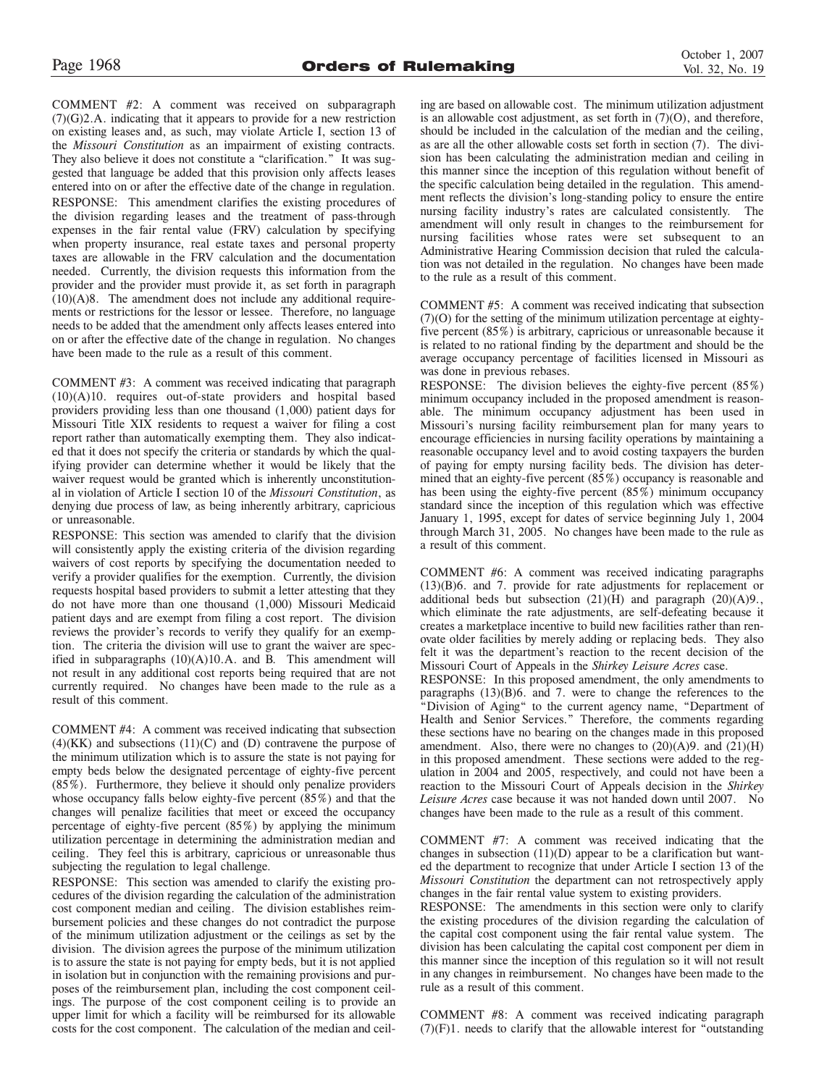COMMENT #2: A comment was received on subparagraph (7)(G)2.A. indicating that it appears to provide for a new restriction on existing leases and, as such, may violate Article I, section 13 of the *Missouri Constitution* as an impairment of existing contracts. They also believe it does not constitute a "clarification." It was suggested that language be added that this provision only affects leases entered into on or after the effective date of the change in regulation. RESPONSE: This amendment clarifies the existing procedures of the division regarding leases and the treatment of pass-through expenses in the fair rental value (FRV) calculation by specifying when property insurance, real estate taxes and personal property taxes are allowable in the FRV calculation and the documentation needed. Currently, the division requests this information from the provider and the provider must provide it, as set forth in paragraph (10)(A)8. The amendment does not include any additional requirements or restrictions for the lessor or lessee. Therefore, no language needs to be added that the amendment only affects leases entered into on or after the effective date of the change in regulation. No changes have been made to the rule as a result of this comment.

COMMENT #3: A comment was received indicating that paragraph (10)(A)10. requires out-of-state providers and hospital based providers providing less than one thousand (1,000) patient days for Missouri Title XIX residents to request a waiver for filing a cost report rather than automatically exempting them. They also indicated that it does not specify the criteria or standards by which the qualifying provider can determine whether it would be likely that the waiver request would be granted which is inherently unconstitutional in violation of Article I section 10 of the *Missouri Constitution*, as denying due process of law, as being inherently arbitrary, capricious or unreasonable.

RESPONSE: This section was amended to clarify that the division will consistently apply the existing criteria of the division regarding waivers of cost reports by specifying the documentation needed to verify a provider qualifies for the exemption. Currently, the division requests hospital based providers to submit a letter attesting that they do not have more than one thousand (1,000) Missouri Medicaid patient days and are exempt from filing a cost report. The division reviews the provider's records to verify they qualify for an exemption. The criteria the division will use to grant the waiver are specified in subparagraphs (10)(A)10.A. and B. This amendment will not result in any additional cost reports being required that are not currently required. No changes have been made to the rule as a result of this comment.

COMMENT #4: A comment was received indicating that subsection  $(4)(KK)$  and subsections  $(11)(C)$  and  $(D)$  contravene the purpose of the minimum utilization which is to assure the state is not paying for empty beds below the designated percentage of eighty-five percent (85%). Furthermore, they believe it should only penalize providers whose occupancy falls below eighty-five percent (85%) and that the changes will penalize facilities that meet or exceed the occupancy percentage of eighty-five percent (85%) by applying the minimum utilization percentage in determining the administration median and ceiling. They feel this is arbitrary, capricious or unreasonable thus subjecting the regulation to legal challenge.

RESPONSE: This section was amended to clarify the existing procedures of the division regarding the calculation of the administration cost component median and ceiling. The division establishes reimbursement policies and these changes do not contradict the purpose of the minimum utilization adjustment or the ceilings as set by the division. The division agrees the purpose of the minimum utilization is to assure the state is not paying for empty beds, but it is not applied in isolation but in conjunction with the remaining provisions and purposes of the reimbursement plan, including the cost component ceilings. The purpose of the cost component ceiling is to provide an upper limit for which a facility will be reimbursed for its allowable costs for the cost component. The calculation of the median and ceiling are based on allowable cost. The minimum utilization adjustment is an allowable cost adjustment, as set forth in (7)(O), and therefore, should be included in the calculation of the median and the ceiling, as are all the other allowable costs set forth in section (7). The division has been calculating the administration median and ceiling in this manner since the inception of this regulation without benefit of the specific calculation being detailed in the regulation. This amendment reflects the division's long-standing policy to ensure the entire nursing facility industry's rates are calculated consistently. The amendment will only result in changes to the reimbursement for nursing facilities whose rates were set subsequent to an Administrative Hearing Commission decision that ruled the calculation was not detailed in the regulation. No changes have been made to the rule as a result of this comment.

COMMENT #5: A comment was received indicating that subsection (7)(O) for the setting of the minimum utilization percentage at eightyfive percent (85%) is arbitrary, capricious or unreasonable because it is related to no rational finding by the department and should be the average occupancy percentage of facilities licensed in Missouri as was done in previous rebases.

RESPONSE: The division believes the eighty-five percent (85%) minimum occupancy included in the proposed amendment is reasonable. The minimum occupancy adjustment has been used in Missouri's nursing facility reimbursement plan for many years to encourage efficiencies in nursing facility operations by maintaining a reasonable occupancy level and to avoid costing taxpayers the burden of paying for empty nursing facility beds. The division has determined that an eighty-five percent (85%) occupancy is reasonable and has been using the eighty-five percent (85%) minimum occupancy standard since the inception of this regulation which was effective January 1, 1995, except for dates of service beginning July 1, 2004 through March 31, 2005. No changes have been made to the rule as a result of this comment.

COMMENT #6: A comment was received indicating paragraphs (13)(B)6. and 7. provide for rate adjustments for replacement or additional beds but subsection  $(21)(H)$  and paragraph  $(20)(A)9$ . which eliminate the rate adjustments, are self-defeating because it creates a marketplace incentive to build new facilities rather than renovate older facilities by merely adding or replacing beds. They also felt it was the department's reaction to the recent decision of the Missouri Court of Appeals in the *Shirkey Leisure Acres* case.

RESPONSE: In this proposed amendment, the only amendments to paragraphs (13)(B)6. and 7. were to change the references to the "Division of Aging" to the current agency name, "Department of Health and Senior Services." Therefore, the comments regarding these sections have no bearing on the changes made in this proposed amendment. Also, there were no changes to  $(20)(A)9$ . and  $(21)(H)$ in this proposed amendment. These sections were added to the regulation in 2004 and 2005, respectively, and could not have been a reaction to the Missouri Court of Appeals decision in the *Shirkey Leisure Acres* case because it was not handed down until 2007. No changes have been made to the rule as a result of this comment.

COMMENT #7: A comment was received indicating that the changes in subsection (11)(D) appear to be a clarification but wanted the department to recognize that under Article I section 13 of the *Missouri Constitution* the department can not retrospectively apply changes in the fair rental value system to existing providers.

RESPONSE: The amendments in this section were only to clarify the existing procedures of the division regarding the calculation of the capital cost component using the fair rental value system. The division has been calculating the capital cost component per diem in this manner since the inception of this regulation so it will not result in any changes in reimbursement. No changes have been made to the rule as a result of this comment.

COMMENT #8: A comment was received indicating paragraph (7)(F)1. needs to clarify that the allowable interest for "outstanding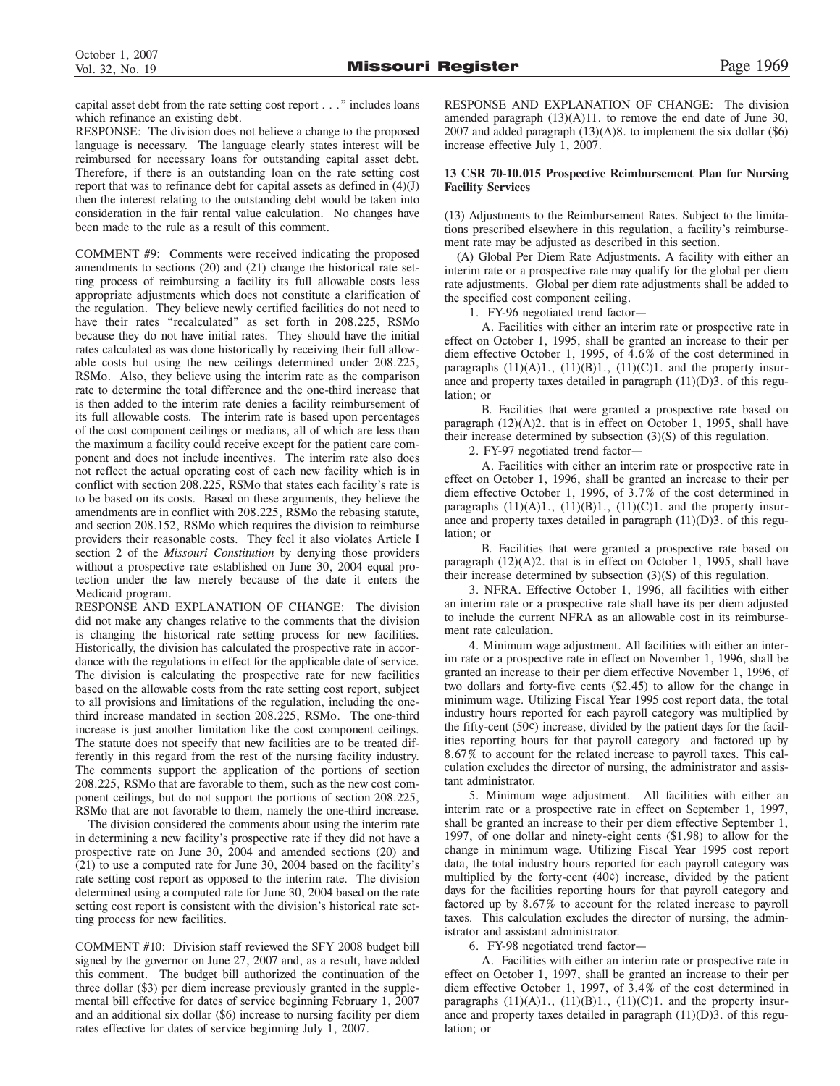capital asset debt from the rate setting cost report . . ." includes loans which refinance an existing debt.

RESPONSE: The division does not believe a change to the proposed language is necessary. The language clearly states interest will be reimbursed for necessary loans for outstanding capital asset debt. Therefore, if there is an outstanding loan on the rate setting cost report that was to refinance debt for capital assets as defined in (4)(J) then the interest relating to the outstanding debt would be taken into consideration in the fair rental value calculation. No changes have been made to the rule as a result of this comment.

COMMENT #9: Comments were received indicating the proposed amendments to sections (20) and (21) change the historical rate setting process of reimbursing a facility its full allowable costs less appropriate adjustments which does not constitute a clarification of the regulation. They believe newly certified facilities do not need to have their rates "recalculated" as set forth in 208.225, RSMo because they do not have initial rates. They should have the initial rates calculated as was done historically by receiving their full allowable costs but using the new ceilings determined under 208.225, RSMo. Also, they believe using the interim rate as the comparison rate to determine the total difference and the one-third increase that is then added to the interim rate denies a facility reimbursement of its full allowable costs. The interim rate is based upon percentages of the cost component ceilings or medians, all of which are less than the maximum a facility could receive except for the patient care component and does not include incentives. The interim rate also does not reflect the actual operating cost of each new facility which is in conflict with section 208.225, RSMo that states each facility's rate is to be based on its costs. Based on these arguments, they believe the amendments are in conflict with 208.225, RSMo the rebasing statute, and section 208.152, RSMo which requires the division to reimburse providers their reasonable costs. They feel it also violates Article I section 2 of the *Missouri Constitution* by denying those providers without a prospective rate established on June 30, 2004 equal protection under the law merely because of the date it enters the Medicaid program.

RESPONSE AND EXPLANATION OF CHANGE: The division did not make any changes relative to the comments that the division is changing the historical rate setting process for new facilities. Historically, the division has calculated the prospective rate in accordance with the regulations in effect for the applicable date of service. The division is calculating the prospective rate for new facilities based on the allowable costs from the rate setting cost report, subject to all provisions and limitations of the regulation, including the onethird increase mandated in section 208.225, RSMo. The one-third increase is just another limitation like the cost component ceilings. The statute does not specify that new facilities are to be treated differently in this regard from the rest of the nursing facility industry. The comments support the application of the portions of section 208.225, RSMo that are favorable to them, such as the new cost component ceilings, but do not support the portions of section 208.225, RSMo that are not favorable to them, namely the one-third increase.

The division considered the comments about using the interim rate in determining a new facility's prospective rate if they did not have a prospective rate on June 30, 2004 and amended sections (20) and (21) to use a computed rate for June 30, 2004 based on the facility's rate setting cost report as opposed to the interim rate. The division determined using a computed rate for June 30, 2004 based on the rate setting cost report is consistent with the division's historical rate setting process for new facilities.

COMMENT #10: Division staff reviewed the SFY 2008 budget bill signed by the governor on June 27, 2007 and, as a result, have added this comment. The budget bill authorized the continuation of the three dollar (\$3) per diem increase previously granted in the supplemental bill effective for dates of service beginning February 1, 2007 and an additional six dollar (\$6) increase to nursing facility per diem rates effective for dates of service beginning July 1, 2007.

RESPONSE AND EXPLANATION OF CHANGE: The division amended paragraph  $(13)(A)11$ . to remove the end date of June 30, 2007 and added paragraph  $(13)(A)8$ . to implement the six dollar  $(\$6)$ increase effective July 1, 2007.

### 13 CSR 70-10.015 Prospective Reimbursement Plan for Nursing **Facility Services**

(13) Adjustments to the Reimbursement Rates. Subject to the limitations prescribed elsewhere in this regulation, a facility's reimbursement rate may be adjusted as described in this section.

(A) Global Per Diem Rate Adjustments. A facility with either an interim rate or a prospective rate may qualify for the global per diem rate adjustments. Global per diem rate adjustments shall be added to the specified cost component ceiling.

1. FY-96 negotiated trend factor—

A. Facilities with either an interim rate or prospective rate in effect on October 1, 1995, shall be granted an increase to their per diem effective October 1, 1995, of 4.6% of the cost determined in paragraphs  $(11)(A)1$ .,  $(11)(B)1$ .,  $(11)(C)1$ . and the property insurance and property taxes detailed in paragraph  $(11)(D)3$ . of this regulation; or

B. Facilities that were granted a prospective rate based on paragraph (12)(A)2. that is in effect on October 1, 1995, shall have their increase determined by subsection (3)(S) of this regulation.

2. FY-97 negotiated trend factor—

A. Facilities with either an interim rate or prospective rate in effect on October 1, 1996, shall be granted an increase to their per diem effective October 1, 1996, of 3.7% of the cost determined in paragraphs  $(11)(A)1$ .,  $(11)(B)1$ .,  $(11)(C)1$ . and the property insurance and property taxes detailed in paragraph  $(11)(D)3$ . of this regulation; or

B. Facilities that were granted a prospective rate based on paragraph (12)(A)2. that is in effect on October 1, 1995, shall have their increase determined by subsection (3)(S) of this regulation.

3. NFRA. Effective October 1, 1996, all facilities with either an interim rate or a prospective rate shall have its per diem adjusted to include the current NFRA as an allowable cost in its reimbursement rate calculation.

4. Minimum wage adjustment. All facilities with either an interim rate or a prospective rate in effect on November 1, 1996, shall be granted an increase to their per diem effective November 1, 1996, of two dollars and forty-five cents (\$2.45) to allow for the change in minimum wage. Utilizing Fiscal Year 1995 cost report data, the total industry hours reported for each payroll category was multiplied by the fifty-cent (50¢) increase, divided by the patient days for the facilities reporting hours for that payroll category and factored up by 8.67% to account for the related increase to payroll taxes. This calculation excludes the director of nursing, the administrator and assistant administrator.

5. Minimum wage adjustment. All facilities with either an interim rate or a prospective rate in effect on September 1, 1997, shall be granted an increase to their per diem effective September 1, 1997, of one dollar and ninety-eight cents (\$1.98) to allow for the change in minimum wage. Utilizing Fiscal Year 1995 cost report data, the total industry hours reported for each payroll category was multiplied by the forty-cent (40¢) increase, divided by the patient days for the facilities reporting hours for that payroll category and factored up by 8.67% to account for the related increase to payroll taxes. This calculation excludes the director of nursing, the administrator and assistant administrator.

6. FY-98 negotiated trend factor—

A. Facilities with either an interim rate or prospective rate in effect on October 1, 1997, shall be granted an increase to their per diem effective October 1, 1997, of 3.4% of the cost determined in paragraphs  $(11)(A)1$ .,  $(11)(B)1$ .,  $(11)(C)1$ . and the property insurance and property taxes detailed in paragraph  $(11)(D)3$ . of this regulation; or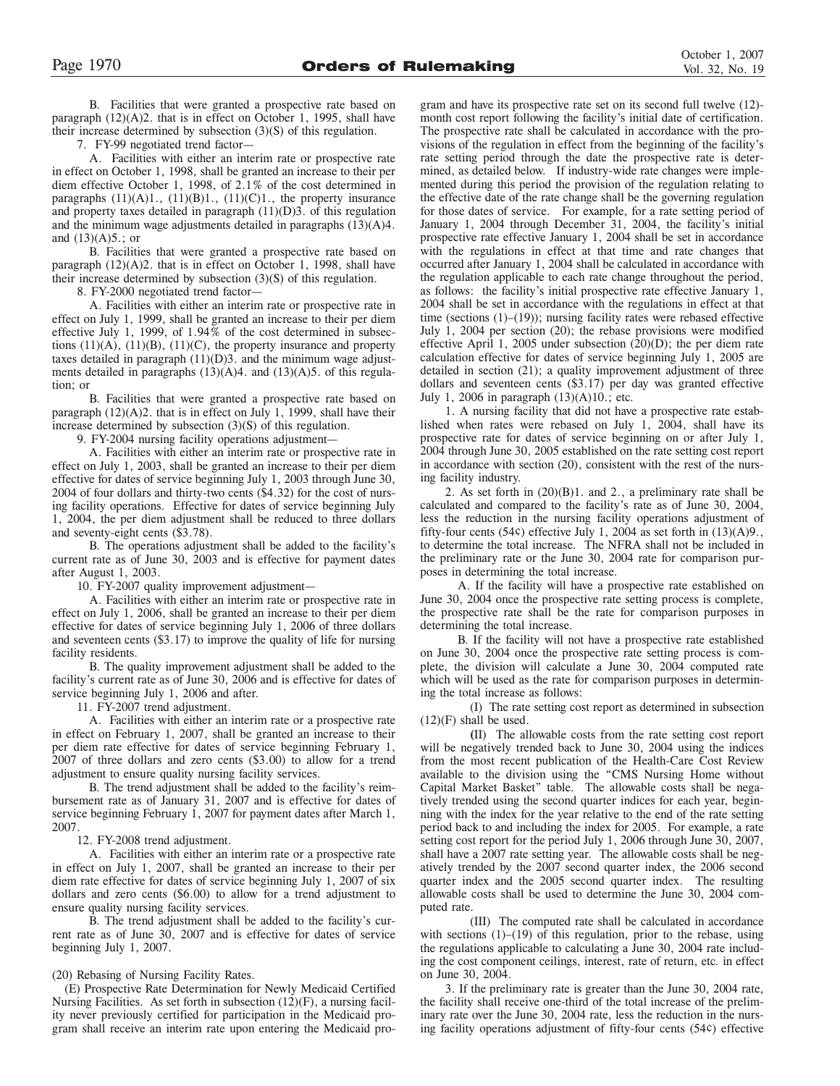B. Facilities that were granted a prospective rate based on paragraph (12)(A)2. that is in effect on October 1, 1995, shall have their increase determined by subsection (3)(S) of this regulation.

7. FY-99 negotiated trend factor—

A. Facilities with either an interim rate or prospective rate in effect on October 1, 1998, shall be granted an increase to their per diem effective October 1, 1998, of 2.1% of the cost determined in paragraphs  $(11)(A)1$ .,  $(11)(B)1$ .,  $(11)(C)1$ ., the property insurance and property taxes detailed in paragraph  $(11)(D)3$ . of this regulation and the minimum wage adjustments detailed in paragraphs (13)(A)4. and  $(13)(A)5$ .; or

B. Facilities that were granted a prospective rate based on paragraph (12)(A)2. that is in effect on October 1, 1998, shall have their increase determined by subsection (3)(S) of this regulation.

8. FY-2000 negotiated trend factor—

A. Facilities with either an interim rate or prospective rate in effect on July 1, 1999, shall be granted an increase to their per diem effective July 1, 1999, of 1.94% of the cost determined in subsections  $(11)(A)$ ,  $(11)(B)$ ,  $(11)(C)$ , the property insurance and property taxes detailed in paragraph (11)(D)3. and the minimum wage adjustments detailed in paragraphs  $(13)(A)4$ . and  $(13)(A)5$ . of this regulation; or

B. Facilities that were granted a prospective rate based on paragraph  $(12)(A)2$ . that is in effect on July 1, 1999, shall have their increase determined by subsection (3)(S) of this regulation.

9. FY-2004 nursing facility operations adjustment—

A. Facilities with either an interim rate or prospective rate in effect on July 1, 2003, shall be granted an increase to their per diem effective for dates of service beginning July 1, 2003 through June 30, 2004 of four dollars and thirty-two cents (\$4.32) for the cost of nursing facility operations. Effective for dates of service beginning July 1, 2004, the per diem adjustment shall be reduced to three dollars and seventy-eight cents (\$3.78).

B. The operations adjustment shall be added to the facility's current rate as of June 30, 2003 and is effective for payment dates after August 1, 2003.

10. FY-2007 quality improvement adjustment—

A. Facilities with either an interim rate or prospective rate in effect on July 1, 2006, shall be granted an increase to their per diem effective for dates of service beginning July 1, 2006 of three dollars and seventeen cents (\$3.17) to improve the quality of life for nursing facility residents.

B. The quality improvement adjustment shall be added to the facility's current rate as of June 30, 2006 and is effective for dates of service beginning July 1, 2006 and after.

11. FY-2007 trend adjustment.

A. Facilities with either an interim rate or a prospective rate in effect on February 1, 2007, shall be granted an increase to their per diem rate effective for dates of service beginning February 1, 2007 of three dollars and zero cents (\$3.00) to allow for a trend adjustment to ensure quality nursing facility services.

B. The trend adjustment shall be added to the facility's reimbursement rate as of January 31, 2007 and is effective for dates of service beginning February 1, 2007 for payment dates after March 1, 2007.

12. FY-2008 trend adjustment.

A. Facilities with either an interim rate or a prospective rate in effect on July 1, 2007, shall be granted an increase to their per diem rate effective for dates of service beginning July 1, 2007 of six dollars and zero cents (\$6.00) to allow for a trend adjustment to ensure quality nursing facility services.

B. The trend adjustment shall be added to the facility's current rate as of June 30, 2007 and is effective for dates of service beginning July 1, 2007.

(20) Rebasing of Nursing Facility Rates.

(E) Prospective Rate Determination for Newly Medicaid Certified Nursing Facilities. As set forth in subsection (12)(F), a nursing facility never previously certified for participation in the Medicaid program shall receive an interim rate upon entering the Medicaid program and have its prospective rate set on its second full twelve (12) month cost report following the facility's initial date of certification. The prospective rate shall be calculated in accordance with the provisions of the regulation in effect from the beginning of the facility's rate setting period through the date the prospective rate is determined, as detailed below. If industry-wide rate changes were implemented during this period the provision of the regulation relating to the effective date of the rate change shall be the governing regulation for those dates of service. For example, for a rate setting period of January 1, 2004 through December 31, 2004, the facility's initial prospective rate effective January 1, 2004 shall be set in accordance with the regulations in effect at that time and rate changes that occurred after January 1, 2004 shall be calculated in accordance with the regulation applicable to each rate change throughout the period, as follows: the facility's initial prospective rate effective January 1, 2004 shall be set in accordance with the regulations in effect at that time (sections (1)–(19)); nursing facility rates were rebased effective July 1, 2004 per section (20); the rebase provisions were modified effective April 1, 2005 under subsection  $(20)(D)$ ; the per diem rate calculation effective for dates of service beginning July 1, 2005 are detailed in section (21); a quality improvement adjustment of three dollars and seventeen cents (\$3.17) per day was granted effective July 1, 2006 in paragraph (13)(A)10.; etc.

1. A nursing facility that did not have a prospective rate established when rates were rebased on July 1, 2004, shall have its prospective rate for dates of service beginning on or after July 1, 2004 through June 30, 2005 established on the rate setting cost report in accordance with section (20), consistent with the rest of the nursing facility industry.

2. As set forth in (20)(B)1. and 2., a preliminary rate shall be calculated and compared to the facility's rate as of June 30, 2004, less the reduction in the nursing facility operations adjustment of fifty-four cents (54 $\varsigma$ ) effective July 1, 2004 as set forth in (13)(A)9., to determine the total increase. The NFRA shall not be included in the preliminary rate or the June 30, 2004 rate for comparison purposes in determining the total increase.

A. If the facility will have a prospective rate established on June 30, 2004 once the prospective rate setting process is complete, the prospective rate shall be the rate for comparison purposes in determining the total increase.

B. If the facility will not have a prospective rate established on June 30, 2004 once the prospective rate setting process is complete, the division will calculate a June 30, 2004 computed rate which will be used as the rate for comparison purposes in determining the total increase as follows:

(I) The rate setting cost report as determined in subsection  $(12)(F)$  shall be used.

**(**II) The allowable costs from the rate setting cost report will be negatively trended back to June 30, 2004 using the indices from the most recent publication of the Health-Care Cost Review available to the division using the "CMS Nursing Home without Capital Market Basket" table. The allowable costs shall be negatively trended using the second quarter indices for each year, beginning with the index for the year relative to the end of the rate setting period back to and including the index for 2005. For example, a rate setting cost report for the period July 1, 2006 through June 30, 2007, shall have a 2007 rate setting year. The allowable costs shall be negatively trended by the 2007 second quarter index, the 2006 second quarter index and the 2005 second quarter index. The resulting allowable costs shall be used to determine the June 30, 2004 computed rate.

(III) The computed rate shall be calculated in accordance with sections (1)–(19) of this regulation, prior to the rebase, using the regulations applicable to calculating a June 30, 2004 rate including the cost component ceilings, interest, rate of return, etc. in effect on June 30, 2004.

3. If the preliminary rate is greater than the June 30, 2004 rate, the facility shall receive one-third of the total increase of the preliminary rate over the June 30, 2004 rate, less the reduction in the nursing facility operations adjustment of fifty-four cents (54¢) effective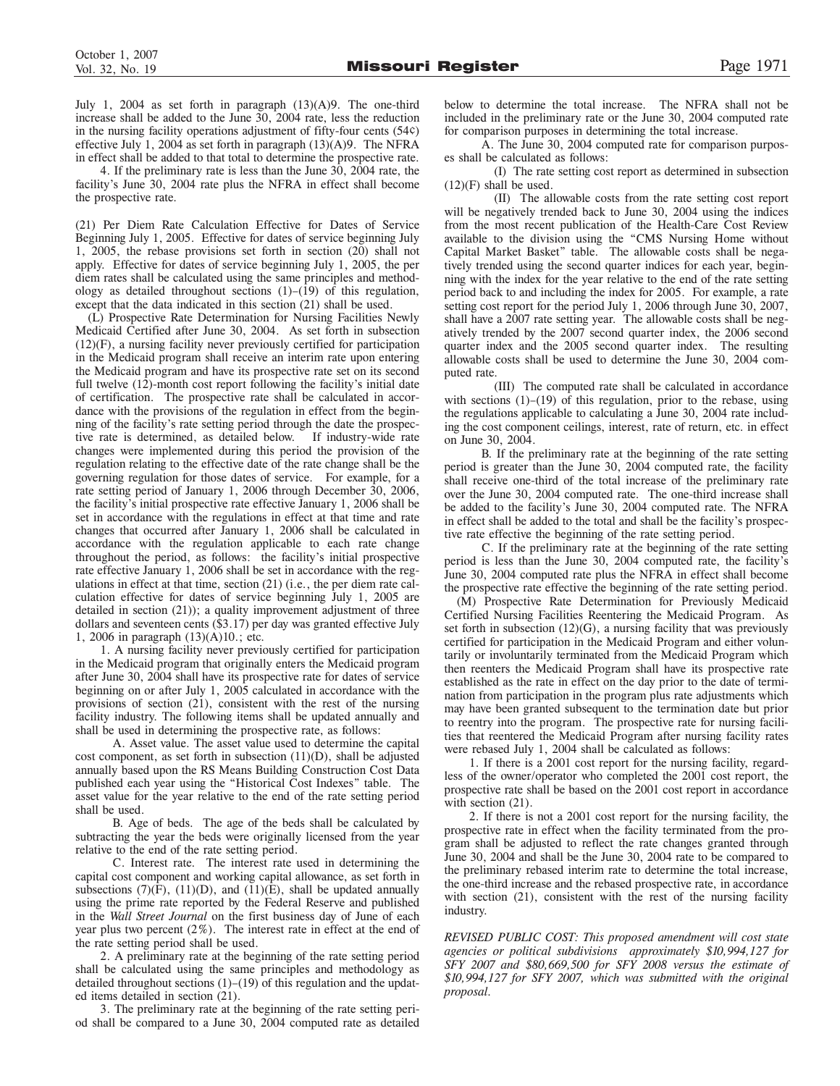July 1, 2004 as set forth in paragraph  $(13)(A)9$ . The one-third increase shall be added to the June 30, 2004 rate, less the reduction in the nursing facility operations adjustment of fifty-four cents (54¢) effective July 1, 2004 as set forth in paragraph (13)(A)9. The NFRA in effect shall be added to that total to determine the prospective rate.

4. If the preliminary rate is less than the June 30, 2004 rate, the facility's June 30, 2004 rate plus the NFRA in effect shall become the prospective rate.

(21) Per Diem Rate Calculation Effective for Dates of Service Beginning July 1, 2005. Effective for dates of service beginning July 1, 2005, the rebase provisions set forth in section (20) shall not apply. Effective for dates of service beginning July 1, 2005, the per diem rates shall be calculated using the same principles and methodology as detailed throughout sections (1)–(19) of this regulation, except that the data indicated in this section (21) shall be used.

(L) Prospective Rate Determination for Nursing Facilities Newly Medicaid Certified after June 30, 2004. As set forth in subsection (12)(F), a nursing facility never previously certified for participation in the Medicaid program shall receive an interim rate upon entering the Medicaid program and have its prospective rate set on its second full twelve (12)-month cost report following the facility's initial date of certification. The prospective rate shall be calculated in accordance with the provisions of the regulation in effect from the beginning of the facility's rate setting period through the date the prospective rate is determined, as detailed below. If industry-wide rate changes were implemented during this period the provision of the regulation relating to the effective date of the rate change shall be the governing regulation for those dates of service. For example, for a rate setting period of January 1, 2006 through December 30, 2006, the facility's initial prospective rate effective January 1, 2006 shall be set in accordance with the regulations in effect at that time and rate changes that occurred after January 1, 2006 shall be calculated in accordance with the regulation applicable to each rate change throughout the period, as follows: the facility's initial prospective rate effective January 1, 2006 shall be set in accordance with the regulations in effect at that time, section (21) (i.e., the per diem rate calculation effective for dates of service beginning July 1, 2005 are detailed in section (21)); a quality improvement adjustment of three dollars and seventeen cents (\$3.17) per day was granted effective July 1, 2006 in paragraph (13)(A)10.; etc.

1. A nursing facility never previously certified for participation in the Medicaid program that originally enters the Medicaid program after June 30, 2004 shall have its prospective rate for dates of service beginning on or after July 1, 2005 calculated in accordance with the provisions of section (21), consistent with the rest of the nursing facility industry. The following items shall be updated annually and shall be used in determining the prospective rate, as follows:

A. Asset value. The asset value used to determine the capital cost component, as set forth in subsection (11)(D), shall be adjusted annually based upon the RS Means Building Construction Cost Data published each year using the "Historical Cost Indexes" table. The asset value for the year relative to the end of the rate setting period shall be used.

B. Age of beds. The age of the beds shall be calculated by subtracting the year the beds were originally licensed from the year relative to the end of the rate setting period.

C. Interest rate. The interest rate used in determining the capital cost component and working capital allowance, as set forth in subsections  $(7)(F)$ ,  $(11)(D)$ , and  $(11)(E)$ , shall be updated annually using the prime rate reported by the Federal Reserve and published in the *Wall Street Journal* on the first business day of June of each year plus two percent (2%). The interest rate in effect at the end of the rate setting period shall be used.

2. A preliminary rate at the beginning of the rate setting period shall be calculated using the same principles and methodology as detailed throughout sections  $(1)$ – $(19)$  of this regulation and the updated items detailed in section (21).

3. The preliminary rate at the beginning of the rate setting period shall be compared to a June 30, 2004 computed rate as detailed below to determine the total increase. The NFRA shall not be included in the preliminary rate or the June 30, 2004 computed rate for comparison purposes in determining the total increase.

A. The June 30, 2004 computed rate for comparison purposes shall be calculated as follows:

(I) The rate setting cost report as determined in subsection  $(12)(F)$  shall be used.

(II) The allowable costs from the rate setting cost report will be negatively trended back to June 30, 2004 using the indices from the most recent publication of the Health-Care Cost Review available to the division using the "CMS Nursing Home without Capital Market Basket" table. The allowable costs shall be negatively trended using the second quarter indices for each year, beginning with the index for the year relative to the end of the rate setting period back to and including the index for 2005. For example, a rate setting cost report for the period July 1, 2006 through June 30, 2007, shall have a 2007 rate setting year. The allowable costs shall be negatively trended by the 2007 second quarter index, the 2006 second quarter index and the 2005 second quarter index. The resulting allowable costs shall be used to determine the June 30, 2004 computed rate.

(III) The computed rate shall be calculated in accordance with sections  $(1)$ – $(19)$  of this regulation, prior to the rebase, using the regulations applicable to calculating a June 30, 2004 rate including the cost component ceilings, interest, rate of return, etc. in effect on June 30, 2004.

B. If the preliminary rate at the beginning of the rate setting period is greater than the June 30, 2004 computed rate, the facility shall receive one-third of the total increase of the preliminary rate over the June 30, 2004 computed rate. The one-third increase shall be added to the facility's June 30, 2004 computed rate. The NFRA in effect shall be added to the total and shall be the facility's prospective rate effective the beginning of the rate setting period.

C. If the preliminary rate at the beginning of the rate setting period is less than the June 30, 2004 computed rate, the facility's June 30, 2004 computed rate plus the NFRA in effect shall become the prospective rate effective the beginning of the rate setting period.

(M) Prospective Rate Determination for Previously Medicaid Certified Nursing Facilities Reentering the Medicaid Program. As set forth in subsection  $(12)(G)$ , a nursing facility that was previously certified for participation in the Medicaid Program and either voluntarily or involuntarily terminated from the Medicaid Program which then reenters the Medicaid Program shall have its prospective rate established as the rate in effect on the day prior to the date of termination from participation in the program plus rate adjustments which may have been granted subsequent to the termination date but prior to reentry into the program. The prospective rate for nursing facilities that reentered the Medicaid Program after nursing facility rates were rebased July 1, 2004 shall be calculated as follows:

1. If there is a 2001 cost report for the nursing facility, regardless of the owner/operator who completed the 2001 cost report, the prospective rate shall be based on the 2001 cost report in accordance with section  $(21)$ .

2. If there is not a 2001 cost report for the nursing facility, the prospective rate in effect when the facility terminated from the program shall be adjusted to reflect the rate changes granted through June 30, 2004 and shall be the June 30, 2004 rate to be compared to the preliminary rebased interim rate to determine the total increase, the one-third increase and the rebased prospective rate, in accordance with section (21), consistent with the rest of the nursing facility industry.

*REVISED PUBLIC COST: This proposed amendment will cost state agencies or political subdivisions approximately \$10,994,127 for SFY 2007 and \$80,669,500 for SFY 2008 versus the estimate of \$10,994,127 for SFY 2007, which was submitted with the original proposal.*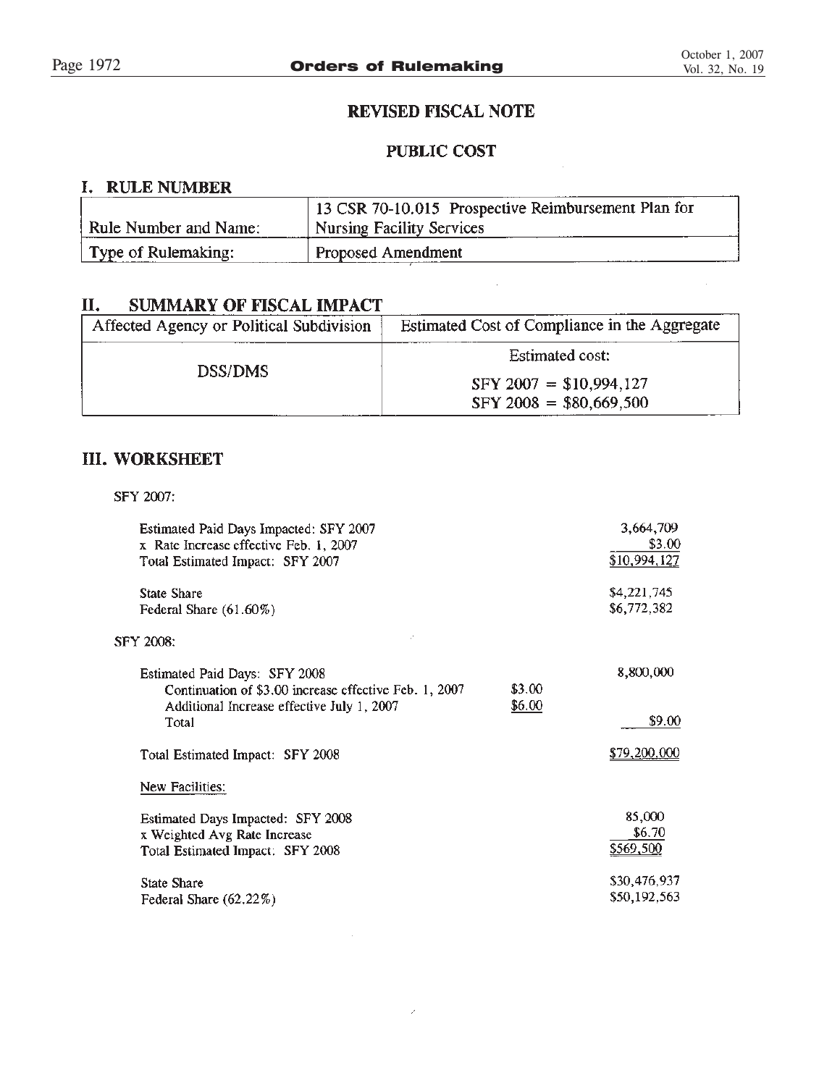$\bar{\mathcal{A}}$ 

# REVISED FISCAL NOTE

# **PUBLIC COST**

<u> Alban Mari</u>

# I. RULE NUMBER

|                       | 13 CSR 70-10.015 Prospective Reimbursement Plan for |
|-----------------------|-----------------------------------------------------|
| Rule Number and Name: | <sup>1</sup> Nursing Facility Services              |
| Type of Rulemaking:   | Proposed Amendment                                  |

### П. **SUMMARY OF FISCAL IMPACT**

| Affected Agency or Political Subdivision | Estimated Cost of Compliance in the Aggregate |  |
|------------------------------------------|-----------------------------------------------|--|
|                                          | <b>Estimated cost:</b>                        |  |
| DSS/DMS                                  | $SFY 2007 = $10,994,127$                      |  |
|                                          | $SFY 2008 = $80,669,500$                      |  |

# **III. WORKSHEET**

SFY 2007:

| Estimated Paid Days Impacted: SFY 2007<br>x Rate Increase effective Feb. 1, 2007<br>Total Estimated Impact: SFY 2007                           |                  | 3,664,709<br>\$3.00<br>\$10,994,127 |
|------------------------------------------------------------------------------------------------------------------------------------------------|------------------|-------------------------------------|
| <b>State Share</b><br>Federal Share (61.60%)                                                                                                   |                  | \$4,221,745<br>\$6,772,382          |
| <b>SFY 2008:</b>                                                                                                                               |                  |                                     |
| Estimated Paid Days: SFY 2008<br>Continuation of \$3.00 increase effective Feb. 1, 2007<br>Additional Increase effective July 1, 2007<br>Total | \$3.00<br>\$6.00 | 8,800,000<br>\$9.00                 |
| Total Estimated Impact: SFY 2008                                                                                                               |                  | \$79,200,000                        |
| New Facilities:                                                                                                                                |                  |                                     |
| Estimated Days Impacted: SFY 2008<br>x Weighted Avg Rate Increase<br>Total Estimated Impact: SFY 2008                                          |                  | 85,000<br>\$6.70<br>\$569,500       |
| <b>State Share</b><br>Federal Share (62.22%)                                                                                                   |                  | \$30,476,937<br>\$50,192,563        |

 $\mathcal{S}^{\mathcal{S}}$ 

 $\sim 10$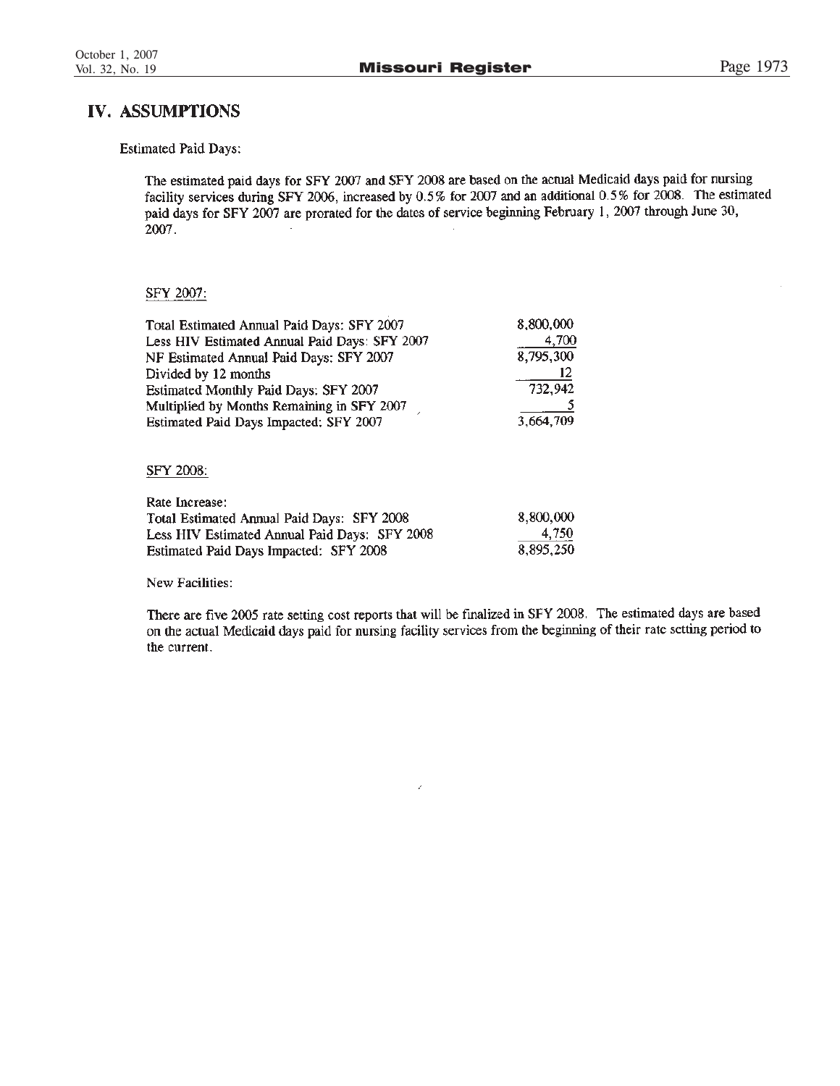# IV. ASSUMPTIONS

**Estimated Paid Days:** 

The estimated paid days for SFY 2007 and SFY 2008 are based on the actual Medicaid days paid for nursing facility services during SFY 2006, increased by 0.5% for 2007 and an additional 0.5% for 2008. The estimated paid days for SFY 2007 are prorated for the dates of service beginning February 1, 2007 through June 30, 2007.

### SFY 2007:

| Total Estimated Annual Paid Days: SFY 2007    | 8,800,000 |
|-----------------------------------------------|-----------|
| Less HIV Estimated Annual Paid Days: SFY 2007 | 4,700     |
| NF Estimated Annual Paid Days: SFY 2007       | 8,795,300 |
| Divided by 12 months                          | 12        |
| Estimated Monthly Paid Days: SFY 2007         | 732,942   |
| Multiplied by Months Remaining in SFY 2007    |           |
| Estimated Paid Days Impacted: SFY 2007        | 3,664,709 |

### SFY 2008:

| Rate Increase:                                |           |
|-----------------------------------------------|-----------|
| Total Estimated Annual Paid Days: SFY 2008    | 8,800,000 |
| Less HIV Estimated Annual Paid Days: SFY 2008 | 4.750     |
| Estimated Paid Days Impacted: SFY 2008        | 8.895.250 |

New Facilities:

There are five 2005 rate setting cost reports that will be finalized in SFY 2008. The estimated days are based on the actual Medicaid days paid for nursing facility services from the beginning of their rate setting period to the current.

 $\mathcal{L}$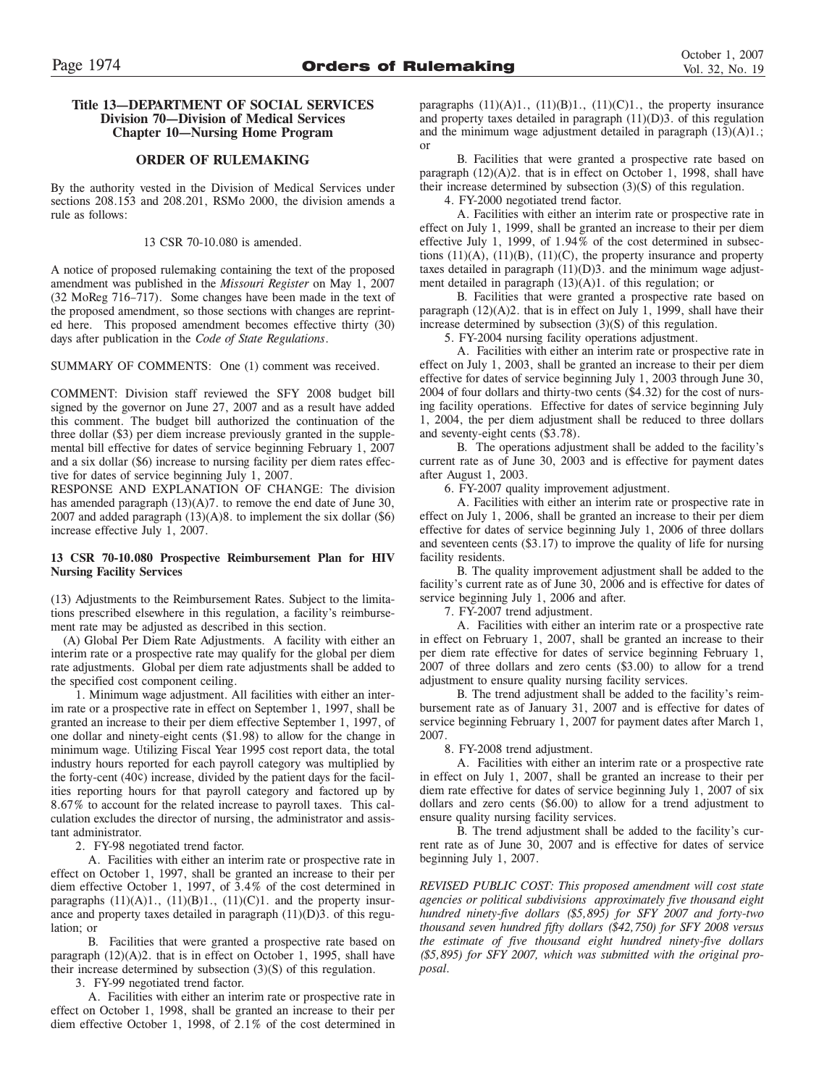### **Title 13—DEPARTMENT OF SOCIAL SERVICES Division 70—Division of Medical Services Chapter 10—Nursing Home Program**

### **ORDER OF RULEMAKING**

By the authority vested in the Division of Medical Services under sections 208.153 and 208.201, RSMo 2000, the division amends a rule as follows:

13 CSR 70-10.080 is amended.

A notice of proposed rulemaking containing the text of the proposed amendment was published in the *Missouri Register* on May 1, 2007 (32 MoReg 716–717). Some changes have been made in the text of the proposed amendment, so those sections with changes are reprinted here. This proposed amendment becomes effective thirty (30) days after publication in the *Code of State Regulations*.

SUMMARY OF COMMENTS: One (1) comment was received.

COMMENT: Division staff reviewed the SFY 2008 budget bill signed by the governor on June 27, 2007 and as a result have added this comment. The budget bill authorized the continuation of the three dollar (\$3) per diem increase previously granted in the supplemental bill effective for dates of service beginning February 1, 2007 and a six dollar (\$6) increase to nursing facility per diem rates effective for dates of service beginning July 1, 2007.

RESPONSE AND EXPLANATION OF CHANGE: The division has amended paragraph  $(13)(A)7$ , to remove the end date of June 30, 2007 and added paragraph  $(13)(A)8$ . to implement the six dollar  $(\$6)$ increase effective July 1, 2007.

### **13 CSR 70-10.080 Prospective Reimbursement Plan for HIV Nursing Facility Services**

(13) Adjustments to the Reimbursement Rates. Subject to the limitations prescribed elsewhere in this regulation, a facility's reimbursement rate may be adjusted as described in this section.

(A) Global Per Diem Rate Adjustments. A facility with either an interim rate or a prospective rate may qualify for the global per diem rate adjustments. Global per diem rate adjustments shall be added to the specified cost component ceiling.

1. Minimum wage adjustment. All facilities with either an interim rate or a prospective rate in effect on September 1, 1997, shall be granted an increase to their per diem effective September 1, 1997, of one dollar and ninety-eight cents (\$1.98) to allow for the change in minimum wage. Utilizing Fiscal Year 1995 cost report data, the total industry hours reported for each payroll category was multiplied by the forty-cent (40¢) increase, divided by the patient days for the facilities reporting hours for that payroll category and factored up by 8.67% to account for the related increase to payroll taxes. This calculation excludes the director of nursing, the administrator and assistant administrator.

2. FY-98 negotiated trend factor.

A. Facilities with either an interim rate or prospective rate in effect on October 1, 1997, shall be granted an increase to their per diem effective October 1, 1997, of 3.4% of the cost determined in paragraphs  $(11)(A)1$ .,  $(11)(B)1$ .,  $(11)(C)1$ . and the property insurance and property taxes detailed in paragraph (11)(D)3. of this regulation; or

B. Facilities that were granted a prospective rate based on paragraph (12)(A)2. that is in effect on October 1, 1995, shall have their increase determined by subsection (3)(S) of this regulation.

3. FY-99 negotiated trend factor.

A. Facilities with either an interim rate or prospective rate in effect on October 1, 1998, shall be granted an increase to their per diem effective October 1, 1998, of 2.1% of the cost determined in

paragraphs  $(11)(A)1$ .,  $(11)(B)1$ .,  $(11)(C)1$ ., the property insurance and property taxes detailed in paragraph  $(11)(D)3$ . of this regulation and the minimum wage adjustment detailed in paragraph  $(13)(A)1$ .; or

B. Facilities that were granted a prospective rate based on paragraph (12)(A)2. that is in effect on October 1, 1998, shall have their increase determined by subsection (3)(S) of this regulation.

4. FY-2000 negotiated trend factor.

A. Facilities with either an interim rate or prospective rate in effect on July 1, 1999, shall be granted an increase to their per diem effective July 1, 1999, of 1.94% of the cost determined in subsections  $(11)(A)$ ,  $(11)(B)$ ,  $(11)(C)$ , the property insurance and property taxes detailed in paragraph (11)(D)3. and the minimum wage adjustment detailed in paragraph (13)(A)1. of this regulation; or

B. Facilities that were granted a prospective rate based on paragraph  $(12)(A)2$ . that is in effect on July 1, 1999, shall have their increase determined by subsection (3)(S) of this regulation.

5. FY-2004 nursing facility operations adjustment.

A. Facilities with either an interim rate or prospective rate in effect on July 1, 2003, shall be granted an increase to their per diem effective for dates of service beginning July 1, 2003 through June 30, 2004 of four dollars and thirty-two cents (\$4.32) for the cost of nursing facility operations. Effective for dates of service beginning July 1, 2004, the per diem adjustment shall be reduced to three dollars and seventy-eight cents (\$3.78).

B. The operations adjustment shall be added to the facility's current rate as of June 30, 2003 and is effective for payment dates after August 1, 2003.

6. FY-2007 quality improvement adjustment.

A. Facilities with either an interim rate or prospective rate in effect on July 1, 2006, shall be granted an increase to their per diem effective for dates of service beginning July 1, 2006 of three dollars and seventeen cents (\$3.17) to improve the quality of life for nursing facility residents.

B. The quality improvement adjustment shall be added to the facility's current rate as of June 30, 2006 and is effective for dates of service beginning July 1, 2006 and after.

7. FY-2007 trend adjustment.

A. Facilities with either an interim rate or a prospective rate in effect on February 1, 2007, shall be granted an increase to their per diem rate effective for dates of service beginning February 1, 2007 of three dollars and zero cents (\$3.00) to allow for a trend adjustment to ensure quality nursing facility services.

B. The trend adjustment shall be added to the facility's reimbursement rate as of January 31, 2007 and is effective for dates of service beginning February 1, 2007 for payment dates after March 1, 2007.

8. FY-2008 trend adjustment.

A. Facilities with either an interim rate or a prospective rate in effect on July 1, 2007, shall be granted an increase to their per diem rate effective for dates of service beginning July 1, 2007 of six dollars and zero cents (\$6.00) to allow for a trend adjustment to ensure quality nursing facility services.

B. The trend adjustment shall be added to the facility's current rate as of June 30, 2007 and is effective for dates of service beginning July 1, 2007.

*REVISED PUBLIC COST: This proposed amendment will cost state agencies or political subdivisions approximately five thousand eight hundred ninety-five dollars (\$5,895) for SFY 2007 and forty-two thousand seven hundred fifty dollars (\$42,750) for SFY 2008 versus the estimate of five thousand eight hundred ninety-five dollars (\$5,895) for SFY 2007, which was submitted with the original proposal.*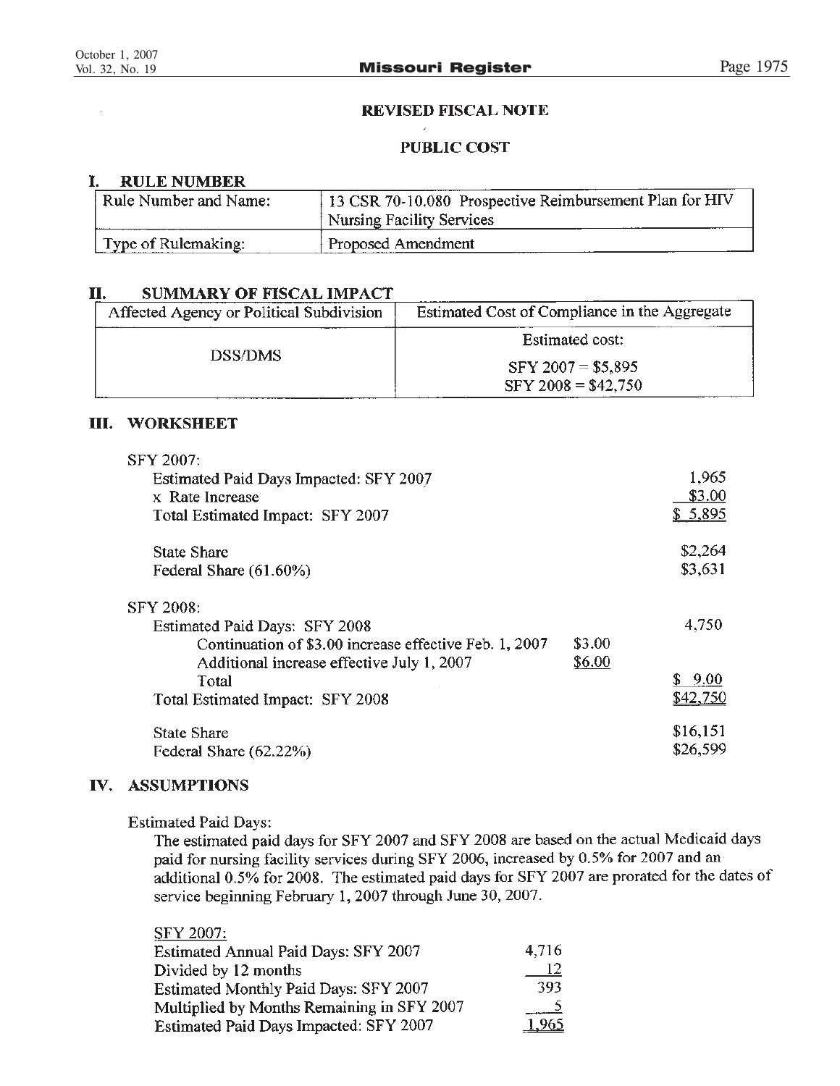# **REVISED FISCAL NOTE**

# **PUBLIC COST**

### I. **RULE NUMBER**

| Rule Number and Name: | 13 CSR 70-10.080 Prospective Reimbursement Plan for HIV<br><sup>1</sup> Nursing Facility Services |
|-----------------------|---------------------------------------------------------------------------------------------------|
| Type of Rulemaking:   | Proposed Amendment                                                                                |

### II. **SUMMARY OF FISCAL IMPACT**

| Affected Agency or Political Subdivision | Estimated Cost of Compliance in the Aggregate |
|------------------------------------------|-----------------------------------------------|
|                                          | Estimated cost:                               |
| <b>DSS/DMS</b>                           | $SFY 2007 = $5,895$                           |
|                                          | $SFY 2008 = $42,750$                          |

# III. WORKSHEET

| SFY 2007:                                                 |        |            |
|-----------------------------------------------------------|--------|------------|
| Estimated Paid Days Impacted: SFY 2007<br>x Rate Increase |        | 1,965      |
|                                                           |        | \$3.00     |
| Total Estimated Impact: SFY 2007                          |        | \$5,895    |
| <b>State Share</b>                                        |        | \$2,264    |
| Federal Share (61.60%)                                    |        | \$3,631    |
| SFY 2008:                                                 |        |            |
| Estimated Paid Days: SFY 2008                             |        | 4,750      |
| Continuation of \$3,00 increase effective Feb. 1, 2007    | \$3.00 |            |
| Additional increase effective July 1, 2007                | \$6.00 |            |
| Total                                                     |        | 9.00<br>S. |
| Total Estimated Impact: SFY 2008                          |        | \$42.750   |
| State Share                                               |        | \$16,151   |
| Federal Share (62.22%)                                    |        | \$26,599   |

# IV. ASSUMPTIONS

**Estimated Paid Days:** 

The estimated paid days for SFY 2007 and SFY 2008 are based on the actual Medicaid days paid for nursing facility services during SFY 2006, increased by 0.5% for 2007 and an additional 0.5% for 2008. The estimated paid days for SFY 2007 are prorated for the dates of service beginning February 1, 2007 through June 30, 2007.

| SFY 2007:                                   |       |
|---------------------------------------------|-------|
| <b>Estimated Annual Paid Days: SFY 2007</b> | 4,716 |
| Divided by 12 months                        | -12   |
| Estimated Monthly Paid Days: SFY 2007       | 393   |
| Multiplied by Months Remaining in SFY 2007  |       |
| Estimated Paid Days Impacted: SFY 2007      | 1,965 |